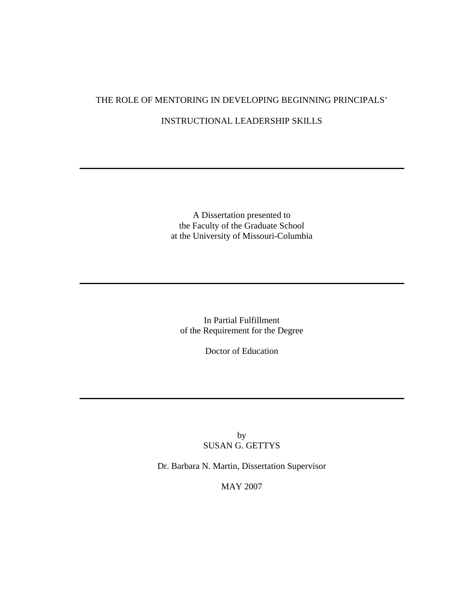## THE ROLE OF MENTORING IN DEVELOPING BEGINNING PRINCIPALS'

## INSTRUCTIONAL LEADERSHIP SKILLS

A Dissertation presented to the Faculty of the Graduate School at the University of Missouri-Columbia

In Partial Fulfillment of the Requirement for the Degree

Doctor of Education

by SUSAN G. GETTYS

Dr. Barbara N. Martin, Dissertation Supervisor

MAY 2007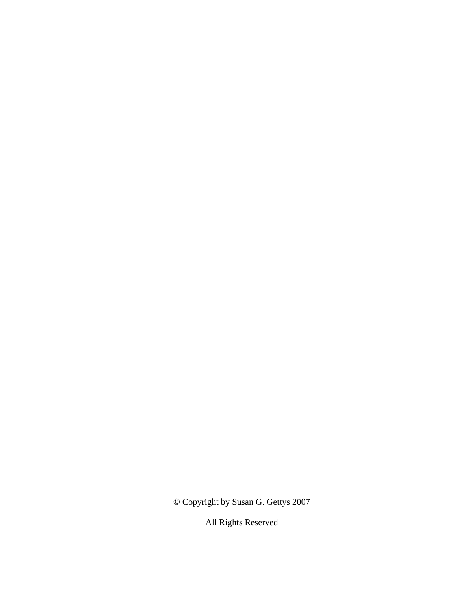© Copyright by Susan G. Gettys 2007

All Rights Reserved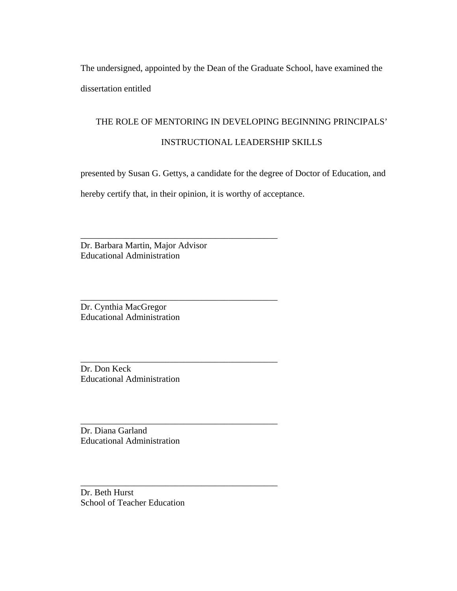The undersigned, appointed by the Dean of the Graduate School, have examined the dissertation entitled

# THE ROLE OF MENTORING IN DEVELOPING BEGINNING PRINCIPALS'

## INSTRUCTIONAL LEADERSHIP SKILLS

presented by Susan G. Gettys, a candidate for the degree of Doctor of Education, and

hereby certify that, in their opinion, it is worthy of acceptance.

\_\_\_\_\_\_\_\_\_\_\_\_\_\_\_\_\_\_\_\_\_\_\_\_\_\_\_\_\_\_\_\_\_\_\_\_\_\_\_\_\_\_\_\_

\_\_\_\_\_\_\_\_\_\_\_\_\_\_\_\_\_\_\_\_\_\_\_\_\_\_\_\_\_\_\_\_\_\_\_\_\_\_\_\_\_\_\_\_

\_\_\_\_\_\_\_\_\_\_\_\_\_\_\_\_\_\_\_\_\_\_\_\_\_\_\_\_\_\_\_\_\_\_\_\_\_\_\_\_\_\_\_\_

\_\_\_\_\_\_\_\_\_\_\_\_\_\_\_\_\_\_\_\_\_\_\_\_\_\_\_\_\_\_\_\_\_\_\_\_\_\_\_\_\_\_\_\_

\_\_\_\_\_\_\_\_\_\_\_\_\_\_\_\_\_\_\_\_\_\_\_\_\_\_\_\_\_\_\_\_\_\_\_\_\_\_\_\_\_\_\_\_

Dr. Barbara Martin, Major Advisor Educational Administration

Dr. Cynthia MacGregor Educational Administration

Dr. Don Keck Educational Administration

Dr. Diana Garland Educational Administration

Dr. Beth Hurst School of Teacher Education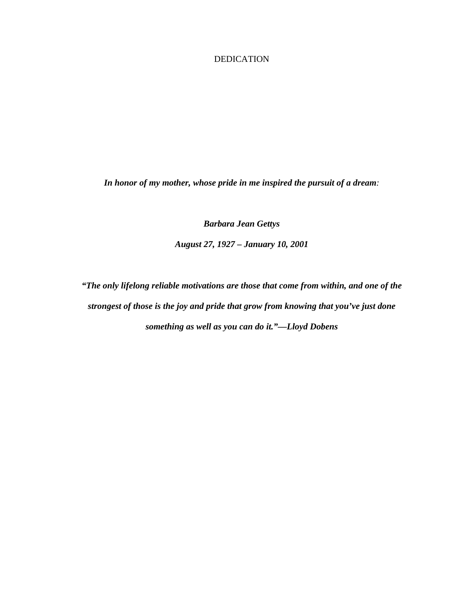## DEDICATION

*In honor of my mother, whose pride in me inspired the pursuit of a dream:* 

*Barbara Jean Gettys* 

*August 27, 1927 – January 10, 2001* 

*"The only lifelong reliable motivations are those that come from within, and one of the strongest of those is the joy and pride that grow from knowing that you've just done something as well as you can do it."—Lloyd Dobens*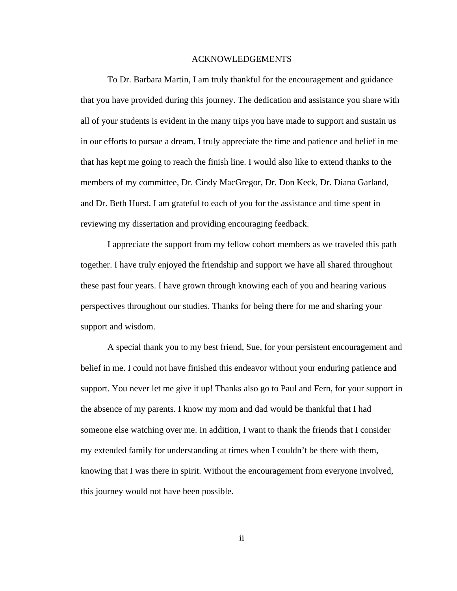#### ACKNOWLEDGEMENTS

To Dr. Barbara Martin, I am truly thankful for the encouragement and guidance that you have provided during this journey. The dedication and assistance you share with all of your students is evident in the many trips you have made to support and sustain us in our efforts to pursue a dream. I truly appreciate the time and patience and belief in me that has kept me going to reach the finish line. I would also like to extend thanks to the members of my committee, Dr. Cindy MacGregor, Dr. Don Keck, Dr. Diana Garland, and Dr. Beth Hurst. I am grateful to each of you for the assistance and time spent in reviewing my dissertation and providing encouraging feedback.

I appreciate the support from my fellow cohort members as we traveled this path together. I have truly enjoyed the friendship and support we have all shared throughout these past four years. I have grown through knowing each of you and hearing various perspectives throughout our studies. Thanks for being there for me and sharing your support and wisdom.

 A special thank you to my best friend, Sue, for your persistent encouragement and belief in me. I could not have finished this endeavor without your enduring patience and support. You never let me give it up! Thanks also go to Paul and Fern, for your support in the absence of my parents. I know my mom and dad would be thankful that I had someone else watching over me. In addition, I want to thank the friends that I consider my extended family for understanding at times when I couldn't be there with them, knowing that I was there in spirit. Without the encouragement from everyone involved, this journey would not have been possible.

ii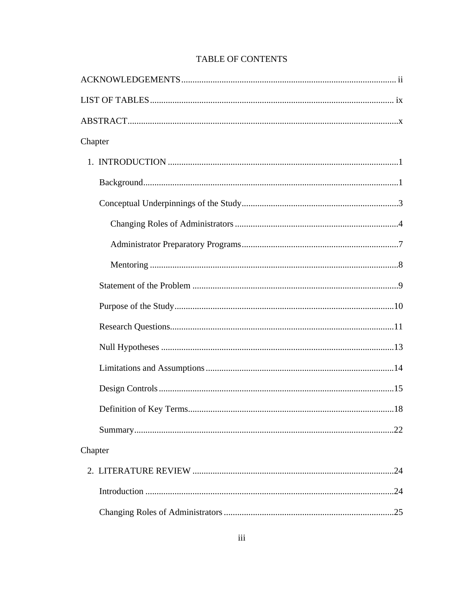| Chapter |  |
|---------|--|
|         |  |
|         |  |
|         |  |
|         |  |
|         |  |
|         |  |
|         |  |
|         |  |
|         |  |
|         |  |
|         |  |
|         |  |
|         |  |
|         |  |
| Chapter |  |
|         |  |
|         |  |
|         |  |

## TABLE OF CONTENTS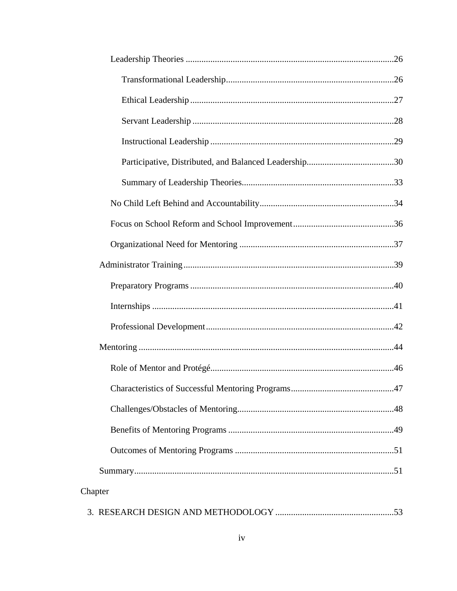| Chapter |  |
|---------|--|
|         |  |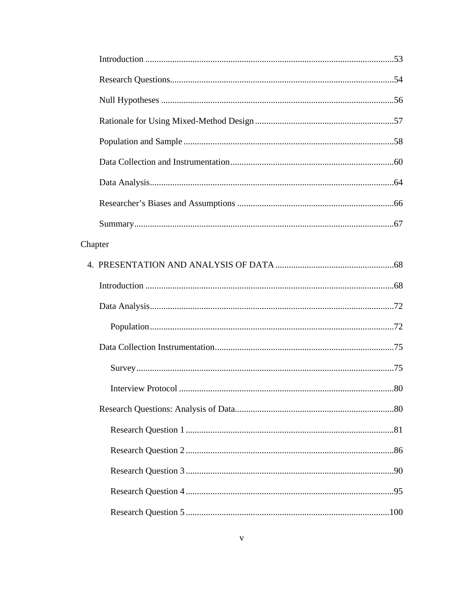| Chapter |  |
|---------|--|
|         |  |
|         |  |
|         |  |
|         |  |
|         |  |
|         |  |
|         |  |
|         |  |
|         |  |
|         |  |
|         |  |
|         |  |
|         |  |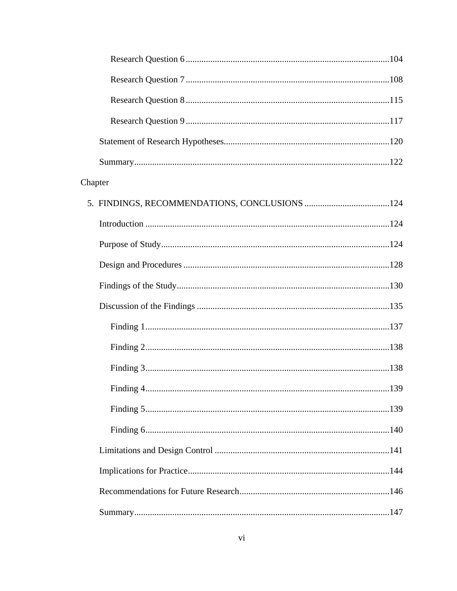| Chapter |  |
|---------|--|
|         |  |
|         |  |
|         |  |
|         |  |
|         |  |
|         |  |
|         |  |
|         |  |
|         |  |
|         |  |
|         |  |
|         |  |
|         |  |
|         |  |
|         |  |
|         |  |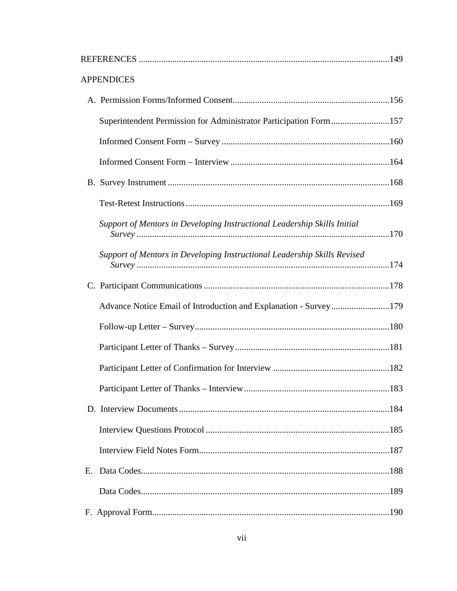| <b>APPENDICES</b>                                                        |  |
|--------------------------------------------------------------------------|--|
|                                                                          |  |
| Superintendent Permission for Administrator Participation Form157        |  |
|                                                                          |  |
|                                                                          |  |
|                                                                          |  |
|                                                                          |  |
| Support of Mentors in Developing Instructional Leadership Skills Initial |  |
| Support of Mentors in Developing Instructional Leadership Skills Revised |  |
|                                                                          |  |
| Advance Notice Email of Introduction and Explanation - Survey179         |  |
|                                                                          |  |
|                                                                          |  |
|                                                                          |  |
|                                                                          |  |
|                                                                          |  |
|                                                                          |  |
|                                                                          |  |
| Ε.                                                                       |  |
|                                                                          |  |
|                                                                          |  |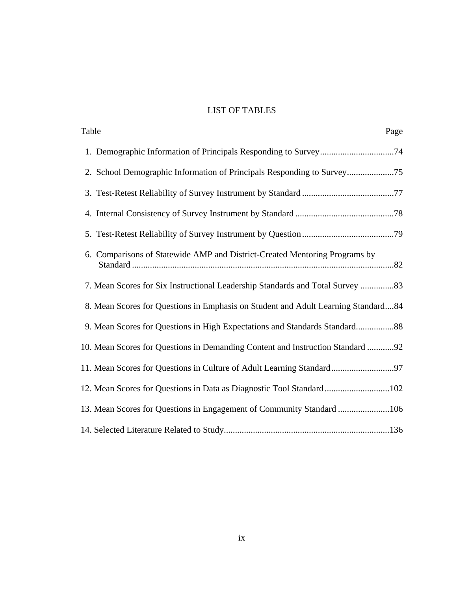## LIST OF TABLES

| Table<br>Page                                                                     |
|-----------------------------------------------------------------------------------|
|                                                                                   |
|                                                                                   |
|                                                                                   |
|                                                                                   |
|                                                                                   |
| 6. Comparisons of Statewide AMP and District-Created Mentoring Programs by        |
| 7. Mean Scores for Six Instructional Leadership Standards and Total Survey  83    |
| 8. Mean Scores for Questions in Emphasis on Student and Adult Learning Standard84 |
| 9. Mean Scores for Questions in High Expectations and Standards Standard88        |
| 10. Mean Scores for Questions in Demanding Content and Instruction Standard 92    |
| 11. Mean Scores for Questions in Culture of Adult Learning Standard97             |
| 12. Mean Scores for Questions in Data as Diagnostic Tool Standard102              |
| 13. Mean Scores for Questions in Engagement of Community Standard 106             |
|                                                                                   |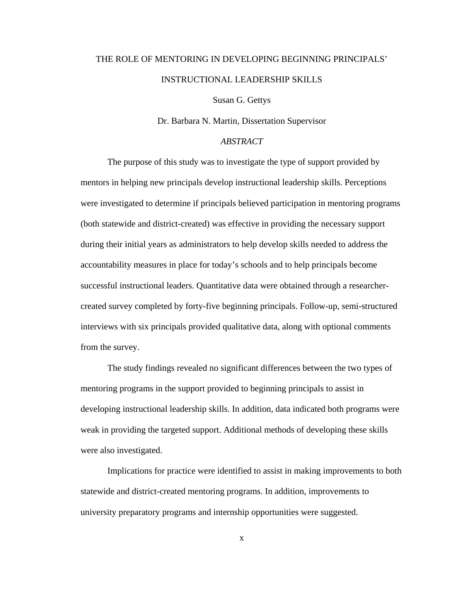## THE ROLE OF MENTORING IN DEVELOPING BEGINNING PRINCIPALS' INSTRUCTIONAL LEADERSHIP SKILLS

Susan G. Gettys

Dr. Barbara N. Martin, Dissertation Supervisor

## *ABSTRACT*

The purpose of this study was to investigate the type of support provided by mentors in helping new principals develop instructional leadership skills. Perceptions were investigated to determine if principals believed participation in mentoring programs (both statewide and district-created) was effective in providing the necessary support during their initial years as administrators to help develop skills needed to address the accountability measures in place for today's schools and to help principals become successful instructional leaders. Quantitative data were obtained through a researchercreated survey completed by forty-five beginning principals. Follow-up, semi-structured interviews with six principals provided qualitative data, along with optional comments from the survey.

The study findings revealed no significant differences between the two types of mentoring programs in the support provided to beginning principals to assist in developing instructional leadership skills. In addition, data indicated both programs were weak in providing the targeted support. Additional methods of developing these skills were also investigated.

Implications for practice were identified to assist in making improvements to both statewide and district-created mentoring programs. In addition, improvements to university preparatory programs and internship opportunities were suggested.

x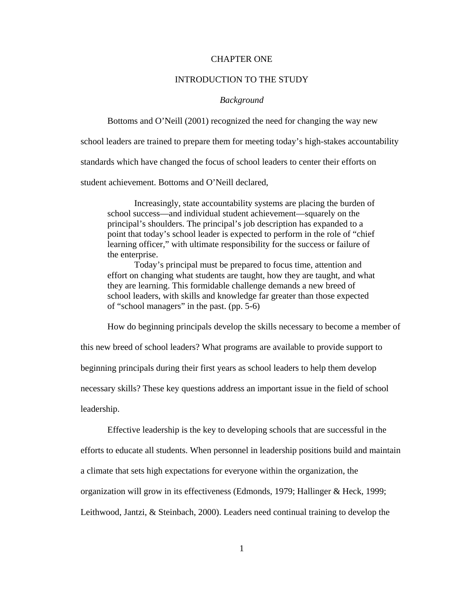#### CHAPTER ONE

#### INTRODUCTION TO THE STUDY

#### *Background*

Bottoms and O'Neill (2001) recognized the need for changing the way new

school leaders are trained to prepare them for meeting today's high-stakes accountability

standards which have changed the focus of school leaders to center their efforts on

student achievement. Bottoms and O'Neill declared,

 Increasingly, state accountability systems are placing the burden of school success—and individual student achievement—squarely on the principal's shoulders. The principal's job description has expanded to a point that today's school leader is expected to perform in the role of "chief learning officer," with ultimate responsibility for the success or failure of the enterprise.

 Today's principal must be prepared to focus time, attention and effort on changing what students are taught, how they are taught, and what they are learning. This formidable challenge demands a new breed of school leaders, with skills and knowledge far greater than those expected of "school managers" in the past. (pp. 5-6)

How do beginning principals develop the skills necessary to become a member of

this new breed of school leaders? What programs are available to provide support to

beginning principals during their first years as school leaders to help them develop

necessary skills? These key questions address an important issue in the field of school

leadership.

Effective leadership is the key to developing schools that are successful in the efforts to educate all students. When personnel in leadership positions build and maintain a climate that sets high expectations for everyone within the organization, the organization will grow in its effectiveness (Edmonds, 1979; Hallinger & Heck, 1999; Leithwood, Jantzi, & Steinbach, 2000). Leaders need continual training to develop the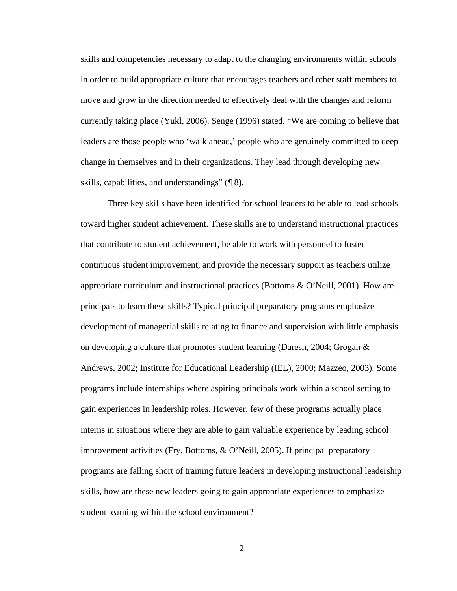skills and competencies necessary to adapt to the changing environments within schools in order to build appropriate culture that encourages teachers and other staff members to move and grow in the direction needed to effectively deal with the changes and reform currently taking place (Yukl, 2006). Senge (1996) stated, "We are coming to believe that leaders are those people who 'walk ahead,' people who are genuinely committed to deep change in themselves and in their organizations. They lead through developing new skills, capabilities, and understandings" (¶ 8).

 Three key skills have been identified for school leaders to be able to lead schools toward higher student achievement. These skills are to understand instructional practices that contribute to student achievement, be able to work with personnel to foster continuous student improvement, and provide the necessary support as teachers utilize appropriate curriculum and instructional practices (Bottoms & O'Neill, 2001). How are principals to learn these skills? Typical principal preparatory programs emphasize development of managerial skills relating to finance and supervision with little emphasis on developing a culture that promotes student learning (Daresh, 2004; Grogan & Andrews, 2002; Institute for Educational Leadership (IEL), 2000; Mazzeo, 2003). Some programs include internships where aspiring principals work within a school setting to gain experiences in leadership roles. However, few of these programs actually place interns in situations where they are able to gain valuable experience by leading school improvement activities (Fry, Bottoms, & O'Neill, 2005). If principal preparatory programs are falling short of training future leaders in developing instructional leadership skills, how are these new leaders going to gain appropriate experiences to emphasize student learning within the school environment?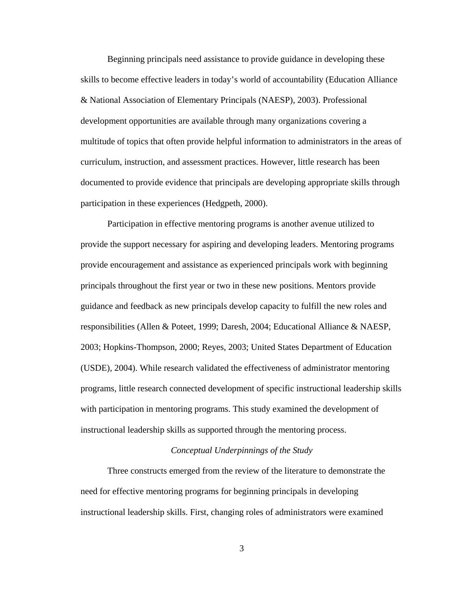Beginning principals need assistance to provide guidance in developing these skills to become effective leaders in today's world of accountability (Education Alliance & National Association of Elementary Principals (NAESP), 2003). Professional development opportunities are available through many organizations covering a multitude of topics that often provide helpful information to administrators in the areas of curriculum, instruction, and assessment practices. However, little research has been documented to provide evidence that principals are developing appropriate skills through participation in these experiences (Hedgpeth, 2000).

Participation in effective mentoring programs is another avenue utilized to provide the support necessary for aspiring and developing leaders. Mentoring programs provide encouragement and assistance as experienced principals work with beginning principals throughout the first year or two in these new positions. Mentors provide guidance and feedback as new principals develop capacity to fulfill the new roles and responsibilities (Allen & Poteet, 1999; Daresh, 2004; Educational Alliance & NAESP, 2003; Hopkins-Thompson, 2000; Reyes, 2003; United States Department of Education (USDE), 2004). While research validated the effectiveness of administrator mentoring programs, little research connected development of specific instructional leadership skills with participation in mentoring programs. This study examined the development of instructional leadership skills as supported through the mentoring process.

#### *Conceptual Underpinnings of the Study*

 Three constructs emerged from the review of the literature to demonstrate the need for effective mentoring programs for beginning principals in developing instructional leadership skills. First, changing roles of administrators were examined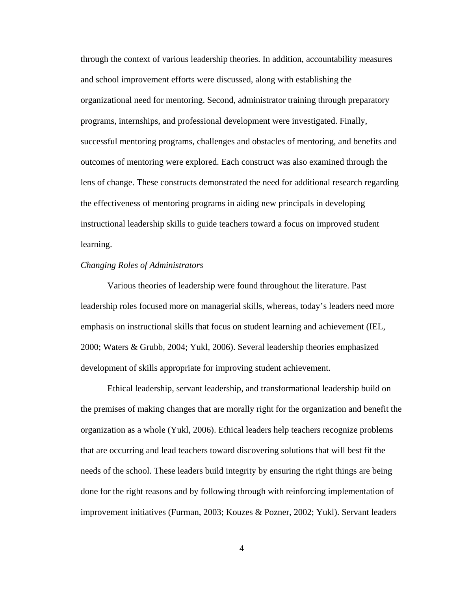through the context of various leadership theories. In addition, accountability measures and school improvement efforts were discussed, along with establishing the organizational need for mentoring. Second, administrator training through preparatory programs, internships, and professional development were investigated. Finally, successful mentoring programs, challenges and obstacles of mentoring, and benefits and outcomes of mentoring were explored. Each construct was also examined through the lens of change. These constructs demonstrated the need for additional research regarding the effectiveness of mentoring programs in aiding new principals in developing instructional leadership skills to guide teachers toward a focus on improved student learning.

#### *Changing Roles of Administrators*

 Various theories of leadership were found throughout the literature. Past leadership roles focused more on managerial skills, whereas, today's leaders need more emphasis on instructional skills that focus on student learning and achievement (IEL, 2000; Waters & Grubb, 2004; Yukl, 2006). Several leadership theories emphasized development of skills appropriate for improving student achievement.

 Ethical leadership, servant leadership, and transformational leadership build on the premises of making changes that are morally right for the organization and benefit the organization as a whole (Yukl, 2006). Ethical leaders help teachers recognize problems that are occurring and lead teachers toward discovering solutions that will best fit the needs of the school. These leaders build integrity by ensuring the right things are being done for the right reasons and by following through with reinforcing implementation of improvement initiatives (Furman, 2003; Kouzes & Pozner, 2002; Yukl). Servant leaders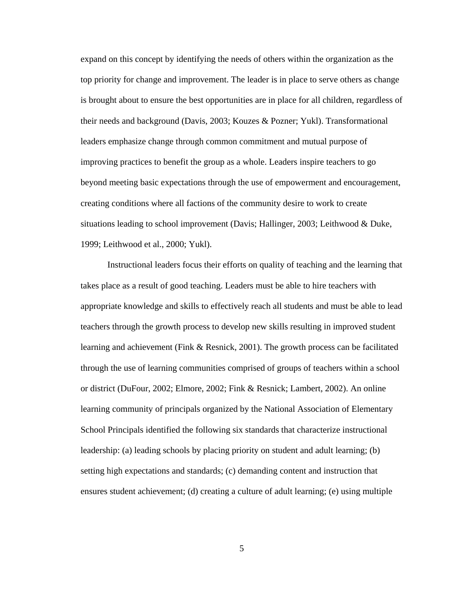expand on this concept by identifying the needs of others within the organization as the top priority for change and improvement. The leader is in place to serve others as change is brought about to ensure the best opportunities are in place for all children, regardless of their needs and background (Davis, 2003; Kouzes & Pozner; Yukl). Transformational leaders emphasize change through common commitment and mutual purpose of improving practices to benefit the group as a whole. Leaders inspire teachers to go beyond meeting basic expectations through the use of empowerment and encouragement, creating conditions where all factions of the community desire to work to create situations leading to school improvement (Davis; Hallinger, 2003; Leithwood & Duke, 1999; Leithwood et al., 2000; Yukl).

 Instructional leaders focus their efforts on quality of teaching and the learning that takes place as a result of good teaching. Leaders must be able to hire teachers with appropriate knowledge and skills to effectively reach all students and must be able to lead teachers through the growth process to develop new skills resulting in improved student learning and achievement (Fink & Resnick, 2001). The growth process can be facilitated through the use of learning communities comprised of groups of teachers within a school or district (DuFour, 2002; Elmore, 2002; Fink & Resnick; Lambert, 2002). An online learning community of principals organized by the National Association of Elementary School Principals identified the following six standards that characterize instructional leadership: (a) leading schools by placing priority on student and adult learning; (b) setting high expectations and standards; (c) demanding content and instruction that ensures student achievement; (d) creating a culture of adult learning; (e) using multiple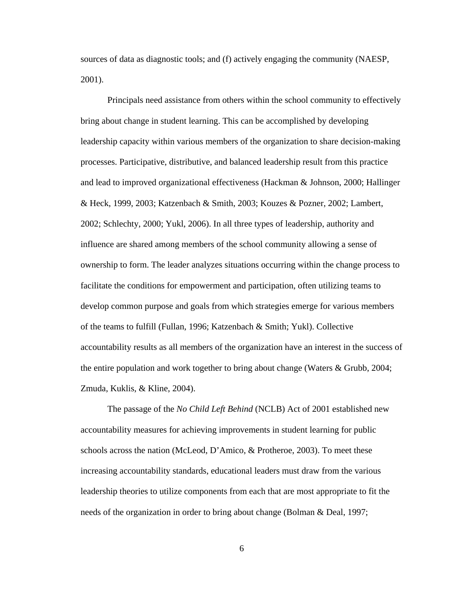sources of data as diagnostic tools; and (f) actively engaging the community (NAESP, 2001).

Principals need assistance from others within the school community to effectively bring about change in student learning. This can be accomplished by developing leadership capacity within various members of the organization to share decision-making processes. Participative, distributive, and balanced leadership result from this practice and lead to improved organizational effectiveness (Hackman & Johnson, 2000; Hallinger & Heck, 1999, 2003; Katzenbach & Smith, 2003; Kouzes & Pozner, 2002; Lambert, 2002; Schlechty, 2000; Yukl, 2006). In all three types of leadership, authority and influence are shared among members of the school community allowing a sense of ownership to form. The leader analyzes situations occurring within the change process to facilitate the conditions for empowerment and participation, often utilizing teams to develop common purpose and goals from which strategies emerge for various members of the teams to fulfill (Fullan, 1996; Katzenbach & Smith; Yukl). Collective accountability results as all members of the organization have an interest in the success of the entire population and work together to bring about change (Waters & Grubb, 2004; Zmuda, Kuklis, & Kline, 2004).

The passage of the *No Child Left Behind* (NCLB) Act of 2001 established new accountability measures for achieving improvements in student learning for public schools across the nation (McLeod, D'Amico, & Protheroe, 2003). To meet these increasing accountability standards, educational leaders must draw from the various leadership theories to utilize components from each that are most appropriate to fit the needs of the organization in order to bring about change (Bolman & Deal, 1997;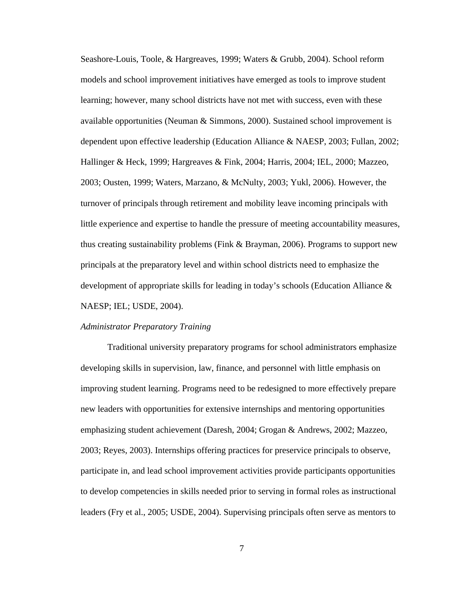Seashore-Louis, Toole, & Hargreaves, 1999; Waters & Grubb, 2004). School reform models and school improvement initiatives have emerged as tools to improve student learning; however, many school districts have not met with success, even with these available opportunities (Neuman & Simmons, 2000). Sustained school improvement is dependent upon effective leadership (Education Alliance & NAESP, 2003; Fullan, 2002; Hallinger & Heck, 1999; Hargreaves & Fink, 2004; Harris, 2004; IEL, 2000; Mazzeo, 2003; Ousten, 1999; Waters, Marzano, & McNulty, 2003; Yukl, 2006). However, the turnover of principals through retirement and mobility leave incoming principals with little experience and expertise to handle the pressure of meeting accountability measures, thus creating sustainability problems (Fink & Brayman, 2006). Programs to support new principals at the preparatory level and within school districts need to emphasize the development of appropriate skills for leading in today's schools (Education Alliance & NAESP; IEL; USDE, 2004).

#### *Administrator Preparatory Training*

Traditional university preparatory programs for school administrators emphasize developing skills in supervision, law, finance, and personnel with little emphasis on improving student learning. Programs need to be redesigned to more effectively prepare new leaders with opportunities for extensive internships and mentoring opportunities emphasizing student achievement (Daresh, 2004; Grogan & Andrews, 2002; Mazzeo, 2003; Reyes, 2003). Internships offering practices for preservice principals to observe, participate in, and lead school improvement activities provide participants opportunities to develop competencies in skills needed prior to serving in formal roles as instructional leaders (Fry et al., 2005; USDE, 2004). Supervising principals often serve as mentors to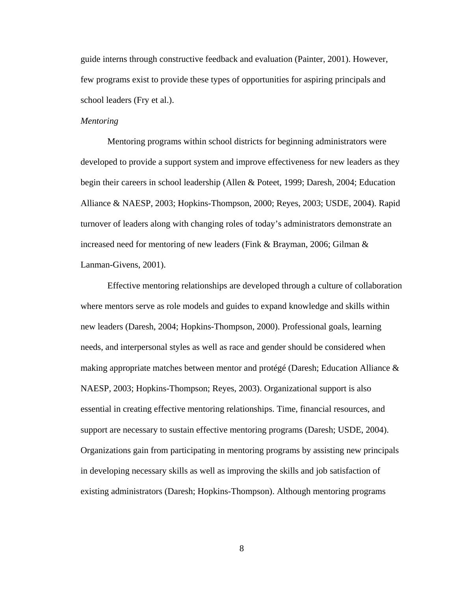guide interns through constructive feedback and evaluation (Painter, 2001). However, few programs exist to provide these types of opportunities for aspiring principals and school leaders (Fry et al.).

#### *Mentoring*

 Mentoring programs within school districts for beginning administrators were developed to provide a support system and improve effectiveness for new leaders as they begin their careers in school leadership (Allen & Poteet, 1999; Daresh, 2004; Education Alliance & NAESP, 2003; Hopkins-Thompson, 2000; Reyes, 2003; USDE, 2004). Rapid turnover of leaders along with changing roles of today's administrators demonstrate an increased need for mentoring of new leaders (Fink & Brayman, 2006; Gilman & Lanman-Givens, 2001).

 Effective mentoring relationships are developed through a culture of collaboration where mentors serve as role models and guides to expand knowledge and skills within new leaders (Daresh, 2004; Hopkins-Thompson, 2000). Professional goals, learning needs, and interpersonal styles as well as race and gender should be considered when making appropriate matches between mentor and protégé (Daresh; Education Alliance & NAESP, 2003; Hopkins-Thompson; Reyes, 2003). Organizational support is also essential in creating effective mentoring relationships. Time, financial resources, and support are necessary to sustain effective mentoring programs (Daresh; USDE, 2004). Organizations gain from participating in mentoring programs by assisting new principals in developing necessary skills as well as improving the skills and job satisfaction of existing administrators (Daresh; Hopkins-Thompson). Although mentoring programs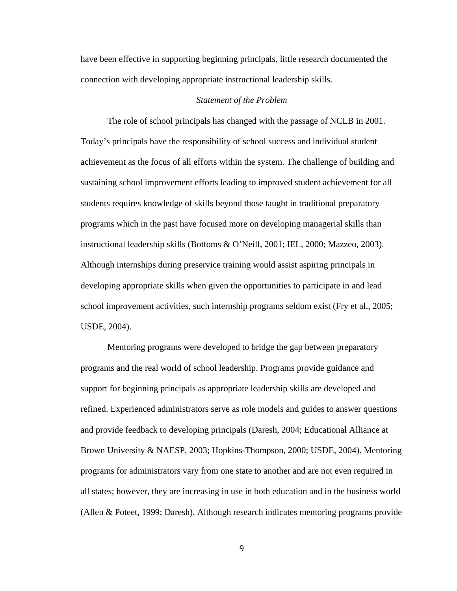have been effective in supporting beginning principals, little research documented the connection with developing appropriate instructional leadership skills.

#### *Statement of the Problem*

 The role of school principals has changed with the passage of NCLB in 2001. Today's principals have the responsibility of school success and individual student achievement as the focus of all efforts within the system. The challenge of building and sustaining school improvement efforts leading to improved student achievement for all students requires knowledge of skills beyond those taught in traditional preparatory programs which in the past have focused more on developing managerial skills than instructional leadership skills (Bottoms & O'Neill, 2001; IEL, 2000; Mazzeo, 2003). Although internships during preservice training would assist aspiring principals in developing appropriate skills when given the opportunities to participate in and lead school improvement activities, such internship programs seldom exist (Fry et al., 2005; USDE, 2004).

 Mentoring programs were developed to bridge the gap between preparatory programs and the real world of school leadership. Programs provide guidance and support for beginning principals as appropriate leadership skills are developed and refined. Experienced administrators serve as role models and guides to answer questions and provide feedback to developing principals (Daresh, 2004; Educational Alliance at Brown University & NAESP, 2003; Hopkins-Thompson, 2000; USDE, 2004). Mentoring programs for administrators vary from one state to another and are not even required in all states; however, they are increasing in use in both education and in the business world (Allen & Poteet, 1999; Daresh). Although research indicates mentoring programs provide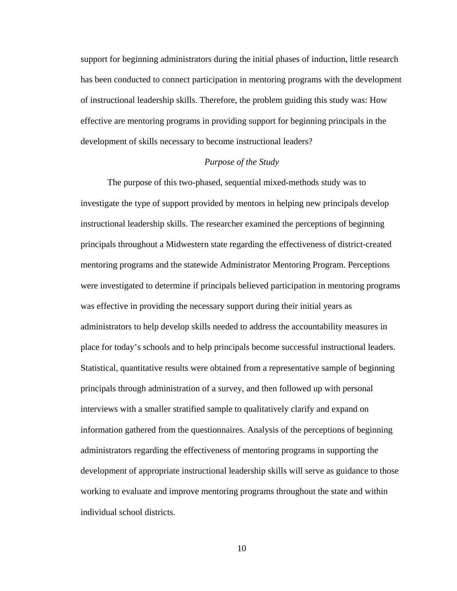support for beginning administrators during the initial phases of induction, little research has been conducted to connect participation in mentoring programs with the development of instructional leadership skills. Therefore, the problem guiding this study was: How effective are mentoring programs in providing support for beginning principals in the development of skills necessary to become instructional leaders?

#### *Purpose of the Study*

The purpose of this two-phased, sequential mixed-methods study was to investigate the type of support provided by mentors in helping new principals develop instructional leadership skills. The researcher examined the perceptions of beginning principals throughout a Midwestern state regarding the effectiveness of district-created mentoring programs and the statewide Administrator Mentoring Program. Perceptions were investigated to determine if principals believed participation in mentoring programs was effective in providing the necessary support during their initial years as administrators to help develop skills needed to address the accountability measures in place for today's schools and to help principals become successful instructional leaders. Statistical, quantitative results were obtained from a representative sample of beginning principals through administration of a survey, and then followed up with personal interviews with a smaller stratified sample to qualitatively clarify and expand on information gathered from the questionnaires. Analysis of the perceptions of beginning administrators regarding the effectiveness of mentoring programs in supporting the development of appropriate instructional leadership skills will serve as guidance to those working to evaluate and improve mentoring programs throughout the state and within individual school districts.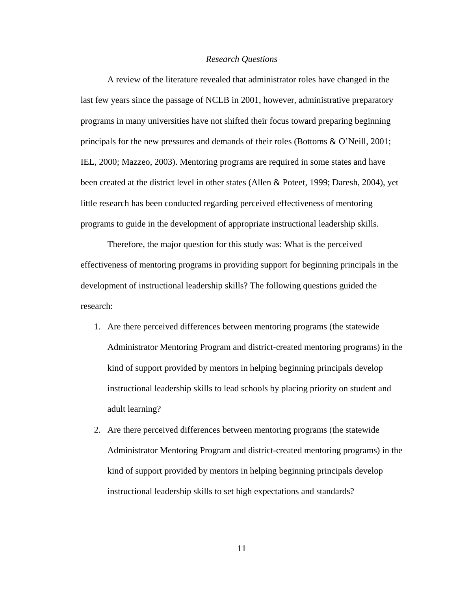#### *Research Questions*

 A review of the literature revealed that administrator roles have changed in the last few years since the passage of NCLB in 2001, however, administrative preparatory programs in many universities have not shifted their focus toward preparing beginning principals for the new pressures and demands of their roles (Bottoms & O'Neill, 2001; IEL, 2000; Mazzeo, 2003). Mentoring programs are required in some states and have been created at the district level in other states (Allen & Poteet, 1999; Daresh, 2004), yet little research has been conducted regarding perceived effectiveness of mentoring programs to guide in the development of appropriate instructional leadership skills.

Therefore, the major question for this study was: What is the perceived effectiveness of mentoring programs in providing support for beginning principals in the development of instructional leadership skills? The following questions guided the research:

- 1. Are there perceived differences between mentoring programs (the statewide Administrator Mentoring Program and district-created mentoring programs) in the kind of support provided by mentors in helping beginning principals develop instructional leadership skills to lead schools by placing priority on student and adult learning?
- 2. Are there perceived differences between mentoring programs (the statewide Administrator Mentoring Program and district-created mentoring programs) in the kind of support provided by mentors in helping beginning principals develop instructional leadership skills to set high expectations and standards?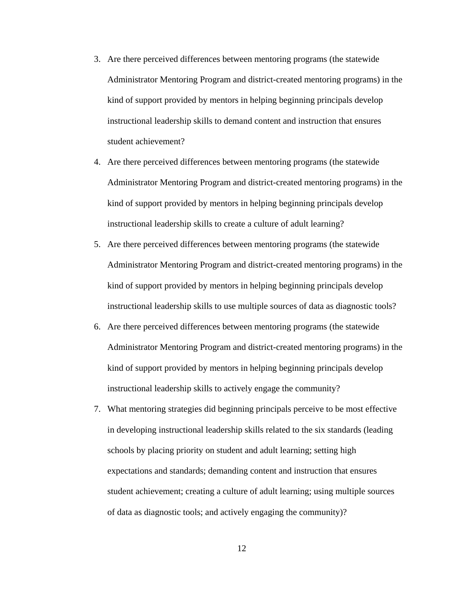- 3. Are there perceived differences between mentoring programs (the statewide Administrator Mentoring Program and district-created mentoring programs) in the kind of support provided by mentors in helping beginning principals develop instructional leadership skills to demand content and instruction that ensures student achievement?
- 4. Are there perceived differences between mentoring programs (the statewide Administrator Mentoring Program and district-created mentoring programs) in the kind of support provided by mentors in helping beginning principals develop instructional leadership skills to create a culture of adult learning?
- 5. Are there perceived differences between mentoring programs (the statewide Administrator Mentoring Program and district-created mentoring programs) in the kind of support provided by mentors in helping beginning principals develop instructional leadership skills to use multiple sources of data as diagnostic tools?
- 6. Are there perceived differences between mentoring programs (the statewide Administrator Mentoring Program and district-created mentoring programs) in the kind of support provided by mentors in helping beginning principals develop instructional leadership skills to actively engage the community?
- 7. What mentoring strategies did beginning principals perceive to be most effective in developing instructional leadership skills related to the six standards (leading schools by placing priority on student and adult learning; setting high expectations and standards; demanding content and instruction that ensures student achievement; creating a culture of adult learning; using multiple sources of data as diagnostic tools; and actively engaging the community)?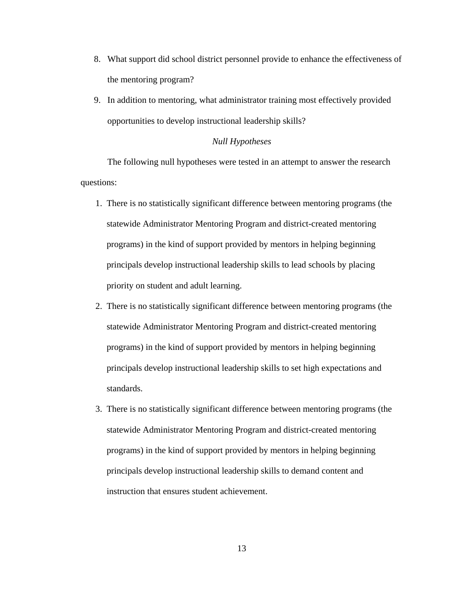- 8. What support did school district personnel provide to enhance the effectiveness of the mentoring program?
- 9. In addition to mentoring, what administrator training most effectively provided opportunities to develop instructional leadership skills?

#### *Null Hypotheses*

The following null hypotheses were tested in an attempt to answer the research questions:

- 1. There is no statistically significant difference between mentoring programs (the statewide Administrator Mentoring Program and district-created mentoring programs) in the kind of support provided by mentors in helping beginning principals develop instructional leadership skills to lead schools by placing priority on student and adult learning.
- 2. There is no statistically significant difference between mentoring programs (the statewide Administrator Mentoring Program and district-created mentoring programs) in the kind of support provided by mentors in helping beginning principals develop instructional leadership skills to set high expectations and standards.
- 3. There is no statistically significant difference between mentoring programs (the statewide Administrator Mentoring Program and district-created mentoring programs) in the kind of support provided by mentors in helping beginning principals develop instructional leadership skills to demand content and instruction that ensures student achievement.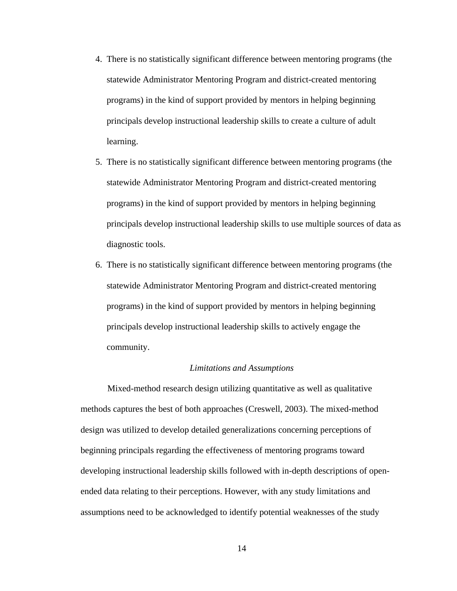- 4. There is no statistically significant difference between mentoring programs (the statewide Administrator Mentoring Program and district-created mentoring programs) in the kind of support provided by mentors in helping beginning principals develop instructional leadership skills to create a culture of adult learning.
- 5. There is no statistically significant difference between mentoring programs (the statewide Administrator Mentoring Program and district-created mentoring programs) in the kind of support provided by mentors in helping beginning principals develop instructional leadership skills to use multiple sources of data as diagnostic tools.
- 6. There is no statistically significant difference between mentoring programs (the statewide Administrator Mentoring Program and district-created mentoring programs) in the kind of support provided by mentors in helping beginning principals develop instructional leadership skills to actively engage the community.

#### *Limitations and Assumptions*

 Mixed-method research design utilizing quantitative as well as qualitative methods captures the best of both approaches (Creswell, 2003). The mixed-method design was utilized to develop detailed generalizations concerning perceptions of beginning principals regarding the effectiveness of mentoring programs toward developing instructional leadership skills followed with in-depth descriptions of openended data relating to their perceptions. However, with any study limitations and assumptions need to be acknowledged to identify potential weaknesses of the study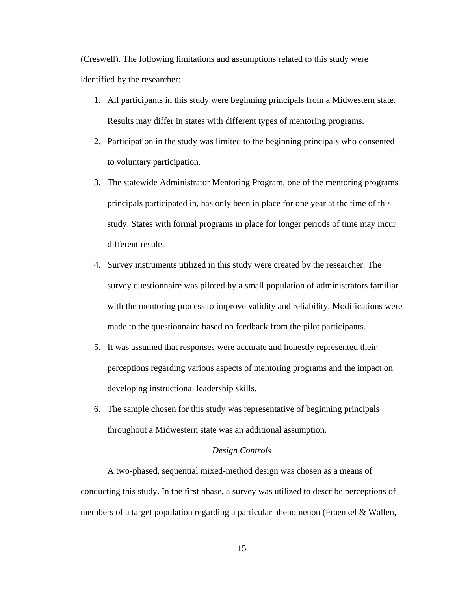(Creswell). The following limitations and assumptions related to this study were identified by the researcher:

- 1. All participants in this study were beginning principals from a Midwestern state. Results may differ in states with different types of mentoring programs.
- 2. Participation in the study was limited to the beginning principals who consented to voluntary participation.
- 3. The statewide Administrator Mentoring Program, one of the mentoring programs principals participated in, has only been in place for one year at the time of this study. States with formal programs in place for longer periods of time may incur different results.
- 4. Survey instruments utilized in this study were created by the researcher. The survey questionnaire was piloted by a small population of administrators familiar with the mentoring process to improve validity and reliability. Modifications were made to the questionnaire based on feedback from the pilot participants.
- 5. It was assumed that responses were accurate and honestly represented their perceptions regarding various aspects of mentoring programs and the impact on developing instructional leadership skills.
- 6. The sample chosen for this study was representative of beginning principals throughout a Midwestern state was an additional assumption.

#### *Design Controls*

A two-phased, sequential mixed-method design was chosen as a means of conducting this study. In the first phase, a survey was utilized to describe perceptions of members of a target population regarding a particular phenomenon (Fraenkel & Wallen,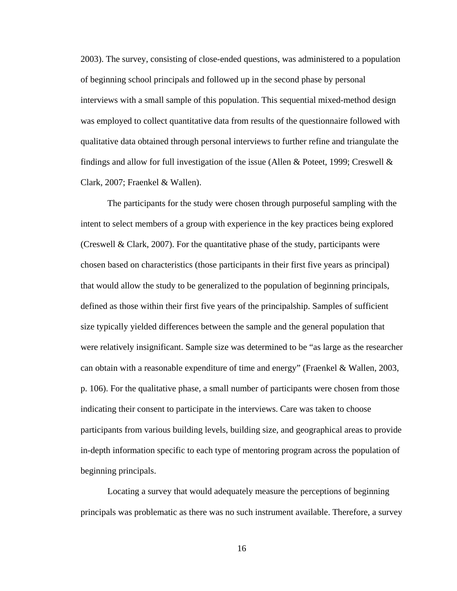2003). The survey, consisting of close-ended questions, was administered to a population of beginning school principals and followed up in the second phase by personal interviews with a small sample of this population. This sequential mixed-method design was employed to collect quantitative data from results of the questionnaire followed with qualitative data obtained through personal interviews to further refine and triangulate the findings and allow for full investigation of the issue (Allen  $\&$  Poteet, 1999; Creswell  $\&$ Clark, 2007; Fraenkel & Wallen).

The participants for the study were chosen through purposeful sampling with the intent to select members of a group with experience in the key practices being explored (Creswell & Clark, 2007). For the quantitative phase of the study, participants were chosen based on characteristics (those participants in their first five years as principal) that would allow the study to be generalized to the population of beginning principals, defined as those within their first five years of the principalship. Samples of sufficient size typically yielded differences between the sample and the general population that were relatively insignificant. Sample size was determined to be "as large as the researcher can obtain with a reasonable expenditure of time and energy" (Fraenkel & Wallen, 2003, p. 106). For the qualitative phase, a small number of participants were chosen from those indicating their consent to participate in the interviews. Care was taken to choose participants from various building levels, building size, and geographical areas to provide in-depth information specific to each type of mentoring program across the population of beginning principals.

Locating a survey that would adequately measure the perceptions of beginning principals was problematic as there was no such instrument available. Therefore, a survey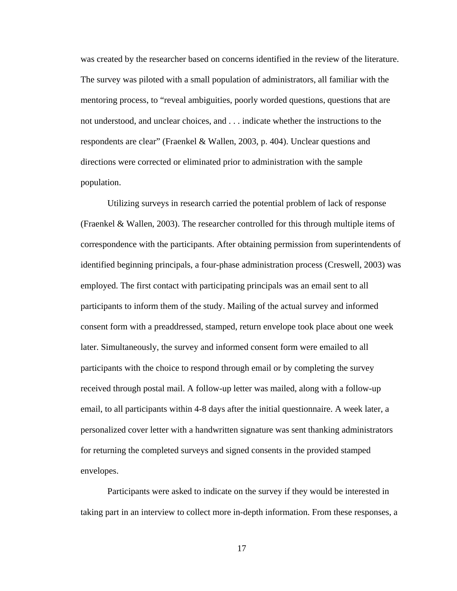was created by the researcher based on concerns identified in the review of the literature. The survey was piloted with a small population of administrators, all familiar with the mentoring process, to "reveal ambiguities, poorly worded questions, questions that are not understood, and unclear choices, and . . . indicate whether the instructions to the respondents are clear" (Fraenkel & Wallen, 2003, p. 404). Unclear questions and directions were corrected or eliminated prior to administration with the sample population.

Utilizing surveys in research carried the potential problem of lack of response (Fraenkel & Wallen, 2003). The researcher controlled for this through multiple items of correspondence with the participants. After obtaining permission from superintendents of identified beginning principals, a four-phase administration process (Creswell, 2003) was employed. The first contact with participating principals was an email sent to all participants to inform them of the study. Mailing of the actual survey and informed consent form with a preaddressed, stamped, return envelope took place about one week later. Simultaneously, the survey and informed consent form were emailed to all participants with the choice to respond through email or by completing the survey received through postal mail. A follow-up letter was mailed, along with a follow-up email, to all participants within 4-8 days after the initial questionnaire. A week later, a personalized cover letter with a handwritten signature was sent thanking administrators for returning the completed surveys and signed consents in the provided stamped envelopes.

Participants were asked to indicate on the survey if they would be interested in taking part in an interview to collect more in-depth information. From these responses, a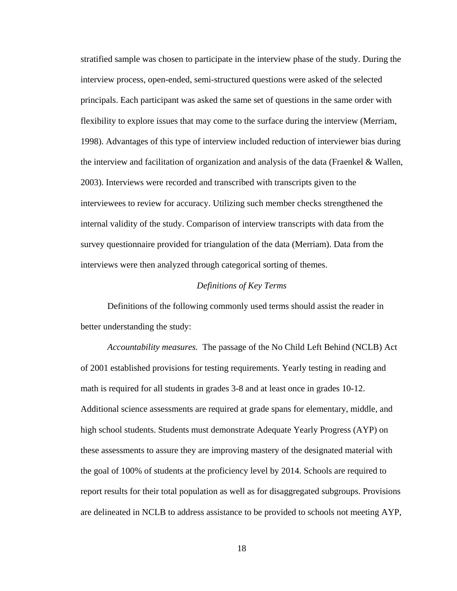stratified sample was chosen to participate in the interview phase of the study. During the interview process, open-ended, semi-structured questions were asked of the selected principals. Each participant was asked the same set of questions in the same order with flexibility to explore issues that may come to the surface during the interview (Merriam, 1998). Advantages of this type of interview included reduction of interviewer bias during the interview and facilitation of organization and analysis of the data (Fraenkel & Wallen, 2003). Interviews were recorded and transcribed with transcripts given to the interviewees to review for accuracy. Utilizing such member checks strengthened the internal validity of the study. Comparison of interview transcripts with data from the survey questionnaire provided for triangulation of the data (Merriam). Data from the interviews were then analyzed through categorical sorting of themes.

#### *Definitions of Key Terms*

 Definitions of the following commonly used terms should assist the reader in better understanding the study:

*Accountability measures.* The passage of the No Child Left Behind (NCLB) Act of 2001 established provisions for testing requirements. Yearly testing in reading and math is required for all students in grades 3-8 and at least once in grades 10-12. Additional science assessments are required at grade spans for elementary, middle, and high school students. Students must demonstrate Adequate Yearly Progress (AYP) on these assessments to assure they are improving mastery of the designated material with the goal of 100% of students at the proficiency level by 2014. Schools are required to report results for their total population as well as for disaggregated subgroups. Provisions are delineated in NCLB to address assistance to be provided to schools not meeting AYP,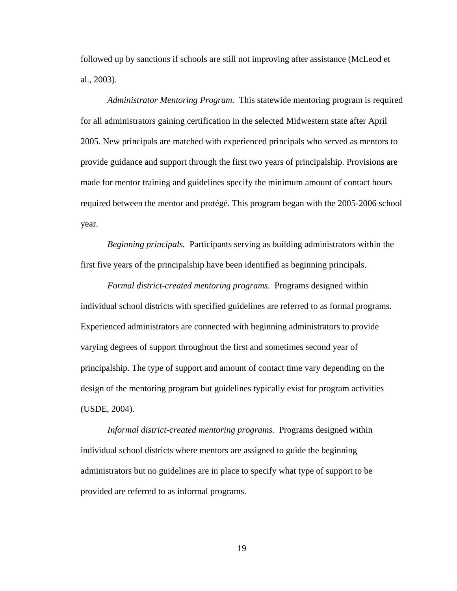followed up by sanctions if schools are still not improving after assistance (McLeod et al., 2003).

*Administrator Mentoring Program.* This statewide mentoring program is required for all administrators gaining certification in the selected Midwestern state after April 2005. New principals are matched with experienced principals who served as mentors to provide guidance and support through the first two years of principalship. Provisions are made for mentor training and guidelines specify the minimum amount of contact hours required between the mentor and protégé. This program began with the 2005-2006 school year.

*Beginning principals.* Participants serving as building administrators within the first five years of the principalship have been identified as beginning principals.

*Formal district-created mentoring programs.* Programs designed within individual school districts with specified guidelines are referred to as formal programs. Experienced administrators are connected with beginning administrators to provide varying degrees of support throughout the first and sometimes second year of principalship. The type of support and amount of contact time vary depending on the design of the mentoring program but guidelines typically exist for program activities (USDE, 2004).

*Informal district-created mentoring programs.* Programs designed within individual school districts where mentors are assigned to guide the beginning administrators but no guidelines are in place to specify what type of support to be provided are referred to as informal programs.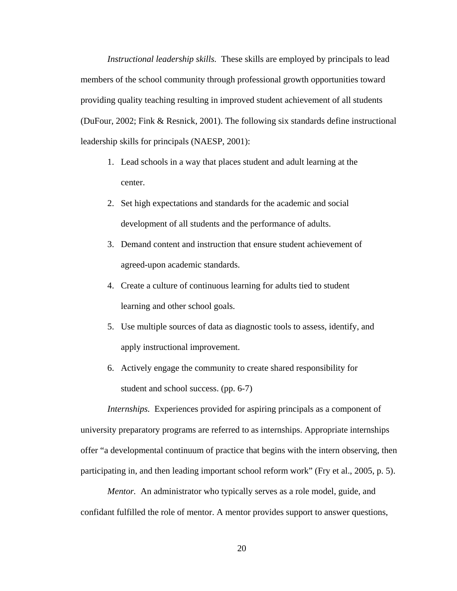*Instructional leadership skills.* These skills are employed by principals to lead members of the school community through professional growth opportunities toward providing quality teaching resulting in improved student achievement of all students (DuFour, 2002; Fink & Resnick, 2001). The following six standards define instructional leadership skills for principals (NAESP, 2001):

- 1. Lead schools in a way that places student and adult learning at the center.
- 2. Set high expectations and standards for the academic and social development of all students and the performance of adults.
- 3. Demand content and instruction that ensure student achievement of agreed-upon academic standards.
- 4. Create a culture of continuous learning for adults tied to student learning and other school goals.
- 5. Use multiple sources of data as diagnostic tools to assess, identify, and apply instructional improvement.
- 6. Actively engage the community to create shared responsibility for student and school success. (pp. 6-7)

*Internships.* Experiences provided for aspiring principals as a component of university preparatory programs are referred to as internships. Appropriate internships offer "a developmental continuum of practice that begins with the intern observing, then participating in, and then leading important school reform work" (Fry et al., 2005, p. 5).

*Mentor.* An administrator who typically serves as a role model, guide, and confidant fulfilled the role of mentor. A mentor provides support to answer questions,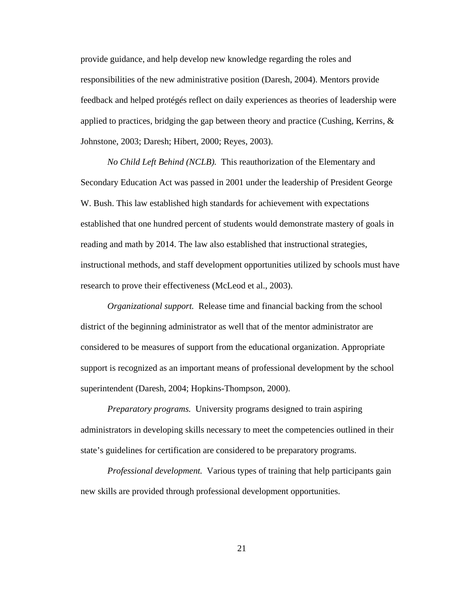provide guidance, and help develop new knowledge regarding the roles and responsibilities of the new administrative position (Daresh, 2004). Mentors provide feedback and helped protégés reflect on daily experiences as theories of leadership were applied to practices, bridging the gap between theory and practice (Cushing, Kerrins, & Johnstone, 2003; Daresh; Hibert, 2000; Reyes, 2003).

*No Child Left Behind (NCLB).* This reauthorization of the Elementary and Secondary Education Act was passed in 2001 under the leadership of President George W. Bush. This law established high standards for achievement with expectations established that one hundred percent of students would demonstrate mastery of goals in reading and math by 2014. The law also established that instructional strategies, instructional methods, and staff development opportunities utilized by schools must have research to prove their effectiveness (McLeod et al., 2003).

*Organizational support.* Release time and financial backing from the school district of the beginning administrator as well that of the mentor administrator are considered to be measures of support from the educational organization. Appropriate support is recognized as an important means of professional development by the school superintendent (Daresh, 2004; Hopkins-Thompson, 2000).

*Preparatory programs.* University programs designed to train aspiring administrators in developing skills necessary to meet the competencies outlined in their state's guidelines for certification are considered to be preparatory programs.

*Professional development.* Various types of training that help participants gain new skills are provided through professional development opportunities.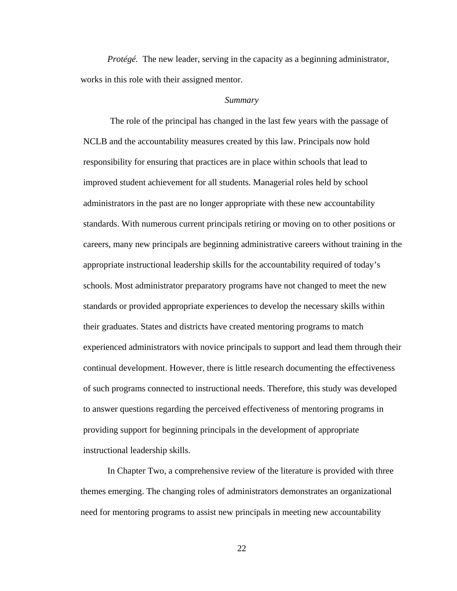*Protégé.* The new leader, serving in the capacity as a beginning administrator, works in this role with their assigned mentor.

#### *Summary*

The role of the principal has changed in the last few years with the passage of NCLB and the accountability measures created by this law. Principals now hold responsibility for ensuring that practices are in place within schools that lead to improved student achievement for all students. Managerial roles held by school administrators in the past are no longer appropriate with these new accountability standards. With numerous current principals retiring or moving on to other positions or careers, many new principals are beginning administrative careers without training in the appropriate instructional leadership skills for the accountability required of today's schools. Most administrator preparatory programs have not changed to meet the new standards or provided appropriate experiences to develop the necessary skills within their graduates. States and districts have created mentoring programs to match experienced administrators with novice principals to support and lead them through their continual development. However, there is little research documenting the effectiveness of such programs connected to instructional needs. Therefore, this study was developed to answer questions regarding the perceived effectiveness of mentoring programs in providing support for beginning principals in the development of appropriate instructional leadership skills.

In Chapter Two, a comprehensive review of the literature is provided with three themes emerging. The changing roles of administrators demonstrates an organizational need for mentoring programs to assist new principals in meeting new accountability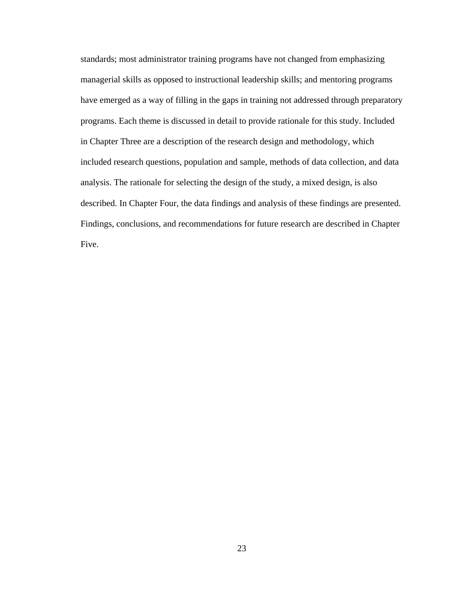standards; most administrator training programs have not changed from emphasizing managerial skills as opposed to instructional leadership skills; and mentoring programs have emerged as a way of filling in the gaps in training not addressed through preparatory programs. Each theme is discussed in detail to provide rationale for this study. Included in Chapter Three are a description of the research design and methodology, which included research questions, population and sample, methods of data collection, and data analysis. The rationale for selecting the design of the study, a mixed design, is also described. In Chapter Four, the data findings and analysis of these findings are presented. Findings, conclusions, and recommendations for future research are described in Chapter Five.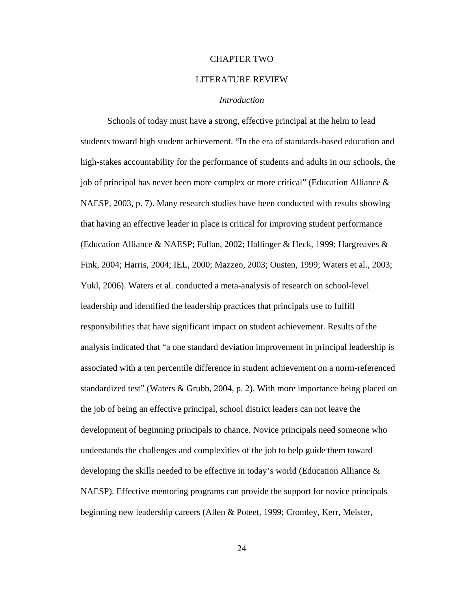#### CHAPTER TWO

## LITERATURE REVIEW

# *Introduction*

 Schools of today must have a strong, effective principal at the helm to lead students toward high student achievement. "In the era of standards-based education and high-stakes accountability for the performance of students and adults in our schools, the job of principal has never been more complex or more critical" (Education Alliance & NAESP, 2003, p. 7). Many research studies have been conducted with results showing that having an effective leader in place is critical for improving student performance (Education Alliance & NAESP; Fullan, 2002; Hallinger & Heck, 1999; Hargreaves & Fink, 2004; Harris, 2004; IEL, 2000; Mazzeo, 2003; Ousten, 1999; Waters et al., 2003; Yukl, 2006). Waters et al. conducted a meta-analysis of research on school-level leadership and identified the leadership practices that principals use to fulfill responsibilities that have significant impact on student achievement. Results of the analysis indicated that "a one standard deviation improvement in principal leadership is associated with a ten percentile difference in student achievement on a norm-referenced standardized test" (Waters & Grubb, 2004, p. 2). With more importance being placed on the job of being an effective principal, school district leaders can not leave the development of beginning principals to chance. Novice principals need someone who understands the challenges and complexities of the job to help guide them toward developing the skills needed to be effective in today's world (Education Alliance & NAESP). Effective mentoring programs can provide the support for novice principals beginning new leadership careers (Allen & Poteet, 1999; Cromley, Kerr, Meister,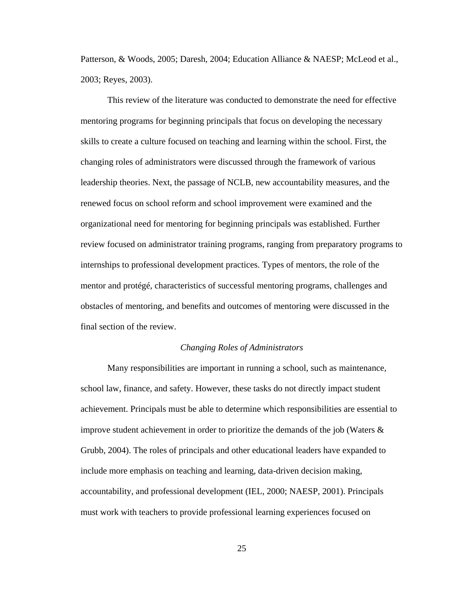Patterson, & Woods, 2005; Daresh, 2004; Education Alliance & NAESP; McLeod et al., 2003; Reyes, 2003).

 This review of the literature was conducted to demonstrate the need for effective mentoring programs for beginning principals that focus on developing the necessary skills to create a culture focused on teaching and learning within the school. First, the changing roles of administrators were discussed through the framework of various leadership theories. Next, the passage of NCLB, new accountability measures, and the renewed focus on school reform and school improvement were examined and the organizational need for mentoring for beginning principals was established. Further review focused on administrator training programs, ranging from preparatory programs to internships to professional development practices. Types of mentors, the role of the mentor and protégé, characteristics of successful mentoring programs, challenges and obstacles of mentoring, and benefits and outcomes of mentoring were discussed in the final section of the review.

### *Changing Roles of Administrators*

 Many responsibilities are important in running a school, such as maintenance, school law, finance, and safety. However, these tasks do not directly impact student achievement. Principals must be able to determine which responsibilities are essential to improve student achievement in order to prioritize the demands of the job (Waters  $\&$ Grubb, 2004). The roles of principals and other educational leaders have expanded to include more emphasis on teaching and learning, data-driven decision making, accountability, and professional development (IEL, 2000; NAESP, 2001). Principals must work with teachers to provide professional learning experiences focused on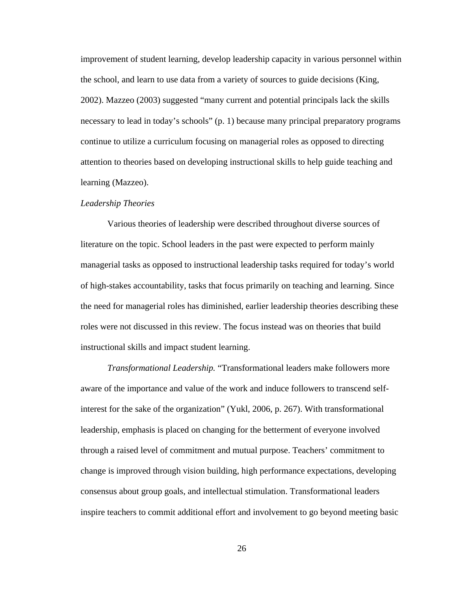improvement of student learning, develop leadership capacity in various personnel within the school, and learn to use data from a variety of sources to guide decisions (King, 2002). Mazzeo (2003) suggested "many current and potential principals lack the skills necessary to lead in today's schools" (p. 1) because many principal preparatory programs continue to utilize a curriculum focusing on managerial roles as opposed to directing attention to theories based on developing instructional skills to help guide teaching and learning (Mazzeo).

#### *Leadership Theories*

Various theories of leadership were described throughout diverse sources of literature on the topic. School leaders in the past were expected to perform mainly managerial tasks as opposed to instructional leadership tasks required for today's world of high-stakes accountability, tasks that focus primarily on teaching and learning. Since the need for managerial roles has diminished, earlier leadership theories describing these roles were not discussed in this review. The focus instead was on theories that build instructional skills and impact student learning.

*Transformational Leadership.* "Transformational leaders make followers more aware of the importance and value of the work and induce followers to transcend selfinterest for the sake of the organization" (Yukl, 2006, p. 267). With transformational leadership, emphasis is placed on changing for the betterment of everyone involved through a raised level of commitment and mutual purpose. Teachers' commitment to change is improved through vision building, high performance expectations, developing consensus about group goals, and intellectual stimulation. Transformational leaders inspire teachers to commit additional effort and involvement to go beyond meeting basic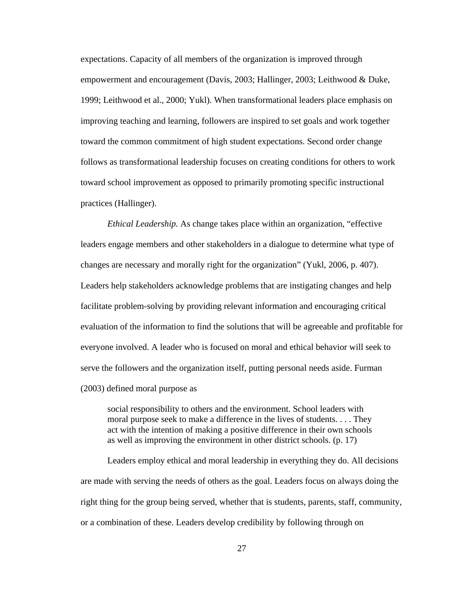expectations. Capacity of all members of the organization is improved through empowerment and encouragement (Davis, 2003; Hallinger, 2003; Leithwood & Duke, 1999; Leithwood et al., 2000; Yukl). When transformational leaders place emphasis on improving teaching and learning, followers are inspired to set goals and work together toward the common commitment of high student expectations. Second order change follows as transformational leadership focuses on creating conditions for others to work toward school improvement as opposed to primarily promoting specific instructional practices (Hallinger).

*Ethical Leadership.* As change takes place within an organization, "effective leaders engage members and other stakeholders in a dialogue to determine what type of changes are necessary and morally right for the organization" (Yukl, 2006, p. 407). Leaders help stakeholders acknowledge problems that are instigating changes and help facilitate problem-solving by providing relevant information and encouraging critical evaluation of the information to find the solutions that will be agreeable and profitable for everyone involved. A leader who is focused on moral and ethical behavior will seek to serve the followers and the organization itself, putting personal needs aside. Furman (2003) defined moral purpose as

social responsibility to others and the environment. School leaders with moral purpose seek to make a difference in the lives of students. . . . They act with the intention of making a positive difference in their own schools as well as improving the environment in other district schools. (p. 17)

Leaders employ ethical and moral leadership in everything they do. All decisions are made with serving the needs of others as the goal. Leaders focus on always doing the right thing for the group being served, whether that is students, parents, staff, community, or a combination of these. Leaders develop credibility by following through on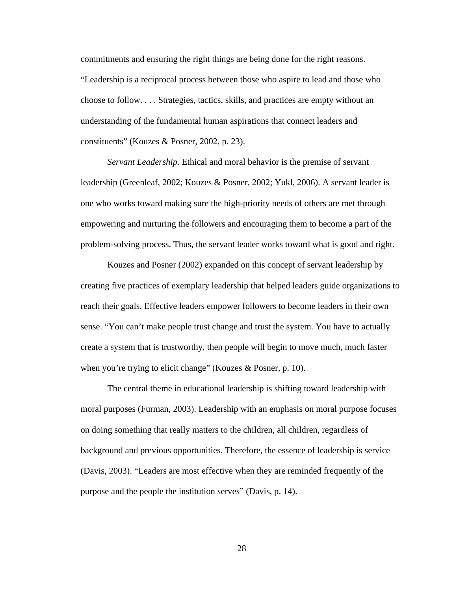commitments and ensuring the right things are being done for the right reasons. "Leadership is a reciprocal process between those who aspire to lead and those who choose to follow. . . . Strategies, tactics, skills, and practices are empty without an understanding of the fundamental human aspirations that connect leaders and constituents" (Kouzes & Posner, 2002, p. 23).

*Servant Leadership*. Ethical and moral behavior is the premise of servant leadership (Greenleaf, 2002; Kouzes & Posner, 2002; Yukl, 2006). A servant leader is one who works toward making sure the high-priority needs of others are met through empowering and nurturing the followers and encouraging them to become a part of the problem-solving process. Thus, the servant leader works toward what is good and right.

 Kouzes and Posner (2002) expanded on this concept of servant leadership by creating five practices of exemplary leadership that helped leaders guide organizations to reach their goals. Effective leaders empower followers to become leaders in their own sense. "You can't make people trust change and trust the system. You have to actually create a system that is trustworthy, then people will begin to move much, much faster when you're trying to elicit change" (Kouzes & Posner, p. 10).

The central theme in educational leadership is shifting toward leadership with moral purposes (Furman, 2003). Leadership with an emphasis on moral purpose focuses on doing something that really matters to the children, all children, regardless of background and previous opportunities. Therefore, the essence of leadership is service (Davis, 2003). "Leaders are most effective when they are reminded frequently of the purpose and the people the institution serves" (Davis, p. 14).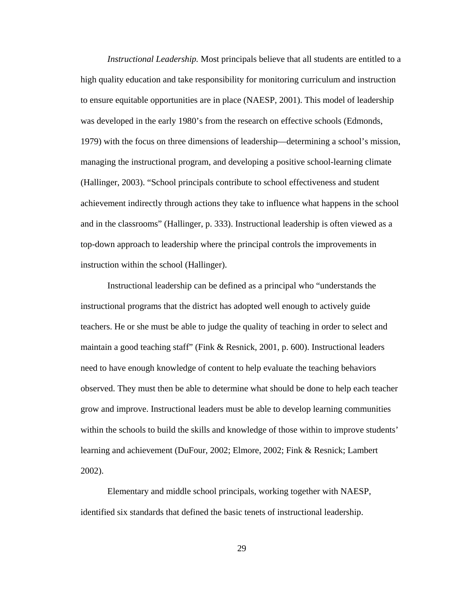*Instructional Leadership.* Most principals believe that all students are entitled to a high quality education and take responsibility for monitoring curriculum and instruction to ensure equitable opportunities are in place (NAESP, 2001). This model of leadership was developed in the early 1980's from the research on effective schools (Edmonds, 1979) with the focus on three dimensions of leadership—determining a school's mission, managing the instructional program, and developing a positive school-learning climate (Hallinger, 2003). "School principals contribute to school effectiveness and student achievement indirectly through actions they take to influence what happens in the school and in the classrooms" (Hallinger, p. 333). Instructional leadership is often viewed as a top-down approach to leadership where the principal controls the improvements in instruction within the school (Hallinger).

 Instructional leadership can be defined as a principal who "understands the instructional programs that the district has adopted well enough to actively guide teachers. He or she must be able to judge the quality of teaching in order to select and maintain a good teaching staff" (Fink & Resnick, 2001, p. 600). Instructional leaders need to have enough knowledge of content to help evaluate the teaching behaviors observed. They must then be able to determine what should be done to help each teacher grow and improve. Instructional leaders must be able to develop learning communities within the schools to build the skills and knowledge of those within to improve students' learning and achievement (DuFour, 2002; Elmore, 2002; Fink & Resnick; Lambert 2002).

Elementary and middle school principals, working together with NAESP, identified six standards that defined the basic tenets of instructional leadership.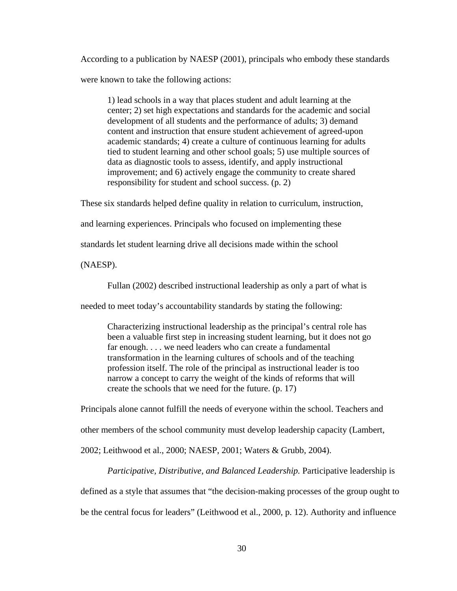According to a publication by NAESP (2001), principals who embody these standards were known to take the following actions:

1) lead schools in a way that places student and adult learning at the center; 2) set high expectations and standards for the academic and social development of all students and the performance of adults; 3) demand content and instruction that ensure student achievement of agreed-upon academic standards; 4) create a culture of continuous learning for adults tied to student learning and other school goals; 5) use multiple sources of data as diagnostic tools to assess, identify, and apply instructional improvement; and 6) actively engage the community to create shared responsibility for student and school success. (p. 2)

These six standards helped define quality in relation to curriculum, instruction,

and learning experiences. Principals who focused on implementing these

standards let student learning drive all decisions made within the school

(NAESP).

Fullan (2002) described instructional leadership as only a part of what is

needed to meet today's accountability standards by stating the following:

Characterizing instructional leadership as the principal's central role has been a valuable first step in increasing student learning, but it does not go far enough. . . . we need leaders who can create a fundamental transformation in the learning cultures of schools and of the teaching profession itself. The role of the principal as instructional leader is too narrow a concept to carry the weight of the kinds of reforms that will create the schools that we need for the future. (p. 17)

Principals alone cannot fulfill the needs of everyone within the school. Teachers and

other members of the school community must develop leadership capacity (Lambert,

2002; Leithwood et al., 2000; NAESP, 2001; Waters & Grubb, 2004).

*Participative, Distributive, and Balanced Leadership.* Participative leadership is defined as a style that assumes that "the decision-making processes of the group ought to be the central focus for leaders" (Leithwood et al., 2000, p. 12). Authority and influence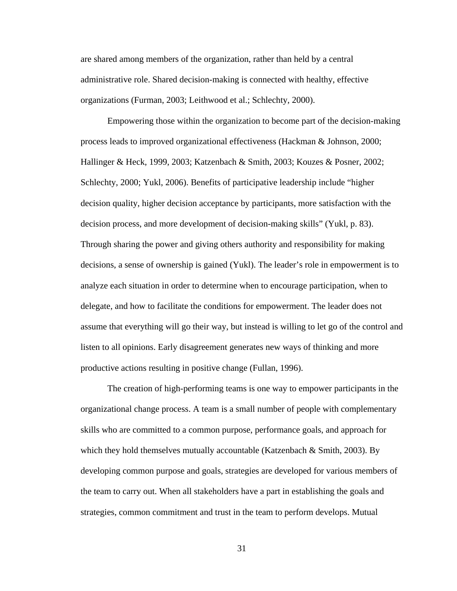are shared among members of the organization, rather than held by a central administrative role. Shared decision-making is connected with healthy, effective organizations (Furman, 2003; Leithwood et al.; Schlechty, 2000).

Empowering those within the organization to become part of the decision-making process leads to improved organizational effectiveness (Hackman & Johnson, 2000; Hallinger & Heck, 1999, 2003; Katzenbach & Smith, 2003; Kouzes & Posner, 2002; Schlechty, 2000; Yukl, 2006). Benefits of participative leadership include "higher decision quality, higher decision acceptance by participants, more satisfaction with the decision process, and more development of decision-making skills" (Yukl, p. 83). Through sharing the power and giving others authority and responsibility for making decisions, a sense of ownership is gained (Yukl). The leader's role in empowerment is to analyze each situation in order to determine when to encourage participation, when to delegate, and how to facilitate the conditions for empowerment. The leader does not assume that everything will go their way, but instead is willing to let go of the control and listen to all opinions. Early disagreement generates new ways of thinking and more productive actions resulting in positive change (Fullan, 1996).

 The creation of high-performing teams is one way to empower participants in the organizational change process. A team is a small number of people with complementary skills who are committed to a common purpose, performance goals, and approach for which they hold themselves mutually accountable (Katzenbach & Smith, 2003). By developing common purpose and goals, strategies are developed for various members of the team to carry out. When all stakeholders have a part in establishing the goals and strategies, common commitment and trust in the team to perform develops. Mutual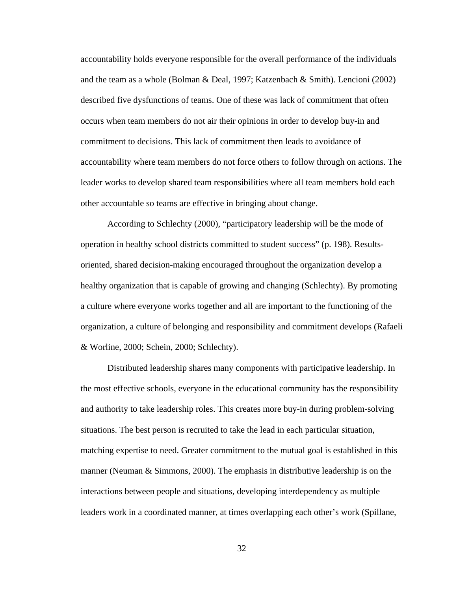accountability holds everyone responsible for the overall performance of the individuals and the team as a whole (Bolman & Deal, 1997; Katzenbach & Smith). Lencioni (2002) described five dysfunctions of teams. One of these was lack of commitment that often occurs when team members do not air their opinions in order to develop buy-in and commitment to decisions. This lack of commitment then leads to avoidance of accountability where team members do not force others to follow through on actions. The leader works to develop shared team responsibilities where all team members hold each other accountable so teams are effective in bringing about change.

According to Schlechty (2000), "participatory leadership will be the mode of operation in healthy school districts committed to student success" (p. 198). Resultsoriented, shared decision-making encouraged throughout the organization develop a healthy organization that is capable of growing and changing (Schlechty). By promoting a culture where everyone works together and all are important to the functioning of the organization, a culture of belonging and responsibility and commitment develops (Rafaeli & Worline, 2000; Schein, 2000; Schlechty).

 Distributed leadership shares many components with participative leadership. In the most effective schools, everyone in the educational community has the responsibility and authority to take leadership roles. This creates more buy-in during problem-solving situations. The best person is recruited to take the lead in each particular situation, matching expertise to need. Greater commitment to the mutual goal is established in this manner (Neuman  $\&$  Simmons, 2000). The emphasis in distributive leadership is on the interactions between people and situations, developing interdependency as multiple leaders work in a coordinated manner, at times overlapping each other's work (Spillane,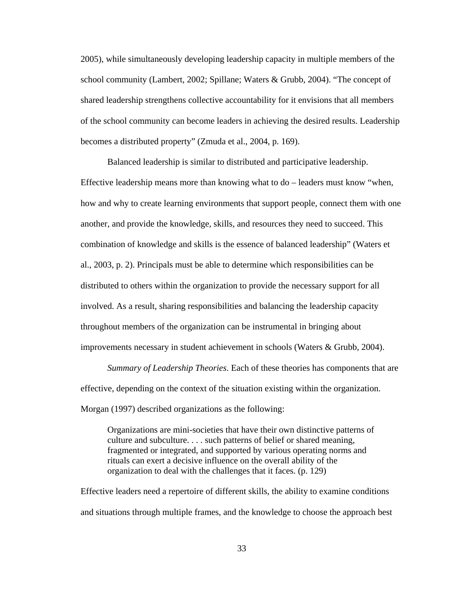2005), while simultaneously developing leadership capacity in multiple members of the school community (Lambert, 2002; Spillane; Waters & Grubb, 2004). "The concept of shared leadership strengthens collective accountability for it envisions that all members of the school community can become leaders in achieving the desired results. Leadership becomes a distributed property" (Zmuda et al., 2004, p. 169).

Balanced leadership is similar to distributed and participative leadership. Effective leadership means more than knowing what to do – leaders must know "when, how and why to create learning environments that support people, connect them with one another, and provide the knowledge, skills, and resources they need to succeed. This combination of knowledge and skills is the essence of balanced leadership" (Waters et al., 2003, p. 2). Principals must be able to determine which responsibilities can be distributed to others within the organization to provide the necessary support for all involved. As a result, sharing responsibilities and balancing the leadership capacity throughout members of the organization can be instrumental in bringing about improvements necessary in student achievement in schools (Waters & Grubb, 2004).

*Summary of Leadership Theories*. Each of these theories has components that are effective, depending on the context of the situation existing within the organization. Morgan (1997) described organizations as the following:

Organizations are mini-societies that have their own distinctive patterns of culture and subculture. . . . such patterns of belief or shared meaning, fragmented or integrated, and supported by various operating norms and rituals can exert a decisive influence on the overall ability of the organization to deal with the challenges that it faces. (p. 129)

Effective leaders need a repertoire of different skills, the ability to examine conditions and situations through multiple frames, and the knowledge to choose the approach best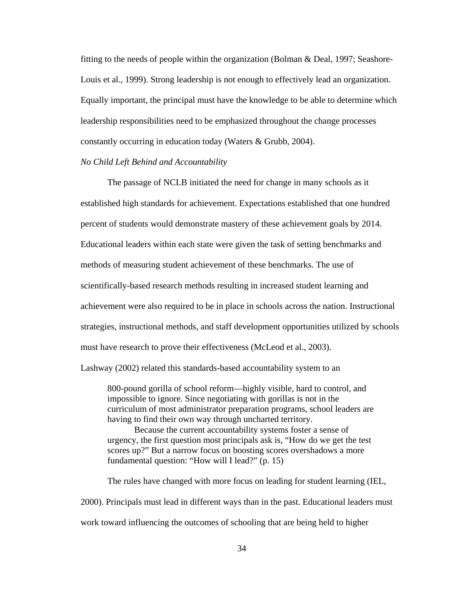fitting to the needs of people within the organization (Bolman  $\&$  Deal, 1997; Seashore-Louis et al., 1999). Strong leadership is not enough to effectively lead an organization. Equally important, the principal must have the knowledge to be able to determine which leadership responsibilities need to be emphasized throughout the change processes constantly occurring in education today (Waters & Grubb, 2004).

## *No Child Left Behind and Accountability*

 The passage of NCLB initiated the need for change in many schools as it established high standards for achievement. Expectations established that one hundred percent of students would demonstrate mastery of these achievement goals by 2014. Educational leaders within each state were given the task of setting benchmarks and methods of measuring student achievement of these benchmarks. The use of scientifically-based research methods resulting in increased student learning and achievement were also required to be in place in schools across the nation. Instructional strategies, instructional methods, and staff development opportunities utilized by schools must have research to prove their effectiveness (McLeod et al., 2003).

Lashway (2002) related this standards-based accountability system to an

800-pound gorilla of school reform—highly visible, hard to control, and impossible to ignore. Since negotiating with gorillas is not in the curriculum of most administrator preparation programs, school leaders are having to find their own way through uncharted territory.

 Because the current accountability systems foster a sense of urgency, the first question most principals ask is, "How do we get the test scores up?" But a narrow focus on boosting scores overshadows a more fundamental question: "How will I lead?" (p. 15)

The rules have changed with more focus on leading for student learning (IEL, 2000). Principals must lead in different ways than in the past. Educational leaders must work toward influencing the outcomes of schooling that are being held to higher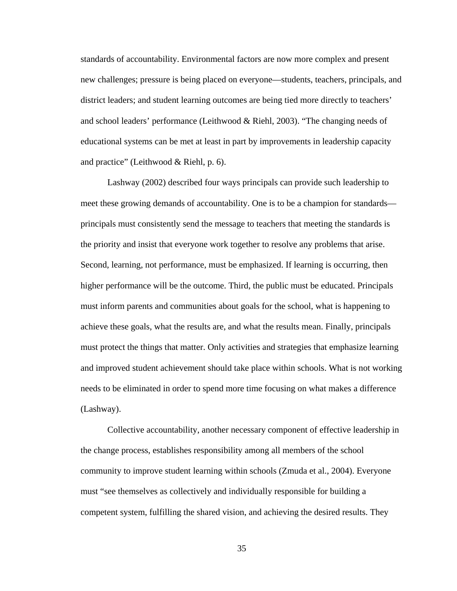standards of accountability. Environmental factors are now more complex and present new challenges; pressure is being placed on everyone—students, teachers, principals, and district leaders; and student learning outcomes are being tied more directly to teachers' and school leaders' performance (Leithwood & Riehl, 2003). "The changing needs of educational systems can be met at least in part by improvements in leadership capacity and practice" (Leithwood & Riehl, p. 6).

Lashway (2002) described four ways principals can provide such leadership to meet these growing demands of accountability. One is to be a champion for standards principals must consistently send the message to teachers that meeting the standards is the priority and insist that everyone work together to resolve any problems that arise. Second, learning, not performance, must be emphasized. If learning is occurring, then higher performance will be the outcome. Third, the public must be educated. Principals must inform parents and communities about goals for the school, what is happening to achieve these goals, what the results are, and what the results mean. Finally, principals must protect the things that matter. Only activities and strategies that emphasize learning and improved student achievement should take place within schools. What is not working needs to be eliminated in order to spend more time focusing on what makes a difference (Lashway).

Collective accountability, another necessary component of effective leadership in the change process, establishes responsibility among all members of the school community to improve student learning within schools (Zmuda et al., 2004). Everyone must "see themselves as collectively and individually responsible for building a competent system, fulfilling the shared vision, and achieving the desired results. They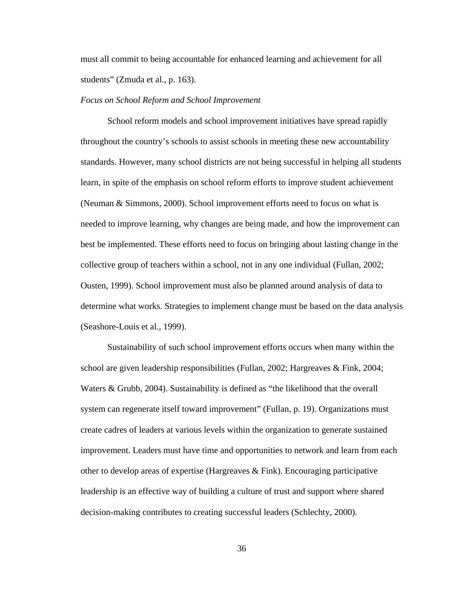must all commit to being accountable for enhanced learning and achievement for all students" (Zmuda et al., p. 163).

#### *Focus on School Reform and School Improvement*

School reform models and school improvement initiatives have spread rapidly throughout the country's schools to assist schools in meeting these new accountability standards. However, many school districts are not being successful in helping all students learn, in spite of the emphasis on school reform efforts to improve student achievement (Neuman & Simmons, 2000). School improvement efforts need to focus on what is needed to improve learning, why changes are being made, and how the improvement can best be implemented. These efforts need to focus on bringing about lasting change in the collective group of teachers within a school, not in any one individual (Fullan, 2002; Ousten, 1999). School improvement must also be planned around analysis of data to determine what works. Strategies to implement change must be based on the data analysis (Seashore-Louis et al., 1999).

 Sustainability of such school improvement efforts occurs when many within the school are given leadership responsibilities (Fullan, 2002; Hargreaves & Fink, 2004; Waters & Grubb, 2004). Sustainability is defined as "the likelihood that the overall system can regenerate itself toward improvement" (Fullan, p. 19). Organizations must create cadres of leaders at various levels within the organization to generate sustained improvement. Leaders must have time and opportunities to network and learn from each other to develop areas of expertise (Hargreaves & Fink). Encouraging participative leadership is an effective way of building a culture of trust and support where shared decision-making contributes to creating successful leaders (Schlechty, 2000).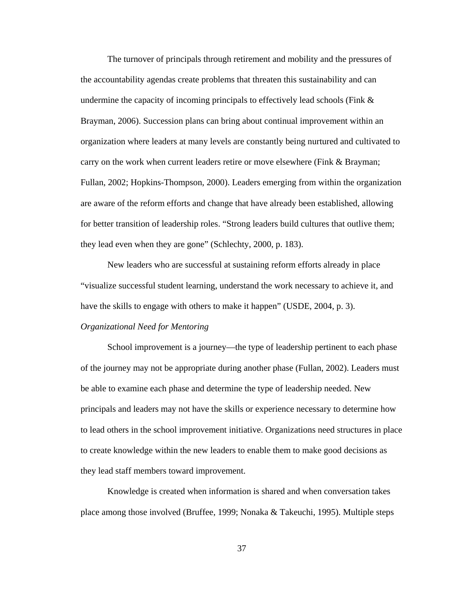The turnover of principals through retirement and mobility and the pressures of the accountability agendas create problems that threaten this sustainability and can undermine the capacity of incoming principals to effectively lead schools (Fink  $\&$ Brayman, 2006). Succession plans can bring about continual improvement within an organization where leaders at many levels are constantly being nurtured and cultivated to carry on the work when current leaders retire or move elsewhere (Fink & Brayman; Fullan, 2002; Hopkins-Thompson, 2000). Leaders emerging from within the organization are aware of the reform efforts and change that have already been established, allowing for better transition of leadership roles. "Strong leaders build cultures that outlive them; they lead even when they are gone" (Schlechty, 2000, p. 183).

New leaders who are successful at sustaining reform efforts already in place "visualize successful student learning, understand the work necessary to achieve it, and have the skills to engage with others to make it happen" (USDE, 2004, p. 3).

## *Organizational Need for Mentoring*

School improvement is a journey—the type of leadership pertinent to each phase of the journey may not be appropriate during another phase (Fullan, 2002). Leaders must be able to examine each phase and determine the type of leadership needed. New principals and leaders may not have the skills or experience necessary to determine how to lead others in the school improvement initiative. Organizations need structures in place to create knowledge within the new leaders to enable them to make good decisions as they lead staff members toward improvement.

Knowledge is created when information is shared and when conversation takes place among those involved (Bruffee, 1999; Nonaka & Takeuchi, 1995). Multiple steps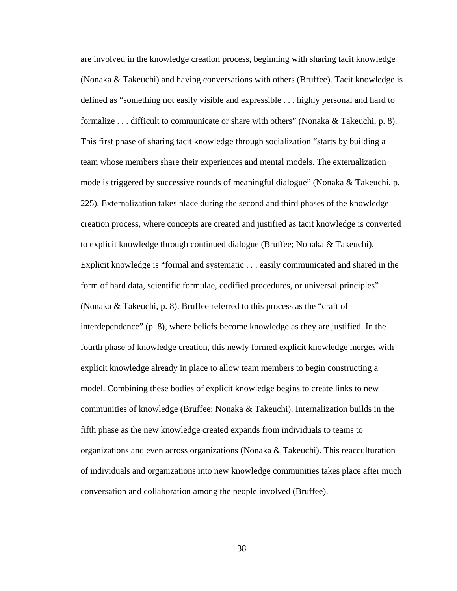are involved in the knowledge creation process, beginning with sharing tacit knowledge (Nonaka & Takeuchi) and having conversations with others (Bruffee). Tacit knowledge is defined as "something not easily visible and expressible . . . highly personal and hard to formalize . . . difficult to communicate or share with others" (Nonaka & Takeuchi, p. 8). This first phase of sharing tacit knowledge through socialization "starts by building a team whose members share their experiences and mental models. The externalization mode is triggered by successive rounds of meaningful dialogue" (Nonaka & Takeuchi, p. 225). Externalization takes place during the second and third phases of the knowledge creation process, where concepts are created and justified as tacit knowledge is converted to explicit knowledge through continued dialogue (Bruffee; Nonaka & Takeuchi). Explicit knowledge is "formal and systematic . . . easily communicated and shared in the form of hard data, scientific formulae, codified procedures, or universal principles" (Nonaka & Takeuchi, p. 8). Bruffee referred to this process as the "craft of interdependence" (p. 8), where beliefs become knowledge as they are justified. In the fourth phase of knowledge creation, this newly formed explicit knowledge merges with explicit knowledge already in place to allow team members to begin constructing a model. Combining these bodies of explicit knowledge begins to create links to new communities of knowledge (Bruffee; Nonaka & Takeuchi). Internalization builds in the fifth phase as the new knowledge created expands from individuals to teams to organizations and even across organizations (Nonaka & Takeuchi). This reacculturation of individuals and organizations into new knowledge communities takes place after much conversation and collaboration among the people involved (Bruffee).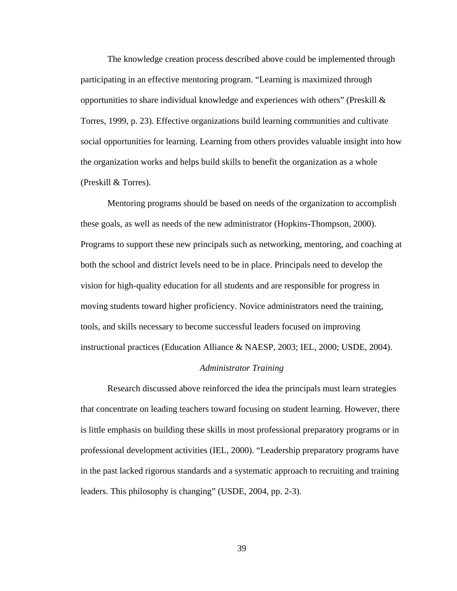The knowledge creation process described above could be implemented through participating in an effective mentoring program. "Learning is maximized through opportunities to share individual knowledge and experiences with others" (Preskill  $\&$ Torres, 1999, p. 23). Effective organizations build learning communities and cultivate social opportunities for learning. Learning from others provides valuable insight into how the organization works and helps build skills to benefit the organization as a whole (Preskill & Torres).

 Mentoring programs should be based on needs of the organization to accomplish these goals, as well as needs of the new administrator (Hopkins-Thompson, 2000). Programs to support these new principals such as networking, mentoring, and coaching at both the school and district levels need to be in place. Principals need to develop the vision for high-quality education for all students and are responsible for progress in moving students toward higher proficiency. Novice administrators need the training, tools, and skills necessary to become successful leaders focused on improving instructional practices (Education Alliance & NAESP, 2003; IEL, 2000; USDE, 2004).

### *Administrator Training*

 Research discussed above reinforced the idea the principals must learn strategies that concentrate on leading teachers toward focusing on student learning. However, there is little emphasis on building these skills in most professional preparatory programs or in professional development activities (IEL, 2000). "Leadership preparatory programs have in the past lacked rigorous standards and a systematic approach to recruiting and training leaders. This philosophy is changing" (USDE, 2004, pp. 2-3).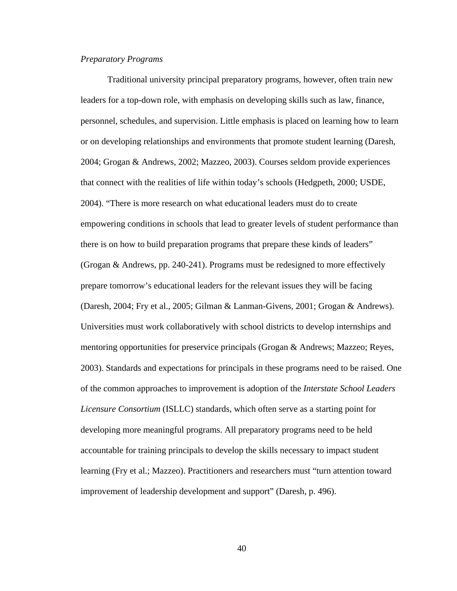## *Preparatory Programs*

Traditional university principal preparatory programs, however, often train new leaders for a top-down role, with emphasis on developing skills such as law, finance, personnel, schedules, and supervision. Little emphasis is placed on learning how to learn or on developing relationships and environments that promote student learning (Daresh, 2004; Grogan & Andrews, 2002; Mazzeo, 2003). Courses seldom provide experiences that connect with the realities of life within today's schools (Hedgpeth, 2000; USDE, 2004). "There is more research on what educational leaders must do to create empowering conditions in schools that lead to greater levels of student performance than there is on how to build preparation programs that prepare these kinds of leaders" (Grogan & Andrews, pp. 240-241). Programs must be redesigned to more effectively prepare tomorrow's educational leaders for the relevant issues they will be facing (Daresh, 2004; Fry et al., 2005; Gilman & Lanman-Givens, 2001; Grogan & Andrews). Universities must work collaboratively with school districts to develop internships and mentoring opportunities for preservice principals (Grogan & Andrews; Mazzeo; Reyes, 2003). Standards and expectations for principals in these programs need to be raised. One of the common approaches to improvement is adoption of the *Interstate School Leaders Licensure Consortium* (ISLLC) standards, which often serve as a starting point for developing more meaningful programs. All preparatory programs need to be held accountable for training principals to develop the skills necessary to impact student learning (Fry et al.; Mazzeo). Practitioners and researchers must "turn attention toward improvement of leadership development and support" (Daresh, p. 496).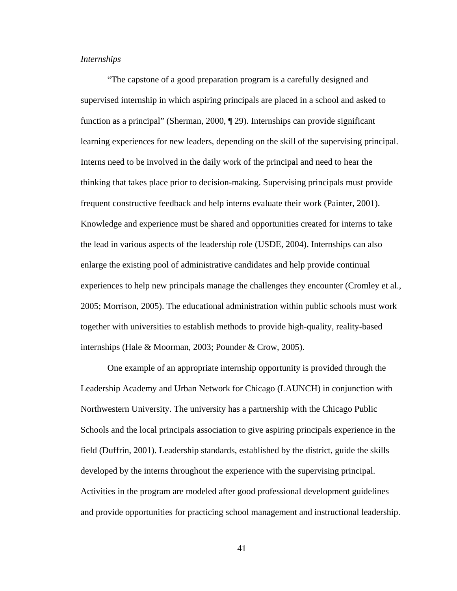# *Internships*

"The capstone of a good preparation program is a carefully designed and supervised internship in which aspiring principals are placed in a school and asked to function as a principal" (Sherman, 2000, ¶ 29). Internships can provide significant learning experiences for new leaders, depending on the skill of the supervising principal. Interns need to be involved in the daily work of the principal and need to hear the thinking that takes place prior to decision-making. Supervising principals must provide frequent constructive feedback and help interns evaluate their work (Painter, 2001). Knowledge and experience must be shared and opportunities created for interns to take the lead in various aspects of the leadership role (USDE, 2004). Internships can also enlarge the existing pool of administrative candidates and help provide continual experiences to help new principals manage the challenges they encounter (Cromley et al., 2005; Morrison, 2005). The educational administration within public schools must work together with universities to establish methods to provide high-quality, reality-based internships (Hale & Moorman, 2003; Pounder & Crow, 2005).

 One example of an appropriate internship opportunity is provided through the Leadership Academy and Urban Network for Chicago (LAUNCH) in conjunction with Northwestern University. The university has a partnership with the Chicago Public Schools and the local principals association to give aspiring principals experience in the field (Duffrin, 2001). Leadership standards, established by the district, guide the skills developed by the interns throughout the experience with the supervising principal. Activities in the program are modeled after good professional development guidelines and provide opportunities for practicing school management and instructional leadership.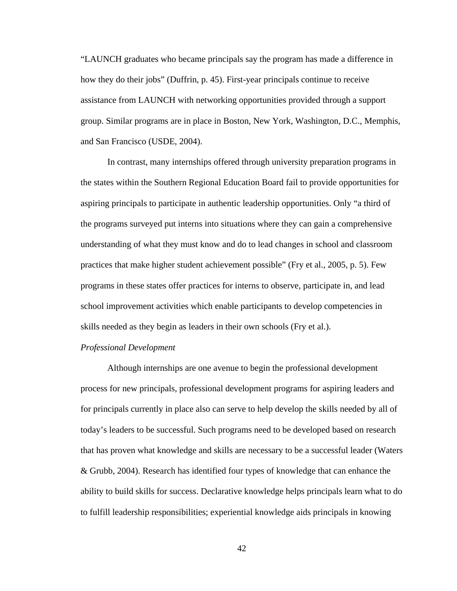"LAUNCH graduates who became principals say the program has made a difference in how they do their jobs" (Duffrin, p. 45). First-year principals continue to receive assistance from LAUNCH with networking opportunities provided through a support group. Similar programs are in place in Boston, New York, Washington, D.C., Memphis, and San Francisco (USDE, 2004).

In contrast, many internships offered through university preparation programs in the states within the Southern Regional Education Board fail to provide opportunities for aspiring principals to participate in authentic leadership opportunities. Only "a third of the programs surveyed put interns into situations where they can gain a comprehensive understanding of what they must know and do to lead changes in school and classroom practices that make higher student achievement possible" (Fry et al., 2005, p. 5). Few programs in these states offer practices for interns to observe, participate in, and lead school improvement activities which enable participants to develop competencies in skills needed as they begin as leaders in their own schools (Fry et al.).

## *Professional Development*

 Although internships are one avenue to begin the professional development process for new principals, professional development programs for aspiring leaders and for principals currently in place also can serve to help develop the skills needed by all of today's leaders to be successful. Such programs need to be developed based on research that has proven what knowledge and skills are necessary to be a successful leader (Waters & Grubb, 2004). Research has identified four types of knowledge that can enhance the ability to build skills for success. Declarative knowledge helps principals learn what to do to fulfill leadership responsibilities; experiential knowledge aids principals in knowing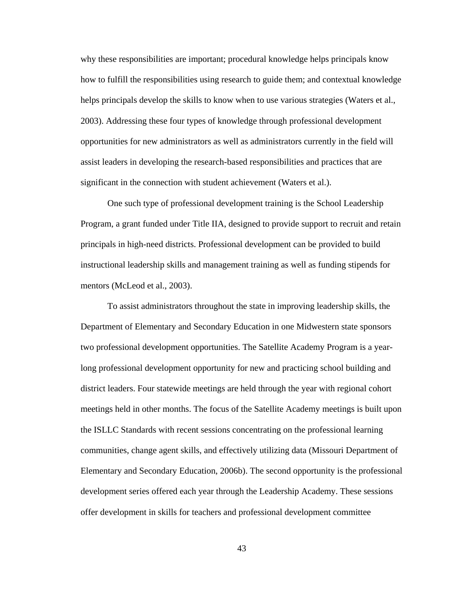why these responsibilities are important; procedural knowledge helps principals know how to fulfill the responsibilities using research to guide them; and contextual knowledge helps principals develop the skills to know when to use various strategies (Waters et al., 2003). Addressing these four types of knowledge through professional development opportunities for new administrators as well as administrators currently in the field will assist leaders in developing the research-based responsibilities and practices that are significant in the connection with student achievement (Waters et al.).

One such type of professional development training is the School Leadership Program, a grant funded under Title IIA, designed to provide support to recruit and retain principals in high-need districts. Professional development can be provided to build instructional leadership skills and management training as well as funding stipends for mentors (McLeod et al., 2003).

To assist administrators throughout the state in improving leadership skills, the Department of Elementary and Secondary Education in one Midwestern state sponsors two professional development opportunities. The Satellite Academy Program is a yearlong professional development opportunity for new and practicing school building and district leaders. Four statewide meetings are held through the year with regional cohort meetings held in other months. The focus of the Satellite Academy meetings is built upon the ISLLC Standards with recent sessions concentrating on the professional learning communities, change agent skills, and effectively utilizing data (Missouri Department of Elementary and Secondary Education, 2006b). The second opportunity is the professional development series offered each year through the Leadership Academy. These sessions offer development in skills for teachers and professional development committee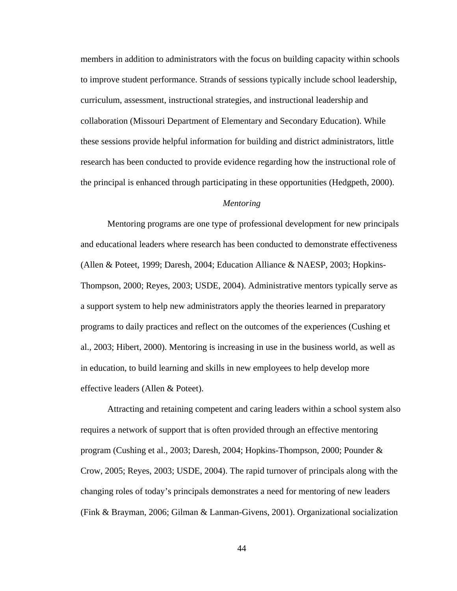members in addition to administrators with the focus on building capacity within schools to improve student performance. Strands of sessions typically include school leadership, curriculum, assessment, instructional strategies, and instructional leadership and collaboration (Missouri Department of Elementary and Secondary Education). While these sessions provide helpful information for building and district administrators, little research has been conducted to provide evidence regarding how the instructional role of the principal is enhanced through participating in these opportunities (Hedgpeth, 2000).

## *Mentoring*

Mentoring programs are one type of professional development for new principals and educational leaders where research has been conducted to demonstrate effectiveness (Allen & Poteet, 1999; Daresh, 2004; Education Alliance & NAESP, 2003; Hopkins-Thompson, 2000; Reyes, 2003; USDE, 2004). Administrative mentors typically serve as a support system to help new administrators apply the theories learned in preparatory programs to daily practices and reflect on the outcomes of the experiences (Cushing et al., 2003; Hibert, 2000). Mentoring is increasing in use in the business world, as well as in education, to build learning and skills in new employees to help develop more effective leaders (Allen & Poteet).

Attracting and retaining competent and caring leaders within a school system also requires a network of support that is often provided through an effective mentoring program (Cushing et al., 2003; Daresh, 2004; Hopkins-Thompson, 2000; Pounder & Crow, 2005; Reyes, 2003; USDE, 2004). The rapid turnover of principals along with the changing roles of today's principals demonstrates a need for mentoring of new leaders (Fink & Brayman, 2006; Gilman & Lanman-Givens, 2001). Organizational socialization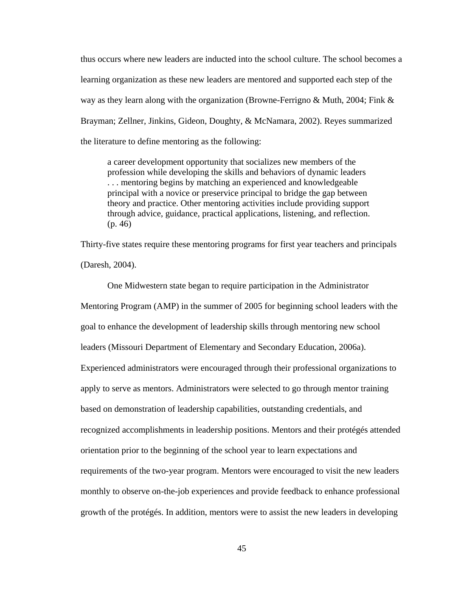thus occurs where new leaders are inducted into the school culture. The school becomes a learning organization as these new leaders are mentored and supported each step of the way as they learn along with the organization (Browne-Ferrigno & Muth, 2004; Fink  $\&$ Brayman; Zellner, Jinkins, Gideon, Doughty, & McNamara, 2002). Reyes summarized the literature to define mentoring as the following:

a career development opportunity that socializes new members of the profession while developing the skills and behaviors of dynamic leaders . . . mentoring begins by matching an experienced and knowledgeable principal with a novice or preservice principal to bridge the gap between theory and practice. Other mentoring activities include providing support through advice, guidance, practical applications, listening, and reflection. (p. 46)

Thirty-five states require these mentoring programs for first year teachers and principals (Daresh, 2004).

One Midwestern state began to require participation in the Administrator Mentoring Program (AMP) in the summer of 2005 for beginning school leaders with the goal to enhance the development of leadership skills through mentoring new school leaders (Missouri Department of Elementary and Secondary Education, 2006a). Experienced administrators were encouraged through their professional organizations to apply to serve as mentors. Administrators were selected to go through mentor training based on demonstration of leadership capabilities, outstanding credentials, and recognized accomplishments in leadership positions. Mentors and their protégés attended orientation prior to the beginning of the school year to learn expectations and requirements of the two-year program. Mentors were encouraged to visit the new leaders monthly to observe on-the-job experiences and provide feedback to enhance professional growth of the protégés. In addition, mentors were to assist the new leaders in developing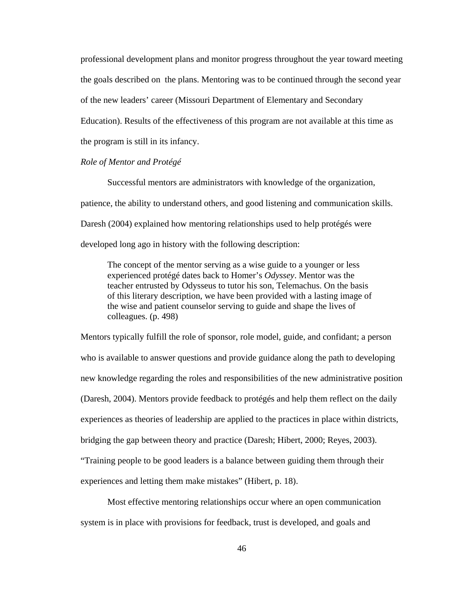professional development plans and monitor progress throughout the year toward meeting the goals described on the plans. Mentoring was to be continued through the second year of the new leaders' career (Missouri Department of Elementary and Secondary Education). Results of the effectiveness of this program are not available at this time as the program is still in its infancy.

# *Role of Mentor and Protégé*

 Successful mentors are administrators with knowledge of the organization, patience, the ability to understand others, and good listening and communication skills. Daresh (2004) explained how mentoring relationships used to help protégés were developed long ago in history with the following description:

The concept of the mentor serving as a wise guide to a younger or less experienced protégé dates back to Homer's *Odyssey*. Mentor was the teacher entrusted by Odysseus to tutor his son, Telemachus. On the basis of this literary description, we have been provided with a lasting image of the wise and patient counselor serving to guide and shape the lives of colleagues. (p. 498)

Mentors typically fulfill the role of sponsor, role model, guide, and confidant; a person who is available to answer questions and provide guidance along the path to developing new knowledge regarding the roles and responsibilities of the new administrative position (Daresh, 2004). Mentors provide feedback to protégés and help them reflect on the daily experiences as theories of leadership are applied to the practices in place within districts, bridging the gap between theory and practice (Daresh; Hibert, 2000; Reyes, 2003). "Training people to be good leaders is a balance between guiding them through their experiences and letting them make mistakes" (Hibert, p. 18).

Most effective mentoring relationships occur where an open communication system is in place with provisions for feedback, trust is developed, and goals and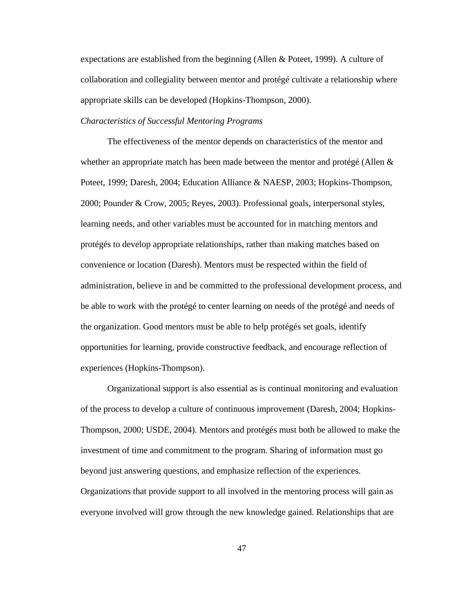expectations are established from the beginning (Allen & Poteet, 1999). A culture of collaboration and collegiality between mentor and protégé cultivate a relationship where appropriate skills can be developed (Hopkins-Thompson, 2000).

### *Characteristics of Successful Mentoring Programs*

The effectiveness of the mentor depends on characteristics of the mentor and whether an appropriate match has been made between the mentor and protégé (Allen  $\&$ Poteet, 1999; Daresh, 2004; Education Alliance & NAESP, 2003; Hopkins-Thompson, 2000; Pounder & Crow, 2005; Reyes, 2003). Professional goals, interpersonal styles, learning needs, and other variables must be accounted for in matching mentors and protégés to develop appropriate relationships, rather than making matches based on convenience or location (Daresh). Mentors must be respected within the field of administration, believe in and be committed to the professional development process, and be able to work with the protégé to center learning on needs of the protégé and needs of the organization. Good mentors must be able to help protégés set goals, identify opportunities for learning, provide constructive feedback, and encourage reflection of experiences (Hopkins-Thompson).

Organizational support is also essential as is continual monitoring and evaluation of the process to develop a culture of continuous improvement (Daresh, 2004; Hopkins-Thompson, 2000; USDE, 2004). Mentors and protégés must both be allowed to make the investment of time and commitment to the program. Sharing of information must go beyond just answering questions, and emphasize reflection of the experiences. Organizations that provide support to all involved in the mentoring process will gain as everyone involved will grow through the new knowledge gained. Relationships that are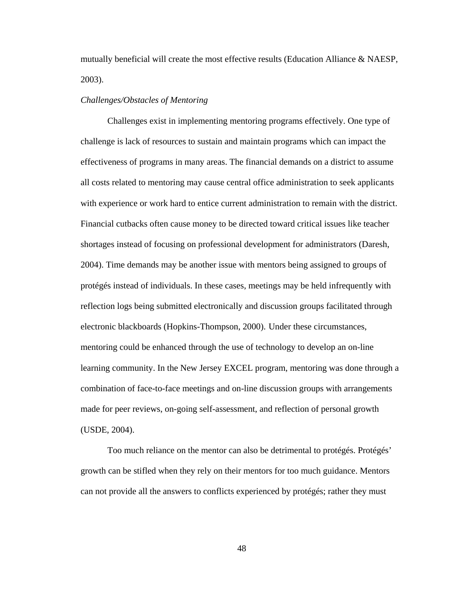mutually beneficial will create the most effective results (Education Alliance & NAESP, 2003).

### *Challenges/Obstacles of Mentoring*

Challenges exist in implementing mentoring programs effectively. One type of challenge is lack of resources to sustain and maintain programs which can impact the effectiveness of programs in many areas. The financial demands on a district to assume all costs related to mentoring may cause central office administration to seek applicants with experience or work hard to entice current administration to remain with the district. Financial cutbacks often cause money to be directed toward critical issues like teacher shortages instead of focusing on professional development for administrators (Daresh, 2004). Time demands may be another issue with mentors being assigned to groups of protégés instead of individuals. In these cases, meetings may be held infrequently with reflection logs being submitted electronically and discussion groups facilitated through electronic blackboards (Hopkins-Thompson, 2000). Under these circumstances, mentoring could be enhanced through the use of technology to develop an on-line learning community. In the New Jersey EXCEL program, mentoring was done through a combination of face-to-face meetings and on-line discussion groups with arrangements made for peer reviews, on-going self-assessment, and reflection of personal growth (USDE, 2004).

 Too much reliance on the mentor can also be detrimental to protégés. Protégés' growth can be stifled when they rely on their mentors for too much guidance. Mentors can not provide all the answers to conflicts experienced by protégés; rather they must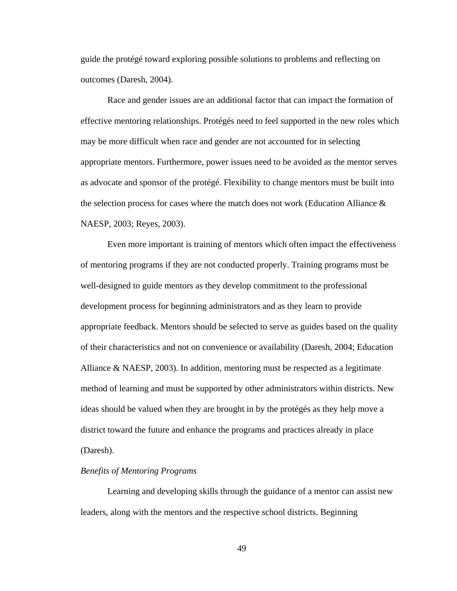guide the protégé toward exploring possible solutions to problems and reflecting on outcomes (Daresh, 2004).

 Race and gender issues are an additional factor that can impact the formation of effective mentoring relationships. Protégés need to feel supported in the new roles which may be more difficult when race and gender are not accounted for in selecting appropriate mentors. Furthermore, power issues need to be avoided as the mentor serves as advocate and sponsor of the protégé. Flexibility to change mentors must be built into the selection process for cases where the match does not work (Education Alliance  $\&$ NAESP, 2003; Reyes, 2003).

 Even more important is training of mentors which often impact the effectiveness of mentoring programs if they are not conducted properly. Training programs must be well-designed to guide mentors as they develop commitment to the professional development process for beginning administrators and as they learn to provide appropriate feedback. Mentors should be selected to serve as guides based on the quality of their characteristics and not on convenience or availability (Daresh, 2004; Education Alliance & NAESP, 2003). In addition, mentoring must be respected as a legitimate method of learning and must be supported by other administrators within districts. New ideas should be valued when they are brought in by the protégés as they help move a district toward the future and enhance the programs and practices already in place (Daresh).

## *Benefits of Mentoring Programs*

 Learning and developing skills through the guidance of a mentor can assist new leaders, along with the mentors and the respective school districts. Beginning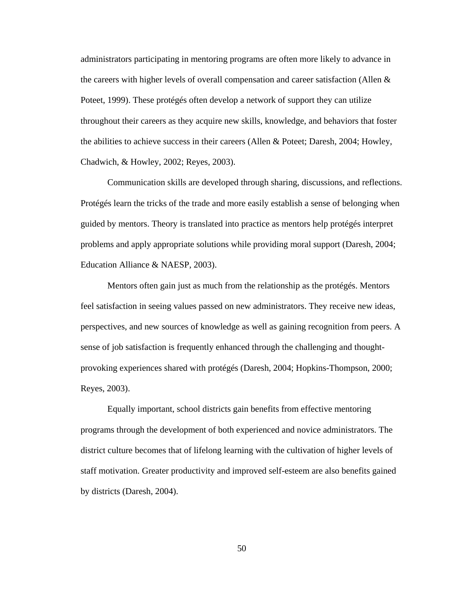administrators participating in mentoring programs are often more likely to advance in the careers with higher levels of overall compensation and career satisfaction (Allen  $\&$ Poteet, 1999). These protégés often develop a network of support they can utilize throughout their careers as they acquire new skills, knowledge, and behaviors that foster the abilities to achieve success in their careers (Allen & Poteet; Daresh, 2004; Howley, Chadwich, & Howley, 2002; Reyes, 2003).

Communication skills are developed through sharing, discussions, and reflections. Protégés learn the tricks of the trade and more easily establish a sense of belonging when guided by mentors. Theory is translated into practice as mentors help protégés interpret problems and apply appropriate solutions while providing moral support (Daresh, 2004; Education Alliance & NAESP, 2003).

Mentors often gain just as much from the relationship as the protégés. Mentors feel satisfaction in seeing values passed on new administrators. They receive new ideas, perspectives, and new sources of knowledge as well as gaining recognition from peers. A sense of job satisfaction is frequently enhanced through the challenging and thoughtprovoking experiences shared with protégés (Daresh, 2004; Hopkins-Thompson, 2000; Reyes, 2003).

Equally important, school districts gain benefits from effective mentoring programs through the development of both experienced and novice administrators. The district culture becomes that of lifelong learning with the cultivation of higher levels of staff motivation. Greater productivity and improved self-esteem are also benefits gained by districts (Daresh, 2004).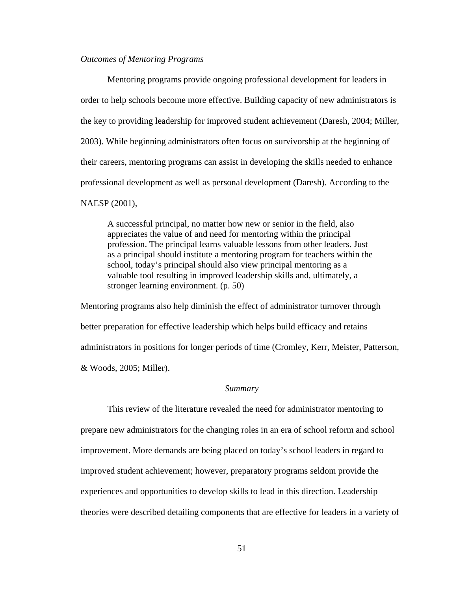### *Outcomes of Mentoring Programs*

 Mentoring programs provide ongoing professional development for leaders in order to help schools become more effective. Building capacity of new administrators is the key to providing leadership for improved student achievement (Daresh, 2004; Miller, 2003). While beginning administrators often focus on survivorship at the beginning of their careers, mentoring programs can assist in developing the skills needed to enhance professional development as well as personal development (Daresh). According to the NAESP (2001),

A successful principal, no matter how new or senior in the field, also appreciates the value of and need for mentoring within the principal profession. The principal learns valuable lessons from other leaders. Just as a principal should institute a mentoring program for teachers within the school, today's principal should also view principal mentoring as a valuable tool resulting in improved leadership skills and, ultimately, a stronger learning environment. (p. 50)

Mentoring programs also help diminish the effect of administrator turnover through better preparation for effective leadership which helps build efficacy and retains administrators in positions for longer periods of time (Cromley, Kerr, Meister, Patterson, & Woods, 2005; Miller).

#### *Summary*

 This review of the literature revealed the need for administrator mentoring to prepare new administrators for the changing roles in an era of school reform and school improvement. More demands are being placed on today's school leaders in regard to improved student achievement; however, preparatory programs seldom provide the experiences and opportunities to develop skills to lead in this direction. Leadership theories were described detailing components that are effective for leaders in a variety of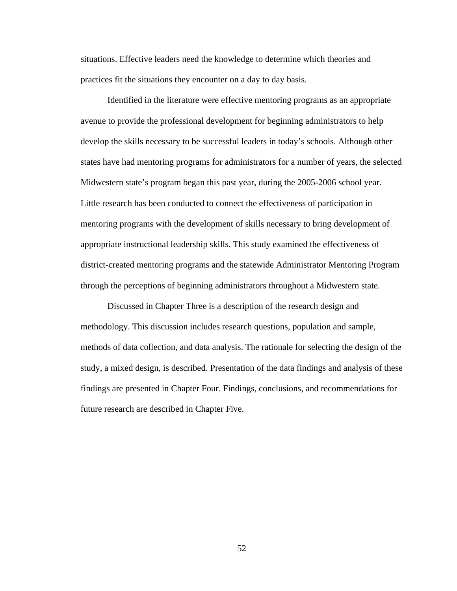situations. Effective leaders need the knowledge to determine which theories and practices fit the situations they encounter on a day to day basis.

 Identified in the literature were effective mentoring programs as an appropriate avenue to provide the professional development for beginning administrators to help develop the skills necessary to be successful leaders in today's schools. Although other states have had mentoring programs for administrators for a number of years, the selected Midwestern state's program began this past year, during the 2005-2006 school year. Little research has been conducted to connect the effectiveness of participation in mentoring programs with the development of skills necessary to bring development of appropriate instructional leadership skills. This study examined the effectiveness of district-created mentoring programs and the statewide Administrator Mentoring Program through the perceptions of beginning administrators throughout a Midwestern state.

 Discussed in Chapter Three is a description of the research design and methodology. This discussion includes research questions, population and sample, methods of data collection, and data analysis. The rationale for selecting the design of the study, a mixed design, is described. Presentation of the data findings and analysis of these findings are presented in Chapter Four. Findings, conclusions, and recommendations for future research are described in Chapter Five.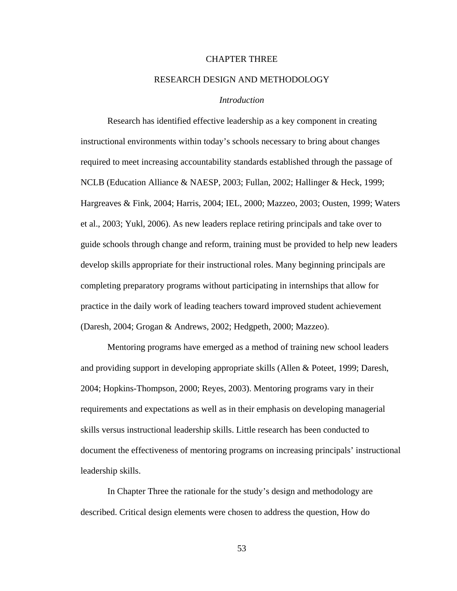## CHAPTER THREE

## RESEARCH DESIGN AND METHODOLOGY

## *Introduction*

Research has identified effective leadership as a key component in creating instructional environments within today's schools necessary to bring about changes required to meet increasing accountability standards established through the passage of NCLB (Education Alliance & NAESP, 2003; Fullan, 2002; Hallinger & Heck, 1999; Hargreaves & Fink, 2004; Harris, 2004; IEL, 2000; Mazzeo, 2003; Ousten, 1999; Waters et al., 2003; Yukl, 2006). As new leaders replace retiring principals and take over to guide schools through change and reform, training must be provided to help new leaders develop skills appropriate for their instructional roles. Many beginning principals are completing preparatory programs without participating in internships that allow for practice in the daily work of leading teachers toward improved student achievement (Daresh, 2004; Grogan & Andrews, 2002; Hedgpeth, 2000; Mazzeo).

Mentoring programs have emerged as a method of training new school leaders and providing support in developing appropriate skills (Allen & Poteet, 1999; Daresh, 2004; Hopkins-Thompson, 2000; Reyes, 2003). Mentoring programs vary in their requirements and expectations as well as in their emphasis on developing managerial skills versus instructional leadership skills. Little research has been conducted to document the effectiveness of mentoring programs on increasing principals' instructional leadership skills.

In Chapter Three the rationale for the study's design and methodology are described. Critical design elements were chosen to address the question, How do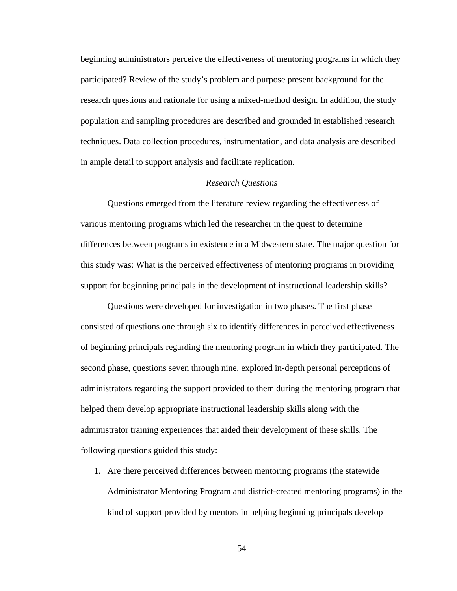beginning administrators perceive the effectiveness of mentoring programs in which they participated? Review of the study's problem and purpose present background for the research questions and rationale for using a mixed-method design. In addition, the study population and sampling procedures are described and grounded in established research techniques. Data collection procedures, instrumentation, and data analysis are described in ample detail to support analysis and facilitate replication.

# *Research Questions*

Questions emerged from the literature review regarding the effectiveness of various mentoring programs which led the researcher in the quest to determine differences between programs in existence in a Midwestern state. The major question for this study was: What is the perceived effectiveness of mentoring programs in providing support for beginning principals in the development of instructional leadership skills?

Questions were developed for investigation in two phases. The first phase consisted of questions one through six to identify differences in perceived effectiveness of beginning principals regarding the mentoring program in which they participated. The second phase, questions seven through nine, explored in-depth personal perceptions of administrators regarding the support provided to them during the mentoring program that helped them develop appropriate instructional leadership skills along with the administrator training experiences that aided their development of these skills. The following questions guided this study:

1. Are there perceived differences between mentoring programs (the statewide Administrator Mentoring Program and district-created mentoring programs) in the kind of support provided by mentors in helping beginning principals develop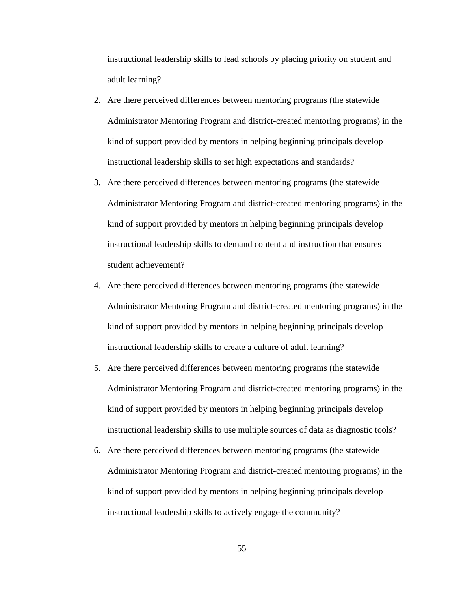instructional leadership skills to lead schools by placing priority on student and adult learning?

- 2. Are there perceived differences between mentoring programs (the statewide Administrator Mentoring Program and district-created mentoring programs) in the kind of support provided by mentors in helping beginning principals develop instructional leadership skills to set high expectations and standards?
- 3. Are there perceived differences between mentoring programs (the statewide Administrator Mentoring Program and district-created mentoring programs) in the kind of support provided by mentors in helping beginning principals develop instructional leadership skills to demand content and instruction that ensures student achievement?
- 4. Are there perceived differences between mentoring programs (the statewide Administrator Mentoring Program and district-created mentoring programs) in the kind of support provided by mentors in helping beginning principals develop instructional leadership skills to create a culture of adult learning?
- 5. Are there perceived differences between mentoring programs (the statewide Administrator Mentoring Program and district-created mentoring programs) in the kind of support provided by mentors in helping beginning principals develop instructional leadership skills to use multiple sources of data as diagnostic tools?
- 6. Are there perceived differences between mentoring programs (the statewide Administrator Mentoring Program and district-created mentoring programs) in the kind of support provided by mentors in helping beginning principals develop instructional leadership skills to actively engage the community?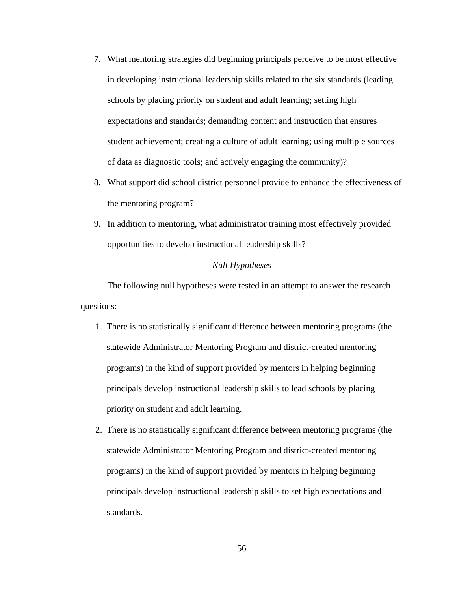- 7. What mentoring strategies did beginning principals perceive to be most effective in developing instructional leadership skills related to the six standards (leading schools by placing priority on student and adult learning; setting high expectations and standards; demanding content and instruction that ensures student achievement; creating a culture of adult learning; using multiple sources of data as diagnostic tools; and actively engaging the community)?
- 8. What support did school district personnel provide to enhance the effectiveness of the mentoring program?
- 9. In addition to mentoring, what administrator training most effectively provided opportunities to develop instructional leadership skills?

### *Null Hypotheses*

The following null hypotheses were tested in an attempt to answer the research questions:

- 1. There is no statistically significant difference between mentoring programs (the statewide Administrator Mentoring Program and district-created mentoring programs) in the kind of support provided by mentors in helping beginning principals develop instructional leadership skills to lead schools by placing priority on student and adult learning.
- 2. There is no statistically significant difference between mentoring programs (the statewide Administrator Mentoring Program and district-created mentoring programs) in the kind of support provided by mentors in helping beginning principals develop instructional leadership skills to set high expectations and standards.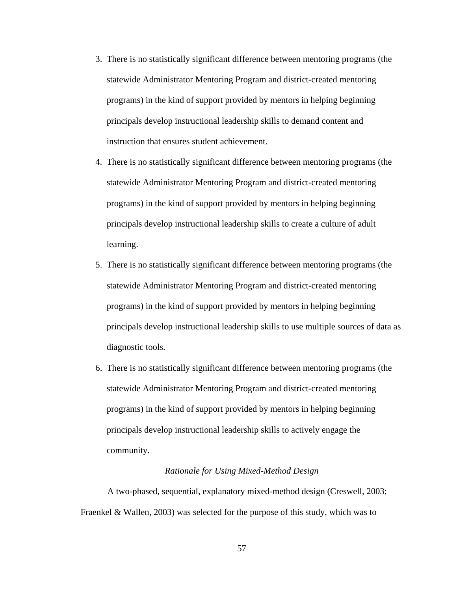- 3. There is no statistically significant difference between mentoring programs (the statewide Administrator Mentoring Program and district-created mentoring programs) in the kind of support provided by mentors in helping beginning principals develop instructional leadership skills to demand content and instruction that ensures student achievement.
- 4. There is no statistically significant difference between mentoring programs (the statewide Administrator Mentoring Program and district-created mentoring programs) in the kind of support provided by mentors in helping beginning principals develop instructional leadership skills to create a culture of adult learning.
- 5. There is no statistically significant difference between mentoring programs (the statewide Administrator Mentoring Program and district-created mentoring programs) in the kind of support provided by mentors in helping beginning principals develop instructional leadership skills to use multiple sources of data as diagnostic tools.
- 6. There is no statistically significant difference between mentoring programs (the statewide Administrator Mentoring Program and district-created mentoring programs) in the kind of support provided by mentors in helping beginning principals develop instructional leadership skills to actively engage the community.

## *Rationale for Using Mixed-Method Design*

 A two-phased, sequential, explanatory mixed-method design (Creswell, 2003; Fraenkel & Wallen, 2003) was selected for the purpose of this study, which was to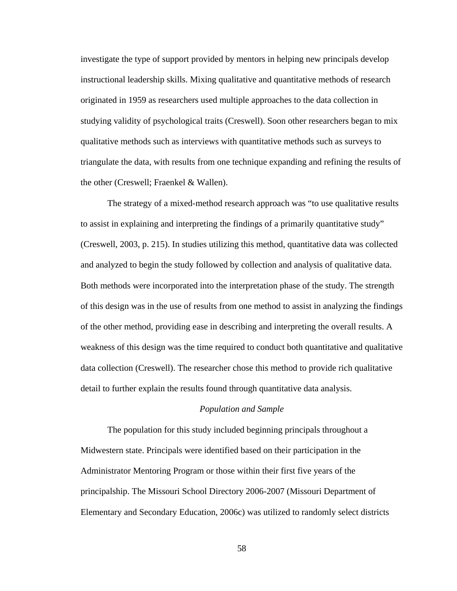investigate the type of support provided by mentors in helping new principals develop instructional leadership skills. Mixing qualitative and quantitative methods of research originated in 1959 as researchers used multiple approaches to the data collection in studying validity of psychological traits (Creswell). Soon other researchers began to mix qualitative methods such as interviews with quantitative methods such as surveys to triangulate the data, with results from one technique expanding and refining the results of the other (Creswell; Fraenkel & Wallen).

 The strategy of a mixed-method research approach was "to use qualitative results to assist in explaining and interpreting the findings of a primarily quantitative study" (Creswell, 2003, p. 215). In studies utilizing this method, quantitative data was collected and analyzed to begin the study followed by collection and analysis of qualitative data. Both methods were incorporated into the interpretation phase of the study. The strength of this design was in the use of results from one method to assist in analyzing the findings of the other method, providing ease in describing and interpreting the overall results. A weakness of this design was the time required to conduct both quantitative and qualitative data collection (Creswell). The researcher chose this method to provide rich qualitative detail to further explain the results found through quantitative data analysis.

#### *Population and Sample*

 The population for this study included beginning principals throughout a Midwestern state. Principals were identified based on their participation in the Administrator Mentoring Program or those within their first five years of the principalship. The Missouri School Directory 2006-2007 (Missouri Department of Elementary and Secondary Education, 2006c) was utilized to randomly select districts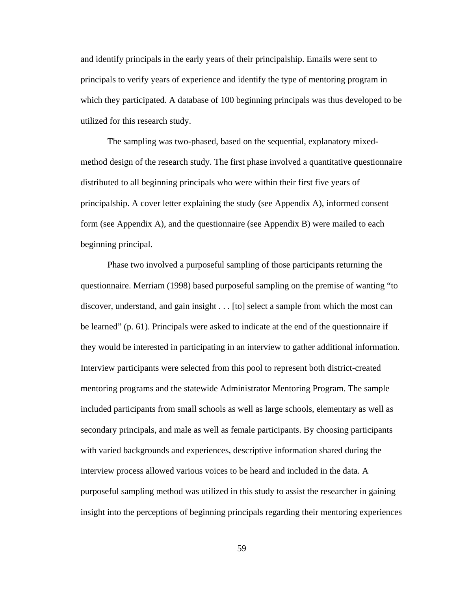and identify principals in the early years of their principalship. Emails were sent to principals to verify years of experience and identify the type of mentoring program in which they participated. A database of 100 beginning principals was thus developed to be utilized for this research study.

 The sampling was two-phased, based on the sequential, explanatory mixedmethod design of the research study. The first phase involved a quantitative questionnaire distributed to all beginning principals who were within their first five years of principalship. A cover letter explaining the study (see Appendix A), informed consent form (see Appendix A), and the questionnaire (see Appendix B) were mailed to each beginning principal.

Phase two involved a purposeful sampling of those participants returning the questionnaire. Merriam (1998) based purposeful sampling on the premise of wanting "to discover, understand, and gain insight . . . [to] select a sample from which the most can be learned" (p. 61). Principals were asked to indicate at the end of the questionnaire if they would be interested in participating in an interview to gather additional information. Interview participants were selected from this pool to represent both district-created mentoring programs and the statewide Administrator Mentoring Program. The sample included participants from small schools as well as large schools, elementary as well as secondary principals, and male as well as female participants. By choosing participants with varied backgrounds and experiences, descriptive information shared during the interview process allowed various voices to be heard and included in the data. A purposeful sampling method was utilized in this study to assist the researcher in gaining insight into the perceptions of beginning principals regarding their mentoring experiences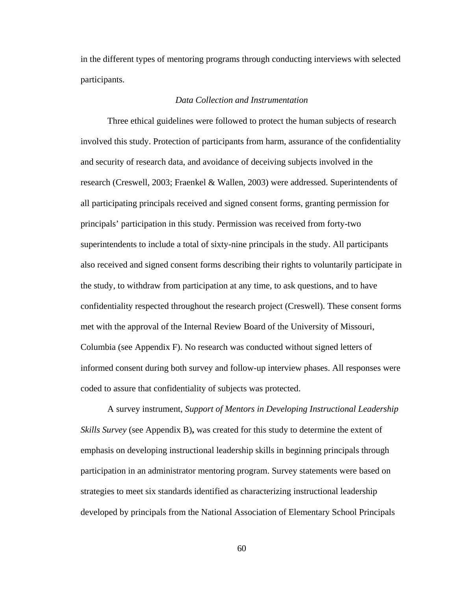in the different types of mentoring programs through conducting interviews with selected participants.

### *Data Collection and Instrumentation*

 Three ethical guidelines were followed to protect the human subjects of research involved this study. Protection of participants from harm, assurance of the confidentiality and security of research data, and avoidance of deceiving subjects involved in the research (Creswell, 2003; Fraenkel & Wallen, 2003) were addressed. Superintendents of all participating principals received and signed consent forms, granting permission for principals' participation in this study. Permission was received from forty-two superintendents to include a total of sixty-nine principals in the study. All participants also received and signed consent forms describing their rights to voluntarily participate in the study, to withdraw from participation at any time, to ask questions, and to have confidentiality respected throughout the research project (Creswell). These consent forms met with the approval of the Internal Review Board of the University of Missouri, Columbia (see Appendix F). No research was conducted without signed letters of informed consent during both survey and follow-up interview phases. All responses were coded to assure that confidentiality of subjects was protected.

 A survey instrument, *Support of Mentors in Developing Instructional Leadership Skills Survey* (see Appendix B)**,** was created for this study to determine the extent of emphasis on developing instructional leadership skills in beginning principals through participation in an administrator mentoring program. Survey statements were based on strategies to meet six standards identified as characterizing instructional leadership developed by principals from the National Association of Elementary School Principals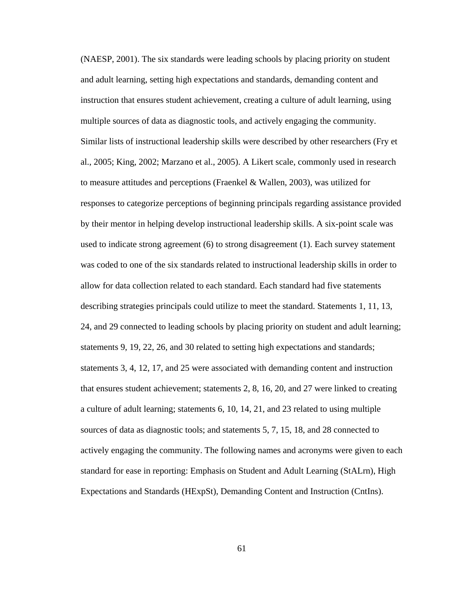(NAESP, 2001). The six standards were leading schools by placing priority on student and adult learning, setting high expectations and standards, demanding content and instruction that ensures student achievement, creating a culture of adult learning, using multiple sources of data as diagnostic tools, and actively engaging the community. Similar lists of instructional leadership skills were described by other researchers (Fry et al., 2005; King, 2002; Marzano et al., 2005). A Likert scale, commonly used in research to measure attitudes and perceptions (Fraenkel & Wallen, 2003), was utilized for responses to categorize perceptions of beginning principals regarding assistance provided by their mentor in helping develop instructional leadership skills. A six-point scale was used to indicate strong agreement (6) to strong disagreement (1). Each survey statement was coded to one of the six standards related to instructional leadership skills in order to allow for data collection related to each standard. Each standard had five statements describing strategies principals could utilize to meet the standard. Statements 1, 11, 13, 24, and 29 connected to leading schools by placing priority on student and adult learning; statements 9, 19, 22, 26, and 30 related to setting high expectations and standards; statements 3, 4, 12, 17, and 25 were associated with demanding content and instruction that ensures student achievement; statements 2, 8, 16, 20, and 27 were linked to creating a culture of adult learning; statements 6, 10, 14, 21, and 23 related to using multiple sources of data as diagnostic tools; and statements 5, 7, 15, 18, and 28 connected to actively engaging the community. The following names and acronyms were given to each standard for ease in reporting: Emphasis on Student and Adult Learning (StALrn), High Expectations and Standards (HExpSt), Demanding Content and Instruction (CntIns).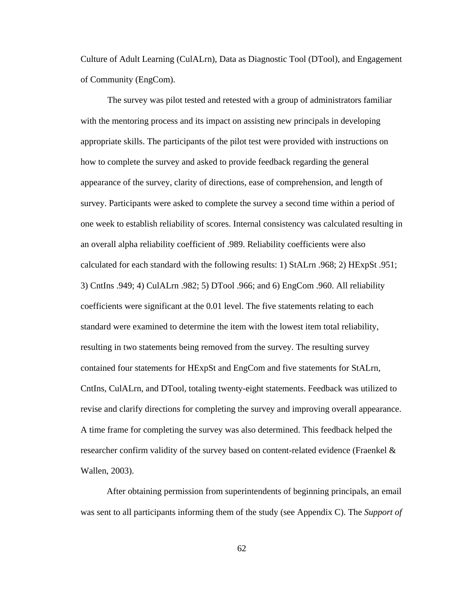Culture of Adult Learning (CulALrn), Data as Diagnostic Tool (DTool), and Engagement of Community (EngCom).

The survey was pilot tested and retested with a group of administrators familiar with the mentoring process and its impact on assisting new principals in developing appropriate skills. The participants of the pilot test were provided with instructions on how to complete the survey and asked to provide feedback regarding the general appearance of the survey, clarity of directions, ease of comprehension, and length of survey. Participants were asked to complete the survey a second time within a period of one week to establish reliability of scores. Internal consistency was calculated resulting in an overall alpha reliability coefficient of .989. Reliability coefficients were also calculated for each standard with the following results: 1) StALrn .968; 2) HExpSt .951; 3) CntIns .949; 4) CulALrn .982; 5) DTool .966; and 6) EngCom .960. All reliability coefficients were significant at the 0.01 level. The five statements relating to each standard were examined to determine the item with the lowest item total reliability, resulting in two statements being removed from the survey. The resulting survey contained four statements for HExpSt and EngCom and five statements for StALrn, CntIns, CulALrn, and DTool, totaling twenty-eight statements. Feedback was utilized to revise and clarify directions for completing the survey and improving overall appearance. A time frame for completing the survey was also determined. This feedback helped the researcher confirm validity of the survey based on content-related evidence (Fraenkel & Wallen, 2003).

After obtaining permission from superintendents of beginning principals, an email was sent to all participants informing them of the study (see Appendix C). The *Support of*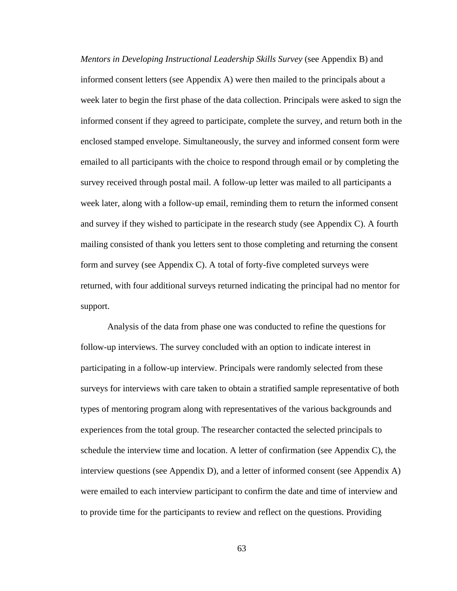*Mentors in Developing Instructional Leadership Skills Survey* (see Appendix B) and informed consent letters (see Appendix A) were then mailed to the principals about a week later to begin the first phase of the data collection. Principals were asked to sign the informed consent if they agreed to participate, complete the survey, and return both in the enclosed stamped envelope. Simultaneously, the survey and informed consent form were emailed to all participants with the choice to respond through email or by completing the survey received through postal mail. A follow-up letter was mailed to all participants a week later, along with a follow-up email, reminding them to return the informed consent and survey if they wished to participate in the research study (see Appendix C). A fourth mailing consisted of thank you letters sent to those completing and returning the consent form and survey (see Appendix C). A total of forty-five completed surveys were returned, with four additional surveys returned indicating the principal had no mentor for support.

Analysis of the data from phase one was conducted to refine the questions for follow-up interviews. The survey concluded with an option to indicate interest in participating in a follow-up interview. Principals were randomly selected from these surveys for interviews with care taken to obtain a stratified sample representative of both types of mentoring program along with representatives of the various backgrounds and experiences from the total group. The researcher contacted the selected principals to schedule the interview time and location. A letter of confirmation (see Appendix C), the interview questions (see Appendix D), and a letter of informed consent (see Appendix A) were emailed to each interview participant to confirm the date and time of interview and to provide time for the participants to review and reflect on the questions. Providing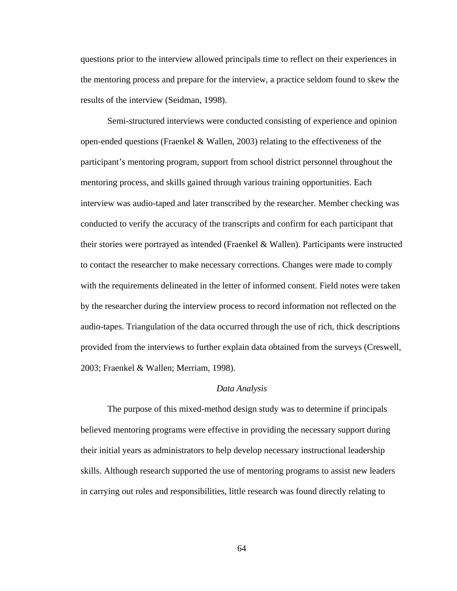questions prior to the interview allowed principals time to reflect on their experiences in the mentoring process and prepare for the interview, a practice seldom found to skew the results of the interview (Seidman, 1998).

Semi-structured interviews were conducted consisting of experience and opinion open-ended questions (Fraenkel & Wallen, 2003) relating to the effectiveness of the participant's mentoring program, support from school district personnel throughout the mentoring process, and skills gained through various training opportunities. Each interview was audio-taped and later transcribed by the researcher. Member checking was conducted to verify the accuracy of the transcripts and confirm for each participant that their stories were portrayed as intended (Fraenkel  $\&$  Wallen). Participants were instructed to contact the researcher to make necessary corrections. Changes were made to comply with the requirements delineated in the letter of informed consent. Field notes were taken by the researcher during the interview process to record information not reflected on the audio-tapes. Triangulation of the data occurred through the use of rich, thick descriptions provided from the interviews to further explain data obtained from the surveys (Creswell, 2003; Fraenkel & Wallen; Merriam, 1998).

#### *Data Analysis*

 The purpose of this mixed-method design study was to determine if principals believed mentoring programs were effective in providing the necessary support during their initial years as administrators to help develop necessary instructional leadership skills. Although research supported the use of mentoring programs to assist new leaders in carrying out roles and responsibilities, little research was found directly relating to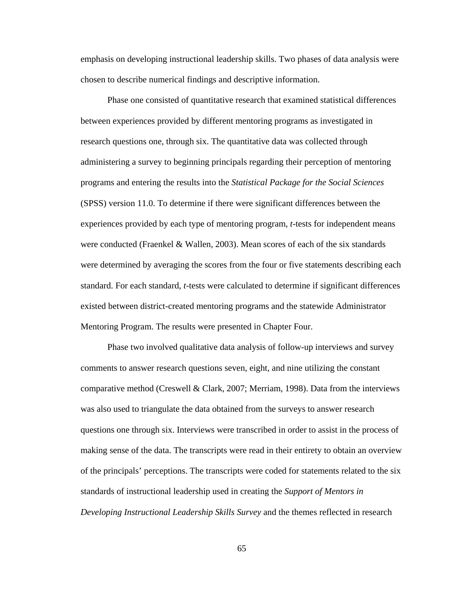emphasis on developing instructional leadership skills. Two phases of data analysis were chosen to describe numerical findings and descriptive information.

Phase one consisted of quantitative research that examined statistical differences between experiences provided by different mentoring programs as investigated in research questions one, through six. The quantitative data was collected through administering a survey to beginning principals regarding their perception of mentoring programs and entering the results into the *Statistical Package for the Social Sciences* (SPSS) version 11.0. To determine if there were significant differences between the experiences provided by each type of mentoring program, *t*-tests for independent means were conducted (Fraenkel & Wallen, 2003). Mean scores of each of the six standards were determined by averaging the scores from the four or five statements describing each standard. For each standard, *t*-tests were calculated to determine if significant differences existed between district-created mentoring programs and the statewide Administrator Mentoring Program. The results were presented in Chapter Four.

Phase two involved qualitative data analysis of follow-up interviews and survey comments to answer research questions seven, eight, and nine utilizing the constant comparative method (Creswell & Clark, 2007; Merriam, 1998). Data from the interviews was also used to triangulate the data obtained from the surveys to answer research questions one through six. Interviews were transcribed in order to assist in the process of making sense of the data. The transcripts were read in their entirety to obtain an overview of the principals' perceptions. The transcripts were coded for statements related to the six standards of instructional leadership used in creating the *Support of Mentors in Developing Instructional Leadership Skills Survey* and the themes reflected in research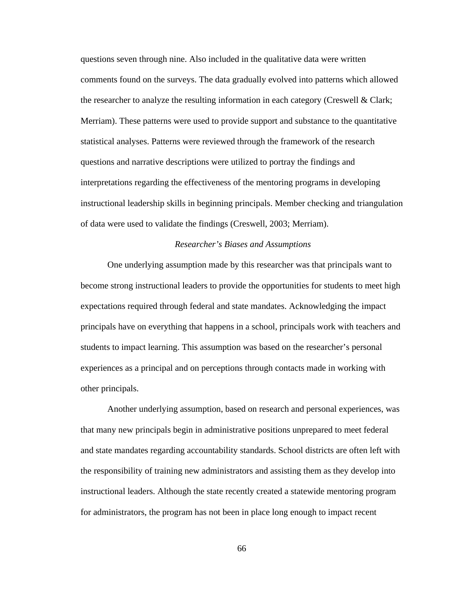questions seven through nine. Also included in the qualitative data were written comments found on the surveys. The data gradually evolved into patterns which allowed the researcher to analyze the resulting information in each category (Creswell & Clark; Merriam). These patterns were used to provide support and substance to the quantitative statistical analyses. Patterns were reviewed through the framework of the research questions and narrative descriptions were utilized to portray the findings and interpretations regarding the effectiveness of the mentoring programs in developing instructional leadership skills in beginning principals. Member checking and triangulation of data were used to validate the findings (Creswell, 2003; Merriam).

#### *Researcher's Biases and Assumptions*

 One underlying assumption made by this researcher was that principals want to become strong instructional leaders to provide the opportunities for students to meet high expectations required through federal and state mandates. Acknowledging the impact principals have on everything that happens in a school, principals work with teachers and students to impact learning. This assumption was based on the researcher's personal experiences as a principal and on perceptions through contacts made in working with other principals.

 Another underlying assumption, based on research and personal experiences, was that many new principals begin in administrative positions unprepared to meet federal and state mandates regarding accountability standards. School districts are often left with the responsibility of training new administrators and assisting them as they develop into instructional leaders. Although the state recently created a statewide mentoring program for administrators, the program has not been in place long enough to impact recent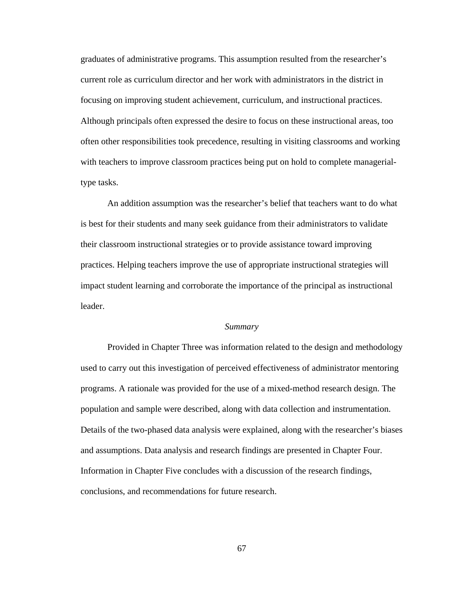graduates of administrative programs. This assumption resulted from the researcher's current role as curriculum director and her work with administrators in the district in focusing on improving student achievement, curriculum, and instructional practices. Although principals often expressed the desire to focus on these instructional areas, too often other responsibilities took precedence, resulting in visiting classrooms and working with teachers to improve classroom practices being put on hold to complete managerialtype tasks.

 An addition assumption was the researcher's belief that teachers want to do what is best for their students and many seek guidance from their administrators to validate their classroom instructional strategies or to provide assistance toward improving practices. Helping teachers improve the use of appropriate instructional strategies will impact student learning and corroborate the importance of the principal as instructional leader.

#### *Summary*

Provided in Chapter Three was information related to the design and methodology used to carry out this investigation of perceived effectiveness of administrator mentoring programs. A rationale was provided for the use of a mixed-method research design. The population and sample were described, along with data collection and instrumentation. Details of the two-phased data analysis were explained, along with the researcher's biases and assumptions. Data analysis and research findings are presented in Chapter Four. Information in Chapter Five concludes with a discussion of the research findings, conclusions, and recommendations for future research.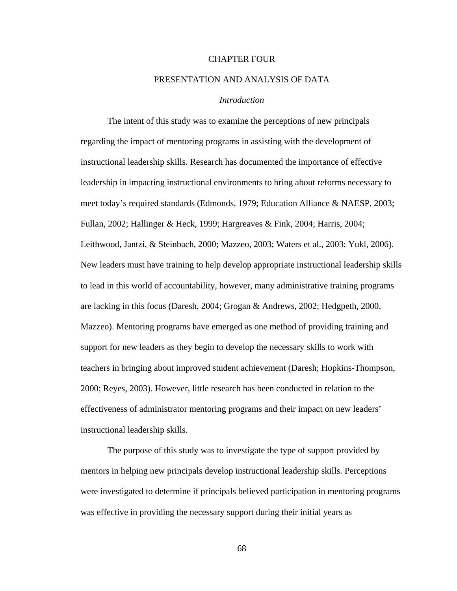#### CHAPTER FOUR

### PRESENTATION AND ANALYSIS OF DATA

### *Introduction*

The intent of this study was to examine the perceptions of new principals regarding the impact of mentoring programs in assisting with the development of instructional leadership skills. Research has documented the importance of effective leadership in impacting instructional environments to bring about reforms necessary to meet today's required standards (Edmonds, 1979; Education Alliance & NAESP, 2003; Fullan, 2002; Hallinger & Heck, 1999; Hargreaves & Fink, 2004; Harris, 2004; Leithwood, Jantzi, & Steinbach, 2000; Mazzeo, 2003; Waters et al., 2003; Yukl, 2006). New leaders must have training to help develop appropriate instructional leadership skills to lead in this world of accountability, however, many administrative training programs are lacking in this focus (Daresh, 2004; Grogan & Andrews, 2002; Hedgpeth, 2000, Mazzeo). Mentoring programs have emerged as one method of providing training and support for new leaders as they begin to develop the necessary skills to work with teachers in bringing about improved student achievement (Daresh; Hopkins-Thompson, 2000; Reyes, 2003). However, little research has been conducted in relation to the effectiveness of administrator mentoring programs and their impact on new leaders' instructional leadership skills.

 The purpose of this study was to investigate the type of support provided by mentors in helping new principals develop instructional leadership skills. Perceptions were investigated to determine if principals believed participation in mentoring programs was effective in providing the necessary support during their initial years as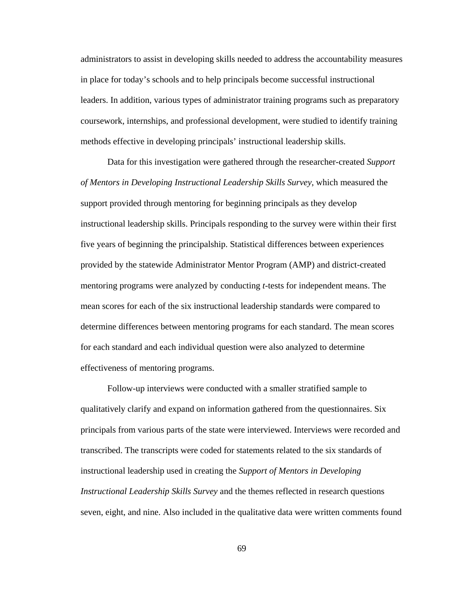administrators to assist in developing skills needed to address the accountability measures in place for today's schools and to help principals become successful instructional leaders. In addition, various types of administrator training programs such as preparatory coursework, internships, and professional development, were studied to identify training methods effective in developing principals' instructional leadership skills.

 Data for this investigation were gathered through the researcher-created *Support of Mentors in Developing Instructional Leadership Skills Survey*, which measured the support provided through mentoring for beginning principals as they develop instructional leadership skills. Principals responding to the survey were within their first five years of beginning the principalship. Statistical differences between experiences provided by the statewide Administrator Mentor Program (AMP) and district-created mentoring programs were analyzed by conducting *t*-tests for independent means. The mean scores for each of the six instructional leadership standards were compared to determine differences between mentoring programs for each standard. The mean scores for each standard and each individual question were also analyzed to determine effectiveness of mentoring programs.

Follow-up interviews were conducted with a smaller stratified sample to qualitatively clarify and expand on information gathered from the questionnaires. Six principals from various parts of the state were interviewed. Interviews were recorded and transcribed. The transcripts were coded for statements related to the six standards of instructional leadership used in creating the *Support of Mentors in Developing Instructional Leadership Skills Survey* and the themes reflected in research questions seven, eight, and nine. Also included in the qualitative data were written comments found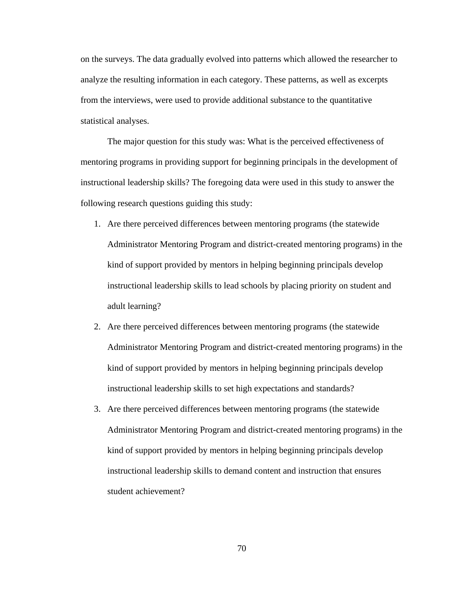on the surveys. The data gradually evolved into patterns which allowed the researcher to analyze the resulting information in each category. These patterns, as well as excerpts from the interviews, were used to provide additional substance to the quantitative statistical analyses.

The major question for this study was: What is the perceived effectiveness of mentoring programs in providing support for beginning principals in the development of instructional leadership skills? The foregoing data were used in this study to answer the following research questions guiding this study:

- 1. Are there perceived differences between mentoring programs (the statewide Administrator Mentoring Program and district-created mentoring programs) in the kind of support provided by mentors in helping beginning principals develop instructional leadership skills to lead schools by placing priority on student and adult learning?
- 2. Are there perceived differences between mentoring programs (the statewide Administrator Mentoring Program and district-created mentoring programs) in the kind of support provided by mentors in helping beginning principals develop instructional leadership skills to set high expectations and standards?
- 3. Are there perceived differences between mentoring programs (the statewide Administrator Mentoring Program and district-created mentoring programs) in the kind of support provided by mentors in helping beginning principals develop instructional leadership skills to demand content and instruction that ensures student achievement?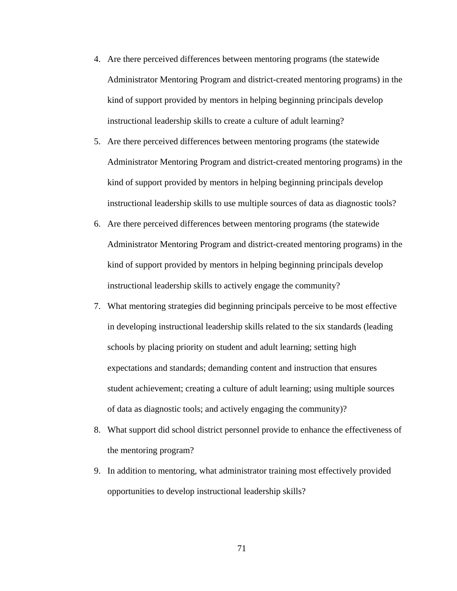- 4. Are there perceived differences between mentoring programs (the statewide Administrator Mentoring Program and district-created mentoring programs) in the kind of support provided by mentors in helping beginning principals develop instructional leadership skills to create a culture of adult learning?
- 5. Are there perceived differences between mentoring programs (the statewide Administrator Mentoring Program and district-created mentoring programs) in the kind of support provided by mentors in helping beginning principals develop instructional leadership skills to use multiple sources of data as diagnostic tools?
- 6. Are there perceived differences between mentoring programs (the statewide Administrator Mentoring Program and district-created mentoring programs) in the kind of support provided by mentors in helping beginning principals develop instructional leadership skills to actively engage the community?
- 7. What mentoring strategies did beginning principals perceive to be most effective in developing instructional leadership skills related to the six standards (leading schools by placing priority on student and adult learning; setting high expectations and standards; demanding content and instruction that ensures student achievement; creating a culture of adult learning; using multiple sources of data as diagnostic tools; and actively engaging the community)?
- 8. What support did school district personnel provide to enhance the effectiveness of the mentoring program?
- 9. In addition to mentoring, what administrator training most effectively provided opportunities to develop instructional leadership skills?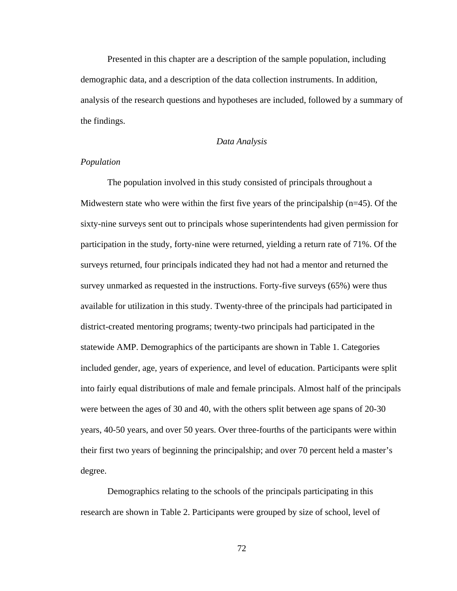Presented in this chapter are a description of the sample population, including demographic data, and a description of the data collection instruments. In addition, analysis of the research questions and hypotheses are included, followed by a summary of the findings.

## *Data Analysis*

## *Population*

The population involved in this study consisted of principals throughout a Midwestern state who were within the first five years of the principalship  $(n=45)$ . Of the sixty-nine surveys sent out to principals whose superintendents had given permission for participation in the study, forty-nine were returned, yielding a return rate of 71%. Of the surveys returned, four principals indicated they had not had a mentor and returned the survey unmarked as requested in the instructions. Forty-five surveys (65%) were thus available for utilization in this study. Twenty-three of the principals had participated in district-created mentoring programs; twenty-two principals had participated in the statewide AMP. Demographics of the participants are shown in Table 1. Categories included gender, age, years of experience, and level of education. Participants were split into fairly equal distributions of male and female principals. Almost half of the principals were between the ages of 30 and 40, with the others split between age spans of 20-30 years, 40-50 years, and over 50 years. Over three-fourths of the participants were within their first two years of beginning the principalship; and over 70 percent held a master's degree.

Demographics relating to the schools of the principals participating in this research are shown in Table 2. Participants were grouped by size of school, level of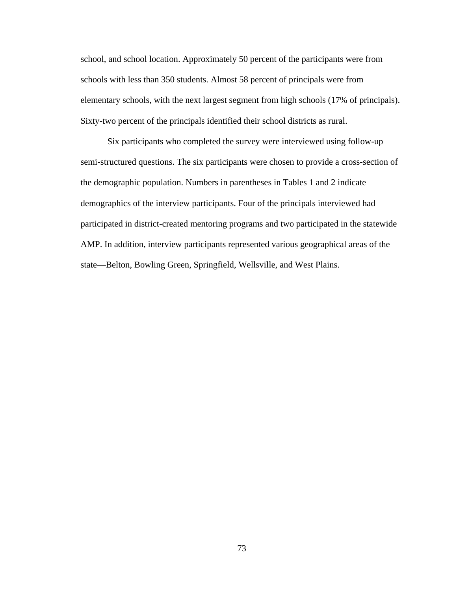school, and school location. Approximately 50 percent of the participants were from schools with less than 350 students. Almost 58 percent of principals were from elementary schools, with the next largest segment from high schools (17% of principals). Sixty-two percent of the principals identified their school districts as rural.

Six participants who completed the survey were interviewed using follow-up semi-structured questions. The six participants were chosen to provide a cross-section of the demographic population. Numbers in parentheses in Tables 1 and 2 indicate demographics of the interview participants. Four of the principals interviewed had participated in district-created mentoring programs and two participated in the statewide AMP. In addition, interview participants represented various geographical areas of the state—Belton, Bowling Green, Springfield, Wellsville, and West Plains.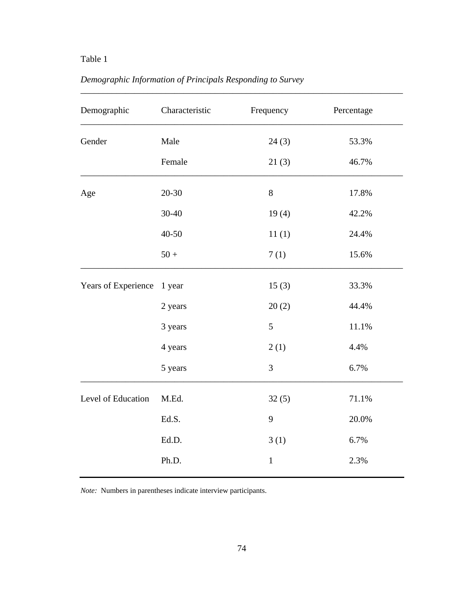| Demographic         | Characteristic | Frequency    | Percentage |
|---------------------|----------------|--------------|------------|
| Gender              | Male           | 24(3)        | 53.3%      |
|                     | Female         | 21(3)        | 46.7%      |
| Age                 | $20 - 30$      | $8\,$        | 17.8%      |
|                     | 30-40          | 19(4)        | 42.2%      |
|                     | 40-50          | 11(1)        | 24.4%      |
|                     | $50 +$         | 7(1)         | 15.6%      |
| Years of Experience | 1 year         | 15(3)        | 33.3%      |
|                     | 2 years        | 20(2)        | 44.4%      |
|                     | 3 years        | 5            | 11.1%      |
|                     | 4 years        | 2(1)         | 4.4%       |
|                     | 5 years        | 3            | 6.7%       |
| Level of Education  | M.Ed.          | 32(5)        | 71.1%      |
|                     | Ed.S.          | 9            | 20.0%      |
|                     | Ed.D.          | 3(1)         | 6.7%       |
|                     | Ph.D.          | $\mathbf{1}$ | 2.3%       |

\_\_\_\_\_\_\_\_\_\_\_\_\_\_\_\_\_\_\_\_\_\_\_\_\_\_\_\_\_\_\_\_\_\_\_\_\_\_\_\_\_\_\_\_\_\_\_\_\_\_\_\_\_\_\_\_\_\_\_\_\_\_\_\_\_\_\_\_\_\_\_\_

# *Demographic Information of Principals Responding to Survey*

*Note:* Numbers in parentheses indicate interview participants.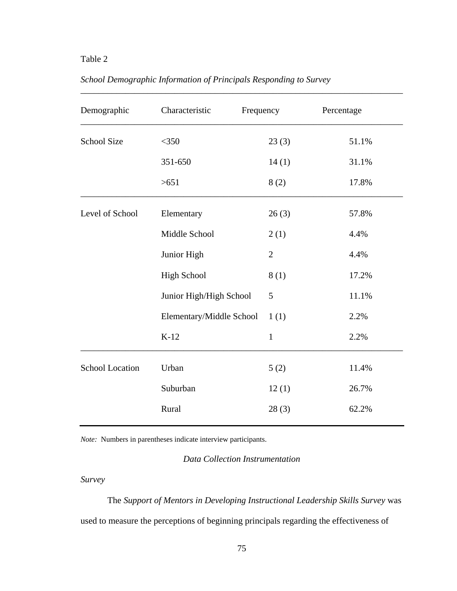| Demographic            | Characteristic           | Frequency      | Percentage |
|------------------------|--------------------------|----------------|------------|
| <b>School Size</b>     | $<$ 350                  | 23(3)          | 51.1%      |
|                        | 351-650                  | 14(1)          | 31.1%      |
|                        | >651                     | 8(2)           | 17.8%      |
| Level of School        | Elementary               | 26(3)          | 57.8%      |
|                        | Middle School            | 2(1)           | 4.4%       |
|                        | Junior High              | $\overline{2}$ | 4.4%       |
|                        | <b>High School</b>       | 8(1)           | 17.2%      |
|                        | Junior High/High School  | 5              | 11.1%      |
|                        | Elementary/Middle School | 1(1)           | 2.2%       |
|                        | $K-12$                   | $\mathbf{1}$   | 2.2%       |
| <b>School Location</b> | Urban                    | 5(2)           | 11.4%      |
|                        | Suburban                 | 12(1)          | 26.7%      |
|                        | Rural                    | 28(3)          | 62.2%      |

\_\_\_\_\_\_\_\_\_\_\_\_\_\_\_\_\_\_\_\_\_\_\_\_\_\_\_\_\_\_\_\_\_\_\_\_\_\_\_\_\_\_\_\_\_\_\_\_\_\_\_\_\_\_\_\_\_\_\_\_\_\_\_\_\_\_\_\_\_\_\_\_

## *School Demographic Information of Principals Responding to Survey*

*Note:* Numbers in parentheses indicate interview participants.

*Data Collection Instrumentation* 

*Survey* 

The *Support of Mentors in Developing Instructional Leadership Skills Survey* was used to measure the perceptions of beginning principals regarding the effectiveness of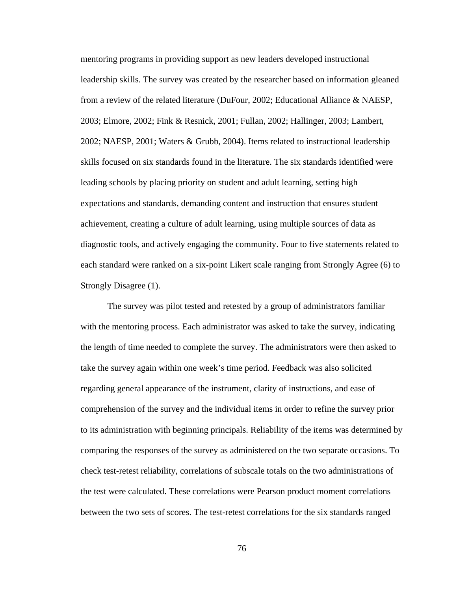mentoring programs in providing support as new leaders developed instructional leadership skills. The survey was created by the researcher based on information gleaned from a review of the related literature (DuFour, 2002; Educational Alliance & NAESP, 2003; Elmore, 2002; Fink & Resnick, 2001; Fullan, 2002; Hallinger, 2003; Lambert, 2002; NAESP, 2001; Waters & Grubb, 2004). Items related to instructional leadership skills focused on six standards found in the literature. The six standards identified were leading schools by placing priority on student and adult learning, setting high expectations and standards, demanding content and instruction that ensures student achievement, creating a culture of adult learning, using multiple sources of data as diagnostic tools, and actively engaging the community. Four to five statements related to each standard were ranked on a six-point Likert scale ranging from Strongly Agree (6) to Strongly Disagree (1).

 The survey was pilot tested and retested by a group of administrators familiar with the mentoring process. Each administrator was asked to take the survey, indicating the length of time needed to complete the survey. The administrators were then asked to take the survey again within one week's time period. Feedback was also solicited regarding general appearance of the instrument, clarity of instructions, and ease of comprehension of the survey and the individual items in order to refine the survey prior to its administration with beginning principals. Reliability of the items was determined by comparing the responses of the survey as administered on the two separate occasions. To check test-retest reliability, correlations of subscale totals on the two administrations of the test were calculated. These correlations were Pearson product moment correlations between the two sets of scores. The test-retest correlations for the six standards ranged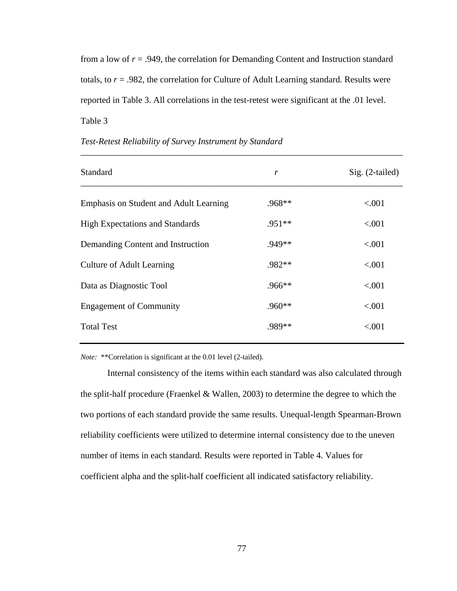from a low of *r* = .949, the correlation for Demanding Content and Instruction standard totals, to  $r = .982$ , the correlation for Culture of Adult Learning standard. Results were reported in Table 3. All correlations in the test-retest were significant at the .01 level. Table 3

\_\_\_\_\_\_\_\_\_\_\_\_\_\_\_\_\_\_\_\_\_\_\_\_\_\_\_\_\_\_\_\_\_\_\_\_\_\_\_\_\_\_\_\_\_\_\_\_\_\_\_\_\_\_\_\_\_\_\_\_\_\_\_\_\_\_\_\_\_\_\_\_

| Standard                               | r        | $Sig. (2-tailed)$ |
|----------------------------------------|----------|-------------------|
| Emphasis on Student and Adult Learning | .968**   | < .001            |
| <b>High Expectations and Standards</b> | $.951**$ | ${<}001$          |
| Demanding Content and Instruction      | $.949**$ | < .001            |
| <b>Culture of Adult Learning</b>       | $.982**$ | < .001            |
| Data as Diagnostic Tool                | .966**   | < .001            |
| <b>Engagement of Community</b>         | $.960**$ | < .001            |
| <b>Total Test</b>                      | .989**   | < .001            |

### *Test-Retest Reliability of Survey Instrument by Standard*

*Note:* \*\*Correlation is significant at the 0.01 level (2-tailed).

Internal consistency of the items within each standard was also calculated through the split-half procedure (Fraenkel & Wallen, 2003) to determine the degree to which the two portions of each standard provide the same results. Unequal-length Spearman-Brown reliability coefficients were utilized to determine internal consistency due to the uneven number of items in each standard. Results were reported in Table 4. Values for coefficient alpha and the split-half coefficient all indicated satisfactory reliability.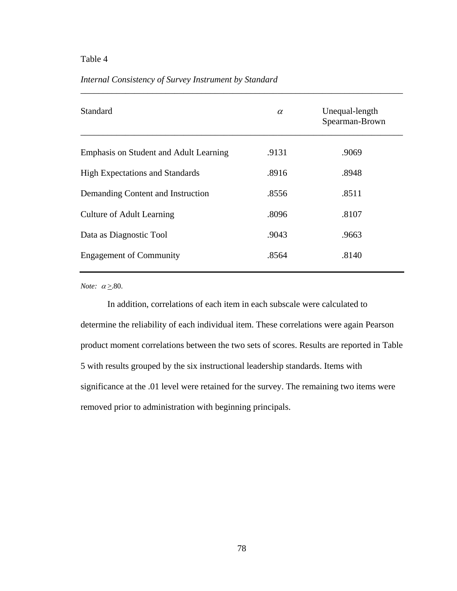## *Internal Consistency of Survey Instrument by Standard*

| <b>Standard</b>                        | $\alpha$ | Unequal-length<br>Spearman-Brown |
|----------------------------------------|----------|----------------------------------|
| Emphasis on Student and Adult Learning | .9131    | .9069                            |
| <b>High Expectations and Standards</b> | .8916    | .8948                            |
| Demanding Content and Instruction      | .8556    | .8511                            |
| Culture of Adult Learning              | .8096    | .8107                            |
| Data as Diagnostic Tool                | .9043    | .9663                            |
| <b>Engagement of Community</b>         | .8564    | .8140                            |

\_\_\_\_\_\_\_\_\_\_\_\_\_\_\_\_\_\_\_\_\_\_\_\_\_\_\_\_\_\_\_\_\_\_\_\_\_\_\_\_\_\_\_\_\_\_\_\_\_\_\_\_\_\_\_\_\_\_\_\_\_\_\_\_\_\_\_\_\_\_\_\_

*Note:*  $\alpha \geq 80$ .

In addition, correlations of each item in each subscale were calculated to determine the reliability of each individual item. These correlations were again Pearson product moment correlations between the two sets of scores. Results are reported in Table 5 with results grouped by the six instructional leadership standards. Items with significance at the .01 level were retained for the survey. The remaining two items were removed prior to administration with beginning principals.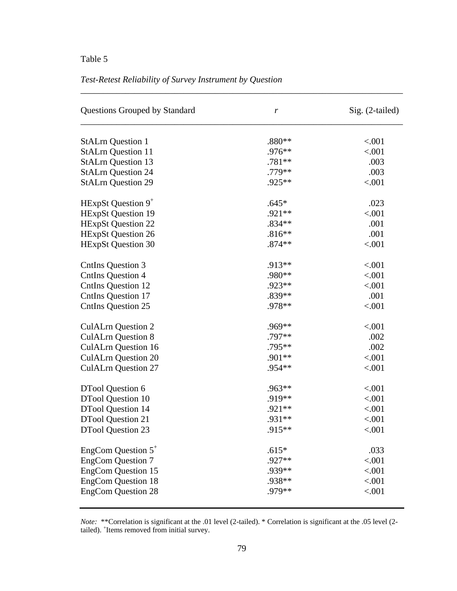## *Test-Retest Reliability of Survey Instrument by Question*

| Questions Grouped by Standard | $\boldsymbol{r}$ | Sig. (2-tailed) |  |  |
|-------------------------------|------------------|-----------------|--|--|
| <b>StALrn Question 1</b>      | $.880**$         | < .001          |  |  |
| <b>StALrn Question 11</b>     | .976**           | < .001          |  |  |
| <b>StALrn Question 13</b>     | .781**           | .003            |  |  |
| <b>StALrn Question 24</b>     | .779**           | .003            |  |  |
| <b>StALrn Question 29</b>     | $.925**$         | < .001          |  |  |
| HExpSt Question $9^+$         | $.645*$          | .023            |  |  |
| <b>HExpSt Question 19</b>     | .921**           | < .001          |  |  |
| <b>HExpSt Question 22</b>     | $.834**$         | .001            |  |  |
| <b>HExpSt Question 26</b>     | $.816**$         | .001            |  |  |
| <b>HExpSt Question 30</b>     | $.874**$         | < .001          |  |  |
| <b>CntIns Question 3</b>      | .913**           | < .001          |  |  |
| <b>CntIns Question 4</b>      | .980**           | < .001          |  |  |
| <b>CntIns Question 12</b>     | .923**           | < .001          |  |  |
| <b>CntIns Question 17</b>     | .839**           | .001            |  |  |
| <b>CntIns Question 25</b>     | .978**           | < .001          |  |  |
| <b>CulALrn Question 2</b>     | .969**           | < .001          |  |  |
| <b>CulALrn Question 8</b>     | .797**           | .002            |  |  |
| <b>CulALrn Question 16</b>    | .795**           | .002            |  |  |
| <b>CulALrn Question 20</b>    | .901**           | < .001          |  |  |
| <b>CulALrn Question 27</b>    | .954**           | < .001          |  |  |
| DTool Question 6              | .963**           | < .001          |  |  |
| <b>DTool Question 10</b>      | .919**           | < .001          |  |  |
| <b>DTool Question 14</b>      | .921 **          | < .001          |  |  |
| <b>DTool Question 21</b>      | .931**           | < .001          |  |  |
| <b>DTool Question 23</b>      | .915**           | < .001          |  |  |
| EngCom Question $5^+$         | $.615*$          | .033            |  |  |
| <b>EngCom Question 7</b>      | .927**           | < .001          |  |  |
| <b>EngCom Question 15</b>     | .939**           | < .001          |  |  |
| <b>EngCom Question 18</b>     | .938**           | < .001          |  |  |
| <b>EngCom Question 28</b>     | .979**           | < .001          |  |  |

\_\_\_\_\_\_\_\_\_\_\_\_\_\_\_\_\_\_\_\_\_\_\_\_\_\_\_\_\_\_\_\_\_\_\_\_\_\_\_\_\_\_\_\_\_\_\_\_\_\_\_\_\_\_\_\_\_\_\_\_\_\_\_\_\_\_\_\_\_\_\_\_

*Note:* \*\*Correlation is significant at the .01 level (2-tailed). \* Correlation is significant at the .05 level (2tailed). + Items removed from initial survey.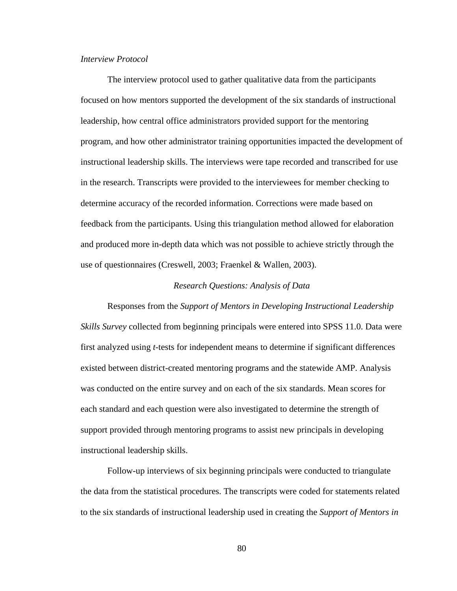## *Interview Protocol*

 The interview protocol used to gather qualitative data from the participants focused on how mentors supported the development of the six standards of instructional leadership, how central office administrators provided support for the mentoring program, and how other administrator training opportunities impacted the development of instructional leadership skills. The interviews were tape recorded and transcribed for use in the research. Transcripts were provided to the interviewees for member checking to determine accuracy of the recorded information. Corrections were made based on feedback from the participants. Using this triangulation method allowed for elaboration and produced more in-depth data which was not possible to achieve strictly through the use of questionnaires (Creswell, 2003; Fraenkel & Wallen, 2003).

### *Research Questions: Analysis of Data*

Responses from the *Support of Mentors in Developing Instructional Leadership Skills Survey* collected from beginning principals were entered into SPSS 11.0. Data were first analyzed using *t*-tests for independent means to determine if significant differences existed between district-created mentoring programs and the statewide AMP. Analysis was conducted on the entire survey and on each of the six standards. Mean scores for each standard and each question were also investigated to determine the strength of support provided through mentoring programs to assist new principals in developing instructional leadership skills.

 Follow-up interviews of six beginning principals were conducted to triangulate the data from the statistical procedures. The transcripts were coded for statements related to the six standards of instructional leadership used in creating the *Support of Mentors in*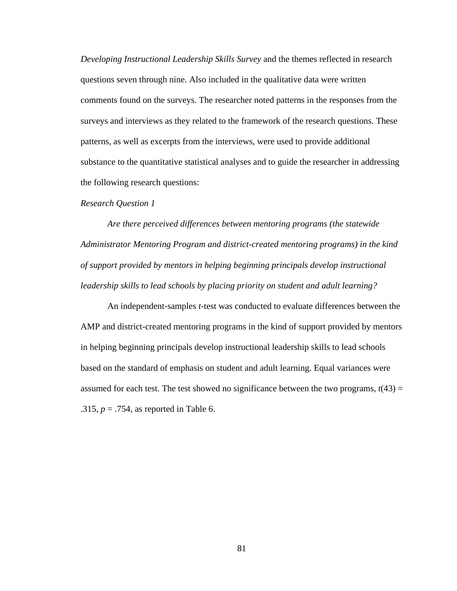*Developing Instructional Leadership Skills Survey* and the themes reflected in research questions seven through nine. Also included in the qualitative data were written comments found on the surveys. The researcher noted patterns in the responses from the surveys and interviews as they related to the framework of the research questions. These patterns, as well as excerpts from the interviews, were used to provide additional substance to the quantitative statistical analyses and to guide the researcher in addressing the following research questions:

#### *Research Question 1*

*Are there perceived differences between mentoring programs (the statewide Administrator Mentoring Program and district-created mentoring programs) in the kind of support provided by mentors in helping beginning principals develop instructional leadership skills to lead schools by placing priority on student and adult learning?* 

 An independent-samples *t*-test was conducted to evaluate differences between the AMP and district-created mentoring programs in the kind of support provided by mentors in helping beginning principals develop instructional leadership skills to lead schools based on the standard of emphasis on student and adult learning. Equal variances were assumed for each test. The test showed no significance between the two programs,  $t(43) =$ .315, *p* = .754, as reported in Table 6.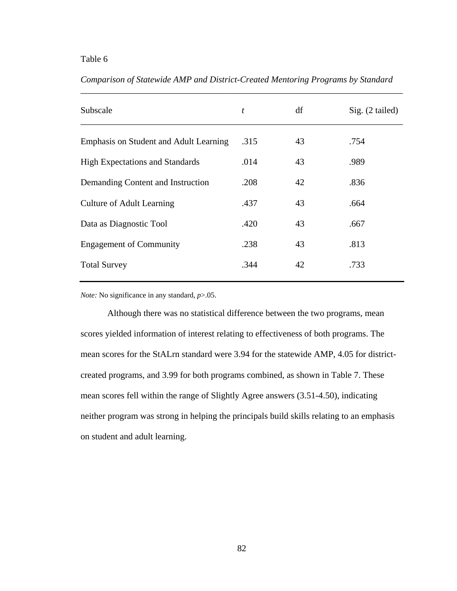| Subscale                               | t    | df | Sig. (2 tailed) |
|----------------------------------------|------|----|-----------------|
| Emphasis on Student and Adult Learning | .315 | 43 | .754            |
| <b>High Expectations and Standards</b> | .014 | 43 | .989            |
| Demanding Content and Instruction      | .208 | 42 | .836            |
| <b>Culture of Adult Learning</b>       | .437 | 43 | .664            |
| Data as Diagnostic Tool                | .420 | 43 | .667            |
| <b>Engagement of Community</b>         | .238 | 43 | .813            |
| <b>Total Survey</b>                    | .344 | 42 | .733            |
|                                        |      |    |                 |

*Comparison of Statewide AMP and District-Created Mentoring Programs by Standard* 

\_\_\_\_\_\_\_\_\_\_\_\_\_\_\_\_\_\_\_\_\_\_\_\_\_\_\_\_\_\_\_\_\_\_\_\_\_\_\_\_\_\_\_\_\_\_\_\_\_\_\_\_\_\_\_\_\_\_\_\_\_\_\_\_\_\_\_\_\_\_\_\_

*Note:* No significance in any standard, *p*>.05.

Although there was no statistical difference between the two programs, mean scores yielded information of interest relating to effectiveness of both programs. The mean scores for the StALrn standard were 3.94 for the statewide AMP, 4.05 for districtcreated programs, and 3.99 for both programs combined, as shown in Table 7. These mean scores fell within the range of Slightly Agree answers (3.51-4.50), indicating neither program was strong in helping the principals build skills relating to an emphasis on student and adult learning.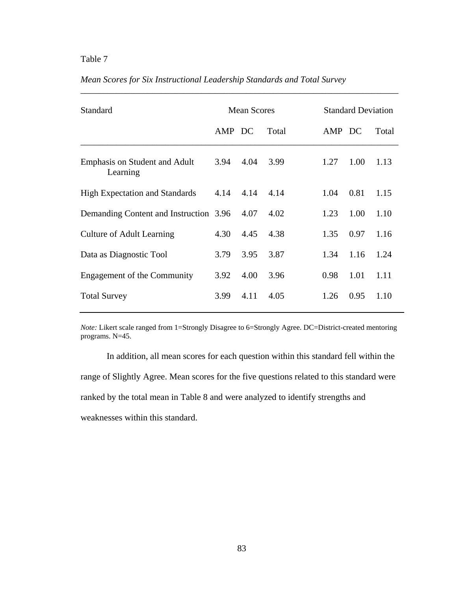| Standard                                         |        | <b>Mean Scores</b> |       |        | <b>Standard Deviation</b> |       |  |
|--------------------------------------------------|--------|--------------------|-------|--------|---------------------------|-------|--|
|                                                  | AMP DC |                    | Total | AMP DC |                           | Total |  |
| <b>Emphasis on Student and Adult</b><br>Learning | 3.94   | 4.04               | 3.99  | 1.27   | 1.00                      | 1.13  |  |
| <b>High Expectation and Standards</b>            | 4.14   | 4.14               | 4.14  | 1.04   | 0.81                      | 1.15  |  |
| Demanding Content and Instruction 3.96           |        | 4.07               | 4.02  | 1.23   | 1.00                      | 1.10  |  |
| <b>Culture of Adult Learning</b>                 | 4.30   | 4.45               | 4.38  | 1.35   | 0.97                      | 1.16  |  |
| Data as Diagnostic Tool                          | 3.79   | 3.95               | 3.87  | 1.34   | 1.16                      | 1.24  |  |
| Engagement of the Community                      | 3.92   | 4.00               | 3.96  | 0.98   | 1.01                      | 1.11  |  |
|                                                  |        |                    |       |        |                           |       |  |

## *Mean Scores for Six Instructional Leadership Standards and Total Survey*

*Note:* Likert scale ranged from 1=Strongly Disagree to 6=Strongly Agree. DC=District-created mentoring programs. N=45.

Total Survey 3.99 4.11 4.05 1.26 0.95 1.10

In addition, all mean scores for each question within this standard fell within the range of Slightly Agree. Mean scores for the five questions related to this standard were ranked by the total mean in Table 8 and were analyzed to identify strengths and weaknesses within this standard.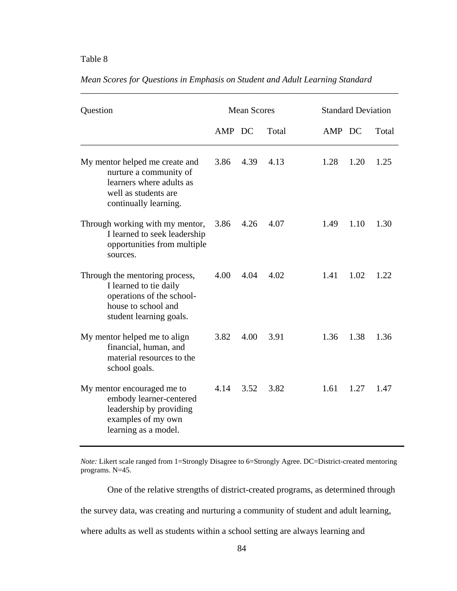| Question                                                                                                                                |        | <b>Mean Scores</b> |       | <b>Standard Deviation</b> |      |       |
|-----------------------------------------------------------------------------------------------------------------------------------------|--------|--------------------|-------|---------------------------|------|-------|
|                                                                                                                                         | AMP DC |                    | Total | AMP DC                    |      | Total |
| My mentor helped me create and<br>nurture a community of<br>learners where adults as<br>well as students are<br>continually learning.   | 3.86   | 4.39               | 4.13  | 1.28                      | 1.20 | 1.25  |
| Through working with my mentor,<br>I learned to seek leadership<br>opportunities from multiple<br>sources.                              | 3.86   | 4.26               | 4.07  | 1.49                      | 1.10 | 1.30  |
| Through the mentoring process,<br>I learned to tie daily<br>operations of the school-<br>house to school and<br>student learning goals. | 4.00   | 4.04               | 4.02  | 1.41                      | 1.02 | 1.22  |
| My mentor helped me to align<br>financial, human, and<br>material resources to the<br>school goals.                                     | 3.82   | 4.00               | 3.91  | 1.36                      | 1.38 | 1.36  |
| My mentor encouraged me to<br>embody learner-centered<br>leadership by providing<br>examples of my own<br>learning as a model.          | 4.14   | 3.52               | 3.82  | 1.61                      | 1.27 | 1.47  |

*Mean Scores for Questions in Emphasis on Student and Adult Learning Standard* 

\_\_\_\_\_\_\_\_\_\_\_\_\_\_\_\_\_\_\_\_\_\_\_\_\_\_\_\_\_\_\_\_\_\_\_\_\_\_\_\_\_\_\_\_\_\_\_\_\_\_\_\_\_\_\_\_\_\_\_\_\_\_\_\_\_\_\_\_\_\_\_

*Note:* Likert scale ranged from 1=Strongly Disagree to 6=Strongly Agree. DC=District-created mentoring programs. N=45.

One of the relative strengths of district-created programs, as determined through

the survey data, was creating and nurturing a community of student and adult learning,

where adults as well as students within a school setting are always learning and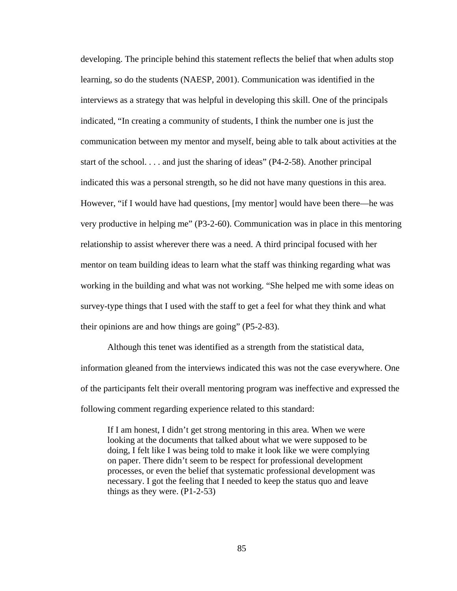developing. The principle behind this statement reflects the belief that when adults stop learning, so do the students (NAESP, 2001). Communication was identified in the interviews as a strategy that was helpful in developing this skill. One of the principals indicated, "In creating a community of students, I think the number one is just the communication between my mentor and myself, being able to talk about activities at the start of the school. . . . and just the sharing of ideas" (P4-2-58). Another principal indicated this was a personal strength, so he did not have many questions in this area. However, "if I would have had questions, [my mentor] would have been there—he was very productive in helping me" (P3-2-60). Communication was in place in this mentoring relationship to assist wherever there was a need. A third principal focused with her mentor on team building ideas to learn what the staff was thinking regarding what was working in the building and what was not working. "She helped me with some ideas on survey-type things that I used with the staff to get a feel for what they think and what their opinions are and how things are going" (P5-2-83).

 Although this tenet was identified as a strength from the statistical data, information gleaned from the interviews indicated this was not the case everywhere. One of the participants felt their overall mentoring program was ineffective and expressed the following comment regarding experience related to this standard:

If I am honest, I didn't get strong mentoring in this area. When we were looking at the documents that talked about what we were supposed to be doing, I felt like I was being told to make it look like we were complying on paper. There didn't seem to be respect for professional development processes, or even the belief that systematic professional development was necessary. I got the feeling that I needed to keep the status quo and leave things as they were.  $(P1-2-53)$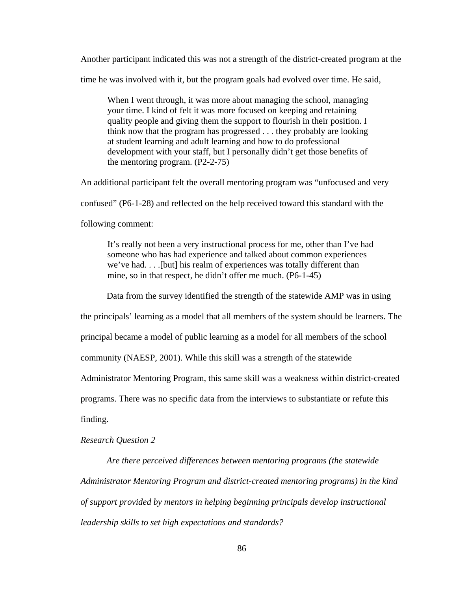Another participant indicated this was not a strength of the district-created program at the time he was involved with it, but the program goals had evolved over time. He said,

When I went through, it was more about managing the school, managing your time. I kind of felt it was more focused on keeping and retaining quality people and giving them the support to flourish in their position. I think now that the program has progressed . . . they probably are looking at student learning and adult learning and how to do professional development with your staff, but I personally didn't get those benefits of the mentoring program. (P2-2-75)

An additional participant felt the overall mentoring program was "unfocused and very

confused" (P6-1-28) and reflected on the help received toward this standard with the

following comment:

It's really not been a very instructional process for me, other than I've had someone who has had experience and talked about common experiences we've had. . . .[but] his realm of experiences was totally different than mine, so in that respect, he didn't offer me much. (P6-1-45)

Data from the survey identified the strength of the statewide AMP was in using

the principals' learning as a model that all members of the system should be learners. The

principal became a model of public learning as a model for all members of the school

community (NAESP, 2001). While this skill was a strength of the statewide

Administrator Mentoring Program, this same skill was a weakness within district-created

programs. There was no specific data from the interviews to substantiate or refute this

finding.

### *Research Question 2*

*Are there perceived differences between mentoring programs (the statewide Administrator Mentoring Program and district-created mentoring programs) in the kind of support provided by mentors in helping beginning principals develop instructional leadership skills to set high expectations and standards?*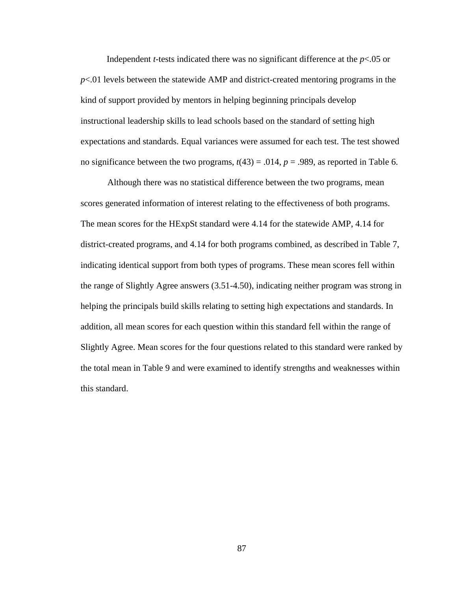Independent *t*-tests indicated there was no significant difference at the *p*<.05 or *p*<.01 levels between the statewide AMP and district-created mentoring programs in the kind of support provided by mentors in helping beginning principals develop instructional leadership skills to lead schools based on the standard of setting high expectations and standards. Equal variances were assumed for each test. The test showed no significance between the two programs,  $t(43) = .014$ ,  $p = .989$ , as reported in Table 6.

Although there was no statistical difference between the two programs, mean scores generated information of interest relating to the effectiveness of both programs. The mean scores for the HExpSt standard were 4.14 for the statewide AMP, 4.14 for district-created programs, and 4.14 for both programs combined, as described in Table 7, indicating identical support from both types of programs. These mean scores fell within the range of Slightly Agree answers (3.51-4.50), indicating neither program was strong in helping the principals build skills relating to setting high expectations and standards. In addition, all mean scores for each question within this standard fell within the range of Slightly Agree. Mean scores for the four questions related to this standard were ranked by the total mean in Table 9 and were examined to identify strengths and weaknesses within this standard.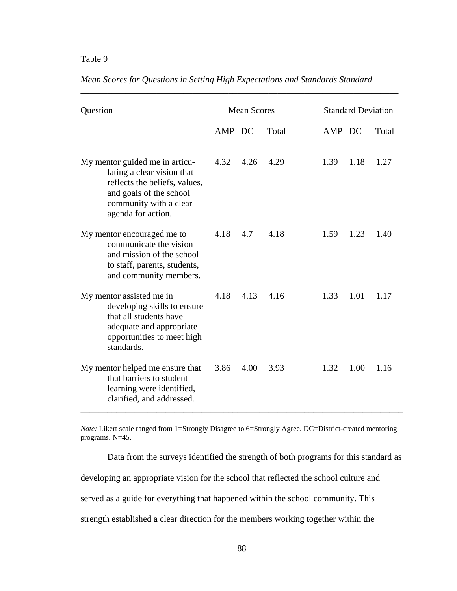| Question                                                                                                                                                                 |        | <b>Mean Scores</b> |       | <b>Standard Deviation</b> |      |       |
|--------------------------------------------------------------------------------------------------------------------------------------------------------------------------|--------|--------------------|-------|---------------------------|------|-------|
|                                                                                                                                                                          | AMP DC |                    | Total | AMP DC                    |      | Total |
| My mentor guided me in articu-<br>lating a clear vision that<br>reflects the beliefs, values,<br>and goals of the school<br>community with a clear<br>agenda for action. | 4.32   | 4.26               | 4.29  | 1.39                      | 1.18 | 1.27  |
| My mentor encouraged me to<br>communicate the vision<br>and mission of the school<br>to staff, parents, students,<br>and community members.                              | 4.18   | 4.7                | 4.18  | 1.59                      | 1.23 | 1.40  |
| My mentor assisted me in<br>developing skills to ensure<br>that all students have<br>adequate and appropriate<br>opportunities to meet high<br>standards.                | 4.18   | 4.13               | 4.16  | 1.33                      | 1.01 | 1.17  |
| My mentor helped me ensure that<br>that barriers to student<br>learning were identified,<br>clarified, and addressed.                                                    | 3.86   | 4.00               | 3.93  | 1.32                      | 1.00 | 1.16  |

*Mean Scores for Questions in Setting High Expectations and Standards Standard* 

\_\_\_\_\_\_\_\_\_\_\_\_\_\_\_\_\_\_\_\_\_\_\_\_\_\_\_\_\_\_\_\_\_\_\_\_\_\_\_\_\_\_\_\_\_\_\_\_\_\_\_\_\_\_\_\_\_\_\_\_\_\_\_\_\_\_\_\_\_\_\_

*Note:* Likert scale ranged from 1=Strongly Disagree to 6=Strongly Agree. DC=District-created mentoring programs. N=45.

\_\_\_\_\_\_\_\_\_\_\_\_\_\_\_\_\_\_\_\_\_\_\_\_\_\_\_\_\_\_\_\_\_\_\_\_\_\_\_\_\_\_\_\_\_\_\_\_\_\_\_\_\_\_\_\_\_\_\_\_\_\_\_\_\_\_\_\_\_\_\_\_

Data from the surveys identified the strength of both programs for this standard as developing an appropriate vision for the school that reflected the school culture and served as a guide for everything that happened within the school community. This strength established a clear direction for the members working together within the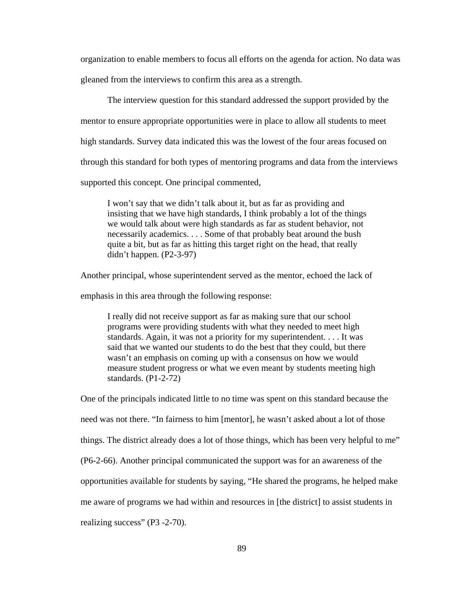organization to enable members to focus all efforts on the agenda for action. No data was gleaned from the interviews to confirm this area as a strength.

 The interview question for this standard addressed the support provided by the mentor to ensure appropriate opportunities were in place to allow all students to meet high standards. Survey data indicated this was the lowest of the four areas focused on through this standard for both types of mentoring programs and data from the interviews supported this concept. One principal commented,

I won't say that we didn't talk about it, but as far as providing and insisting that we have high standards, I think probably a lot of the things we would talk about were high standards as far as student behavior, not necessarily academics. . . . Some of that probably beat around the bush quite a bit, but as far as hitting this target right on the head, that really didn't happen. (P2-3-97)

Another principal, whose superintendent served as the mentor, echoed the lack of

emphasis in this area through the following response:

I really did not receive support as far as making sure that our school programs were providing students with what they needed to meet high standards. Again, it was not a priority for my superintendent. . . . It was said that we wanted our students to do the best that they could, but there wasn't an emphasis on coming up with a consensus on how we would measure student progress or what we even meant by students meeting high standards. (P1-2-72)

One of the principals indicated little to no time was spent on this standard because the need was not there. "In fairness to him [mentor], he wasn't asked about a lot of those things. The district already does a lot of those things, which has been very helpful to me" (P6-2-66). Another principal communicated the support was for an awareness of the opportunities available for students by saying, "He shared the programs, he helped make me aware of programs we had within and resources in [the district] to assist students in realizing success" (P3 -2-70).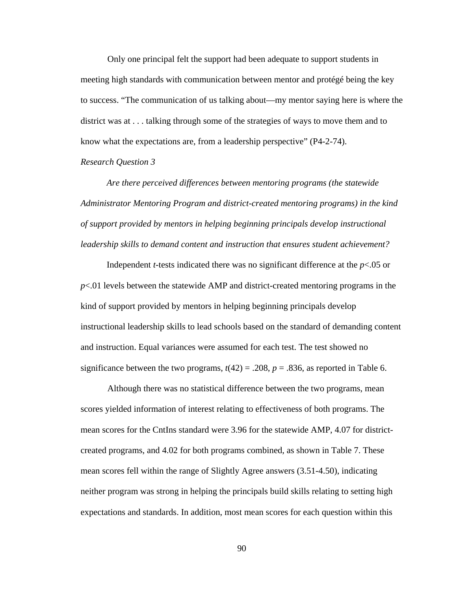Only one principal felt the support had been adequate to support students in meeting high standards with communication between mentor and protégé being the key to success. "The communication of us talking about—my mentor saying here is where the district was at . . . talking through some of the strategies of ways to move them and to know what the expectations are, from a leadership perspective" (P4-2-74).

*Research Question 3* 

*Are there perceived differences between mentoring programs (the statewide Administrator Mentoring Program and district-created mentoring programs) in the kind of support provided by mentors in helping beginning principals develop instructional leadership skills to demand content and instruction that ensures student achievement?*

Independent *t*-tests indicated there was no significant difference at the *p*<.05 or *p*<.01 levels between the statewide AMP and district-created mentoring programs in the kind of support provided by mentors in helping beginning principals develop instructional leadership skills to lead schools based on the standard of demanding content and instruction. Equal variances were assumed for each test. The test showed no significance between the two programs,  $t(42) = .208$ ,  $p = .836$ , as reported in Table 6.

Although there was no statistical difference between the two programs, mean scores yielded information of interest relating to effectiveness of both programs. The mean scores for the CntIns standard were 3.96 for the statewide AMP, 4.07 for districtcreated programs, and 4.02 for both programs combined, as shown in Table 7. These mean scores fell within the range of Slightly Agree answers (3.51-4.50), indicating neither program was strong in helping the principals build skills relating to setting high expectations and standards. In addition, most mean scores for each question within this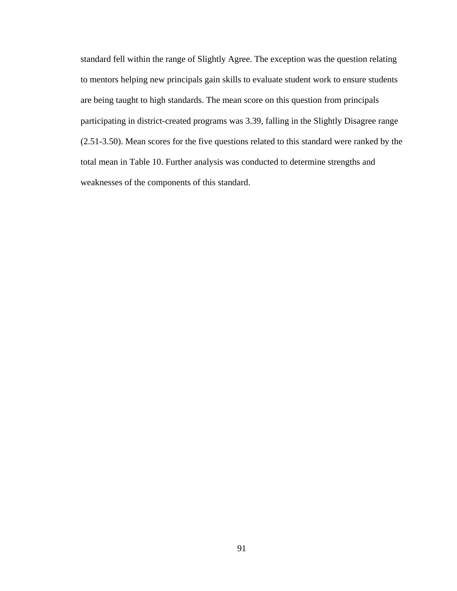standard fell within the range of Slightly Agree. The exception was the question relating to mentors helping new principals gain skills to evaluate student work to ensure students are being taught to high standards. The mean score on this question from principals participating in district-created programs was 3.39, falling in the Slightly Disagree range (2.51-3.50). Mean scores for the five questions related to this standard were ranked by the total mean in Table 10. Further analysis was conducted to determine strengths and weaknesses of the components of this standard.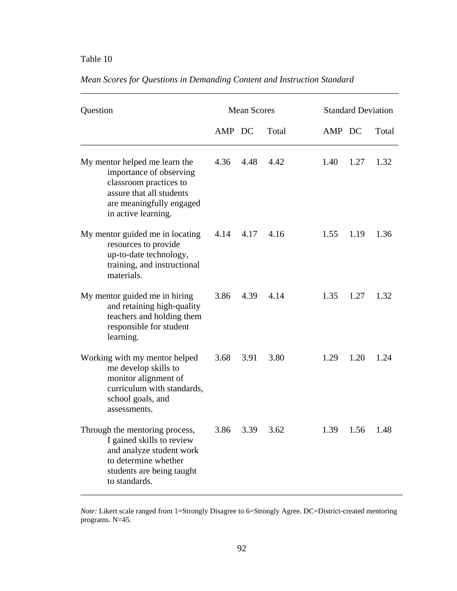| Question                                                                                                                                                          | <b>Mean Scores</b> |      |       | <b>Standard Deviation</b> |      |       |
|-------------------------------------------------------------------------------------------------------------------------------------------------------------------|--------------------|------|-------|---------------------------|------|-------|
|                                                                                                                                                                   | AMP DC             |      | Total | AMP DC                    |      | Total |
| My mentor helped me learn the<br>importance of observing<br>classroom practices to<br>assure that all students<br>are meaningfully engaged<br>in active learning. | 4.36               | 4.48 | 4.42  | 1.40                      | 1.27 | 1.32  |
| My mentor guided me in locating<br>resources to provide<br>up-to-date technology,<br>training, and instructional<br>materials.                                    | 4.14 4.17          |      | 4.16  | 1.55                      | 1.19 | 1.36  |
| My mentor guided me in hiring<br>and retaining high-quality<br>teachers and holding them<br>responsible for student<br>learning.                                  | 3.86               | 4.39 | 4.14  | 1.35                      | 1.27 | 1.32  |
| Working with my mentor helped<br>me develop skills to<br>monitor alignment of<br>curriculum with standards,<br>school goals, and<br>assessments.                  | 3.68               | 3.91 | 3.80  | 1.29                      | 1.20 | 1.24  |
| Through the mentoring process,<br>I gained skills to review<br>and analyze student work<br>to determine whether<br>students are being taught<br>to standards.     | 3.86               | 3.39 | 3.62  | 1.39                      | 1.56 | 1.48  |

## *Mean Scores for Questions in Demanding Content and Instruction Standard*

\_\_\_\_\_\_\_\_\_\_\_\_\_\_\_\_\_\_\_\_\_\_\_\_\_\_\_\_\_\_\_\_\_\_\_\_\_\_\_\_\_\_\_\_\_\_\_\_\_\_\_\_\_\_\_\_\_\_\_\_\_\_\_\_\_\_\_\_\_\_\_

*Note:* Likert scale ranged from 1=Strongly Disagree to 6=Strongly Agree. DC=District-created mentoring programs. N=45.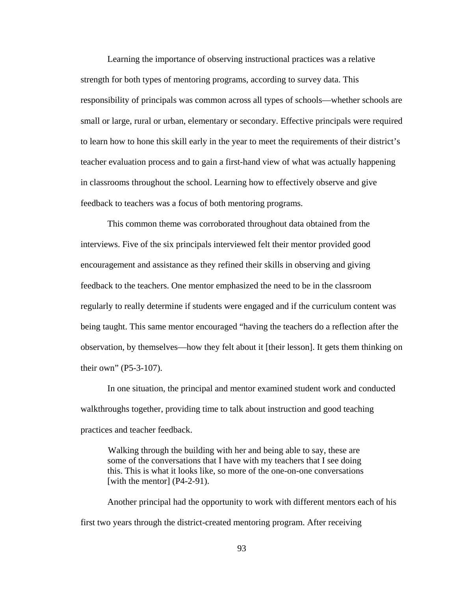Learning the importance of observing instructional practices was a relative strength for both types of mentoring programs, according to survey data. This responsibility of principals was common across all types of schools—whether schools are small or large, rural or urban, elementary or secondary. Effective principals were required to learn how to hone this skill early in the year to meet the requirements of their district's teacher evaluation process and to gain a first-hand view of what was actually happening in classrooms throughout the school. Learning how to effectively observe and give feedback to teachers was a focus of both mentoring programs.

 This common theme was corroborated throughout data obtained from the interviews. Five of the six principals interviewed felt their mentor provided good encouragement and assistance as they refined their skills in observing and giving feedback to the teachers. One mentor emphasized the need to be in the classroom regularly to really determine if students were engaged and if the curriculum content was being taught. This same mentor encouraged "having the teachers do a reflection after the observation, by themselves—how they felt about it [their lesson]. It gets them thinking on their own" (P5-3-107).

 In one situation, the principal and mentor examined student work and conducted walkthroughs together, providing time to talk about instruction and good teaching practices and teacher feedback.

Walking through the building with her and being able to say, these are some of the conversations that I have with my teachers that I see doing this. This is what it looks like, so more of the one-on-one conversations [with the mentor] (P4-2-91).

 Another principal had the opportunity to work with different mentors each of his first two years through the district-created mentoring program. After receiving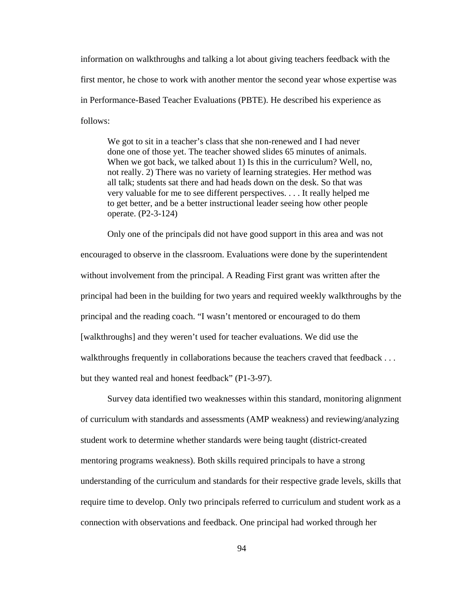information on walkthroughs and talking a lot about giving teachers feedback with the first mentor, he chose to work with another mentor the second year whose expertise was in Performance-Based Teacher Evaluations (PBTE). He described his experience as follows:

We got to sit in a teacher's class that she non-renewed and I had never done one of those yet. The teacher showed slides 65 minutes of animals. When we got back, we talked about 1) Is this in the curriculum? Well, no, not really. 2) There was no variety of learning strategies. Her method was all talk; students sat there and had heads down on the desk. So that was very valuable for me to see different perspectives. . . . It really helped me to get better, and be a better instructional leader seeing how other people operate. (P2-3-124)

 Only one of the principals did not have good support in this area and was not encouraged to observe in the classroom. Evaluations were done by the superintendent without involvement from the principal. A Reading First grant was written after the principal had been in the building for two years and required weekly walkthroughs by the principal and the reading coach. "I wasn't mentored or encouraged to do them [walkthroughs] and they weren't used for teacher evaluations. We did use the walkthroughs frequently in collaborations because the teachers craved that feedback . . . but they wanted real and honest feedback" (P1-3-97).

 Survey data identified two weaknesses within this standard, monitoring alignment of curriculum with standards and assessments (AMP weakness) and reviewing/analyzing student work to determine whether standards were being taught (district-created mentoring programs weakness). Both skills required principals to have a strong understanding of the curriculum and standards for their respective grade levels, skills that require time to develop. Only two principals referred to curriculum and student work as a connection with observations and feedback. One principal had worked through her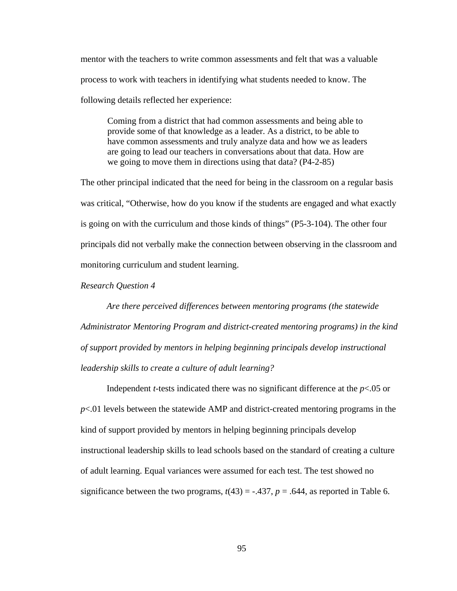mentor with the teachers to write common assessments and felt that was a valuable process to work with teachers in identifying what students needed to know. The following details reflected her experience:

Coming from a district that had common assessments and being able to provide some of that knowledge as a leader. As a district, to be able to have common assessments and truly analyze data and how we as leaders are going to lead our teachers in conversations about that data. How are we going to move them in directions using that data? (P4-2-85)

The other principal indicated that the need for being in the classroom on a regular basis was critical, "Otherwise, how do you know if the students are engaged and what exactly is going on with the curriculum and those kinds of things" (P5-3-104). The other four principals did not verbally make the connection between observing in the classroom and monitoring curriculum and student learning.

*Research Question 4* 

*Are there perceived differences between mentoring programs (the statewide Administrator Mentoring Program and district-created mentoring programs) in the kind of support provided by mentors in helping beginning principals develop instructional leadership skills to create a culture of adult learning?* 

Independent *t*-tests indicated there was no significant difference at the *p*<.05 or *p*<.01 levels between the statewide AMP and district-created mentoring programs in the kind of support provided by mentors in helping beginning principals develop instructional leadership skills to lead schools based on the standard of creating a culture of adult learning. Equal variances were assumed for each test. The test showed no significance between the two programs,  $t(43) = -.437$ ,  $p = .644$ , as reported in Table 6.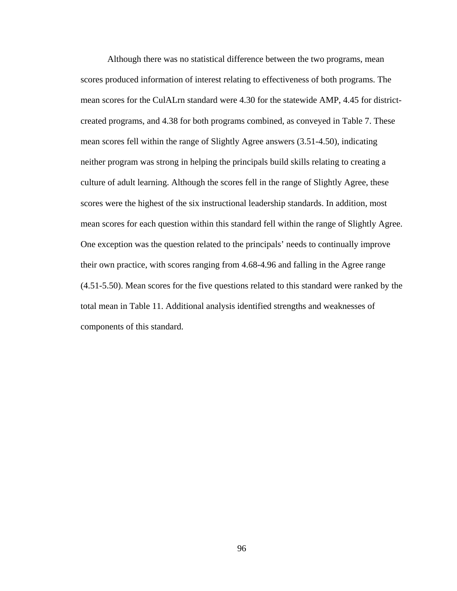Although there was no statistical difference between the two programs, mean scores produced information of interest relating to effectiveness of both programs. The mean scores for the CulALrn standard were 4.30 for the statewide AMP, 4.45 for districtcreated programs, and 4.38 for both programs combined, as conveyed in Table 7. These mean scores fell within the range of Slightly Agree answers (3.51-4.50), indicating neither program was strong in helping the principals build skills relating to creating a culture of adult learning. Although the scores fell in the range of Slightly Agree, these scores were the highest of the six instructional leadership standards. In addition, most mean scores for each question within this standard fell within the range of Slightly Agree. One exception was the question related to the principals' needs to continually improve their own practice, with scores ranging from 4.68-4.96 and falling in the Agree range (4.51-5.50). Mean scores for the five questions related to this standard were ranked by the total mean in Table 11. Additional analysis identified strengths and weaknesses of components of this standard.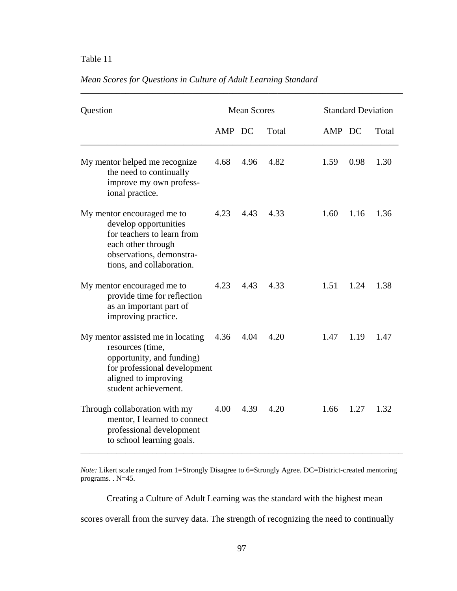# Table 11

| Question                                                                                                                                                           | <b>Mean Scores</b> |      |       | <b>Standard Deviation</b> |      |       |
|--------------------------------------------------------------------------------------------------------------------------------------------------------------------|--------------------|------|-------|---------------------------|------|-------|
|                                                                                                                                                                    | AMP DC             |      | Total | AMP DC                    |      | Total |
| My mentor helped me recognize<br>the need to continually<br>improve my own profess-<br>ional practice.                                                             | 4.68               | 4.96 | 4.82  | 1.59                      | 0.98 | 1.30  |
| My mentor encouraged me to<br>develop opportunities<br>for teachers to learn from<br>each other through<br>observations, demonstra-<br>tions, and collaboration.   | 4.23               | 4.43 | 4.33  | 1.60                      | 1.16 | 1.36  |
| My mentor encouraged me to<br>provide time for reflection<br>as an important part of<br>improving practice.                                                        | 4.23               | 4.43 | 4.33  | 1.51                      | 1.24 | 1.38  |
| My mentor assisted me in locating<br>resources (time,<br>opportunity, and funding)<br>for professional development<br>aligned to improving<br>student achievement. | 4.36               | 4.04 | 4.20  | 1.47                      | 1.19 | 1.47  |
| Through collaboration with my<br>mentor, I learned to connect<br>professional development<br>to school learning goals.                                             | 4.00               | 4.39 | 4.20  | 1.66                      | 1.27 | 1.32  |

\_\_\_\_\_\_\_\_\_\_\_\_\_\_\_\_\_\_\_\_\_\_\_\_\_\_\_\_\_\_\_\_\_\_\_\_\_\_\_\_\_\_\_\_\_\_\_\_\_\_\_\_\_\_\_\_\_\_\_\_\_\_\_\_\_\_\_\_\_\_\_\_

# *Mean Scores for Questions in Culture of Adult Learning Standard*

*Note:* Likert scale ranged from 1=Strongly Disagree to 6=Strongly Agree. DC=District-created mentoring programs. . N=45.

Creating a Culture of Adult Learning was the standard with the highest mean

scores overall from the survey data. The strength of recognizing the need to continually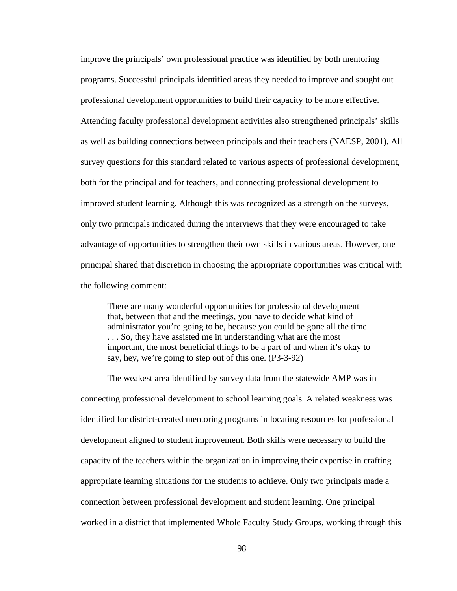improve the principals' own professional practice was identified by both mentoring programs. Successful principals identified areas they needed to improve and sought out professional development opportunities to build their capacity to be more effective. Attending faculty professional development activities also strengthened principals' skills as well as building connections between principals and their teachers (NAESP, 2001). All survey questions for this standard related to various aspects of professional development, both for the principal and for teachers, and connecting professional development to improved student learning. Although this was recognized as a strength on the surveys, only two principals indicated during the interviews that they were encouraged to take advantage of opportunities to strengthen their own skills in various areas. However, one principal shared that discretion in choosing the appropriate opportunities was critical with the following comment:

There are many wonderful opportunities for professional development that, between that and the meetings, you have to decide what kind of administrator you're going to be, because you could be gone all the time. . . . So, they have assisted me in understanding what are the most important, the most beneficial things to be a part of and when it's okay to say, hey, we're going to step out of this one. (P3-3-92)

 The weakest area identified by survey data from the statewide AMP was in connecting professional development to school learning goals. A related weakness was identified for district-created mentoring programs in locating resources for professional development aligned to student improvement. Both skills were necessary to build the capacity of the teachers within the organization in improving their expertise in crafting appropriate learning situations for the students to achieve. Only two principals made a connection between professional development and student learning. One principal worked in a district that implemented Whole Faculty Study Groups, working through this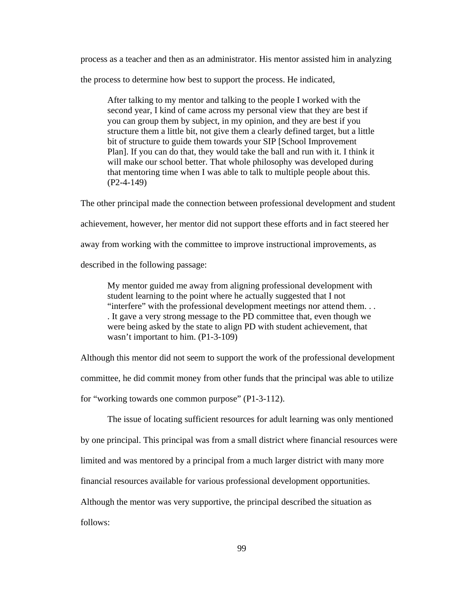process as a teacher and then as an administrator. His mentor assisted him in analyzing

the process to determine how best to support the process. He indicated,

After talking to my mentor and talking to the people I worked with the second year, I kind of came across my personal view that they are best if you can group them by subject, in my opinion, and they are best if you structure them a little bit, not give them a clearly defined target, but a little bit of structure to guide them towards your SIP [School Improvement Plan]. If you can do that, they would take the ball and run with it. I think it will make our school better. That whole philosophy was developed during that mentoring time when I was able to talk to multiple people about this. (P2-4-149)

The other principal made the connection between professional development and student achievement, however, her mentor did not support these efforts and in fact steered her away from working with the committee to improve instructional improvements, as described in the following passage:

My mentor guided me away from aligning professional development with student learning to the point where he actually suggested that I not "interfere" with the professional development meetings nor attend them. . . . It gave a very strong message to the PD committee that, even though we were being asked by the state to align PD with student achievement, that wasn't important to him. (P1-3-109)

Although this mentor did not seem to support the work of the professional development committee, he did commit money from other funds that the principal was able to utilize for "working towards one common purpose" (P1-3-112).

 The issue of locating sufficient resources for adult learning was only mentioned by one principal. This principal was from a small district where financial resources were limited and was mentored by a principal from a much larger district with many more financial resources available for various professional development opportunities.

Although the mentor was very supportive, the principal described the situation as

follows: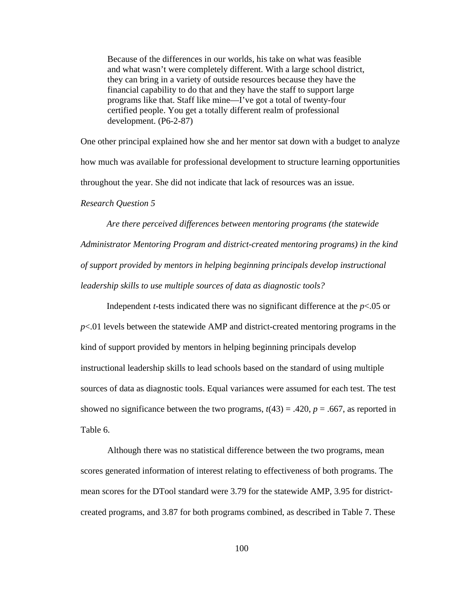Because of the differences in our worlds, his take on what was feasible and what wasn't were completely different. With a large school district, they can bring in a variety of outside resources because they have the financial capability to do that and they have the staff to support large programs like that. Staff like mine—I've got a total of twenty-four certified people. You get a totally different realm of professional development. (P6-2-87)

One other principal explained how she and her mentor sat down with a budget to analyze how much was available for professional development to structure learning opportunities throughout the year. She did not indicate that lack of resources was an issue.

*Research Question 5* 

*Are there perceived differences between mentoring programs (the statewide Administrator Mentoring Program and district-created mentoring programs) in the kind of support provided by mentors in helping beginning principals develop instructional leadership skills to use multiple sources of data as diagnostic tools?* 

Independent *t*-tests indicated there was no significant difference at the *p*<.05 or *p*<.01 levels between the statewide AMP and district-created mentoring programs in the kind of support provided by mentors in helping beginning principals develop instructional leadership skills to lead schools based on the standard of using multiple sources of data as diagnostic tools. Equal variances were assumed for each test. The test showed no significance between the two programs,  $t(43) = .420$ ,  $p = .667$ , as reported in Table 6.

Although there was no statistical difference between the two programs, mean scores generated information of interest relating to effectiveness of both programs. The mean scores for the DTool standard were 3.79 for the statewide AMP, 3.95 for districtcreated programs, and 3.87 for both programs combined, as described in Table 7. These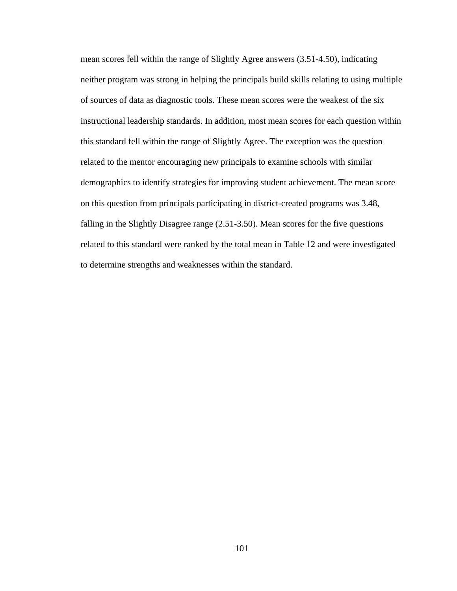mean scores fell within the range of Slightly Agree answers (3.51-4.50), indicating neither program was strong in helping the principals build skills relating to using multiple of sources of data as diagnostic tools. These mean scores were the weakest of the six instructional leadership standards. In addition, most mean scores for each question within this standard fell within the range of Slightly Agree. The exception was the question related to the mentor encouraging new principals to examine schools with similar demographics to identify strategies for improving student achievement. The mean score on this question from principals participating in district-created programs was 3.48, falling in the Slightly Disagree range (2.51-3.50). Mean scores for the five questions related to this standard were ranked by the total mean in Table 12 and were investigated to determine strengths and weaknesses within the standard.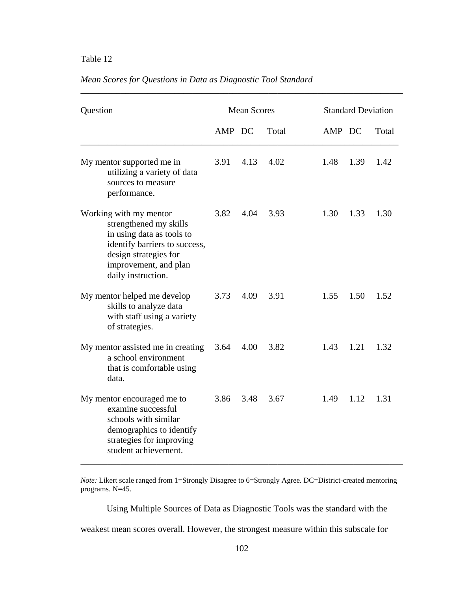## Table 12

## *Mean Scores for Questions in Data as Diagnostic Tool Standard*

| Question                                                                                                                                                                               | <b>Mean Scores</b> |      |       | <b>Standard Deviation</b> |      |       |
|----------------------------------------------------------------------------------------------------------------------------------------------------------------------------------------|--------------------|------|-------|---------------------------|------|-------|
|                                                                                                                                                                                        | AMP DC             |      | Total | AMP DC                    |      | Total |
| My mentor supported me in<br>utilizing a variety of data<br>sources to measure<br>performance.                                                                                         | 3.91               | 4.13 | 4.02  | 1.48                      | 1.39 | 1.42  |
| Working with my mentor<br>strengthened my skills<br>in using data as tools to<br>identify barriers to success,<br>design strategies for<br>improvement, and plan<br>daily instruction. | 3.82               | 4.04 | 3.93  | 1.30                      | 1.33 | 1.30  |
| My mentor helped me develop<br>skills to analyze data<br>with staff using a variety<br>of strategies.                                                                                  | 3.73               | 4.09 | 3.91  | 1.55                      | 1.50 | 1.52  |
| My mentor assisted me in creating<br>a school environment<br>that is comfortable using<br>data.                                                                                        | 3.64               | 4.00 | 3.82  | 1.43                      | 1.21 | 1.32  |
| My mentor encouraged me to<br>examine successful<br>schools with similar<br>demographics to identify<br>strategies for improving<br>student achievement.                               | 3.86               | 3.48 | 3.67  | 1.49                      | 1.12 | 1.31  |

\_\_\_\_\_\_\_\_\_\_\_\_\_\_\_\_\_\_\_\_\_\_\_\_\_\_\_\_\_\_\_\_\_\_\_\_\_\_\_\_\_\_\_\_\_\_\_\_\_\_\_\_\_\_\_\_\_\_\_\_\_\_\_\_\_\_\_\_\_\_\_\_

*Note:* Likert scale ranged from 1=Strongly Disagree to 6=Strongly Agree. DC=District-created mentoring programs. N=45.

Using Multiple Sources of Data as Diagnostic Tools was the standard with the

weakest mean scores overall. However, the strongest measure within this subscale for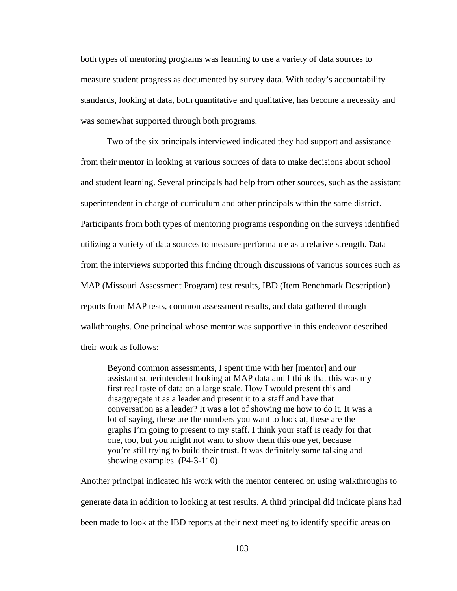both types of mentoring programs was learning to use a variety of data sources to measure student progress as documented by survey data. With today's accountability standards, looking at data, both quantitative and qualitative, has become a necessity and was somewhat supported through both programs.

Two of the six principals interviewed indicated they had support and assistance from their mentor in looking at various sources of data to make decisions about school and student learning. Several principals had help from other sources, such as the assistant superintendent in charge of curriculum and other principals within the same district. Participants from both types of mentoring programs responding on the surveys identified utilizing a variety of data sources to measure performance as a relative strength. Data from the interviews supported this finding through discussions of various sources such as MAP (Missouri Assessment Program) test results, IBD (Item Benchmark Description) reports from MAP tests, common assessment results, and data gathered through walkthroughs. One principal whose mentor was supportive in this endeavor described their work as follows:

Beyond common assessments, I spent time with her [mentor] and our assistant superintendent looking at MAP data and I think that this was my first real taste of data on a large scale. How I would present this and disaggregate it as a leader and present it to a staff and have that conversation as a leader? It was a lot of showing me how to do it. It was a lot of saying, these are the numbers you want to look at, these are the graphs I'm going to present to my staff. I think your staff is ready for that one, too, but you might not want to show them this one yet, because you're still trying to build their trust. It was definitely some talking and showing examples. (P4-3-110)

Another principal indicated his work with the mentor centered on using walkthroughs to generate data in addition to looking at test results. A third principal did indicate plans had been made to look at the IBD reports at their next meeting to identify specific areas on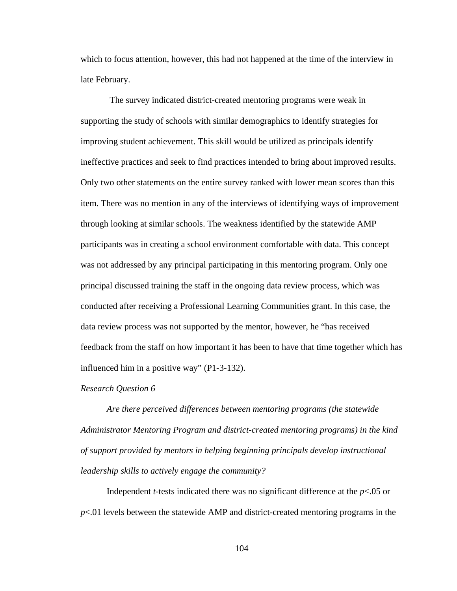which to focus attention, however, this had not happened at the time of the interview in late February.

 The survey indicated district-created mentoring programs were weak in supporting the study of schools with similar demographics to identify strategies for improving student achievement. This skill would be utilized as principals identify ineffective practices and seek to find practices intended to bring about improved results. Only two other statements on the entire survey ranked with lower mean scores than this item. There was no mention in any of the interviews of identifying ways of improvement through looking at similar schools. The weakness identified by the statewide AMP participants was in creating a school environment comfortable with data. This concept was not addressed by any principal participating in this mentoring program. Only one principal discussed training the staff in the ongoing data review process, which was conducted after receiving a Professional Learning Communities grant. In this case, the data review process was not supported by the mentor, however, he "has received feedback from the staff on how important it has been to have that time together which has influenced him in a positive way" (P1-3-132).

## *Research Question 6*

*Are there perceived differences between mentoring programs (the statewide Administrator Mentoring Program and district-created mentoring programs) in the kind of support provided by mentors in helping beginning principals develop instructional leadership skills to actively engage the community?* 

Independent *t*-tests indicated there was no significant difference at the *p*<.05 or *p*<.01 levels between the statewide AMP and district-created mentoring programs in the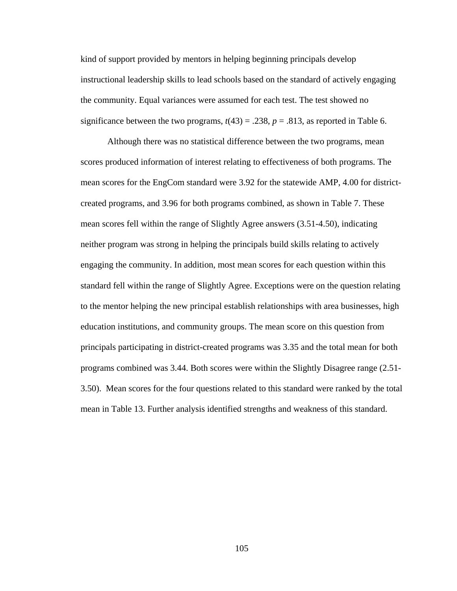kind of support provided by mentors in helping beginning principals develop instructional leadership skills to lead schools based on the standard of actively engaging the community. Equal variances were assumed for each test. The test showed no significance between the two programs,  $t(43) = .238$ ,  $p = .813$ , as reported in Table 6.

Although there was no statistical difference between the two programs, mean scores produced information of interest relating to effectiveness of both programs. The mean scores for the EngCom standard were 3.92 for the statewide AMP, 4.00 for districtcreated programs, and 3.96 for both programs combined, as shown in Table 7. These mean scores fell within the range of Slightly Agree answers (3.51-4.50), indicating neither program was strong in helping the principals build skills relating to actively engaging the community. In addition, most mean scores for each question within this standard fell within the range of Slightly Agree. Exceptions were on the question relating to the mentor helping the new principal establish relationships with area businesses, high education institutions, and community groups. The mean score on this question from principals participating in district-created programs was 3.35 and the total mean for both programs combined was 3.44. Both scores were within the Slightly Disagree range (2.51- 3.50). Mean scores for the four questions related to this standard were ranked by the total mean in Table 13. Further analysis identified strengths and weakness of this standard.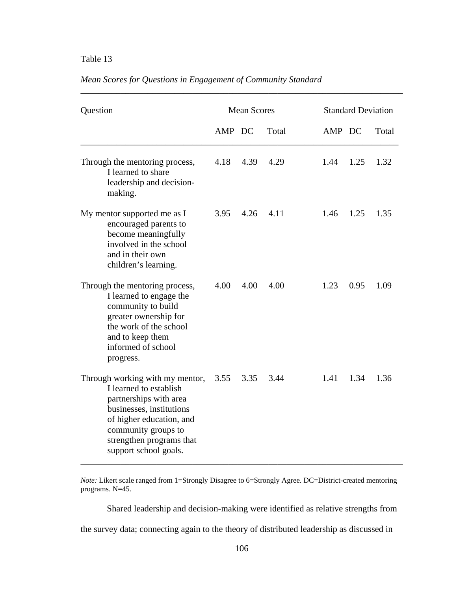# Table 13

| Question                                                                                                                                                                                                                | <b>Mean Scores</b> |      |       | <b>Standard Deviation</b> |      |       |
|-------------------------------------------------------------------------------------------------------------------------------------------------------------------------------------------------------------------------|--------------------|------|-------|---------------------------|------|-------|
|                                                                                                                                                                                                                         | AMP DC             |      | Total | AMP DC                    |      | Total |
| Through the mentoring process,<br>I learned to share<br>leadership and decision-<br>making.                                                                                                                             | 4.18               | 4.39 | 4.29  | 1.44                      | 1.25 | 1.32  |
| My mentor supported me as I<br>encouraged parents to<br>become meaningfully<br>involved in the school<br>and in their own<br>children's learning.                                                                       | 3.95               | 4.26 | 4.11  | 1.46                      | 1.25 | 1.35  |
| Through the mentoring process,<br>I learned to engage the<br>community to build<br>greater ownership for<br>the work of the school<br>and to keep them<br>informed of school<br>progress.                               | 4.00               | 4.00 | 4.00  | 1.23                      | 0.95 | 1.09  |
| Through working with my mentor,<br>I learned to establish<br>partnerships with area<br>businesses, institutions<br>of higher education, and<br>community groups to<br>strengthen programs that<br>support school goals. | 3.55               | 3.35 | 3.44  | 1.41                      | 1.34 | 1.36  |

\_\_\_\_\_\_\_\_\_\_\_\_\_\_\_\_\_\_\_\_\_\_\_\_\_\_\_\_\_\_\_\_\_\_\_\_\_\_\_\_\_\_\_\_\_\_\_\_\_\_\_\_\_\_\_\_\_\_\_\_\_\_\_\_\_\_\_\_\_\_\_\_

# *Mean Scores for Questions in Engagement of Community Standard*

*Note:* Likert scale ranged from 1=Strongly Disagree to 6=Strongly Agree. DC=District-created mentoring programs. N=45.

Shared leadership and decision-making were identified as relative strengths from

the survey data; connecting again to the theory of distributed leadership as discussed in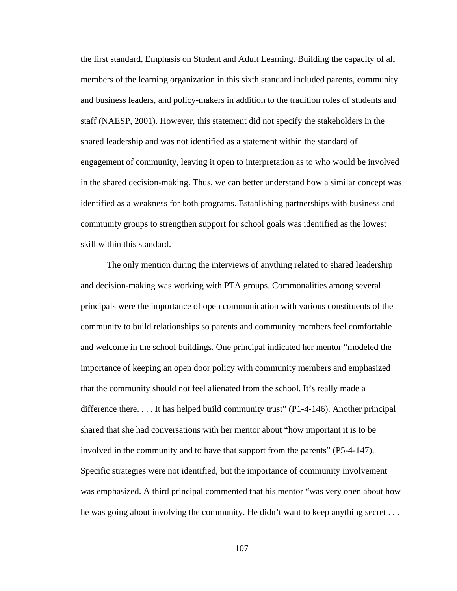the first standard, Emphasis on Student and Adult Learning. Building the capacity of all members of the learning organization in this sixth standard included parents, community and business leaders, and policy-makers in addition to the tradition roles of students and staff (NAESP, 2001). However, this statement did not specify the stakeholders in the shared leadership and was not identified as a statement within the standard of engagement of community, leaving it open to interpretation as to who would be involved in the shared decision-making. Thus, we can better understand how a similar concept was identified as a weakness for both programs. Establishing partnerships with business and community groups to strengthen support for school goals was identified as the lowest skill within this standard.

The only mention during the interviews of anything related to shared leadership and decision-making was working with PTA groups. Commonalities among several principals were the importance of open communication with various constituents of the community to build relationships so parents and community members feel comfortable and welcome in the school buildings. One principal indicated her mentor "modeled the importance of keeping an open door policy with community members and emphasized that the community should not feel alienated from the school. It's really made a difference there. . . . It has helped build community trust" (P1-4-146). Another principal shared that she had conversations with her mentor about "how important it is to be involved in the community and to have that support from the parents" (P5-4-147). Specific strategies were not identified, but the importance of community involvement was emphasized. A third principal commented that his mentor "was very open about how he was going about involving the community. He didn't want to keep anything secret . . .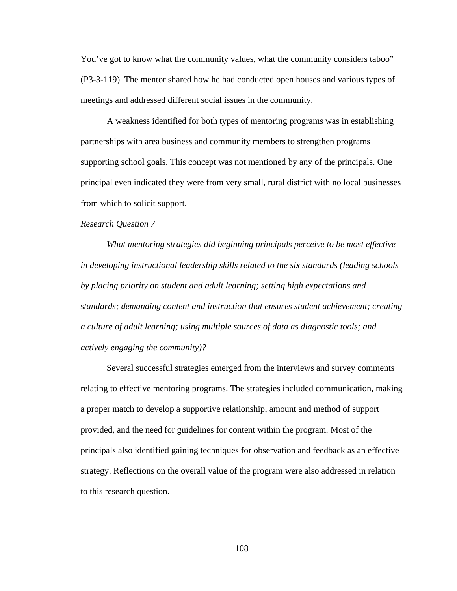You've got to know what the community values, what the community considers taboo" (P3-3-119). The mentor shared how he had conducted open houses and various types of meetings and addressed different social issues in the community.

A weakness identified for both types of mentoring programs was in establishing partnerships with area business and community members to strengthen programs supporting school goals. This concept was not mentioned by any of the principals. One principal even indicated they were from very small, rural district with no local businesses from which to solicit support.

#### *Research Question 7*

*What mentoring strategies did beginning principals perceive to be most effective in developing instructional leadership skills related to the six standards (leading schools by placing priority on student and adult learning; setting high expectations and standards; demanding content and instruction that ensures student achievement; creating a culture of adult learning; using multiple sources of data as diagnostic tools; and actively engaging the community)?* 

Several successful strategies emerged from the interviews and survey comments relating to effective mentoring programs. The strategies included communication, making a proper match to develop a supportive relationship, amount and method of support provided, and the need for guidelines for content within the program. Most of the principals also identified gaining techniques for observation and feedback as an effective strategy. Reflections on the overall value of the program were also addressed in relation to this research question.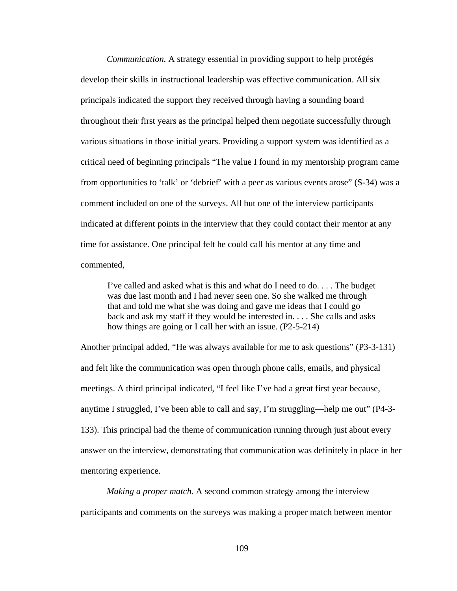*Communication.* A strategy essential in providing support to help protégés develop their skills in instructional leadership was effective communication. All six principals indicated the support they received through having a sounding board throughout their first years as the principal helped them negotiate successfully through various situations in those initial years. Providing a support system was identified as a critical need of beginning principals "The value I found in my mentorship program came from opportunities to 'talk' or 'debrief' with a peer as various events arose" (S-34) was a comment included on one of the surveys. All but one of the interview participants indicated at different points in the interview that they could contact their mentor at any time for assistance. One principal felt he could call his mentor at any time and commented,

I've called and asked what is this and what do I need to do. . . . The budget was due last month and I had never seen one. So she walked me through that and told me what she was doing and gave me ideas that I could go back and ask my staff if they would be interested in. . . . She calls and asks how things are going or I call her with an issue. (P2-5-214)

Another principal added, "He was always available for me to ask questions" (P3-3-131) and felt like the communication was open through phone calls, emails, and physical meetings. A third principal indicated, "I feel like I've had a great first year because, anytime I struggled, I've been able to call and say, I'm struggling—help me out" (P4-3- 133). This principal had the theme of communication running through just about every answer on the interview, demonstrating that communication was definitely in place in her mentoring experience.

*Making a proper match.* A second common strategy among the interview participants and comments on the surveys was making a proper match between mentor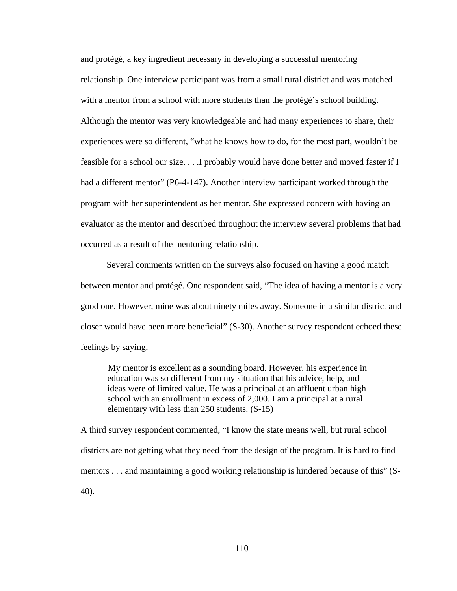and protégé, a key ingredient necessary in developing a successful mentoring relationship. One interview participant was from a small rural district and was matched with a mentor from a school with more students than the protégé's school building. Although the mentor was very knowledgeable and had many experiences to share, their experiences were so different, "what he knows how to do, for the most part, wouldn't be feasible for a school our size. . . .I probably would have done better and moved faster if I had a different mentor" (P6-4-147). Another interview participant worked through the program with her superintendent as her mentor. She expressed concern with having an evaluator as the mentor and described throughout the interview several problems that had occurred as a result of the mentoring relationship.

Several comments written on the surveys also focused on having a good match between mentor and protégé. One respondent said, "The idea of having a mentor is a very good one. However, mine was about ninety miles away. Someone in a similar district and closer would have been more beneficial" (S-30). Another survey respondent echoed these feelings by saying,

My mentor is excellent as a sounding board. However, his experience in education was so different from my situation that his advice, help, and ideas were of limited value. He was a principal at an affluent urban high school with an enrollment in excess of 2,000. I am a principal at a rural elementary with less than 250 students. (S-15)

A third survey respondent commented, "I know the state means well, but rural school districts are not getting what they need from the design of the program. It is hard to find mentors . . . and maintaining a good working relationship is hindered because of this" (S-40).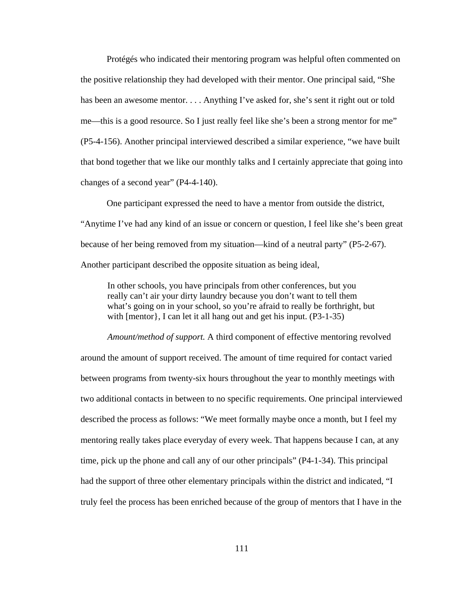Protégés who indicated their mentoring program was helpful often commented on the positive relationship they had developed with their mentor. One principal said, "She has been an awesome mentor. . . . Anything I've asked for, she's sent it right out or told me—this is a good resource. So I just really feel like she's been a strong mentor for me" (P5-4-156). Another principal interviewed described a similar experience, "we have built that bond together that we like our monthly talks and I certainly appreciate that going into changes of a second year" (P4-4-140).

One participant expressed the need to have a mentor from outside the district, "Anytime I've had any kind of an issue or concern or question, I feel like she's been great because of her being removed from my situation—kind of a neutral party" (P5-2-67). Another participant described the opposite situation as being ideal,

In other schools, you have principals from other conferences, but you really can't air your dirty laundry because you don't want to tell them what's going on in your school, so you're afraid to really be forthright, but with [mentor}, I can let it all hang out and get his input. (P3-1-35)

 *Amount/method of support.* A third component of effective mentoring revolved around the amount of support received. The amount of time required for contact varied between programs from twenty-six hours throughout the year to monthly meetings with two additional contacts in between to no specific requirements. One principal interviewed described the process as follows: "We meet formally maybe once a month, but I feel my mentoring really takes place everyday of every week. That happens because I can, at any time, pick up the phone and call any of our other principals" (P4-1-34). This principal had the support of three other elementary principals within the district and indicated, "I truly feel the process has been enriched because of the group of mentors that I have in the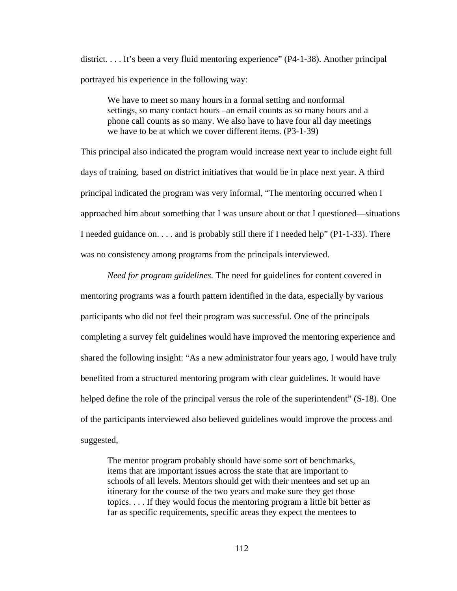district. . . . It's been a very fluid mentoring experience" (P4-1-38). Another principal portrayed his experience in the following way:

We have to meet so many hours in a formal setting and nonformal settings, so many contact hours –an email counts as so many hours and a phone call counts as so many. We also have to have four all day meetings we have to be at which we cover different items. (P3-1-39)

This principal also indicated the program would increase next year to include eight full days of training, based on district initiatives that would be in place next year. A third principal indicated the program was very informal, "The mentoring occurred when I approached him about something that I was unsure about or that I questioned—situations I needed guidance on. . . . and is probably still there if I needed help" (P1-1-33). There was no consistency among programs from the principals interviewed.

*Need for program guidelines.* The need for guidelines for content covered in mentoring programs was a fourth pattern identified in the data, especially by various participants who did not feel their program was successful. One of the principals completing a survey felt guidelines would have improved the mentoring experience and shared the following insight: "As a new administrator four years ago, I would have truly benefited from a structured mentoring program with clear guidelines. It would have helped define the role of the principal versus the role of the superintendent" (S-18). One of the participants interviewed also believed guidelines would improve the process and suggested,

The mentor program probably should have some sort of benchmarks, items that are important issues across the state that are important to schools of all levels. Mentors should get with their mentees and set up an itinerary for the course of the two years and make sure they get those topics. . . . If they would focus the mentoring program a little bit better as far as specific requirements, specific areas they expect the mentees to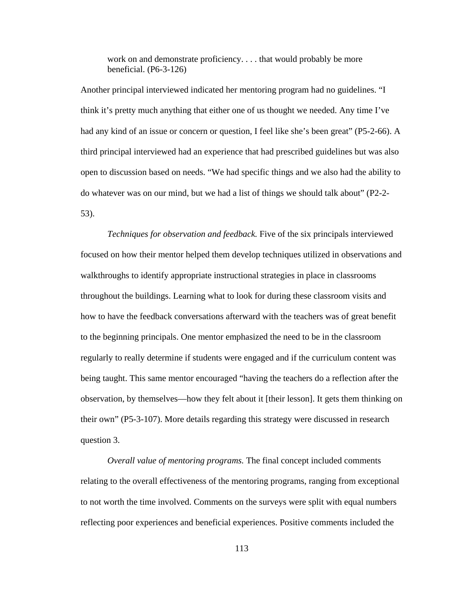work on and demonstrate proficiency. . . . that would probably be more beneficial. (P6-3-126)

Another principal interviewed indicated her mentoring program had no guidelines. "I think it's pretty much anything that either one of us thought we needed. Any time I've had any kind of an issue or concern or question, I feel like she's been great" (P5-2-66). A third principal interviewed had an experience that had prescribed guidelines but was also open to discussion based on needs. "We had specific things and we also had the ability to do whatever was on our mind, but we had a list of things we should talk about" (P2-2- 53).

*Techniques for observation and feedback.* Five of the six principals interviewed focused on how their mentor helped them develop techniques utilized in observations and walkthroughs to identify appropriate instructional strategies in place in classrooms throughout the buildings. Learning what to look for during these classroom visits and how to have the feedback conversations afterward with the teachers was of great benefit to the beginning principals. One mentor emphasized the need to be in the classroom regularly to really determine if students were engaged and if the curriculum content was being taught. This same mentor encouraged "having the teachers do a reflection after the observation, by themselves—how they felt about it [their lesson]. It gets them thinking on their own" (P5-3-107). More details regarding this strategy were discussed in research question 3.

*Overall value of mentoring programs.* The final concept included comments relating to the overall effectiveness of the mentoring programs, ranging from exceptional to not worth the time involved. Comments on the surveys were split with equal numbers reflecting poor experiences and beneficial experiences. Positive comments included the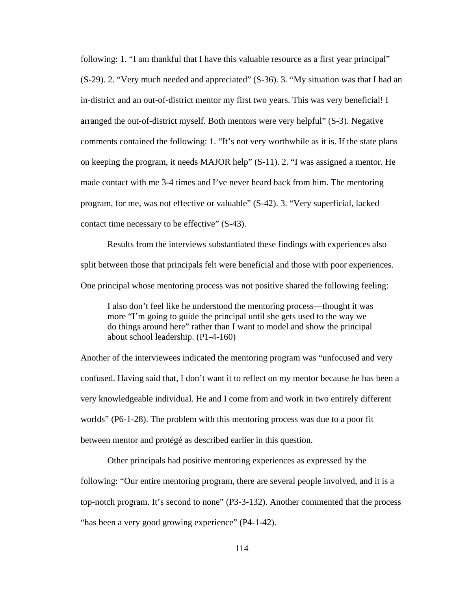following: 1. "I am thankful that I have this valuable resource as a first year principal" (S-29). 2. "Very much needed and appreciated" (S-36). 3. "My situation was that I had an in-district and an out-of-district mentor my first two years. This was very beneficial! I arranged the out-of-district myself. Both mentors were very helpful" (S-3). Negative comments contained the following: 1. "It's not very worthwhile as it is. If the state plans on keeping the program, it needs MAJOR help" (S-11). 2. "I was assigned a mentor. He made contact with me 3-4 times and I've never heard back from him. The mentoring program, for me, was not effective or valuable" (S-42). 3. "Very superficial, lacked contact time necessary to be effective" (S-43).

 Results from the interviews substantiated these findings with experiences also split between those that principals felt were beneficial and those with poor experiences. One principal whose mentoring process was not positive shared the following feeling:

I also don't feel like he understood the mentoring process—thought it was more "I'm going to guide the principal until she gets used to the way we do things around here" rather than I want to model and show the principal about school leadership. (P1-4-160)

Another of the interviewees indicated the mentoring program was "unfocused and very confused. Having said that, I don't want it to reflect on my mentor because he has been a very knowledgeable individual. He and I come from and work in two entirely different worlds" (P6-1-28). The problem with this mentoring process was due to a poor fit between mentor and protégé as described earlier in this question.

 Other principals had positive mentoring experiences as expressed by the following: "Our entire mentoring program, there are several people involved, and it is a top-notch program. It's second to none" (P3-3-132). Another commented that the process "has been a very good growing experience" (P4-1-42).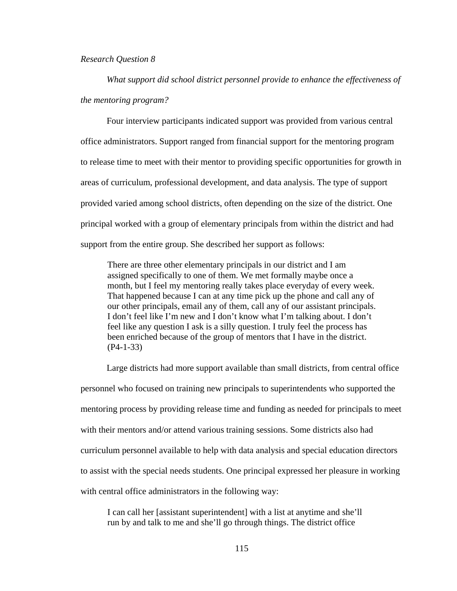## *Research Question 8*

*What support did school district personnel provide to enhance the effectiveness of the mentoring program?* 

Four interview participants indicated support was provided from various central office administrators. Support ranged from financial support for the mentoring program to release time to meet with their mentor to providing specific opportunities for growth in areas of curriculum, professional development, and data analysis. The type of support provided varied among school districts, often depending on the size of the district. One principal worked with a group of elementary principals from within the district and had support from the entire group. She described her support as follows:

There are three other elementary principals in our district and I am assigned specifically to one of them. We met formally maybe once a month, but I feel my mentoring really takes place everyday of every week. That happened because I can at any time pick up the phone and call any of our other principals, email any of them, call any of our assistant principals. I don't feel like I'm new and I don't know what I'm talking about. I don't feel like any question I ask is a silly question. I truly feel the process has been enriched because of the group of mentors that I have in the district. (P4-1-33)

Large districts had more support available than small districts, from central office personnel who focused on training new principals to superintendents who supported the mentoring process by providing release time and funding as needed for principals to meet with their mentors and/or attend various training sessions. Some districts also had curriculum personnel available to help with data analysis and special education directors to assist with the special needs students. One principal expressed her pleasure in working with central office administrators in the following way:

I can call her [assistant superintendent] with a list at anytime and she'll run by and talk to me and she'll go through things. The district office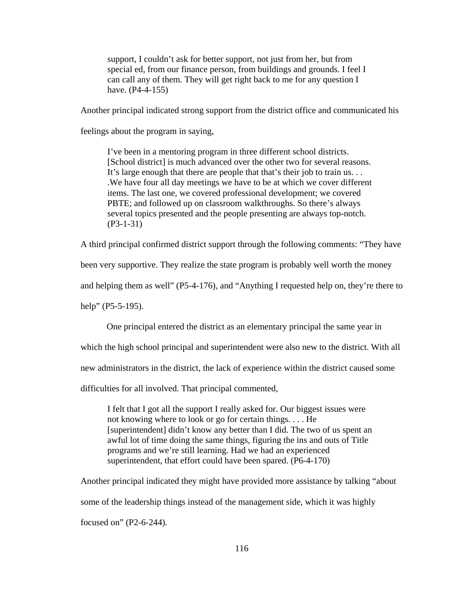support, I couldn't ask for better support, not just from her, but from special ed, from our finance person, from buildings and grounds. I feel I can call any of them. They will get right back to me for any question I have. (P4-4-155)

Another principal indicated strong support from the district office and communicated his

feelings about the program in saying,

I've been in a mentoring program in three different school districts. [School district] is much advanced over the other two for several reasons. It's large enough that there are people that that's their job to train us. . . .We have four all day meetings we have to be at which we cover different items. The last one, we covered professional development; we covered PBTE; and followed up on classroom walkthroughs. So there's always several topics presented and the people presenting are always top-notch. (P3-1-31)

A third principal confirmed district support through the following comments: "They have

been very supportive. They realize the state program is probably well worth the money

and helping them as well" (P5-4-176), and "Anything I requested help on, they're there to

help" (P5-5-195).

One principal entered the district as an elementary principal the same year in

which the high school principal and superintendent were also new to the district. With all

new administrators in the district, the lack of experience within the district caused some

difficulties for all involved. That principal commented,

I felt that I got all the support I really asked for. Our biggest issues were not knowing where to look or go for certain things. . . . He [superintendent] didn't know any better than I did. The two of us spent an awful lot of time doing the same things, figuring the ins and outs of Title programs and we're still learning. Had we had an experienced superintendent, that effort could have been spared. (P6-4-170)

Another principal indicated they might have provided more assistance by talking "about some of the leadership things instead of the management side, which it was highly focused on" (P2-6-244).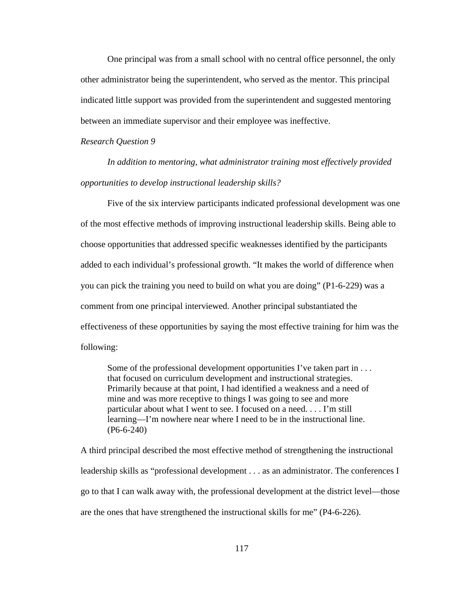One principal was from a small school with no central office personnel, the only other administrator being the superintendent, who served as the mentor. This principal indicated little support was provided from the superintendent and suggested mentoring between an immediate supervisor and their employee was ineffective.

#### *Research Question 9*

*In addition to mentoring, what administrator training most effectively provided opportunities to develop instructional leadership skills?* 

 Five of the six interview participants indicated professional development was one of the most effective methods of improving instructional leadership skills. Being able to choose opportunities that addressed specific weaknesses identified by the participants added to each individual's professional growth. "It makes the world of difference when you can pick the training you need to build on what you are doing" (P1-6-229) was a comment from one principal interviewed. Another principal substantiated the effectiveness of these opportunities by saying the most effective training for him was the following:

Some of the professional development opportunities I've taken part in . . . that focused on curriculum development and instructional strategies. Primarily because at that point, I had identified a weakness and a need of mine and was more receptive to things I was going to see and more particular about what I went to see. I focused on a need. . . . I'm still learning—I'm nowhere near where I need to be in the instructional line. (P6-6-240)

A third principal described the most effective method of strengthening the instructional leadership skills as "professional development . . . as an administrator. The conferences I go to that I can walk away with, the professional development at the district level—those are the ones that have strengthened the instructional skills for me" (P4-6-226).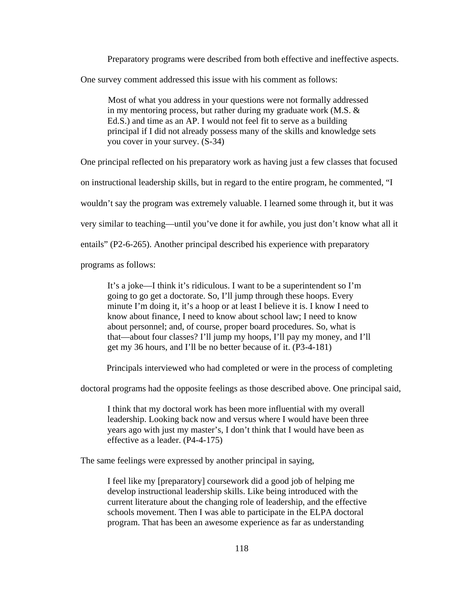Preparatory programs were described from both effective and ineffective aspects.

One survey comment addressed this issue with his comment as follows:

Most of what you address in your questions were not formally addressed in my mentoring process, but rather during my graduate work (M.S. & Ed.S.) and time as an AP. I would not feel fit to serve as a building principal if I did not already possess many of the skills and knowledge sets you cover in your survey. (S-34)

One principal reflected on his preparatory work as having just a few classes that focused

on instructional leadership skills, but in regard to the entire program, he commented, "I

wouldn't say the program was extremely valuable. I learned some through it, but it was

very similar to teaching—until you've done it for awhile, you just don't know what all it

entails" (P2-6-265). Another principal described his experience with preparatory

programs as follows:

It's a joke—I think it's ridiculous. I want to be a superintendent so I'm going to go get a doctorate. So, I'll jump through these hoops. Every minute I'm doing it, it's a hoop or at least I believe it is. I know I need to know about finance, I need to know about school law; I need to know about personnel; and, of course, proper board procedures. So, what is that—about four classes? I'll jump my hoops, I'll pay my money, and I'll get my 36 hours, and I'll be no better because of it. (P3-4-181)

Principals interviewed who had completed or were in the process of completing

doctoral programs had the opposite feelings as those described above. One principal said,

I think that my doctoral work has been more influential with my overall leadership. Looking back now and versus where I would have been three years ago with just my master's, I don't think that I would have been as effective as a leader. (P4-4-175)

The same feelings were expressed by another principal in saying,

I feel like my [preparatory] coursework did a good job of helping me develop instructional leadership skills. Like being introduced with the current literature about the changing role of leadership, and the effective schools movement. Then I was able to participate in the ELPA doctoral program. That has been an awesome experience as far as understanding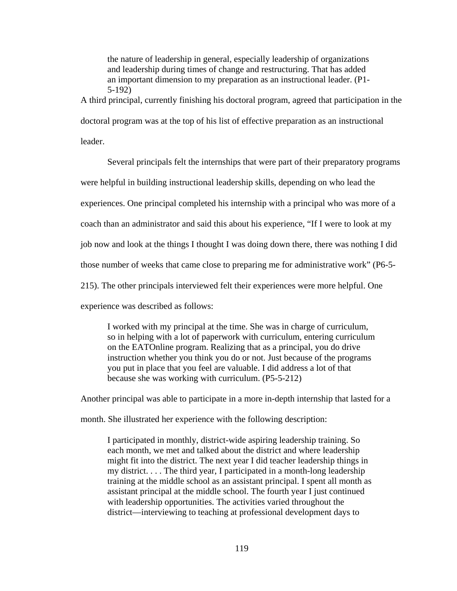the nature of leadership in general, especially leadership of organizations and leadership during times of change and restructuring. That has added an important dimension to my preparation as an instructional leader. (P1- 5-192)

A third principal, currently finishing his doctoral program, agreed that participation in the

doctoral program was at the top of his list of effective preparation as an instructional

leader.

Several principals felt the internships that were part of their preparatory programs

were helpful in building instructional leadership skills, depending on who lead the

experiences. One principal completed his internship with a principal who was more of a

coach than an administrator and said this about his experience, "If I were to look at my

job now and look at the things I thought I was doing down there, there was nothing I did

those number of weeks that came close to preparing me for administrative work" (P6-5-

215). The other principals interviewed felt their experiences were more helpful. One

experience was described as follows:

I worked with my principal at the time. She was in charge of curriculum, so in helping with a lot of paperwork with curriculum, entering curriculum on the EATOnline program. Realizing that as a principal, you do drive instruction whether you think you do or not. Just because of the programs you put in place that you feel are valuable. I did address a lot of that because she was working with curriculum. (P5-5-212)

Another principal was able to participate in a more in-depth internship that lasted for a

month. She illustrated her experience with the following description:

I participated in monthly, district-wide aspiring leadership training. So each month, we met and talked about the district and where leadership might fit into the district. The next year I did teacher leadership things in my district. . . . The third year, I participated in a month-long leadership training at the middle school as an assistant principal. I spent all month as assistant principal at the middle school. The fourth year I just continued with leadership opportunities. The activities varied throughout the district—interviewing to teaching at professional development days to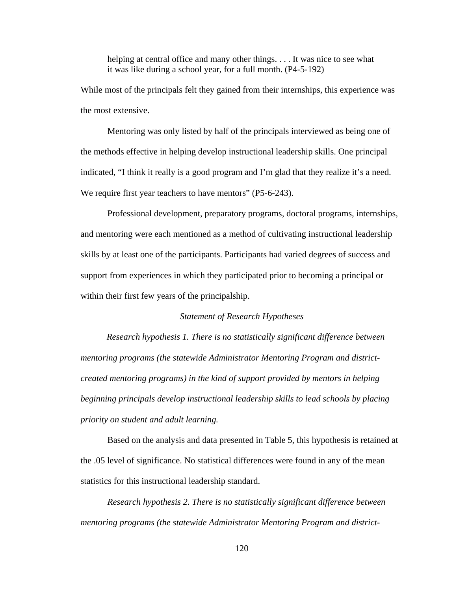helping at central office and many other things. . . . It was nice to see what it was like during a school year, for a full month. (P4-5-192)

While most of the principals felt they gained from their internships, this experience was the most extensive.

 Mentoring was only listed by half of the principals interviewed as being one of the methods effective in helping develop instructional leadership skills. One principal indicated, "I think it really is a good program and I'm glad that they realize it's a need. We require first year teachers to have mentors" (P5-6-243).

Professional development, preparatory programs, doctoral programs, internships, and mentoring were each mentioned as a method of cultivating instructional leadership skills by at least one of the participants. Participants had varied degrees of success and support from experiences in which they participated prior to becoming a principal or within their first few years of the principalship.

## *Statement of Research Hypotheses*

*Research hypothesis 1. There is no statistically significant difference between mentoring programs (the statewide Administrator Mentoring Program and districtcreated mentoring programs) in the kind of support provided by mentors in helping beginning principals develop instructional leadership skills to lead schools by placing priority on student and adult learning.* 

Based on the analysis and data presented in Table 5, this hypothesis is retained at the .05 level of significance. No statistical differences were found in any of the mean statistics for this instructional leadership standard.

*Research hypothesis 2. There is no statistically significant difference between mentoring programs (the statewide Administrator Mentoring Program and district-*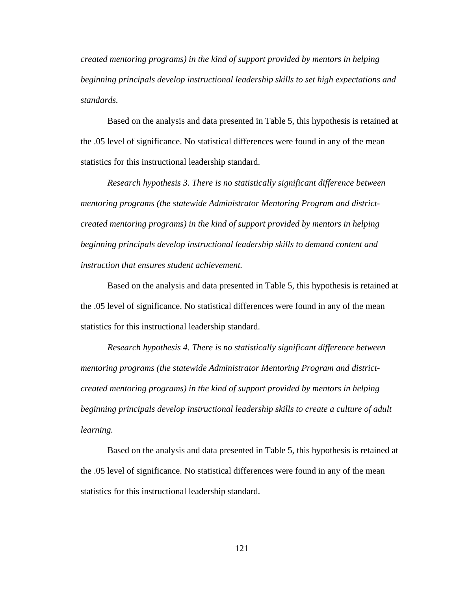*created mentoring programs) in the kind of support provided by mentors in helping beginning principals develop instructional leadership skills to set high expectations and standards.* 

Based on the analysis and data presented in Table 5, this hypothesis is retained at the .05 level of significance. No statistical differences were found in any of the mean statistics for this instructional leadership standard.

*Research hypothesis 3. There is no statistically significant difference between mentoring programs (the statewide Administrator Mentoring Program and districtcreated mentoring programs) in the kind of support provided by mentors in helping beginning principals develop instructional leadership skills to demand content and instruction that ensures student achievement.* 

Based on the analysis and data presented in Table 5, this hypothesis is retained at the .05 level of significance. No statistical differences were found in any of the mean statistics for this instructional leadership standard.

*Research hypothesis 4. There is no statistically significant difference between mentoring programs (the statewide Administrator Mentoring Program and districtcreated mentoring programs) in the kind of support provided by mentors in helping beginning principals develop instructional leadership skills to create a culture of adult learning.* 

Based on the analysis and data presented in Table 5, this hypothesis is retained at the .05 level of significance. No statistical differences were found in any of the mean statistics for this instructional leadership standard.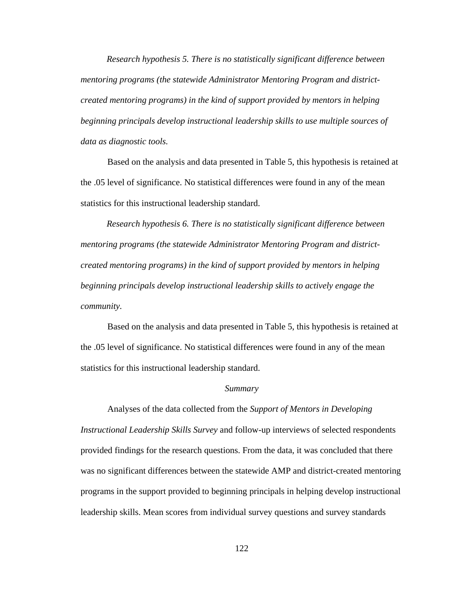*Research hypothesis 5. There is no statistically significant difference between mentoring programs (the statewide Administrator Mentoring Program and districtcreated mentoring programs) in the kind of support provided by mentors in helping beginning principals develop instructional leadership skills to use multiple sources of data as diagnostic tools.* 

Based on the analysis and data presented in Table 5, this hypothesis is retained at the .05 level of significance. No statistical differences were found in any of the mean statistics for this instructional leadership standard.

*Research hypothesis 6. There is no statistically significant difference between mentoring programs (the statewide Administrator Mentoring Program and districtcreated mentoring programs) in the kind of support provided by mentors in helping beginning principals develop instructional leadership skills to actively engage the community.* 

Based on the analysis and data presented in Table 5, this hypothesis is retained at the .05 level of significance. No statistical differences were found in any of the mean statistics for this instructional leadership standard.

## *Summary*

 Analyses of the data collected from the *Support of Mentors in Developing Instructional Leadership Skills Survey* and follow-up interviews of selected respondents provided findings for the research questions. From the data, it was concluded that there was no significant differences between the statewide AMP and district-created mentoring programs in the support provided to beginning principals in helping develop instructional leadership skills. Mean scores from individual survey questions and survey standards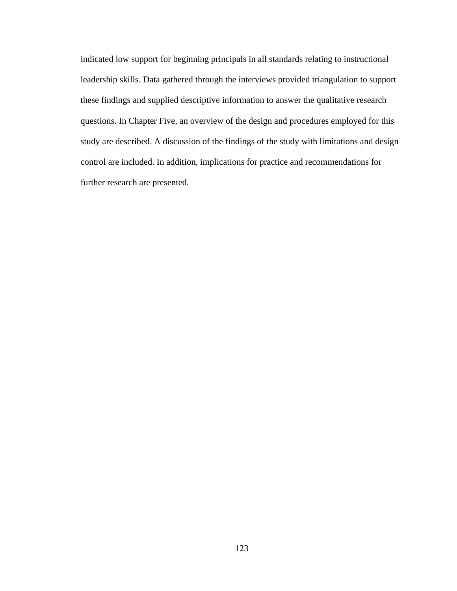indicated low support for beginning principals in all standards relating to instructional leadership skills. Data gathered through the interviews provided triangulation to support these findings and supplied descriptive information to answer the qualitative research questions. In Chapter Five, an overview of the design and procedures employed for this study are described. A discussion of the findings of the study with limitations and design control are included. In addition, implications for practice and recommendations for further research are presented.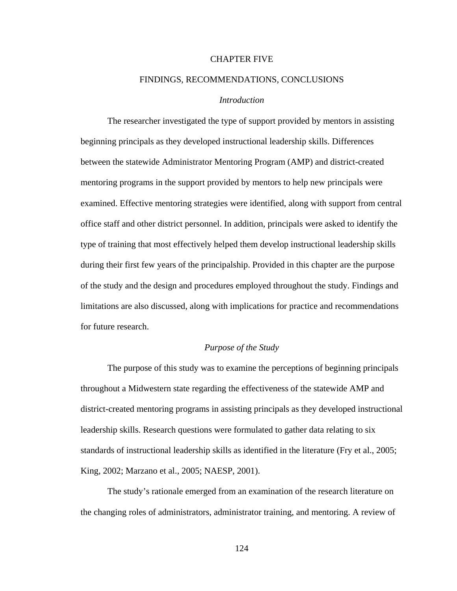## CHAPTER FIVE

## FINDINGS, RECOMMENDATIONS, CONCLUSIONS

## *Introduction*

 The researcher investigated the type of support provided by mentors in assisting beginning principals as they developed instructional leadership skills. Differences between the statewide Administrator Mentoring Program (AMP) and district-created mentoring programs in the support provided by mentors to help new principals were examined. Effective mentoring strategies were identified, along with support from central office staff and other district personnel. In addition, principals were asked to identify the type of training that most effectively helped them develop instructional leadership skills during their first few years of the principalship. Provided in this chapter are the purpose of the study and the design and procedures employed throughout the study. Findings and limitations are also discussed, along with implications for practice and recommendations for future research.

## *Purpose of the Study*

 The purpose of this study was to examine the perceptions of beginning principals throughout a Midwestern state regarding the effectiveness of the statewide AMP and district-created mentoring programs in assisting principals as they developed instructional leadership skills. Research questions were formulated to gather data relating to six standards of instructional leadership skills as identified in the literature (Fry et al., 2005; King, 2002; Marzano et al., 2005; NAESP, 2001).

The study's rationale emerged from an examination of the research literature on the changing roles of administrators, administrator training, and mentoring. A review of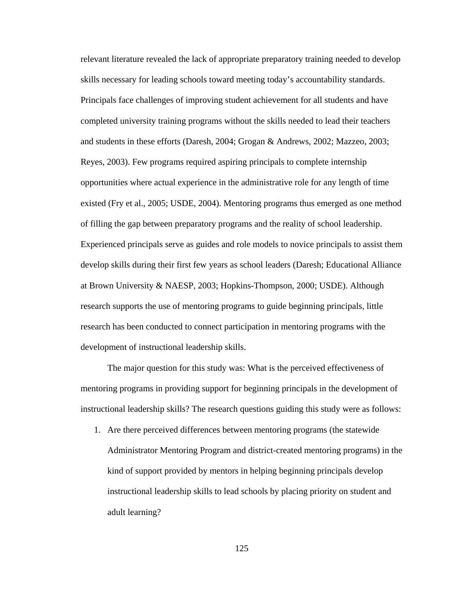relevant literature revealed the lack of appropriate preparatory training needed to develop skills necessary for leading schools toward meeting today's accountability standards. Principals face challenges of improving student achievement for all students and have completed university training programs without the skills needed to lead their teachers and students in these efforts (Daresh, 2004; Grogan & Andrews, 2002; Mazzeo, 2003; Reyes, 2003). Few programs required aspiring principals to complete internship opportunities where actual experience in the administrative role for any length of time existed (Fry et al., 2005; USDE, 2004). Mentoring programs thus emerged as one method of filling the gap between preparatory programs and the reality of school leadership. Experienced principals serve as guides and role models to novice principals to assist them develop skills during their first few years as school leaders (Daresh; Educational Alliance at Brown University & NAESP, 2003; Hopkins-Thompson, 2000; USDE). Although research supports the use of mentoring programs to guide beginning principals, little research has been conducted to connect participation in mentoring programs with the development of instructional leadership skills.

 The major question for this study was: What is the perceived effectiveness of mentoring programs in providing support for beginning principals in the development of instructional leadership skills? The research questions guiding this study were as follows:

1. Are there perceived differences between mentoring programs (the statewide Administrator Mentoring Program and district-created mentoring programs) in the kind of support provided by mentors in helping beginning principals develop instructional leadership skills to lead schools by placing priority on student and adult learning?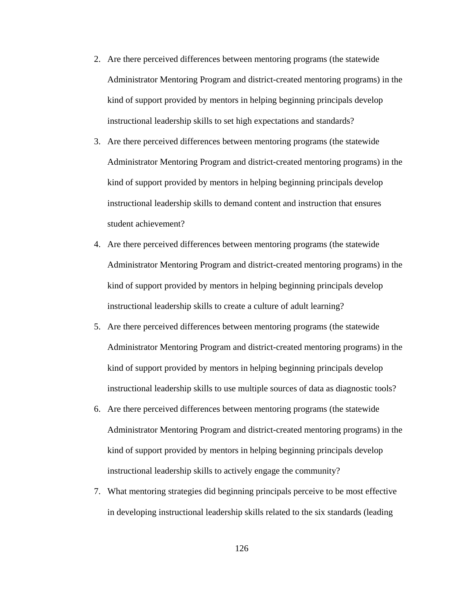- 2. Are there perceived differences between mentoring programs (the statewide Administrator Mentoring Program and district-created mentoring programs) in the kind of support provided by mentors in helping beginning principals develop instructional leadership skills to set high expectations and standards?
- 3. Are there perceived differences between mentoring programs (the statewide Administrator Mentoring Program and district-created mentoring programs) in the kind of support provided by mentors in helping beginning principals develop instructional leadership skills to demand content and instruction that ensures student achievement?
- 4. Are there perceived differences between mentoring programs (the statewide Administrator Mentoring Program and district-created mentoring programs) in the kind of support provided by mentors in helping beginning principals develop instructional leadership skills to create a culture of adult learning?
- 5. Are there perceived differences between mentoring programs (the statewide Administrator Mentoring Program and district-created mentoring programs) in the kind of support provided by mentors in helping beginning principals develop instructional leadership skills to use multiple sources of data as diagnostic tools?
- 6. Are there perceived differences between mentoring programs (the statewide Administrator Mentoring Program and district-created mentoring programs) in the kind of support provided by mentors in helping beginning principals develop instructional leadership skills to actively engage the community?
- 7. What mentoring strategies did beginning principals perceive to be most effective in developing instructional leadership skills related to the six standards (leading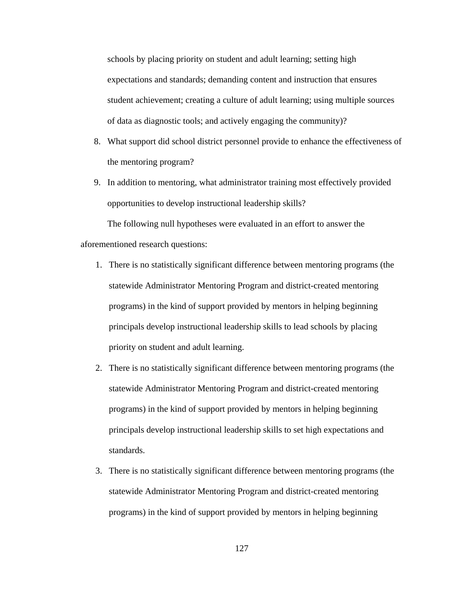schools by placing priority on student and adult learning; setting high expectations and standards; demanding content and instruction that ensures student achievement; creating a culture of adult learning; using multiple sources of data as diagnostic tools; and actively engaging the community)?

- 8. What support did school district personnel provide to enhance the effectiveness of the mentoring program?
- 9. In addition to mentoring, what administrator training most effectively provided opportunities to develop instructional leadership skills?

The following null hypotheses were evaluated in an effort to answer the aforementioned research questions:

- 1. There is no statistically significant difference between mentoring programs (the statewide Administrator Mentoring Program and district-created mentoring programs) in the kind of support provided by mentors in helping beginning principals develop instructional leadership skills to lead schools by placing priority on student and adult learning.
- 2. There is no statistically significant difference between mentoring programs (the statewide Administrator Mentoring Program and district-created mentoring programs) in the kind of support provided by mentors in helping beginning principals develop instructional leadership skills to set high expectations and standards.
- 3. There is no statistically significant difference between mentoring programs (the statewide Administrator Mentoring Program and district-created mentoring programs) in the kind of support provided by mentors in helping beginning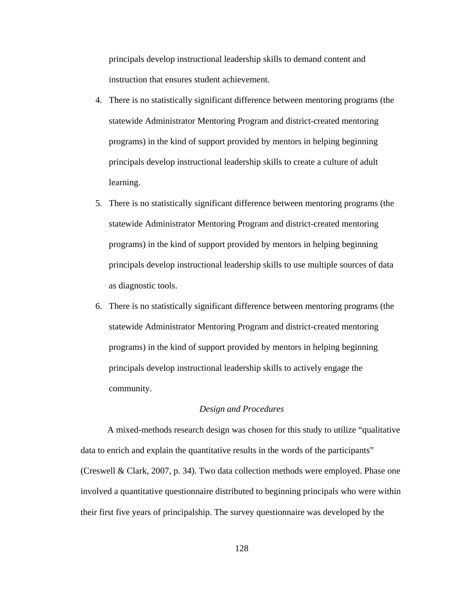principals develop instructional leadership skills to demand content and instruction that ensures student achievement.

- 4. There is no statistically significant difference between mentoring programs (the statewide Administrator Mentoring Program and district-created mentoring programs) in the kind of support provided by mentors in helping beginning principals develop instructional leadership skills to create a culture of adult learning.
- 5. There is no statistically significant difference between mentoring programs (the statewide Administrator Mentoring Program and district-created mentoring programs) in the kind of support provided by mentors in helping beginning principals develop instructional leadership skills to use multiple sources of data as diagnostic tools.
- 6. There is no statistically significant difference between mentoring programs (the statewide Administrator Mentoring Program and district-created mentoring programs) in the kind of support provided by mentors in helping beginning principals develop instructional leadership skills to actively engage the community.

## *Design and Procedures*

 A mixed-methods research design was chosen for this study to utilize "qualitative data to enrich and explain the quantitative results in the words of the participants" (Creswell & Clark, 2007, p. 34). Two data collection methods were employed. Phase one involved a quantitative questionnaire distributed to beginning principals who were within their first five years of principalship. The survey questionnaire was developed by the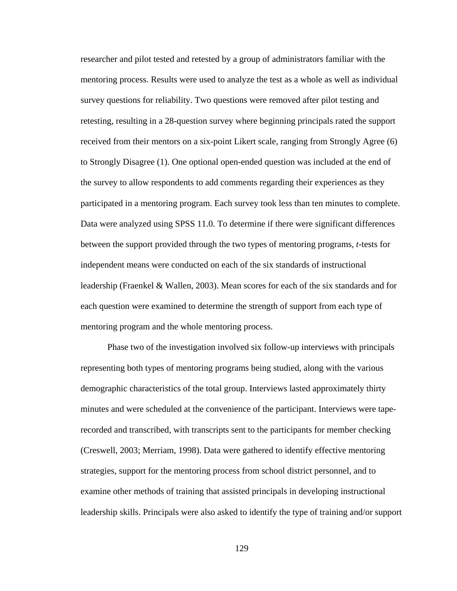researcher and pilot tested and retested by a group of administrators familiar with the mentoring process. Results were used to analyze the test as a whole as well as individual survey questions for reliability. Two questions were removed after pilot testing and retesting, resulting in a 28-question survey where beginning principals rated the support received from their mentors on a six-point Likert scale, ranging from Strongly Agree (6) to Strongly Disagree (1). One optional open-ended question was included at the end of the survey to allow respondents to add comments regarding their experiences as they participated in a mentoring program. Each survey took less than ten minutes to complete. Data were analyzed using SPSS 11.0. To determine if there were significant differences between the support provided through the two types of mentoring programs, *t*-tests for independent means were conducted on each of the six standards of instructional leadership (Fraenkel & Wallen, 2003). Mean scores for each of the six standards and for each question were examined to determine the strength of support from each type of mentoring program and the whole mentoring process.

Phase two of the investigation involved six follow-up interviews with principals representing both types of mentoring programs being studied, along with the various demographic characteristics of the total group. Interviews lasted approximately thirty minutes and were scheduled at the convenience of the participant. Interviews were taperecorded and transcribed, with transcripts sent to the participants for member checking (Creswell, 2003; Merriam, 1998). Data were gathered to identify effective mentoring strategies, support for the mentoring process from school district personnel, and to examine other methods of training that assisted principals in developing instructional leadership skills. Principals were also asked to identify the type of training and/or support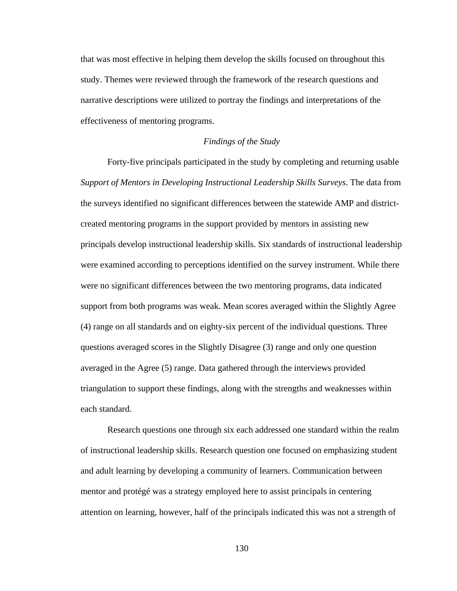that was most effective in helping them develop the skills focused on throughout this study. Themes were reviewed through the framework of the research questions and narrative descriptions were utilized to portray the findings and interpretations of the effectiveness of mentoring programs.

## *Findings of the Study*

 Forty-five principals participated in the study by completing and returning usable *Support of Mentors in Developing Instructional Leadership Skills Surveys*. The data from the surveys identified no significant differences between the statewide AMP and districtcreated mentoring programs in the support provided by mentors in assisting new principals develop instructional leadership skills. Six standards of instructional leadership were examined according to perceptions identified on the survey instrument. While there were no significant differences between the two mentoring programs, data indicated support from both programs was weak. Mean scores averaged within the Slightly Agree (4) range on all standards and on eighty-six percent of the individual questions. Three questions averaged scores in the Slightly Disagree (3) range and only one question averaged in the Agree (5) range. Data gathered through the interviews provided triangulation to support these findings, along with the strengths and weaknesses within each standard.

 Research questions one through six each addressed one standard within the realm of instructional leadership skills. Research question one focused on emphasizing student and adult learning by developing a community of learners. Communication between mentor and protégé was a strategy employed here to assist principals in centering attention on learning, however, half of the principals indicated this was not a strength of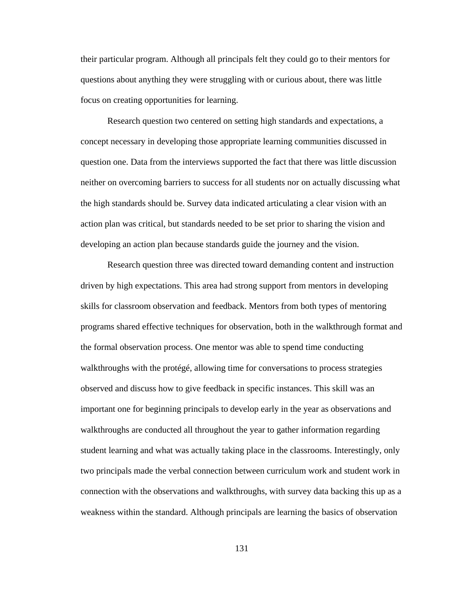their particular program. Although all principals felt they could go to their mentors for questions about anything they were struggling with or curious about, there was little focus on creating opportunities for learning.

Research question two centered on setting high standards and expectations, a concept necessary in developing those appropriate learning communities discussed in question one. Data from the interviews supported the fact that there was little discussion neither on overcoming barriers to success for all students nor on actually discussing what the high standards should be. Survey data indicated articulating a clear vision with an action plan was critical, but standards needed to be set prior to sharing the vision and developing an action plan because standards guide the journey and the vision.

 Research question three was directed toward demanding content and instruction driven by high expectations. This area had strong support from mentors in developing skills for classroom observation and feedback. Mentors from both types of mentoring programs shared effective techniques for observation, both in the walkthrough format and the formal observation process. One mentor was able to spend time conducting walkthroughs with the protégé, allowing time for conversations to process strategies observed and discuss how to give feedback in specific instances. This skill was an important one for beginning principals to develop early in the year as observations and walkthroughs are conducted all throughout the year to gather information regarding student learning and what was actually taking place in the classrooms. Interestingly, only two principals made the verbal connection between curriculum work and student work in connection with the observations and walkthroughs, with survey data backing this up as a weakness within the standard. Although principals are learning the basics of observation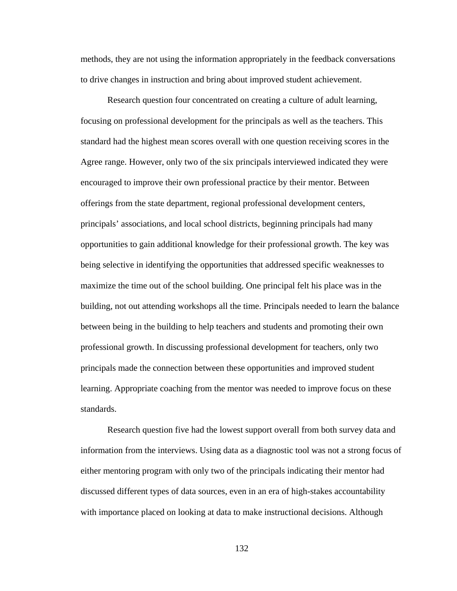methods, they are not using the information appropriately in the feedback conversations to drive changes in instruction and bring about improved student achievement.

 Research question four concentrated on creating a culture of adult learning, focusing on professional development for the principals as well as the teachers. This standard had the highest mean scores overall with one question receiving scores in the Agree range. However, only two of the six principals interviewed indicated they were encouraged to improve their own professional practice by their mentor. Between offerings from the state department, regional professional development centers, principals' associations, and local school districts, beginning principals had many opportunities to gain additional knowledge for their professional growth. The key was being selective in identifying the opportunities that addressed specific weaknesses to maximize the time out of the school building. One principal felt his place was in the building, not out attending workshops all the time. Principals needed to learn the balance between being in the building to help teachers and students and promoting their own professional growth. In discussing professional development for teachers, only two principals made the connection between these opportunities and improved student learning. Appropriate coaching from the mentor was needed to improve focus on these standards.

 Research question five had the lowest support overall from both survey data and information from the interviews. Using data as a diagnostic tool was not a strong focus of either mentoring program with only two of the principals indicating their mentor had discussed different types of data sources, even in an era of high-stakes accountability with importance placed on looking at data to make instructional decisions. Although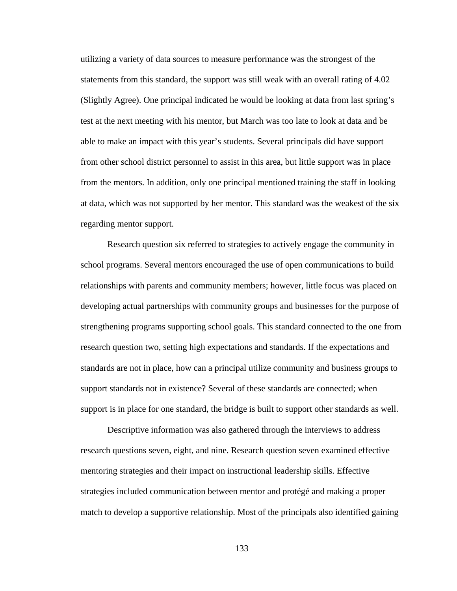utilizing a variety of data sources to measure performance was the strongest of the statements from this standard, the support was still weak with an overall rating of 4.02 (Slightly Agree). One principal indicated he would be looking at data from last spring's test at the next meeting with his mentor, but March was too late to look at data and be able to make an impact with this year's students. Several principals did have support from other school district personnel to assist in this area, but little support was in place from the mentors. In addition, only one principal mentioned training the staff in looking at data, which was not supported by her mentor. This standard was the weakest of the six regarding mentor support.

 Research question six referred to strategies to actively engage the community in school programs. Several mentors encouraged the use of open communications to build relationships with parents and community members; however, little focus was placed on developing actual partnerships with community groups and businesses for the purpose of strengthening programs supporting school goals. This standard connected to the one from research question two, setting high expectations and standards. If the expectations and standards are not in place, how can a principal utilize community and business groups to support standards not in existence? Several of these standards are connected; when support is in place for one standard, the bridge is built to support other standards as well.

 Descriptive information was also gathered through the interviews to address research questions seven, eight, and nine. Research question seven examined effective mentoring strategies and their impact on instructional leadership skills. Effective strategies included communication between mentor and protégé and making a proper match to develop a supportive relationship. Most of the principals also identified gaining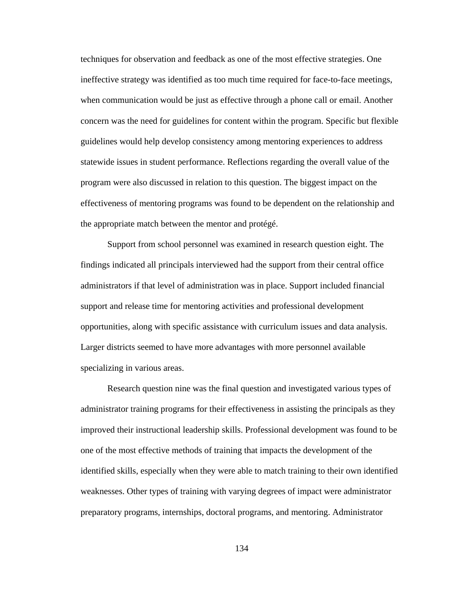techniques for observation and feedback as one of the most effective strategies. One ineffective strategy was identified as too much time required for face-to-face meetings, when communication would be just as effective through a phone call or email. Another concern was the need for guidelines for content within the program. Specific but flexible guidelines would help develop consistency among mentoring experiences to address statewide issues in student performance. Reflections regarding the overall value of the program were also discussed in relation to this question. The biggest impact on the effectiveness of mentoring programs was found to be dependent on the relationship and the appropriate match between the mentor and protégé.

Support from school personnel was examined in research question eight. The findings indicated all principals interviewed had the support from their central office administrators if that level of administration was in place. Support included financial support and release time for mentoring activities and professional development opportunities, along with specific assistance with curriculum issues and data analysis. Larger districts seemed to have more advantages with more personnel available specializing in various areas.

Research question nine was the final question and investigated various types of administrator training programs for their effectiveness in assisting the principals as they improved their instructional leadership skills. Professional development was found to be one of the most effective methods of training that impacts the development of the identified skills, especially when they were able to match training to their own identified weaknesses. Other types of training with varying degrees of impact were administrator preparatory programs, internships, doctoral programs, and mentoring. Administrator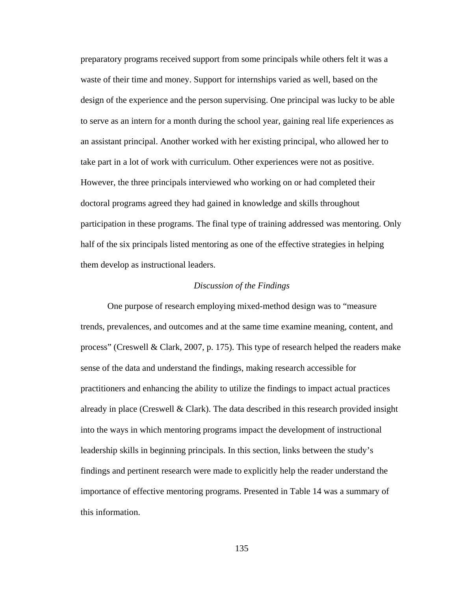preparatory programs received support from some principals while others felt it was a waste of their time and money. Support for internships varied as well, based on the design of the experience and the person supervising. One principal was lucky to be able to serve as an intern for a month during the school year, gaining real life experiences as an assistant principal. Another worked with her existing principal, who allowed her to take part in a lot of work with curriculum. Other experiences were not as positive. However, the three principals interviewed who working on or had completed their doctoral programs agreed they had gained in knowledge and skills throughout participation in these programs. The final type of training addressed was mentoring. Only half of the six principals listed mentoring as one of the effective strategies in helping them develop as instructional leaders.

## *Discussion of the Findings*

 One purpose of research employing mixed-method design was to "measure trends, prevalences, and outcomes and at the same time examine meaning, content, and process" (Creswell & Clark, 2007, p. 175). This type of research helped the readers make sense of the data and understand the findings, making research accessible for practitioners and enhancing the ability to utilize the findings to impact actual practices already in place (Creswell  $\&$  Clark). The data described in this research provided insight into the ways in which mentoring programs impact the development of instructional leadership skills in beginning principals. In this section, links between the study's findings and pertinent research were made to explicitly help the reader understand the importance of effective mentoring programs. Presented in Table 14 was a summary of this information.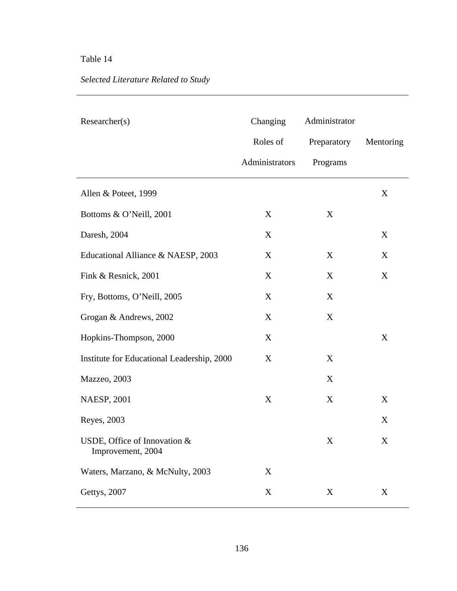# Table 14

# *Selected Literature Related to Study*

| Researcher(s)                                     | Changing       | Administrator |           |
|---------------------------------------------------|----------------|---------------|-----------|
|                                                   | Roles of       | Preparatory   | Mentoring |
|                                                   | Administrators | Programs      |           |
| Allen & Poteet, 1999                              |                |               | X         |
| Bottoms & O'Neill, 2001                           | X              | X             |           |
| Daresh, 2004                                      | X              |               | X         |
| Educational Alliance & NAESP, 2003                | X              | X             | X         |
| Fink & Resnick, 2001                              | X              | X             | X         |
| Fry, Bottoms, O'Neill, 2005                       | X              | X             |           |
| Grogan & Andrews, 2002                            | X              | X             |           |
| Hopkins-Thompson, 2000                            | X              |               | X         |
| Institute for Educational Leadership, 2000        | X              | X             |           |
| Mazzeo, 2003                                      |                | X             |           |
| <b>NAESP, 2001</b>                                | $\mathbf X$    | X             | X         |
| Reyes, 2003                                       |                |               | X         |
| USDE, Office of Innovation &<br>Improvement, 2004 |                | X             | X         |
| Waters, Marzano, & McNulty, 2003                  | X              |               |           |
| Gettys, 2007                                      | X              | X             | X         |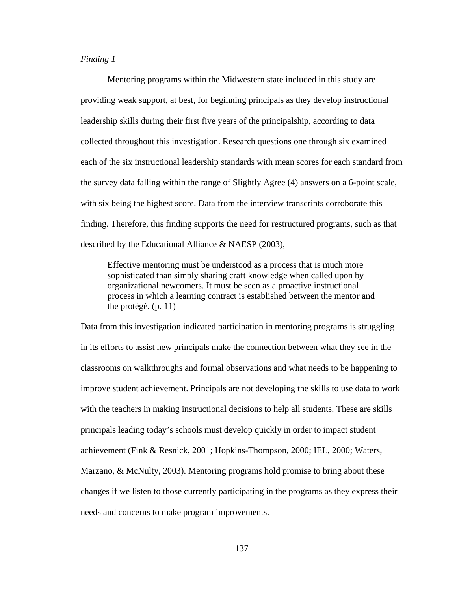## *Finding 1*

 Mentoring programs within the Midwestern state included in this study are providing weak support, at best, for beginning principals as they develop instructional leadership skills during their first five years of the principalship, according to data collected throughout this investigation. Research questions one through six examined each of the six instructional leadership standards with mean scores for each standard from the survey data falling within the range of Slightly Agree (4) answers on a 6-point scale, with six being the highest score. Data from the interview transcripts corroborate this finding. Therefore, this finding supports the need for restructured programs, such as that described by the Educational Alliance & NAESP (2003),

Effective mentoring must be understood as a process that is much more sophisticated than simply sharing craft knowledge when called upon by organizational newcomers. It must be seen as a proactive instructional process in which a learning contract is established between the mentor and the protégé. (p. 11)

Data from this investigation indicated participation in mentoring programs is struggling in its efforts to assist new principals make the connection between what they see in the classrooms on walkthroughs and formal observations and what needs to be happening to improve student achievement. Principals are not developing the skills to use data to work with the teachers in making instructional decisions to help all students. These are skills principals leading today's schools must develop quickly in order to impact student achievement (Fink & Resnick, 2001; Hopkins-Thompson, 2000; IEL, 2000; Waters, Marzano, & McNulty, 2003). Mentoring programs hold promise to bring about these changes if we listen to those currently participating in the programs as they express their needs and concerns to make program improvements.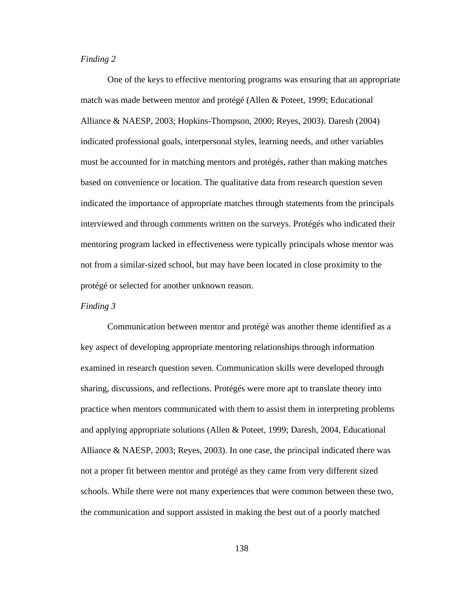## *Finding 2*

One of the keys to effective mentoring programs was ensuring that an appropriate match was made between mentor and protégé (Allen & Poteet, 1999; Educational Alliance & NAESP, 2003; Hopkins-Thompson, 2000; Reyes, 2003). Daresh (2004) indicated professional goals, interpersonal styles, learning needs, and other variables must be accounted for in matching mentors and protégés, rather than making matches based on convenience or location. The qualitative data from research question seven indicated the importance of appropriate matches through statements from the principals interviewed and through comments written on the surveys. Protégés who indicated their mentoring program lacked in effectiveness were typically principals whose mentor was not from a similar-sized school, but may have been located in close proximity to the protégé or selected for another unknown reason.

## *Finding 3*

Communication between mentor and protégé was another theme identified as a key aspect of developing appropriate mentoring relationships through information examined in research question seven. Communication skills were developed through sharing, discussions, and reflections. Protégés were more apt to translate theory into practice when mentors communicated with them to assist them in interpreting problems and applying appropriate solutions (Allen & Poteet, 1999; Daresh, 2004, Educational Alliance & NAESP, 2003; Reyes, 2003). In one case, the principal indicated there was not a proper fit between mentor and protégé as they came from very different sized schools. While there were not many experiences that were common between these two, the communication and support assisted in making the best out of a poorly matched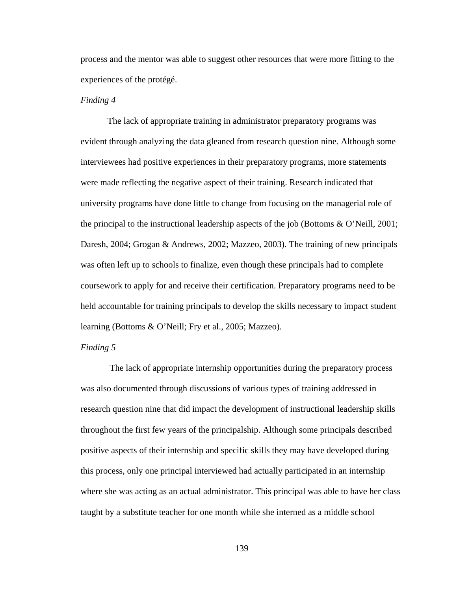process and the mentor was able to suggest other resources that were more fitting to the experiences of the protégé.

### *Finding 4*

The lack of appropriate training in administrator preparatory programs was evident through analyzing the data gleaned from research question nine. Although some interviewees had positive experiences in their preparatory programs, more statements were made reflecting the negative aspect of their training. Research indicated that university programs have done little to change from focusing on the managerial role of the principal to the instructional leadership aspects of the job (Bottoms & O'Neill, 2001; Daresh, 2004; Grogan & Andrews, 2002; Mazzeo, 2003). The training of new principals was often left up to schools to finalize, even though these principals had to complete coursework to apply for and receive their certification. Preparatory programs need to be held accountable for training principals to develop the skills necessary to impact student learning (Bottoms & O'Neill; Fry et al., 2005; Mazzeo).

## *Finding 5*

 The lack of appropriate internship opportunities during the preparatory process was also documented through discussions of various types of training addressed in research question nine that did impact the development of instructional leadership skills throughout the first few years of the principalship. Although some principals described positive aspects of their internship and specific skills they may have developed during this process, only one principal interviewed had actually participated in an internship where she was acting as an actual administrator. This principal was able to have her class taught by a substitute teacher for one month while she interned as a middle school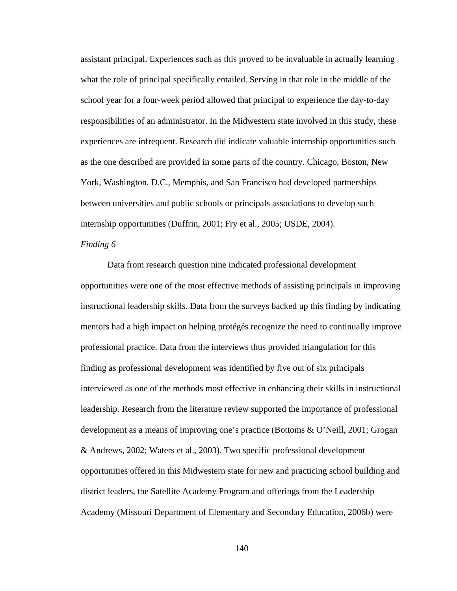assistant principal. Experiences such as this proved to be invaluable in actually learning what the role of principal specifically entailed. Serving in that role in the middle of the school year for a four-week period allowed that principal to experience the day-to-day responsibilities of an administrator. In the Midwestern state involved in this study, these experiences are infrequent. Research did indicate valuable internship opportunities such as the one described are provided in some parts of the country. Chicago, Boston, New York, Washington, D.C., Memphis, and San Francisco had developed partnerships between universities and public schools or principals associations to develop such internship opportunities (Duffrin, 2001; Fry et al., 2005; USDE, 2004).

## *Finding 6*

Data from research question nine indicated professional development opportunities were one of the most effective methods of assisting principals in improving instructional leadership skills. Data from the surveys backed up this finding by indicating mentors had a high impact on helping protégés recognize the need to continually improve professional practice. Data from the interviews thus provided triangulation for this finding as professional development was identified by five out of six principals interviewed as one of the methods most effective in enhancing their skills in instructional leadership. Research from the literature review supported the importance of professional development as a means of improving one's practice (Bottoms & O'Neill, 2001; Grogan & Andrews, 2002; Waters et al., 2003). Two specific professional development opportunities offered in this Midwestern state for new and practicing school building and district leaders, the Satellite Academy Program and offerings from the Leadership Academy (Missouri Department of Elementary and Secondary Education, 2006b) were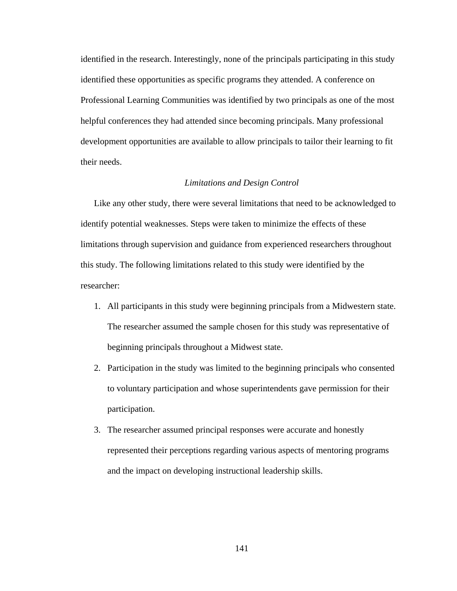identified in the research. Interestingly, none of the principals participating in this study identified these opportunities as specific programs they attended. A conference on Professional Learning Communities was identified by two principals as one of the most helpful conferences they had attended since becoming principals. Many professional development opportunities are available to allow principals to tailor their learning to fit their needs.

## *Limitations and Design Control*

Like any other study, there were several limitations that need to be acknowledged to identify potential weaknesses. Steps were taken to minimize the effects of these limitations through supervision and guidance from experienced researchers throughout this study. The following limitations related to this study were identified by the researcher:

- 1. All participants in this study were beginning principals from a Midwestern state. The researcher assumed the sample chosen for this study was representative of beginning principals throughout a Midwest state.
- 2. Participation in the study was limited to the beginning principals who consented to voluntary participation and whose superintendents gave permission for their participation.
- 3. The researcher assumed principal responses were accurate and honestly represented their perceptions regarding various aspects of mentoring programs and the impact on developing instructional leadership skills.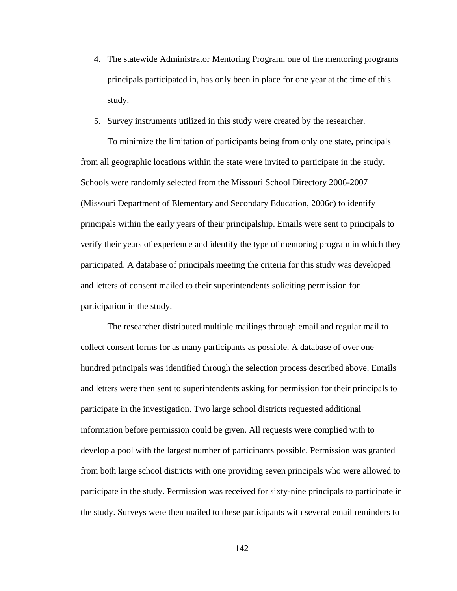- 4. The statewide Administrator Mentoring Program, one of the mentoring programs principals participated in, has only been in place for one year at the time of this study.
- 5. Survey instruments utilized in this study were created by the researcher.

 To minimize the limitation of participants being from only one state, principals from all geographic locations within the state were invited to participate in the study. Schools were randomly selected from the Missouri School Directory 2006-2007 (Missouri Department of Elementary and Secondary Education, 2006c) to identify principals within the early years of their principalship. Emails were sent to principals to verify their years of experience and identify the type of mentoring program in which they participated. A database of principals meeting the criteria for this study was developed and letters of consent mailed to their superintendents soliciting permission for participation in the study.

 The researcher distributed multiple mailings through email and regular mail to collect consent forms for as many participants as possible. A database of over one hundred principals was identified through the selection process described above. Emails and letters were then sent to superintendents asking for permission for their principals to participate in the investigation. Two large school districts requested additional information before permission could be given. All requests were complied with to develop a pool with the largest number of participants possible. Permission was granted from both large school districts with one providing seven principals who were allowed to participate in the study. Permission was received for sixty-nine principals to participate in the study. Surveys were then mailed to these participants with several email reminders to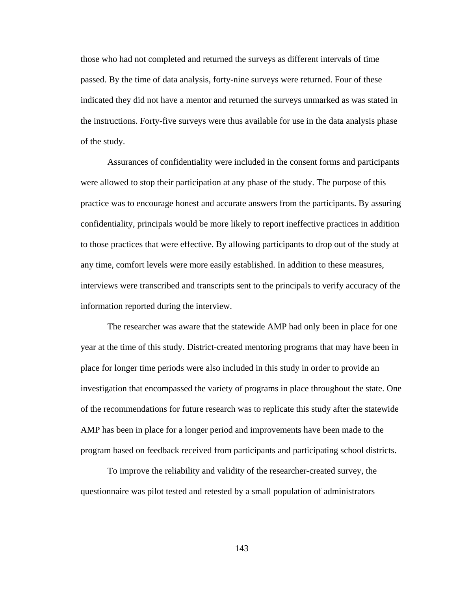those who had not completed and returned the surveys as different intervals of time passed. By the time of data analysis, forty-nine surveys were returned. Four of these indicated they did not have a mentor and returned the surveys unmarked as was stated in the instructions. Forty-five surveys were thus available for use in the data analysis phase of the study.

 Assurances of confidentiality were included in the consent forms and participants were allowed to stop their participation at any phase of the study. The purpose of this practice was to encourage honest and accurate answers from the participants. By assuring confidentiality, principals would be more likely to report ineffective practices in addition to those practices that were effective. By allowing participants to drop out of the study at any time, comfort levels were more easily established. In addition to these measures, interviews were transcribed and transcripts sent to the principals to verify accuracy of the information reported during the interview.

 The researcher was aware that the statewide AMP had only been in place for one year at the time of this study. District-created mentoring programs that may have been in place for longer time periods were also included in this study in order to provide an investigation that encompassed the variety of programs in place throughout the state. One of the recommendations for future research was to replicate this study after the statewide AMP has been in place for a longer period and improvements have been made to the program based on feedback received from participants and participating school districts.

To improve the reliability and validity of the researcher-created survey, the questionnaire was pilot tested and retested by a small population of administrators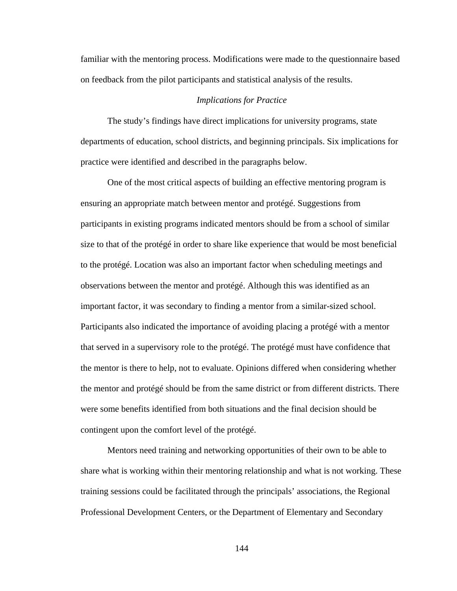familiar with the mentoring process. Modifications were made to the questionnaire based on feedback from the pilot participants and statistical analysis of the results.

### *Implications for Practice*

The study's findings have direct implications for university programs, state departments of education, school districts, and beginning principals. Six implications for practice were identified and described in the paragraphs below.

One of the most critical aspects of building an effective mentoring program is ensuring an appropriate match between mentor and protégé. Suggestions from participants in existing programs indicated mentors should be from a school of similar size to that of the protégé in order to share like experience that would be most beneficial to the protégé. Location was also an important factor when scheduling meetings and observations between the mentor and protégé. Although this was identified as an important factor, it was secondary to finding a mentor from a similar-sized school. Participants also indicated the importance of avoiding placing a protégé with a mentor that served in a supervisory role to the protégé. The protégé must have confidence that the mentor is there to help, not to evaluate. Opinions differed when considering whether the mentor and protégé should be from the same district or from different districts. There were some benefits identified from both situations and the final decision should be contingent upon the comfort level of the protégé.

Mentors need training and networking opportunities of their own to be able to share what is working within their mentoring relationship and what is not working. These training sessions could be facilitated through the principals' associations, the Regional Professional Development Centers, or the Department of Elementary and Secondary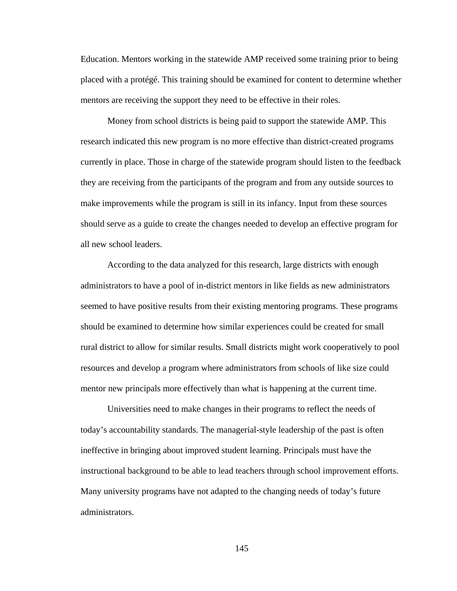Education. Mentors working in the statewide AMP received some training prior to being placed with a protégé. This training should be examined for content to determine whether mentors are receiving the support they need to be effective in their roles.

Money from school districts is being paid to support the statewide AMP. This research indicated this new program is no more effective than district-created programs currently in place. Those in charge of the statewide program should listen to the feedback they are receiving from the participants of the program and from any outside sources to make improvements while the program is still in its infancy. Input from these sources should serve as a guide to create the changes needed to develop an effective program for all new school leaders.

 According to the data analyzed for this research, large districts with enough administrators to have a pool of in-district mentors in like fields as new administrators seemed to have positive results from their existing mentoring programs. These programs should be examined to determine how similar experiences could be created for small rural district to allow for similar results. Small districts might work cooperatively to pool resources and develop a program where administrators from schools of like size could mentor new principals more effectively than what is happening at the current time.

 Universities need to make changes in their programs to reflect the needs of today's accountability standards. The managerial-style leadership of the past is often ineffective in bringing about improved student learning. Principals must have the instructional background to be able to lead teachers through school improvement efforts. Many university programs have not adapted to the changing needs of today's future administrators.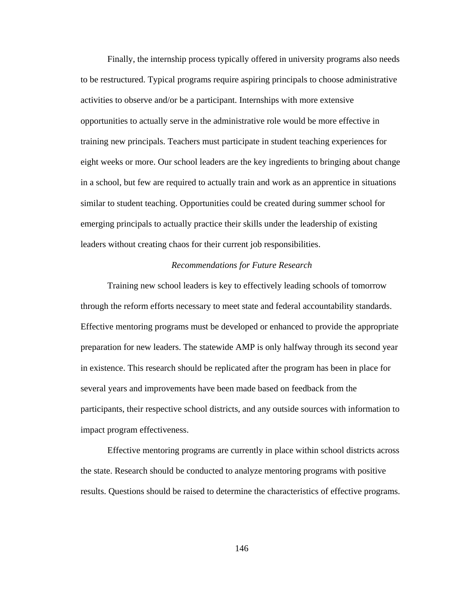Finally, the internship process typically offered in university programs also needs to be restructured. Typical programs require aspiring principals to choose administrative activities to observe and/or be a participant. Internships with more extensive opportunities to actually serve in the administrative role would be more effective in training new principals. Teachers must participate in student teaching experiences for eight weeks or more. Our school leaders are the key ingredients to bringing about change in a school, but few are required to actually train and work as an apprentice in situations similar to student teaching. Opportunities could be created during summer school for emerging principals to actually practice their skills under the leadership of existing leaders without creating chaos for their current job responsibilities.

## *Recommendations for Future Research*

 Training new school leaders is key to effectively leading schools of tomorrow through the reform efforts necessary to meet state and federal accountability standards. Effective mentoring programs must be developed or enhanced to provide the appropriate preparation for new leaders. The statewide AMP is only halfway through its second year in existence. This research should be replicated after the program has been in place for several years and improvements have been made based on feedback from the participants, their respective school districts, and any outside sources with information to impact program effectiveness.

 Effective mentoring programs are currently in place within school districts across the state. Research should be conducted to analyze mentoring programs with positive results. Questions should be raised to determine the characteristics of effective programs.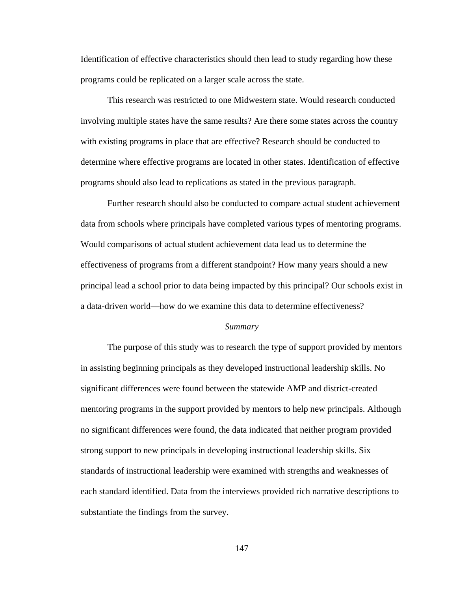Identification of effective characteristics should then lead to study regarding how these programs could be replicated on a larger scale across the state.

 This research was restricted to one Midwestern state. Would research conducted involving multiple states have the same results? Are there some states across the country with existing programs in place that are effective? Research should be conducted to determine where effective programs are located in other states. Identification of effective programs should also lead to replications as stated in the previous paragraph.

 Further research should also be conducted to compare actual student achievement data from schools where principals have completed various types of mentoring programs. Would comparisons of actual student achievement data lead us to determine the effectiveness of programs from a different standpoint? How many years should a new principal lead a school prior to data being impacted by this principal? Our schools exist in a data-driven world—how do we examine this data to determine effectiveness?

#### *Summary*

 The purpose of this study was to research the type of support provided by mentors in assisting beginning principals as they developed instructional leadership skills. No significant differences were found between the statewide AMP and district-created mentoring programs in the support provided by mentors to help new principals. Although no significant differences were found, the data indicated that neither program provided strong support to new principals in developing instructional leadership skills. Six standards of instructional leadership were examined with strengths and weaknesses of each standard identified. Data from the interviews provided rich narrative descriptions to substantiate the findings from the survey.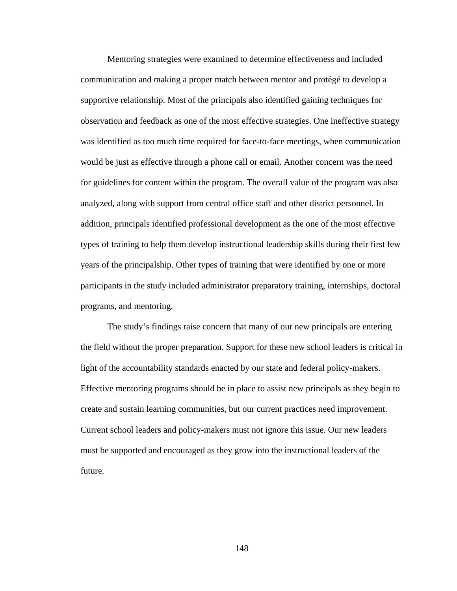Mentoring strategies were examined to determine effectiveness and included communication and making a proper match between mentor and protégé to develop a supportive relationship. Most of the principals also identified gaining techniques for observation and feedback as one of the most effective strategies. One ineffective strategy was identified as too much time required for face-to-face meetings, when communication would be just as effective through a phone call or email. Another concern was the need for guidelines for content within the program. The overall value of the program was also analyzed, along with support from central office staff and other district personnel. In addition, principals identified professional development as the one of the most effective types of training to help them develop instructional leadership skills during their first few years of the principalship. Other types of training that were identified by one or more participants in the study included administrator preparatory training, internships, doctoral programs, and mentoring.

The study's findings raise concern that many of our new principals are entering the field without the proper preparation. Support for these new school leaders is critical in light of the accountability standards enacted by our state and federal policy-makers. Effective mentoring programs should be in place to assist new principals as they begin to create and sustain learning communities, but our current practices need improvement. Current school leaders and policy-makers must not ignore this issue. Our new leaders must be supported and encouraged as they grow into the instructional leaders of the future.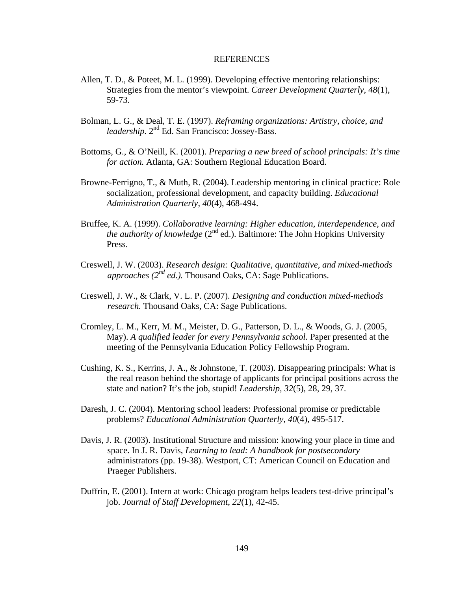#### REFERENCES

- Allen, T. D., & Poteet, M. L. (1999). Developing effective mentoring relationships: Strategies from the mentor's viewpoint. *Career Development Quarterly, 48*(1), 59-73.
- Bolman, L. G., & Deal, T. E. (1997). *Reframing organizations: Artistry, choice, and leadership.* 2nd Ed. San Francisco: Jossey-Bass.
- Bottoms, G., & O'Neill, K. (2001). *Preparing a new breed of school principals: It's time for action.* Atlanta, GA: Southern Regional Education Board.
- Browne-Ferrigno, T., & Muth, R. (2004). Leadership mentoring in clinical practice: Role socialization, professional development, and capacity building. *Educational Administration Quarterly, 40*(4), 468-494.
- Bruffee, K. A. (1999). *Collaborative learning: Higher education, interdependence, and the authority of knowledge* ( $2<sup>nd</sup>$  ed.). Baltimore: The John Hopkins University Press.
- Creswell, J. W. (2003). *Research design: Qualitative, quantitative, and mixed-methods approaches (2nd ed.).* Thousand Oaks, CA: Sage Publications.
- Creswell, J. W., & Clark, V. L. P. (2007). *Designing and conduction mixed-methods research.* Thousand Oaks, CA: Sage Publications.
- Cromley, L. M., Kerr, M. M., Meister, D. G., Patterson, D. L., & Woods, G. J. (2005, May). *A qualified leader for every Pennsylvania school.* Paper presented at the meeting of the Pennsylvania Education Policy Fellowship Program.
- Cushing, K. S., Kerrins, J. A., & Johnstone, T. (2003). Disappearing principals: What is the real reason behind the shortage of applicants for principal positions across the state and nation? It's the job, stupid! *Leadership, 32*(5), 28, 29, 37.
- Daresh, J. C. (2004). Mentoring school leaders: Professional promise or predictable problems? *Educational Administration Quarterly, 40*(4), 495-517.
- Davis, J. R. (2003). Institutional Structure and mission: knowing your place in time and space. In J. R. Davis, *Learning to lead: A handbook for postsecondary*  administrators (pp. 19-38)*.* Westport, CT: American Council on Education and Praeger Publishers.
- Duffrin, E. (2001). Intern at work: Chicago program helps leaders test-drive principal's job. *Journal of Staff Development*, *22*(1), 42-45.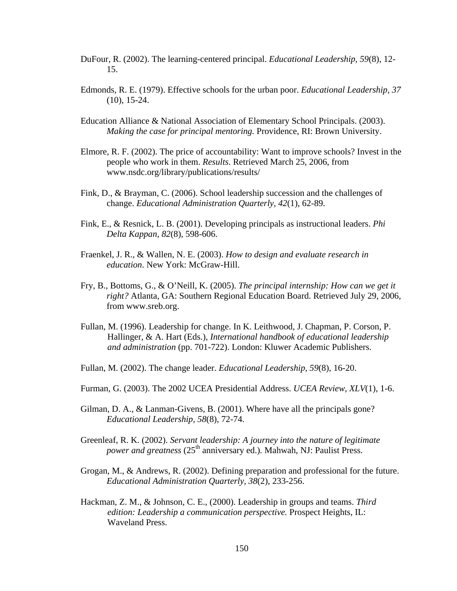- DuFour, R. (2002). The learning-centered principal. *Educational Leadership, 59*(8), 12- 15.
- Edmonds, R. E. (1979). Effective schools for the urban poor. *Educational Leadership, 37*  (10), 15-24.
- Education Alliance & National Association of Elementary School Principals. (2003). *Making the case for principal mentoring.* Providence, RI: Brown University.
- Elmore, R. F. (2002). The price of accountability: Want to improve schools? Invest in the people who work in them. *Results*. Retrieved March 25, 2006, from www.nsdc.org/library/publications/results/
- Fink, D., & Brayman, C. (2006). School leadership succession and the challenges of change. *Educational Administration Quarterly, 42*(1), 62-89.
- Fink, E., & Resnick, L. B. (2001). Developing principals as instructional leaders. *Phi Delta Kappan, 82*(8), 598-606.
- Fraenkel, J. R., & Wallen, N. E. (2003). *How to design and evaluate research in education*. New York: McGraw-Hill.
- Fry, B., Bottoms, G., & O'Neill, K. (2005). *The principal internship: How can we get it right?* Atlanta, GA: Southern Regional Education Board. Retrieved July 29, 2006, from www.sreb.org.
- Fullan, M. (1996). Leadership for change. In K. Leithwood, J. Chapman, P. Corson, P. Hallinger, & A. Hart (Eds.), *International handbook of educational leadership and administration* (pp. 701-722). London: Kluwer Academic Publishers.
- Fullan, M. (2002). The change leader. *Educational Leadership, 59*(8), 16-20.
- Furman, G. (2003). The 2002 UCEA Presidential Address. *UCEA Review, XLV*(1), 1-6.
- Gilman, D. A., & Lanman-Givens, B. (2001). Where have all the principals gone? *Educational Leadership, 58*(8), 72-74.
- Greenleaf, R. K. (2002). *Servant leadership: A journey into the nature of legitimate power and greatness* (25<sup>th</sup> anniversary ed.). Mahwah, NJ: Paulist Press.
- Grogan, M., & Andrews, R. (2002). Defining preparation and professional for the future. *Educational Administration Quarterly, 38*(2), 233-256.
- Hackman, Z. M., & Johnson, C. E., (2000). Leadership in groups and teams. *Third edition: Leadership a communication perspective.* Prospect Heights, IL: Waveland Press.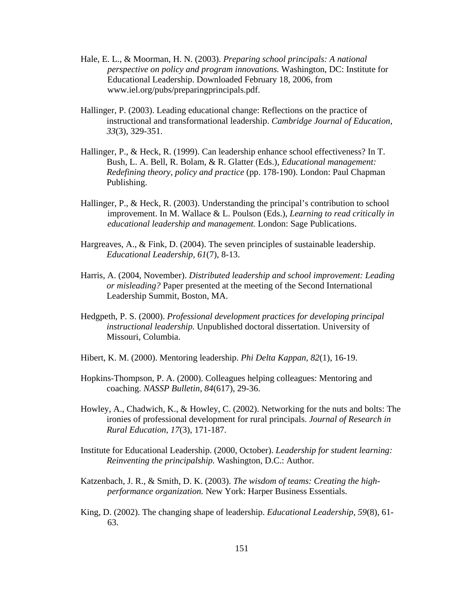- Hale, E. L., & Moorman, H. N. (2003). *Preparing school principals: A national perspective on policy and program innovations.* Washington, DC: Institute for Educational Leadership. Downloaded February 18, 2006, from www.iel.org/pubs/preparingprincipals.pdf.
- Hallinger, P. (2003). Leading educational change: Reflections on the practice of instructional and transformational leadership. *Cambridge Journal of Education, 33*(3), 329-351.
- Hallinger, P., & Heck, R. (1999). Can leadership enhance school effectiveness? In T. Bush, L. A. Bell, R. Bolam, & R. Glatter (Eds.), *Educational management: Redefining theory, policy and practice* (pp. 178-190). London: Paul Chapman Publishing.
- Hallinger, P., & Heck, R. (2003). Understanding the principal's contribution to school improvement. In M. Wallace & L. Poulson (Eds.), *Learning to read critically in educational leadership and management.* London: Sage Publications.
- Hargreaves, A., & Fink, D. (2004). The seven principles of sustainable leadership. *Educational Leadership, 61*(7), 8-13.
- Harris, A. (2004, November). *Distributed leadership and school improvement: Leading or misleading?* Paper presented at the meeting of the Second International Leadership Summit, Boston, MA.
- Hedgpeth, P. S. (2000). *Professional development practices for developing principal instructional leadership.* Unpublished doctoral dissertation. University of Missouri, Columbia.
- Hibert, K. M. (2000). Mentoring leadership. *Phi Delta Kappan, 82*(1), 16-19.
- Hopkins-Thompson, P. A. (2000). Colleagues helping colleagues: Mentoring and coaching. *NASSP Bulletin, 84*(617), 29-36.
- Howley, A., Chadwich, K., & Howley, C. (2002). Networking for the nuts and bolts: The ironies of professional development for rural principals. *Journal of Research in Rural Education, 17*(3), 171-187.
- Institute for Educational Leadership. (2000, October). *Leadership for student learning: Reinventing the principalship.* Washington, D.C.: Author.
- Katzenbach, J. R., & Smith, D. K. (2003). *The wisdom of teams: Creating the highperformance organization.* New York: Harper Business Essentials.
- King, D. (2002). The changing shape of leadership. *Educational Leadership, 59*(8), 61- 63.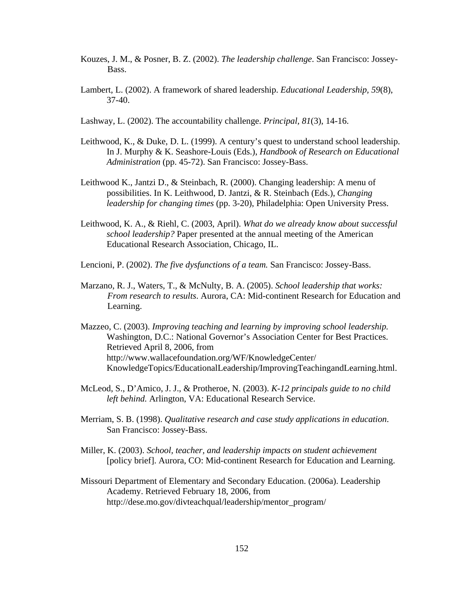- Kouzes, J. M., & Posner, B. Z. (2002). *The leadership challenge*. San Francisco: Jossey-Bass.
- Lambert, L. (2002). A framework of shared leadership. *Educational Leadership, 59*(8), 37-40.
- Lashway, L. (2002). The accountability challenge. *Principal, 81*(3), 14-16.
- Leithwood, K., & Duke, D. L. (1999). A century's quest to understand school leadership. In J. Murphy & K. Seashore-Louis (Eds.), *Handbook of Research on Educational Administration* (pp. 45-72). San Francisco: Jossey-Bass.
- Leithwood K., Jantzi D., & Steinbach, R. (2000). Changing leadership: A menu of possibilities. In K. Leithwood, D. Jantzi, & R. Steinbach (Eds.), *Changing leadership for changing times* (pp. 3-20), Philadelphia: Open University Press.
- Leithwood, K. A., & Riehl, C. (2003, April). *What do we already know about successful school leadership?* Paper presented at the annual meeting of the American Educational Research Association, Chicago, IL.
- Lencioni, P. (2002). *The five dysfunctions of a team.* San Francisco: Jossey-Bass.
- Marzano, R. J., Waters, T., & McNulty, B. A. (2005). *School leadership that works: From research to results*. Aurora, CA: Mid-continent Research for Education and Learning.
- Mazzeo, C. (2003). *Improving teaching and learning by improving school leadership.* Washington, D.C.: National Governor's Association Center for Best Practices. Retrieved April 8, 2006, from http://www.wallacefoundation.org/WF/KnowledgeCenter/ KnowledgeTopics/EducationalLeadership/ImprovingTeachingandLearning.html.
- McLeod, S., D'Amico, J. J., & Protheroe, N. (2003). *K-12 principals guide to no child left behind.* Arlington, VA: Educational Research Service.
- Merriam, S. B. (1998). *Qualitative research and case study applications in education*. San Francisco: Jossey-Bass.
- Miller, K. (2003). *School, teacher, and leadership impacts on student achievement* [policy brief]. Aurora, CO: Mid-continent Research for Education and Learning.
- Missouri Department of Elementary and Secondary Education. (2006a). Leadership Academy. Retrieved February 18, 2006, from http://dese.mo.gov/divteachqual/leadership/mentor\_program/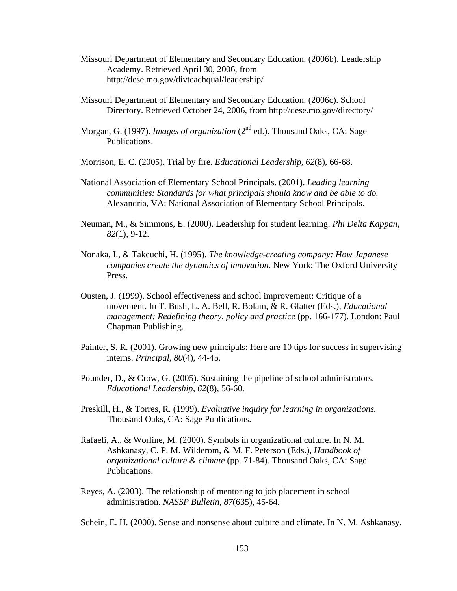- Missouri Department of Elementary and Secondary Education. (2006b). Leadership Academy. Retrieved April 30, 2006, from http://dese.mo.gov/divteachqual/leadership/
- Missouri Department of Elementary and Secondary Education. (2006c). School Directory. Retrieved October 24, 2006, from http://dese.mo.gov/directory/
- Morgan, G. (1997). *Images of organization* (2<sup>nd</sup> ed.). Thousand Oaks, CA: Sage Publications.
- Morrison, E. C. (2005). Trial by fire. *Educational Leadership, 62*(8), 66-68.
- National Association of Elementary School Principals. (2001). *Leading learning communities: Standards for what principals should know and be able to do.* Alexandria, VA: National Association of Elementary School Principals.
- Neuman, M., & Simmons, E. (2000). Leadership for student learning. *Phi Delta Kappan, 82*(1), 9-12.
- Nonaka, I., & Takeuchi, H. (1995). *The knowledge-creating company: How Japanese companies create the dynamics of innovation.* New York: The Oxford University Press.
- Ousten, J. (1999). School effectiveness and school improvement: Critique of a movement. In T. Bush, L. A. Bell, R. Bolam, & R. Glatter (Eds.), *Educational management: Redefining theory, policy and practice* (pp. 166-177). London: Paul Chapman Publishing.
- Painter, S. R. (2001). Growing new principals: Here are 10 tips for success in supervising interns. *Principal, 80*(4), 44-45.
- Pounder, D., & Crow, G. (2005). Sustaining the pipeline of school administrators. *Educational Leadership, 62*(8), 56-60.
- Preskill, H., & Torres, R. (1999). *Evaluative inquiry for learning in organizations.*  Thousand Oaks, CA: Sage Publications.
- Rafaeli, A., & Worline, M. (2000). Symbols in organizational culture. In N. M. Ashkanasy, C. P. M. Wilderom, & M. F. Peterson (Eds.), *Handbook of organizational culture & climate* (pp. 71-84). Thousand Oaks, CA: Sage Publications.
- Reyes, A. (2003). The relationship of mentoring to job placement in school administration. *NASSP Bulletin, 87*(635), 45-64.

Schein, E. H. (2000). Sense and nonsense about culture and climate. In N. M. Ashkanasy,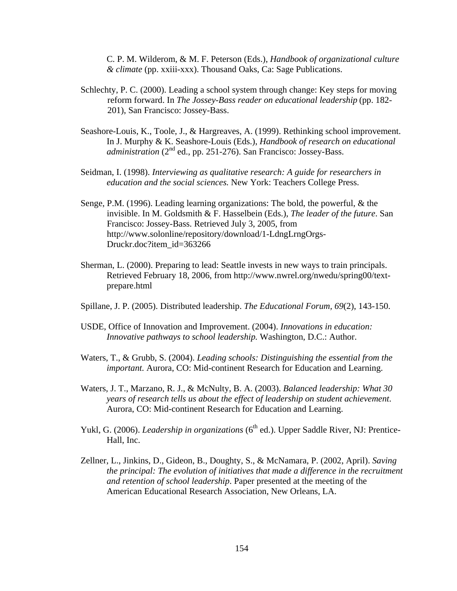C. P. M. Wilderom, & M. F. Peterson (Eds.), *Handbook of organizational culture & climate* (pp. xxiii-xxx). Thousand Oaks, Ca: Sage Publications.

- Schlechty, P. C. (2000). Leading a school system through change: Key steps for moving reform forward. In *The Jossey-Bass reader on educational leadership* (pp. 182- 201), San Francisco: Jossey-Bass.
- Seashore-Louis, K., Toole, J., & Hargreaves, A. (1999). Rethinking school improvement. In J. Murphy & K. Seashore-Louis (Eds.), *Handbook of research on educational San Francisco: Jossey-Bass.*
- Seidman, I. (1998). *Interviewing as qualitative research: A guide for researchers in education and the social sciences.* New York: Teachers College Press.
- Senge, P.M. (1996). Leading learning organizations: The bold, the powerful, & the invisible. In M. Goldsmith & F. Hasselbein (Eds.), *The leader of the future*. San Francisco: Jossey-Bass. Retrieved July 3, 2005, from http://www.solonline/repository/download/1-LdngLrngOrgs-Druckr.doc?item\_id=363266
- Sherman, L. (2000). Preparing to lead: Seattle invests in new ways to train principals. Retrieved February 18, 2006, from http://www.nwrel.org/nwedu/spring00/textprepare.html
- Spillane, J. P. (2005). Distributed leadership. *The Educational Forum, 69*(2), 143-150.
- USDE, Office of Innovation and Improvement. (2004). *Innovations in education: Innovative pathways to school leadership.* Washington, D.C.: Author.
- Waters, T., & Grubb, S. (2004). *Leading schools: Distinguishing the essential from the important.* Aurora, CO: Mid-continent Research for Education and Learning.
- Waters, J. T., Marzano, R. J., & McNulty, B. A. (2003). *Balanced leadership: What 30 years of research tells us about the effect of leadership on student achievement*. Aurora, CO: Mid-continent Research for Education and Learning.
- Yukl, G. (2006). *Leadership in organizations* (6<sup>th</sup> ed.). Upper Saddle River, NJ: Prentice-Hall, Inc.
- Zellner, L., Jinkins, D., Gideon, B., Doughty, S., & McNamara, P. (2002, April). *Saving the principal: The evolution of initiatives that made a difference in the recruitment and retention of school leadership*. Paper presented at the meeting of the American Educational Research Association, New Orleans, LA.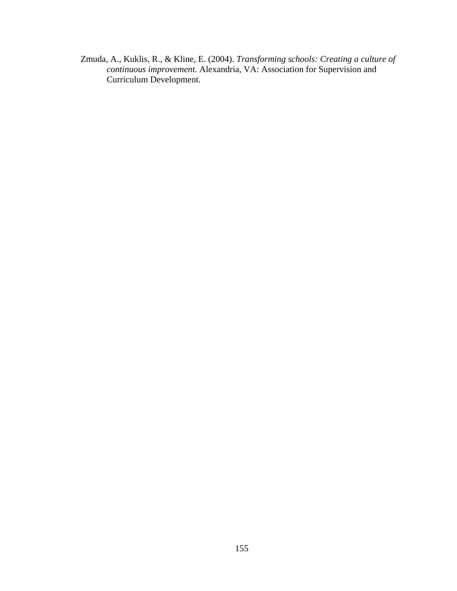Zmuda, A., Kuklis, R., & Kline, E. (2004). *Transforming schools: Creating a culture of continuous improvement.* Alexandria, VA: Association for Supervision and Curriculum Development.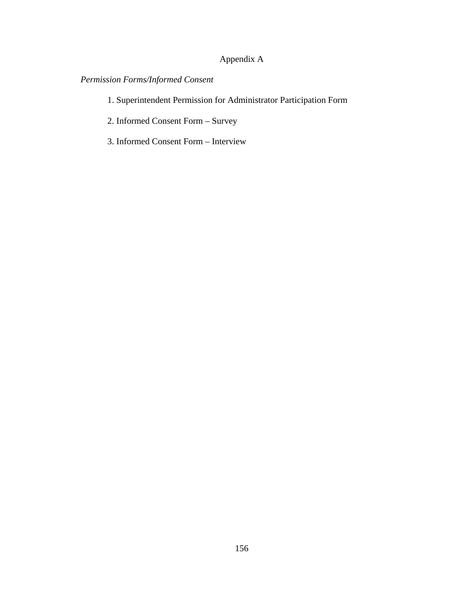# Appendix A

# *Permission Forms/Informed Consent*

- 1. Superintendent Permission for Administrator Participation Form
- 2. Informed Consent Form Survey
- 3. Informed Consent Form Interview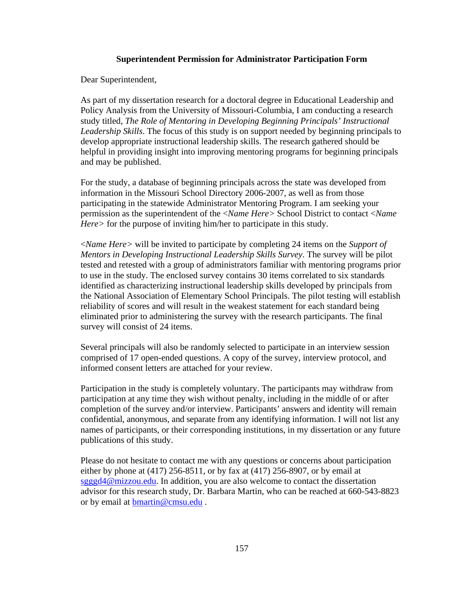# **Superintendent Permission for Administrator Participation Form**

Dear Superintendent,

As part of my dissertation research for a doctoral degree in Educational Leadership and Policy Analysis from the University of Missouri-Columbia, I am conducting a research study titled, *The Role of Mentoring in Developing Beginning Principals' Instructional Leadership Skills*. The focus of this study is on support needed by beginning principals to develop appropriate instructional leadership skills. The research gathered should be helpful in providing insight into improving mentoring programs for beginning principals and may be published.

For the study, a database of beginning principals across the state was developed from information in the Missouri School Directory 2006-2007, as well as from those participating in the statewide Administrator Mentoring Program. I am seeking your permission as the superintendent of the <*Name Here>* School District to contact <*Name Here>* for the purpose of inviting him/her to participate in this study.

<*Name Here>* will be invited to participate by completing 24 items on the *Support of Mentors in Developing Instructional Leadership Skills Survey*. The survey will be pilot tested and retested with a group of administrators familiar with mentoring programs prior to use in the study. The enclosed survey contains 30 items correlated to six standards identified as characterizing instructional leadership skills developed by principals from the National Association of Elementary School Principals. The pilot testing will establish reliability of scores and will result in the weakest statement for each standard being eliminated prior to administering the survey with the research participants. The final survey will consist of 24 items.

Several principals will also be randomly selected to participate in an interview session comprised of 17 open-ended questions. A copy of the survey, interview protocol, and informed consent letters are attached for your review.

Participation in the study is completely voluntary. The participants may withdraw from participation at any time they wish without penalty, including in the middle of or after completion of the survey and/or interview. Participants' answers and identity will remain confidential, anonymous, and separate from any identifying information. I will not list any names of participants, or their corresponding institutions, in my dissertation or any future publications of this study.

Please do not hesitate to contact me with any questions or concerns about participation either by phone at (417) 256-8511, or by fax at (417) 256-8907, or by email at sgggd4@mizzou.edu. In addition, you are also welcome to contact the dissertation advisor for this research study, Dr. Barbara Martin, who can be reached at 660-543-8823 or by email at **bmartin@cmsu.edu**.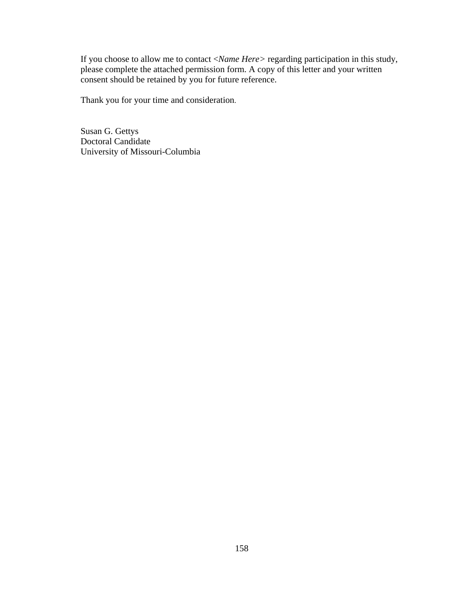If you choose to allow me to contact <*Name Here>* regarding participation in this study, please complete the attached permission form. A copy of this letter and your written consent should be retained by you for future reference.

Thank you for your time and consideration.

Susan G. Gettys Doctoral Candidate University of Missouri-Columbia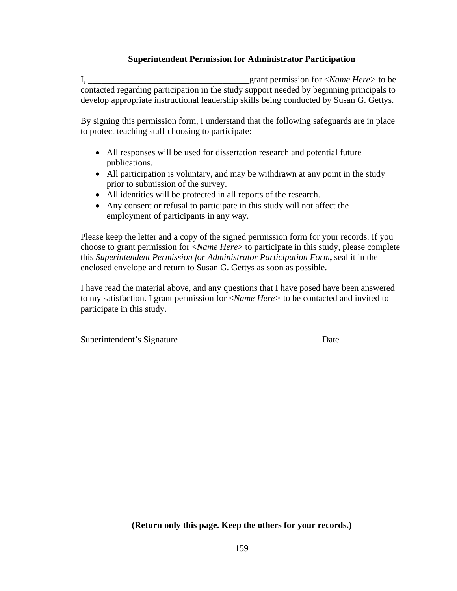# **Superintendent Permission for Administrator Participation**

I, \_\_\_\_\_\_\_\_\_\_\_\_\_\_\_\_\_\_\_\_\_\_\_\_\_\_\_\_\_\_\_\_\_\_\_\_grant permission for <*Name Here>* to be contacted regarding participation in the study support needed by beginning principals to develop appropriate instructional leadership skills being conducted by Susan G. Gettys.

By signing this permission form, I understand that the following safeguards are in place to protect teaching staff choosing to participate:

- All responses will be used for dissertation research and potential future publications.
- All participation is voluntary, and may be withdrawn at any point in the study prior to submission of the survey.
- All identities will be protected in all reports of the research.
- Any consent or refusal to participate in this study will not affect the employment of participants in any way.

Please keep the letter and a copy of the signed permission form for your records. If you choose to grant permission for <*Name Here*> to participate in this study, please complete this *Superintendent Permission for Administrator Participation Form***,** seal it in the enclosed envelope and return to Susan G. Gettys as soon as possible.

I have read the material above, and any questions that I have posed have been answered to my satisfaction. I grant permission for <*Name Here>* to be contacted and invited to participate in this study.

\_\_\_\_\_\_\_\_\_\_\_\_\_\_\_\_\_\_\_\_\_\_\_\_\_\_\_\_\_\_\_\_\_\_\_\_\_\_\_\_\_\_\_\_\_\_\_\_\_\_\_\_\_ \_\_\_\_\_\_\_\_\_\_\_\_\_\_\_\_\_

Superintendent's Signature Date

**(Return only this page. Keep the others for your records.)**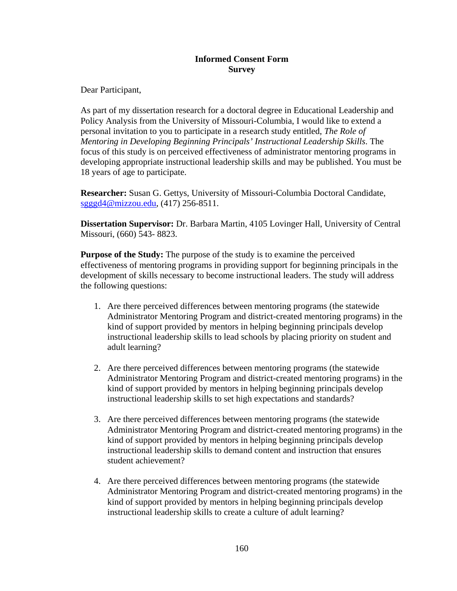# **Informed Consent Form Survey**

Dear Participant,

As part of my dissertation research for a doctoral degree in Educational Leadership and Policy Analysis from the University of Missouri-Columbia, I would like to extend a personal invitation to you to participate in a research study entitled, *The Role of Mentoring in Developing Beginning Principals' Instructional Leadership Skills*. The focus of this study is on perceived effectiveness of administrator mentoring programs in developing appropriate instructional leadership skills and may be published. You must be 18 years of age to participate.

**Researcher:** Susan G. Gettys, University of Missouri-Columbia Doctoral Candidate, sgggd4@mizzou.edu, (417) 256-8511.

**Dissertation Supervisor:** Dr. Barbara Martin, 4105 Lovinger Hall, University of Central Missouri, (660) 543- 8823.

**Purpose of the Study:** The purpose of the study is to examine the perceived effectiveness of mentoring programs in providing support for beginning principals in the development of skills necessary to become instructional leaders. The study will address the following questions:

- 1. Are there perceived differences between mentoring programs (the statewide Administrator Mentoring Program and district-created mentoring programs) in the kind of support provided by mentors in helping beginning principals develop instructional leadership skills to lead schools by placing priority on student and adult learning?
- 2. Are there perceived differences between mentoring programs (the statewide Administrator Mentoring Program and district-created mentoring programs) in the kind of support provided by mentors in helping beginning principals develop instructional leadership skills to set high expectations and standards?
- 3. Are there perceived differences between mentoring programs (the statewide Administrator Mentoring Program and district-created mentoring programs) in the kind of support provided by mentors in helping beginning principals develop instructional leadership skills to demand content and instruction that ensures student achievement?
- 4. Are there perceived differences between mentoring programs (the statewide Administrator Mentoring Program and district-created mentoring programs) in the kind of support provided by mentors in helping beginning principals develop instructional leadership skills to create a culture of adult learning?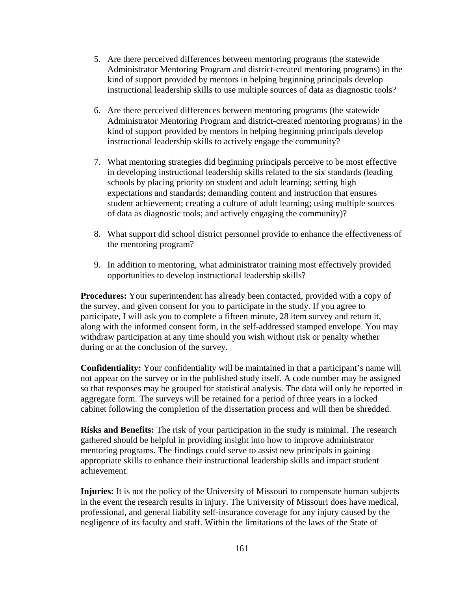- 5. Are there perceived differences between mentoring programs (the statewide Administrator Mentoring Program and district-created mentoring programs) in the kind of support provided by mentors in helping beginning principals develop instructional leadership skills to use multiple sources of data as diagnostic tools?
- 6. Are there perceived differences between mentoring programs (the statewide Administrator Mentoring Program and district-created mentoring programs) in the kind of support provided by mentors in helping beginning principals develop instructional leadership skills to actively engage the community?
- 7. What mentoring strategies did beginning principals perceive to be most effective in developing instructional leadership skills related to the six standards (leading schools by placing priority on student and adult learning; setting high expectations and standards; demanding content and instruction that ensures student achievement; creating a culture of adult learning; using multiple sources of data as diagnostic tools; and actively engaging the community)?
- 8. What support did school district personnel provide to enhance the effectiveness of the mentoring program?
- 9. In addition to mentoring, what administrator training most effectively provided opportunities to develop instructional leadership skills?

**Procedures:** Your superintendent has already been contacted, provided with a copy of the survey, and given consent for you to participate in the study. If you agree to participate, I will ask you to complete a fifteen minute, 28 item survey and return it, along with the informed consent form, in the self-addressed stamped envelope. You may withdraw participation at any time should you wish without risk or penalty whether during or at the conclusion of the survey.

**Confidentiality:** Your confidentiality will be maintained in that a participant's name will not appear on the survey or in the published study itself. A code number may be assigned so that responses may be grouped for statistical analysis. The data will only be reported in aggregate form. The surveys will be retained for a period of three years in a locked cabinet following the completion of the dissertation process and will then be shredded.

**Risks and Benefits:** The risk of your participation in the study is minimal. The research gathered should be helpful in providing insight into how to improve administrator mentoring programs. The findings could serve to assist new principals in gaining appropriate skills to enhance their instructional leadership skills and impact student achievement.

**Injuries:** It is not the policy of the University of Missouri to compensate human subjects in the event the research results in injury. The University of Missouri does have medical, professional, and general liability self-insurance coverage for any injury caused by the negligence of its faculty and staff. Within the limitations of the laws of the State of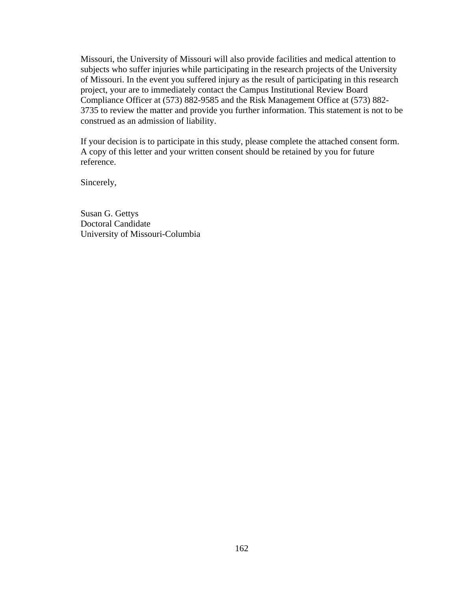Missouri, the University of Missouri will also provide facilities and medical attention to subjects who suffer injuries while participating in the research projects of the University of Missouri. In the event you suffered injury as the result of participating in this research project, your are to immediately contact the Campus Institutional Review Board Compliance Officer at (573) 882-9585 and the Risk Management Office at (573) 882- 3735 to review the matter and provide you further information. This statement is not to be construed as an admission of liability.

If your decision is to participate in this study, please complete the attached consent form. A copy of this letter and your written consent should be retained by you for future reference.

Sincerely,

Susan G. Gettys Doctoral Candidate University of Missouri-Columbia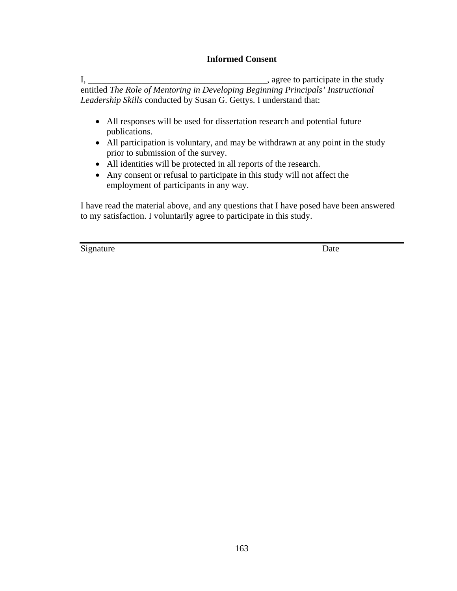# **Informed Consent**

I, \_\_\_\_\_\_\_\_\_\_\_\_\_\_\_\_\_\_\_\_\_\_\_\_\_\_\_\_\_\_\_\_\_\_\_\_\_\_\_\_, agree to participate in the study entitled *The Role of Mentoring in Developing Beginning Principals' Instructional Leadership Skills* conducted by Susan G. Gettys. I understand that:

- All responses will be used for dissertation research and potential future publications.
- All participation is voluntary, and may be withdrawn at any point in the study prior to submission of the survey.
- All identities will be protected in all reports of the research.
- Any consent or refusal to participate in this study will not affect the employment of participants in any way.

I have read the material above, and any questions that I have posed have been answered to my satisfaction. I voluntarily agree to participate in this study.

Signature Date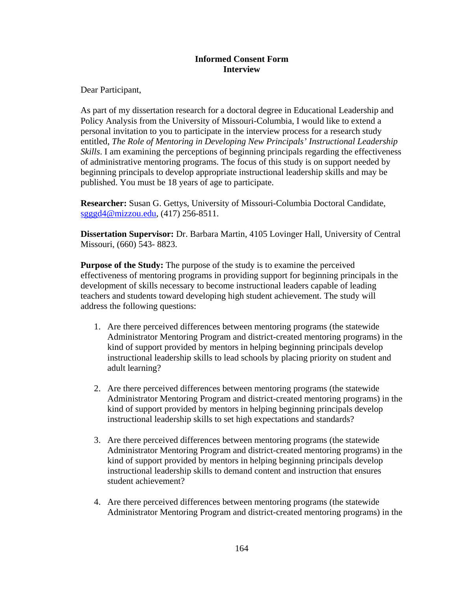# **Informed Consent Form Interview**

Dear Participant,

As part of my dissertation research for a doctoral degree in Educational Leadership and Policy Analysis from the University of Missouri-Columbia, I would like to extend a personal invitation to you to participate in the interview process for a research study entitled, *The Role of Mentoring in Developing New Principals' Instructional Leadership Skills*. I am examining the perceptions of beginning principals regarding the effectiveness of administrative mentoring programs. The focus of this study is on support needed by beginning principals to develop appropriate instructional leadership skills and may be published. You must be 18 years of age to participate.

**Researcher:** Susan G. Gettys, University of Missouri-Columbia Doctoral Candidate, sgggd4@mizzou.edu, (417) 256-8511.

**Dissertation Supervisor:** Dr. Barbara Martin, 4105 Lovinger Hall, University of Central Missouri, (660) 543- 8823.

**Purpose of the Study:** The purpose of the study is to examine the perceived effectiveness of mentoring programs in providing support for beginning principals in the development of skills necessary to become instructional leaders capable of leading teachers and students toward developing high student achievement. The study will address the following questions:

- 1. Are there perceived differences between mentoring programs (the statewide Administrator Mentoring Program and district-created mentoring programs) in the kind of support provided by mentors in helping beginning principals develop instructional leadership skills to lead schools by placing priority on student and adult learning?
- 2. Are there perceived differences between mentoring programs (the statewide Administrator Mentoring Program and district-created mentoring programs) in the kind of support provided by mentors in helping beginning principals develop instructional leadership skills to set high expectations and standards?
- 3. Are there perceived differences between mentoring programs (the statewide Administrator Mentoring Program and district-created mentoring programs) in the kind of support provided by mentors in helping beginning principals develop instructional leadership skills to demand content and instruction that ensures student achievement?
- 4. Are there perceived differences between mentoring programs (the statewide Administrator Mentoring Program and district-created mentoring programs) in the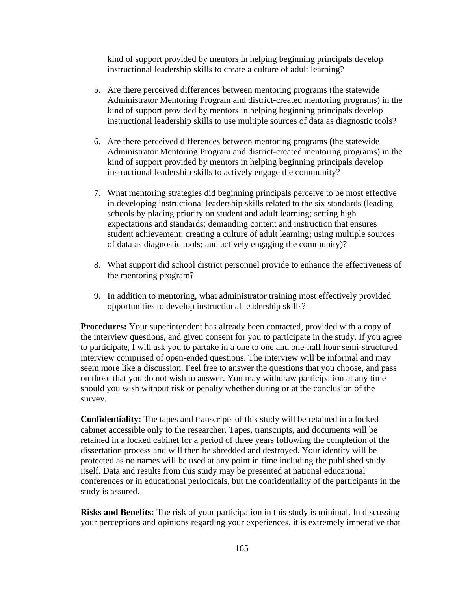kind of support provided by mentors in helping beginning principals develop instructional leadership skills to create a culture of adult learning?

- 5. Are there perceived differences between mentoring programs (the statewide Administrator Mentoring Program and district-created mentoring programs) in the kind of support provided by mentors in helping beginning principals develop instructional leadership skills to use multiple sources of data as diagnostic tools?
- 6. Are there perceived differences between mentoring programs (the statewide Administrator Mentoring Program and district-created mentoring programs) in the kind of support provided by mentors in helping beginning principals develop instructional leadership skills to actively engage the community?
- 7. What mentoring strategies did beginning principals perceive to be most effective in developing instructional leadership skills related to the six standards (leading schools by placing priority on student and adult learning; setting high expectations and standards; demanding content and instruction that ensures student achievement; creating a culture of adult learning; using multiple sources of data as diagnostic tools; and actively engaging the community)?
- 8. What support did school district personnel provide to enhance the effectiveness of the mentoring program?
- 9. In addition to mentoring, what administrator training most effectively provided opportunities to develop instructional leadership skills?

**Procedures:** Your superintendent has already been contacted, provided with a copy of the interview questions, and given consent for you to participate in the study. If you agree to participate, I will ask you to partake in a one to one and one-half hour semi-structured interview comprised of open-ended questions. The interview will be informal and may seem more like a discussion. Feel free to answer the questions that you choose, and pass on those that you do not wish to answer. You may withdraw participation at any time should you wish without risk or penalty whether during or at the conclusion of the survey.

**Confidentiality:** The tapes and transcripts of this study will be retained in a locked cabinet accessible only to the researcher. Tapes, transcripts, and documents will be retained in a locked cabinet for a period of three years following the completion of the dissertation process and will then be shredded and destroyed. Your identity will be protected as no names will be used at any point in time including the published study itself. Data and results from this study may be presented at national educational conferences or in educational periodicals, but the confidentiality of the participants in the study is assured.

**Risks and Benefits:** The risk of your participation in this study is minimal. In discussing your perceptions and opinions regarding your experiences, it is extremely imperative that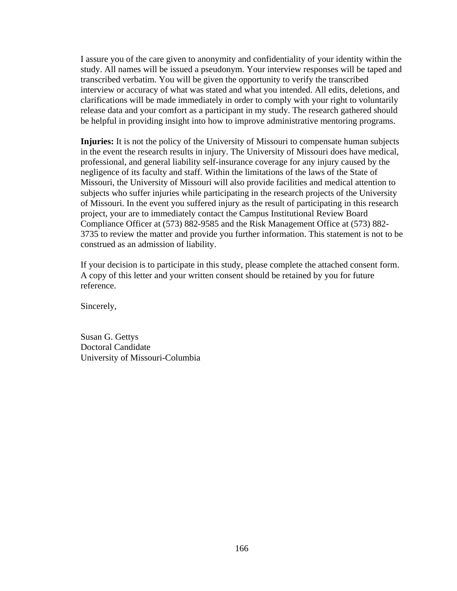I assure you of the care given to anonymity and confidentiality of your identity within the study. All names will be issued a pseudonym. Your interview responses will be taped and transcribed verbatim. You will be given the opportunity to verify the transcribed interview or accuracy of what was stated and what you intended. All edits, deletions, and clarifications will be made immediately in order to comply with your right to voluntarily release data and your comfort as a participant in my study. The research gathered should be helpful in providing insight into how to improve administrative mentoring programs.

**Injuries:** It is not the policy of the University of Missouri to compensate human subjects in the event the research results in injury. The University of Missouri does have medical, professional, and general liability self-insurance coverage for any injury caused by the negligence of its faculty and staff. Within the limitations of the laws of the State of Missouri, the University of Missouri will also provide facilities and medical attention to subjects who suffer injuries while participating in the research projects of the University of Missouri. In the event you suffered injury as the result of participating in this research project, your are to immediately contact the Campus Institutional Review Board Compliance Officer at (573) 882-9585 and the Risk Management Office at (573) 882- 3735 to review the matter and provide you further information. This statement is not to be construed as an admission of liability.

If your decision is to participate in this study, please complete the attached consent form. A copy of this letter and your written consent should be retained by you for future reference.

Sincerely,

Susan G. Gettys Doctoral Candidate University of Missouri-Columbia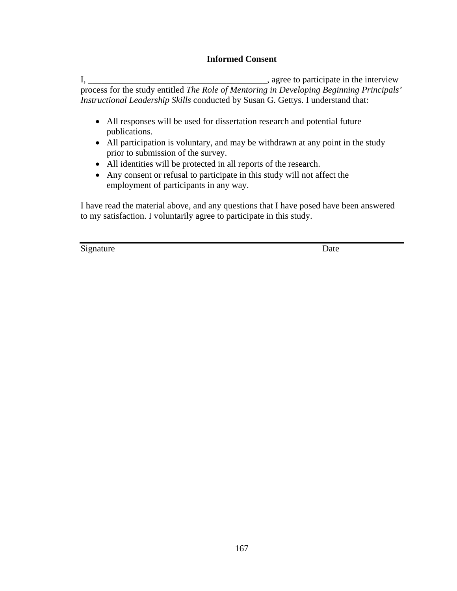# **Informed Consent**

I, \_\_\_\_\_\_\_\_\_\_\_\_\_\_\_\_\_\_\_\_\_\_\_\_\_\_\_\_\_\_\_\_\_\_\_\_\_\_\_\_, agree to participate in the interview process for the study entitled *The Role of Mentoring in Developing Beginning Principals' Instructional Leadership Skills* conducted by Susan G. Gettys. I understand that:

- All responses will be used for dissertation research and potential future publications.
- All participation is voluntary, and may be withdrawn at any point in the study prior to submission of the survey.
- All identities will be protected in all reports of the research.
- Any consent or refusal to participate in this study will not affect the employment of participants in any way.

I have read the material above, and any questions that I have posed have been answered to my satisfaction. I voluntarily agree to participate in this study.

Signature Date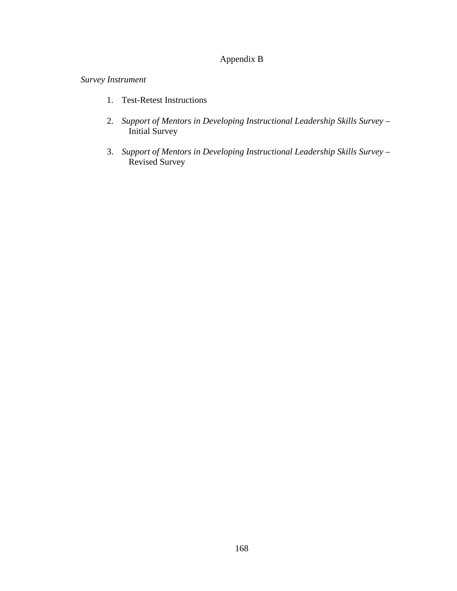## Appendix B

*Survey Instrument* 

- 1. Test-Retest Instructions
- 2. *Support of Mentors in Developing Instructional Leadership Skills Survey* Initial Survey
- 3. *Support of Mentors in Developing Instructional Leadership Skills Survey* Revised Survey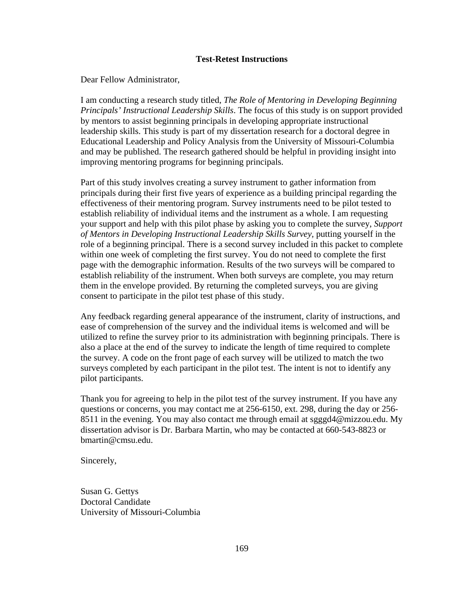#### **Test-Retest Instructions**

Dear Fellow Administrator,

I am conducting a research study titled, *The Role of Mentoring in Developing Beginning Principals' Instructional Leadership Skills*. The focus of this study is on support provided by mentors to assist beginning principals in developing appropriate instructional leadership skills. This study is part of my dissertation research for a doctoral degree in Educational Leadership and Policy Analysis from the University of Missouri-Columbia and may be published. The research gathered should be helpful in providing insight into improving mentoring programs for beginning principals.

Part of this study involves creating a survey instrument to gather information from principals during their first five years of experience as a building principal regarding the effectiveness of their mentoring program. Survey instruments need to be pilot tested to establish reliability of individual items and the instrument as a whole. I am requesting your support and help with this pilot phase by asking you to complete the survey, *Support of Mentors in Developing Instructional Leadership Skills Survey,* putting yourself in the role of a beginning principal. There is a second survey included in this packet to complete within one week of completing the first survey. You do not need to complete the first page with the demographic information. Results of the two surveys will be compared to establish reliability of the instrument. When both surveys are complete, you may return them in the envelope provided. By returning the completed surveys, you are giving consent to participate in the pilot test phase of this study.

Any feedback regarding general appearance of the instrument, clarity of instructions, and ease of comprehension of the survey and the individual items is welcomed and will be utilized to refine the survey prior to its administration with beginning principals. There is also a place at the end of the survey to indicate the length of time required to complete the survey. A code on the front page of each survey will be utilized to match the two surveys completed by each participant in the pilot test. The intent is not to identify any pilot participants.

Thank you for agreeing to help in the pilot test of the survey instrument. If you have any questions or concerns, you may contact me at 256-6150, ext. 298, during the day or 256- 8511 in the evening. You may also contact me through email at sgggd4@mizzou.edu. My dissertation advisor is Dr. Barbara Martin, who may be contacted at 660-543-8823 or bmartin@cmsu.edu.

Sincerely,

Susan G. Gettys Doctoral Candidate University of Missouri-Columbia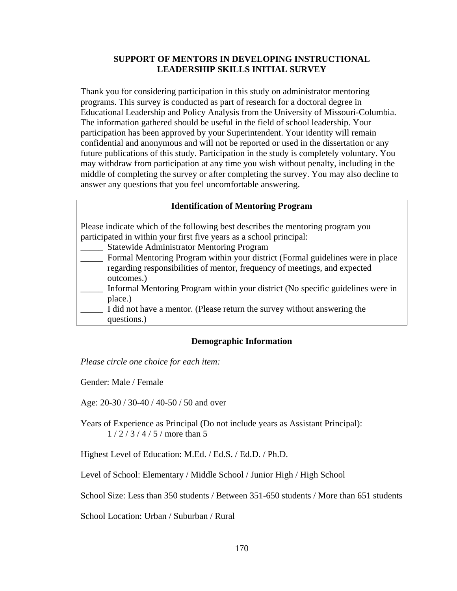#### **SUPPORT OF MENTORS IN DEVELOPING INSTRUCTIONAL LEADERSHIP SKILLS INITIAL SURVEY**

Thank you for considering participation in this study on administrator mentoring programs. This survey is conducted as part of research for a doctoral degree in Educational Leadership and Policy Analysis from the University of Missouri-Columbia. The information gathered should be useful in the field of school leadership. Your participation has been approved by your Superintendent. Your identity will remain confidential and anonymous and will not be reported or used in the dissertation or any future publications of this study. Participation in the study is completely voluntary. You may withdraw from participation at any time you wish without penalty, including in the middle of completing the survey or after completing the survey. You may also decline to answer any questions that you feel uncomfortable answering.

#### **Identification of Mentoring Program**

Please indicate which of the following best describes the mentoring program you participated in within your first five years as a school principal:

- Statewide Administrator Mentoring Program
- Formal Mentoring Program within your district (Formal guidelines were in place regarding responsibilities of mentor, frequency of meetings, and expected outcomes.)
- \_\_\_\_\_ Informal Mentoring Program within your district (No specific guidelines were in place.)
- I did not have a mentor. (Please return the survey without answering the questions.)

#### **Demographic Information**

*Please circle one choice for each item:* 

Gender: Male / Female

Age: 20-30 / 30-40 / 40-50 / 50 and over

Years of Experience as Principal (Do not include years as Assistant Principal): 1 / 2 / 3 / 4 / 5 / more than 5

Highest Level of Education: M.Ed. / Ed.S. / Ed.D. / Ph.D.

Level of School: Elementary / Middle School / Junior High / High School

School Size: Less than 350 students / Between 351-650 students / More than 651 students

School Location: Urban / Suburban / Rural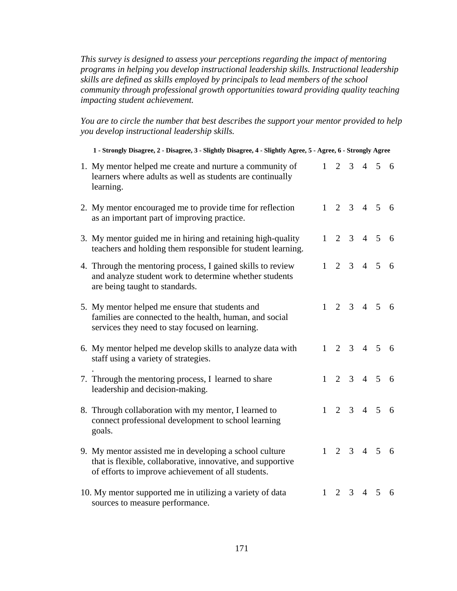*This survey is designed to assess your perceptions regarding the impact of mentoring programs in helping you develop instructional leadership skills. Instructional leadership skills are defined as skills employed by principals to lead members of the school community through professional growth opportunities toward providing quality teaching impacting student achievement.* 

*You are to circle the number that best describes the support your mentor provided to help you develop instructional leadership skills.*

| 1 - Strongly Disagree, 2 - Disagree, 3 - Slightly Disagree, 4 - Slightly Agree, 5 - Agree, 6 - Strongly Agree                                                                |              |                     |                     |                     |                         |     |
|------------------------------------------------------------------------------------------------------------------------------------------------------------------------------|--------------|---------------------|---------------------|---------------------|-------------------------|-----|
| 1. My mentor helped me create and nurture a community of<br>learners where adults as well as students are continually<br>learning.                                           | 1            | $\overline{2}$      | $\mathfrak{Z}$      |                     | $4\quad 5$              | - 6 |
| 2. My mentor encouraged me to provide time for reflection<br>as an important part of improving practice.                                                                     | 1            | 2                   |                     | $3 \t 4 \t 5$       |                         | 6   |
| 3. My mentor guided me in hiring and retaining high-quality<br>teachers and holding them responsible for student learning.                                                   | 1            | $\overline{2}$      |                     | $3 \quad 4 \quad 5$ |                         | 6   |
| 4. Through the mentoring process, I gained skills to review<br>and analyze student work to determine whether students<br>are being taught to standards.                      | 1            | 2                   |                     | $3 \quad 4 \quad 5$ |                         | 6   |
| 5. My mentor helped me ensure that students and<br>families are connected to the health, human, and social<br>services they need to stay focused on learning.                |              |                     |                     |                     | $1 \t2 \t3 \t4 \t5 \t6$ |     |
| 6. My mentor helped me develop skills to analyze data with<br>staff using a variety of strategies.                                                                           | $\mathbf{1}$ | $\overline{2}$      |                     | $3 \quad 4 \quad 5$ |                         | 6   |
| 7. Through the mentoring process, I learned to share<br>leadership and decision-making.                                                                                      | 1            |                     | $2 \quad 3 \quad 4$ |                     | $5\overline{)}$         | -6  |
| 8. Through collaboration with my mentor, I learned to<br>connect professional development to school learning<br>goals.                                                       | 1            |                     |                     | $2 \t3 \t4 \t5$     |                         | 6   |
| 9. My mentor assisted me in developing a school culture<br>that is flexible, collaborative, innovative, and supportive<br>of efforts to improve achievement of all students. |              | $1 \t2 \t3 \t4 \t5$ |                     |                     |                         | - 6 |
| 10. My mentor supported me in utilizing a variety of data<br>sources to measure performance.                                                                                 | 1            | 2                   | 3                   | $\overline{4}$      | 5                       | 6   |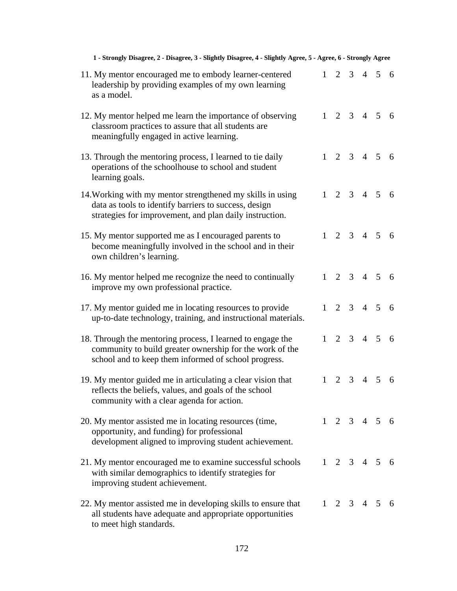| 1 - Strongly Disagree, 2 - Disagree, 3 - Slightly Disagree, 4 - Slightly Agree, 5 - Agree, 6 - Strongly Agree                                                                  |           |                     |  |                         |    |
|--------------------------------------------------------------------------------------------------------------------------------------------------------------------------------|-----------|---------------------|--|-------------------------|----|
| 11. My mentor encouraged me to embody learner-centered<br>leadership by providing examples of my own learning<br>as a model.                                                   |           |                     |  | $1 \t2 \t3 \t4 \t5 \t6$ |    |
| 12. My mentor helped me learn the importance of observing<br>classroom practices to assure that all students are<br>meaningfully engaged in active learning.                   | 1         |                     |  | 2 3 4 5 6               |    |
| 13. Through the mentoring process, I learned to tie daily<br>operations of the schoolhouse to school and student<br>learning goals.                                            |           |                     |  | $1 \t2 \t3 \t4 \t5 \t6$ |    |
| 14. Working with my mentor strengthened my skills in using<br>data as tools to identify barriers to success, design<br>strategies for improvement, and plan daily instruction. |           |                     |  | $1 \t2 \t3 \t4 \t5 \t6$ |    |
| 15. My mentor supported me as I encouraged parents to<br>become meaningfully involved in the school and in their<br>own children's learning.                                   | 1         |                     |  | 2 3 4 5 6               |    |
| 16. My mentor helped me recognize the need to continually<br>improve my own professional practice.                                                                             | $1 \quad$ |                     |  | 2 3 4 5 6               |    |
| 17. My mentor guided me in locating resources to provide<br>up-to-date technology, training, and instructional materials.                                                      |           |                     |  | $1 \t2 \t3 \t4 \t5 \t6$ |    |
| 18. Through the mentoring process, I learned to engage the<br>community to build greater ownership for the work of the<br>school and to keep them informed of school progress. | $1 -$     |                     |  | $2 \t3 \t4 \t5 \t6$     |    |
| 19. My mentor guided me in articulating a clear vision that<br>reflects the beliefs, values, and goals of the school<br>community with a clear agenda for action.              | 1         |                     |  | 2 3 4 5 6               |    |
| 20. My mentor assisted me in locating resources (time,<br>opportunity, and funding) for professional<br>development aligned to improving student achievement.                  |           |                     |  | $1 \t2 \t3 \t4 \t5 \t6$ |    |
| 21. My mentor encouraged me to examine successful schools<br>with similar demographics to identify strategies for<br>improving student achievement.                            |           |                     |  | $1 \t2 \t3 \t4 \t5 \t6$ |    |
| 22. My mentor assisted me in developing skills to ensure that<br>all students have adequate and appropriate opportunities<br>to meet high standards.                           |           | $1 \t2 \t3 \t4 \t5$ |  |                         | -6 |

### 172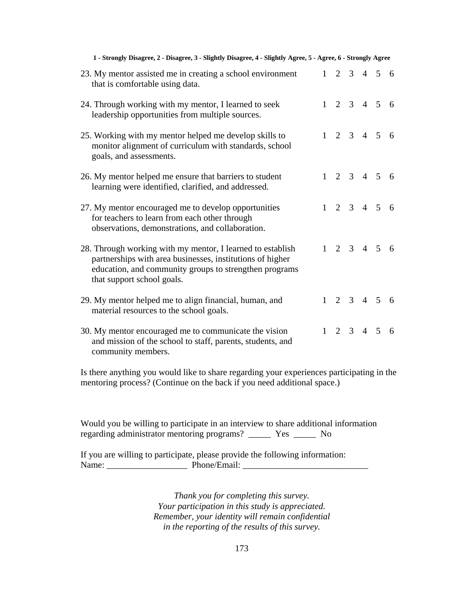| 1 - Strongly Disagree, 2 - Disagree, 3 - Slightly Disagree, 4 - Slightly Agree, 5 - Agree, 6 - Strongly Agree                                                                                                   |              |  |                 |                         |     |
|-----------------------------------------------------------------------------------------------------------------------------------------------------------------------------------------------------------------|--------------|--|-----------------|-------------------------|-----|
| 23. My mentor assisted me in creating a school environment<br>that is comfortable using data.                                                                                                                   | 1            |  |                 | $2 \t3 \t4 \t5 \t6$     |     |
| 24. Through working with my mentor, I learned to seek<br>leadership opportunities from multiple sources.                                                                                                        |              |  |                 | $1 \t2 \t3 \t4 \t5 \t6$ |     |
| 25. Working with my mentor helped me develop skills to<br>monitor alignment of curriculum with standards, school<br>goals, and assessments.                                                                     |              |  |                 | $1 \t2 \t3 \t4 \t5 \t6$ |     |
| 26. My mentor helped me ensure that barriers to student<br>learning were identified, clarified, and addressed.                                                                                                  | 1            |  |                 | 2 3 4 5 6               |     |
| 27. My mentor encouraged me to develop opportunities<br>for teachers to learn from each other through<br>observations, demonstrations, and collaboration.                                                       |              |  |                 | $2 \t3 \t4 \t5 \t6$     |     |
| 28. Through working with my mentor, I learned to establish<br>partnerships with area businesses, institutions of higher<br>education, and community groups to strengthen programs<br>that support school goals. |              |  |                 | $1 \t2 \t3 \t4 \t5 \t6$ |     |
| 29. My mentor helped me to align financial, human, and<br>material resources to the school goals.                                                                                                               | $1 \quad$    |  |                 | 2 3 4 5 6               |     |
| 30. My mentor encouraged me to communicate the vision<br>and mission of the school to staff, parents, students, and<br>community members.                                                                       | $\mathbf{1}$ |  | $2 \t3 \t4 \t5$ |                         | - 6 |

Is there anything you would like to share regarding your experiences participating in the mentoring process? (Continue on the back if you need additional space.)

Would you be willing to participate in an interview to share additional information regarding administrator mentoring programs? \_\_\_\_\_ Yes \_\_\_\_\_ No

If you are willing to participate, please provide the following information: Name: \_\_\_\_\_\_\_\_\_\_\_\_\_\_\_\_\_\_ Phone/Email: \_\_\_\_\_\_\_\_\_\_\_\_\_\_\_\_\_\_\_\_\_\_\_\_\_\_\_\_

> *Thank you for completing this survey. Your participation in this study is appreciated. Remember, your identity will remain confidential in the reporting of the results of this survey.*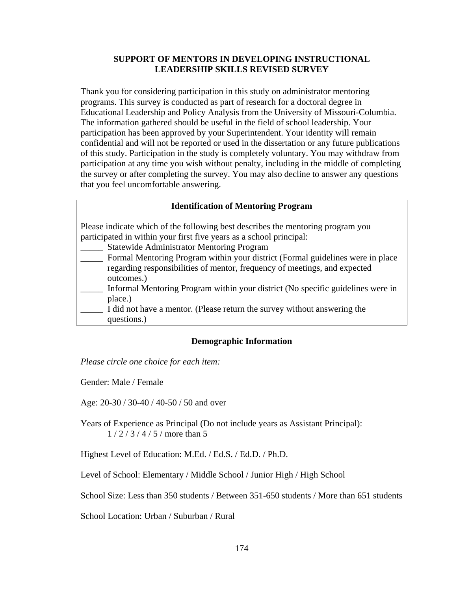#### **SUPPORT OF MENTORS IN DEVELOPING INSTRUCTIONAL LEADERSHIP SKILLS REVISED SURVEY**

Thank you for considering participation in this study on administrator mentoring programs. This survey is conducted as part of research for a doctoral degree in Educational Leadership and Policy Analysis from the University of Missouri-Columbia. The information gathered should be useful in the field of school leadership. Your participation has been approved by your Superintendent. Your identity will remain confidential and will not be reported or used in the dissertation or any future publications of this study. Participation in the study is completely voluntary. You may withdraw from participation at any time you wish without penalty, including in the middle of completing the survey or after completing the survey. You may also decline to answer any questions that you feel uncomfortable answering.

#### **Identification of Mentoring Program**

Please indicate which of the following best describes the mentoring program you participated in within your first five years as a school principal:

- Statewide Administrator Mentoring Program
- Formal Mentoring Program within your district (Formal guidelines were in place regarding responsibilities of mentor, frequency of meetings, and expected outcomes.)
- \_\_\_\_\_ Informal Mentoring Program within your district (No specific guidelines were in place.)
- I did not have a mentor. (Please return the survey without answering the questions.)

#### **Demographic Information**

*Please circle one choice for each item:* 

Gender: Male / Female

Age: 20-30 / 30-40 / 40-50 / 50 and over

Years of Experience as Principal (Do not include years as Assistant Principal): 1 / 2 / 3 / 4 / 5 / more than 5

Highest Level of Education: M.Ed. / Ed.S. / Ed.D. / Ph.D.

Level of School: Elementary / Middle School / Junior High / High School

School Size: Less than 350 students / Between 351-650 students / More than 651 students

School Location: Urban / Suburban / Rural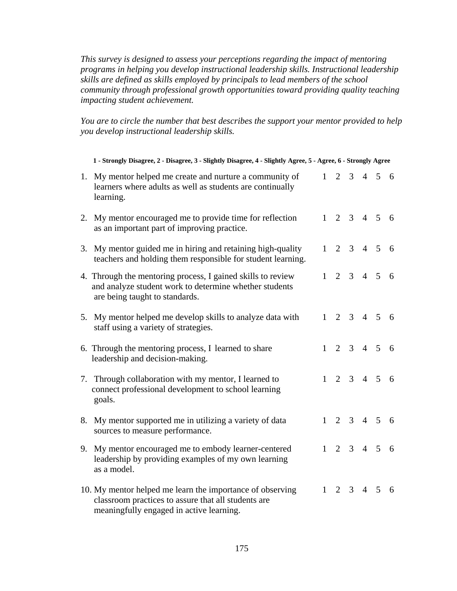*This survey is designed to assess your perceptions regarding the impact of mentoring programs in helping you develop instructional leadership skills. Instructional leadership skills are defined as skills employed by principals to lead members of the school community through professional growth opportunities toward providing quality teaching impacting student achievement.* 

*You are to circle the number that best describes the support your mentor provided to help you develop instructional leadership skills.*

|    | 1 - Strongly Disagree, 2 - Disagree, 3 - Slightly Disagree, 4 - Slightly Agree, 5 - Agree, 6 - Strongly Agree                                                |   |                         |                |                     |                |     |
|----|--------------------------------------------------------------------------------------------------------------------------------------------------------------|---|-------------------------|----------------|---------------------|----------------|-----|
|    | 1. My mentor helped me create and nurture a community of<br>learners where adults as well as students are continually<br>learning.                           | 1 | 2                       | $\mathfrak{Z}$ |                     | $4\quad 5$     | - 6 |
|    | 2. My mentor encouraged me to provide time for reflection<br>as an important part of improving practice.                                                     | 1 |                         |                | $2 \t3 \t4 \t5$     |                | - 6 |
| 3. | My mentor guided me in hiring and retaining high-quality<br>teachers and holding them responsible for student learning.                                      |   | $1 \t2 \t3 \t4 \t5$     |                |                     |                | - 6 |
|    | 4. Through the mentoring process, I gained skills to review<br>and analyze student work to determine whether students<br>are being taught to standards.      | 1 |                         |                | $2 \t3 \t4 \t5$     |                | 6   |
| 5. | My mentor helped me develop skills to analyze data with<br>staff using a variety of strategies.                                                              |   | $1 \t2 \t3 \t4 \t5 \t6$ |                |                     |                |     |
|    | 6. Through the mentoring process, I learned to share<br>leadership and decision-making.                                                                      |   | $1\quad 2$              |                | $3 \quad 4 \quad 5$ |                | 6   |
|    | 7. Through collaboration with my mentor, I learned to<br>connect professional development to school learning<br>goals.                                       | 1 |                         |                | $2 \quad 3 \quad 4$ | $\overline{5}$ | -6  |
|    | 8. My mentor supported me in utilizing a variety of data<br>sources to measure performance.                                                                  | 1 | $\overline{2}$          |                | $3 \t 4 \t 5$       |                | - 6 |
|    | 9. My mentor encouraged me to embody learner-centered<br>leadership by providing examples of my own learning<br>as a model.                                  | 1 |                         |                | $2 \t3 \t4 \t5$     |                | 6   |
|    | 10. My mentor helped me learn the importance of observing<br>classroom practices to assure that all students are<br>meaningfully engaged in active learning. |   | $1\quad 2$              | 3 <sup>7</sup> | $4\quad 5$          |                | 6   |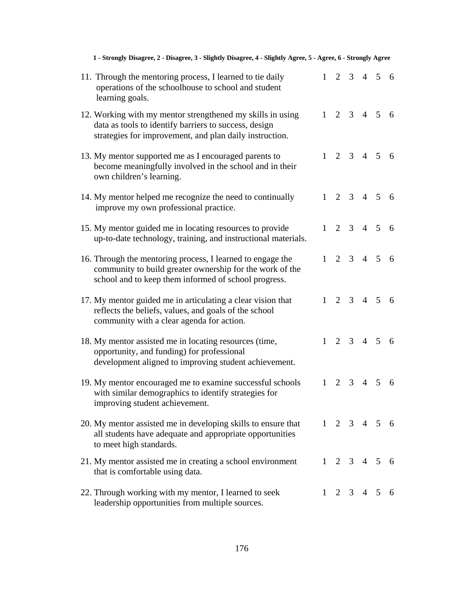| 1 - Strongly Disagree, 2 - Disagree, 3 - Slightly Disagree, 4 - Slightly Agree, 5 - Agree, 6 - Strongly Agree                                                                  |   |  |                         |  |
|--------------------------------------------------------------------------------------------------------------------------------------------------------------------------------|---|--|-------------------------|--|
| 11. Through the mentoring process, I learned to tie daily<br>operations of the schoolhouse to school and student<br>learning goals.                                            |   |  | $1 \t2 \t3 \t4 \t5 \t6$ |  |
| 12. Working with my mentor strengthened my skills in using<br>data as tools to identify barriers to success, design<br>strategies for improvement, and plan daily instruction. |   |  | $1 \t2 \t3 \t4 \t5 \t6$ |  |
| 13. My mentor supported me as I encouraged parents to<br>become meaningfully involved in the school and in their<br>own children's learning.                                   | 1 |  | 2 3 4 5 6               |  |
| 14. My mentor helped me recognize the need to continually<br>improve my own professional practice.                                                                             |   |  | $1 \t2 \t3 \t4 \t5 \t6$ |  |
| 15. My mentor guided me in locating resources to provide<br>up-to-date technology, training, and instructional materials.                                                      |   |  | $1 \t2 \t3 \t4 \t5 \t6$ |  |
| 16. Through the mentoring process, I learned to engage the<br>community to build greater ownership for the work of the<br>school and to keep them informed of school progress. | 1 |  | $2 \t3 \t4 \t5 \t6$     |  |
| 17. My mentor guided me in articulating a clear vision that<br>reflects the beliefs, values, and goals of the school<br>community with a clear agenda for action.              |   |  | $1 \t2 \t3 \t4 \t5 \t6$ |  |
| 18. My mentor assisted me in locating resources (time,<br>opportunity, and funding) for professional<br>development aligned to improving student achievement.                  | 1 |  | 2 3 4 5 6               |  |
| 19. My mentor encouraged me to examine successful schools<br>with similar demographics to identify strategies for<br>improving student achievement.                            |   |  | $1 \t2 \t3 \t4 \t5 \t6$ |  |
| 20. My mentor assisted me in developing skills to ensure that<br>all students have adequate and appropriate opportunities<br>to meet high standards.                           |   |  | $1 \t2 \t3 \t4 \t5 \t6$ |  |
| 21. My mentor assisted me in creating a school environment<br>that is comfortable using data.                                                                                  |   |  | $1 \t2 \t3 \t4 \t5 \t6$ |  |
| 22. Through working with my mentor, I learned to seek<br>leadership opportunities from multiple sources.                                                                       |   |  | $1 \t2 \t3 \t4 \t5 \t6$ |  |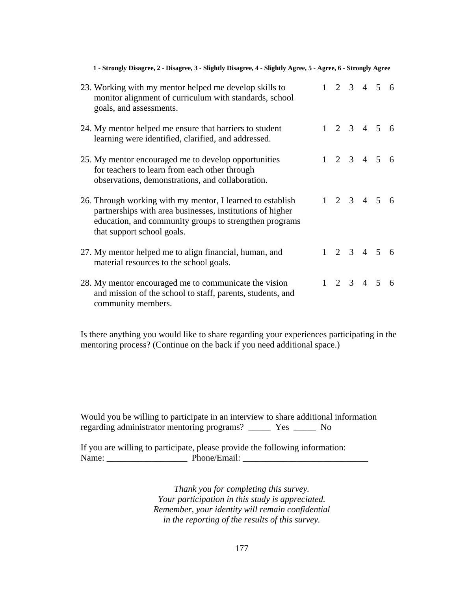| 23. Working with my mentor helped me develop skills to<br>monitor alignment of curriculum with standards, school<br>goals, and assessments.                                                                     |  |  | $1 \t2 \t3 \t4 \t5 \t6$ |  |
|-----------------------------------------------------------------------------------------------------------------------------------------------------------------------------------------------------------------|--|--|-------------------------|--|
| 24. My mentor helped me ensure that barriers to student<br>learning were identified, clarified, and addressed.                                                                                                  |  |  | $1 \t2 \t3 \t4 \t5 \t6$ |  |
| 25. My mentor encouraged me to develop opportunities<br>for teachers to learn from each other through<br>observations, demonstrations, and collaboration.                                                       |  |  | $1 \t2 \t3 \t4 \t5 \t6$ |  |
| 26. Through working with my mentor, I learned to establish<br>partnerships with area businesses, institutions of higher<br>education, and community groups to strengthen programs<br>that support school goals. |  |  | $1 \t2 \t3 \t4 \t5 \t6$ |  |
| 27. My mentor helped me to align financial, human, and<br>material resources to the school goals.                                                                                                               |  |  | $1 \t2 \t3 \t4 \t5 \t6$ |  |
| 28. My mentor encouraged me to communicate the vision<br>and mission of the school to staff, parents, students, and<br>community members.                                                                       |  |  | $1 \t2 \t3 \t4 \t5 \t6$ |  |

**1 - Strongly Disagree, 2 - Disagree, 3 - Slightly Disagree, 4 - Slightly Agree, 5 - Agree, 6 - Strongly Agree** 

Is there anything you would like to share regarding your experiences participating in the mentoring process? (Continue on the back if you need additional space.)

Would you be willing to participate in an interview to share additional information regarding administrator mentoring programs? \_\_\_\_\_ Yes \_\_\_\_\_ No

If you are willing to participate, please provide the following information: Name: \_\_\_\_\_\_\_\_\_\_\_\_\_\_\_\_\_\_ Phone/Email: \_\_\_\_\_\_\_\_\_\_\_\_\_\_\_\_\_\_\_\_\_\_\_\_\_\_\_\_

> *Thank you for completing this survey. Your participation in this study is appreciated. Remember, your identity will remain confidential in the reporting of the results of this survey.*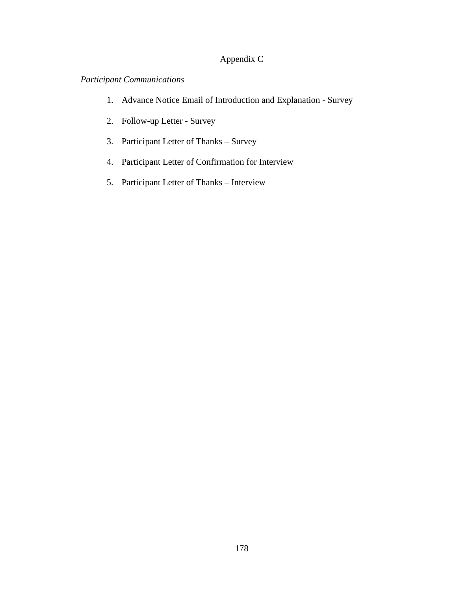## Appendix C

## *Participant Communications*

- 1. Advance Notice Email of Introduction and Explanation Survey
- 2. Follow-up Letter Survey
- 3. Participant Letter of Thanks Survey
- 4. Participant Letter of Confirmation for Interview
- 5. Participant Letter of Thanks Interview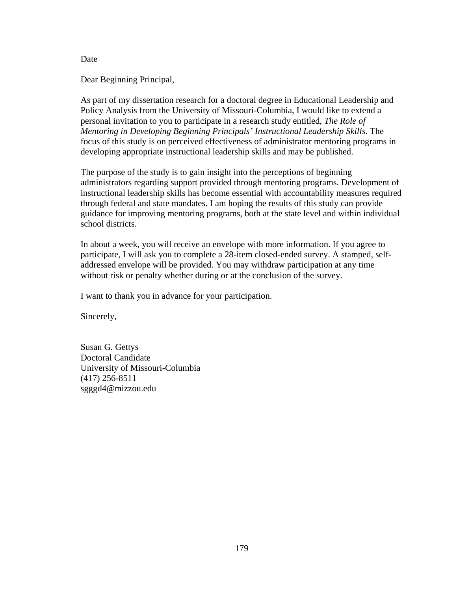Dear Beginning Principal,

As part of my dissertation research for a doctoral degree in Educational Leadership and Policy Analysis from the University of Missouri-Columbia, I would like to extend a personal invitation to you to participate in a research study entitled, *The Role of Mentoring in Developing Beginning Principals' Instructional Leadership Skills*. The focus of this study is on perceived effectiveness of administrator mentoring programs in developing appropriate instructional leadership skills and may be published.

The purpose of the study is to gain insight into the perceptions of beginning administrators regarding support provided through mentoring programs. Development of instructional leadership skills has become essential with accountability measures required through federal and state mandates. I am hoping the results of this study can provide guidance for improving mentoring programs, both at the state level and within individual school districts.

In about a week, you will receive an envelope with more information. If you agree to participate, I will ask you to complete a 28-item closed-ended survey. A stamped, selfaddressed envelope will be provided. You may withdraw participation at any time without risk or penalty whether during or at the conclusion of the survey.

I want to thank you in advance for your participation.

Sincerely,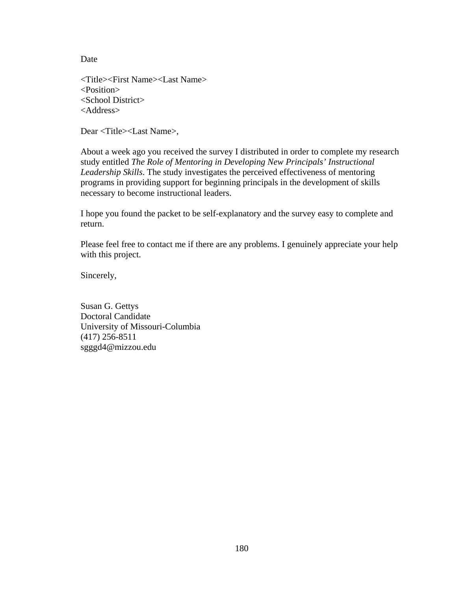<Title><First Name><Last Name> <Position> <School District> <Address>

Dear <Title><Last Name>,

About a week ago you received the survey I distributed in order to complete my research study entitled *The Role of Mentoring in Developing New Principals' Instructional Leadership Skills*. The study investigates the perceived effectiveness of mentoring programs in providing support for beginning principals in the development of skills necessary to become instructional leaders.

I hope you found the packet to be self-explanatory and the survey easy to complete and return.

Please feel free to contact me if there are any problems. I genuinely appreciate your help with this project.

Sincerely,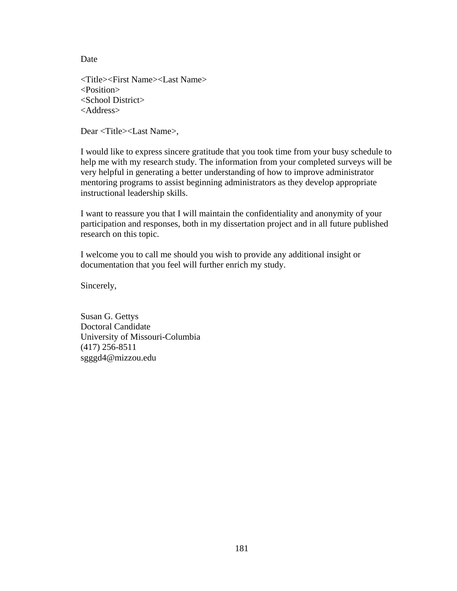<Title><First Name><Last Name> <Position> <School District> <Address>

Dear <Title><Last Name>,

I would like to express sincere gratitude that you took time from your busy schedule to help me with my research study. The information from your completed surveys will be very helpful in generating a better understanding of how to improve administrator mentoring programs to assist beginning administrators as they develop appropriate instructional leadership skills.

I want to reassure you that I will maintain the confidentiality and anonymity of your participation and responses, both in my dissertation project and in all future published research on this topic.

I welcome you to call me should you wish to provide any additional insight or documentation that you feel will further enrich my study.

Sincerely,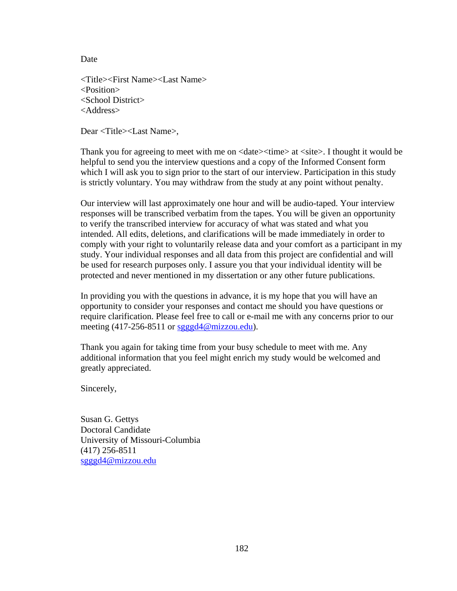<Title><First Name><Last Name> <Position> <School District> <Address>

Dear <Title><Last Name>,

Thank you for agreeing to meet with me on <date>  $\times$ time> at <site>. I thought it would be helpful to send you the interview questions and a copy of the Informed Consent form which I will ask you to sign prior to the start of our interview. Participation in this study is strictly voluntary. You may withdraw from the study at any point without penalty.

Our interview will last approximately one hour and will be audio-taped. Your interview responses will be transcribed verbatim from the tapes. You will be given an opportunity to verify the transcribed interview for accuracy of what was stated and what you intended. All edits, deletions, and clarifications will be made immediately in order to comply with your right to voluntarily release data and your comfort as a participant in my study. Your individual responses and all data from this project are confidential and will be used for research purposes only. I assure you that your individual identity will be protected and never mentioned in my dissertation or any other future publications.

In providing you with the questions in advance, it is my hope that you will have an opportunity to consider your responses and contact me should you have questions or require clarification. Please feel free to call or e-mail me with any concerns prior to our meeting (417-256-8511 or sgggd4@mizzou.edu).

Thank you again for taking time from your busy schedule to meet with me. Any additional information that you feel might enrich my study would be welcomed and greatly appreciated.

Sincerely,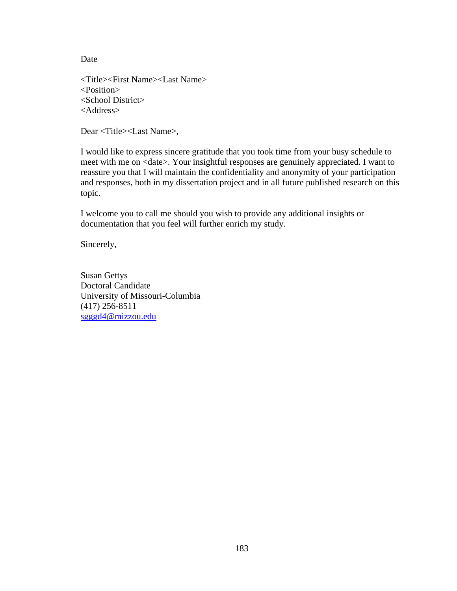<Title><First Name><Last Name> <Position> <School District> <Address>

Dear <Title><Last Name>,

I would like to express sincere gratitude that you took time from your busy schedule to meet with me on <date>. Your insightful responses are genuinely appreciated. I want to reassure you that I will maintain the confidentiality and anonymity of your participation and responses, both in my dissertation project and in all future published research on this topic.

I welcome you to call me should you wish to provide any additional insights or documentation that you feel will further enrich my study.

Sincerely,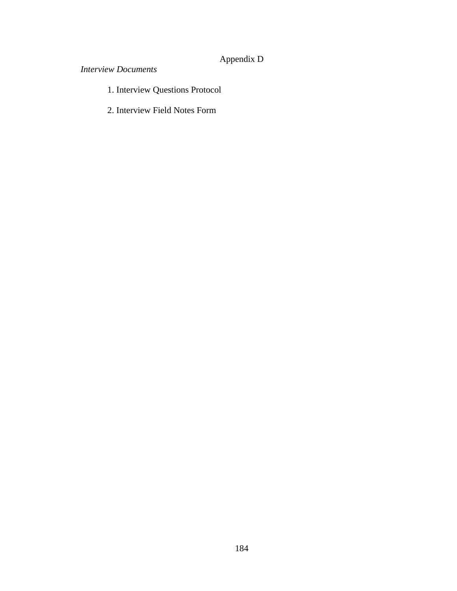# Appendix D

## *Interview Documents*

- 1. Interview Questions Protocol
- 2. Interview Field Notes Form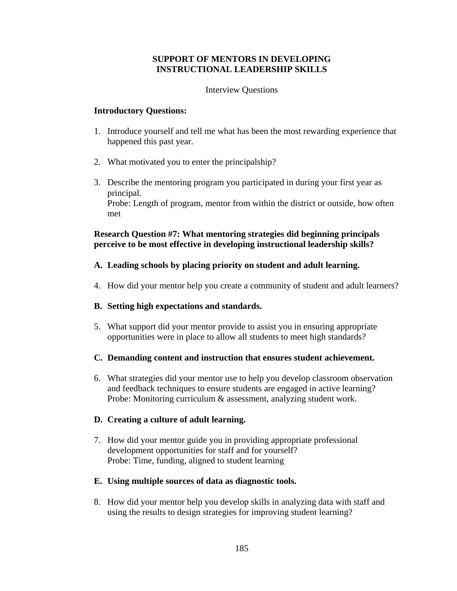#### **SUPPORT OF MENTORS IN DEVELOPING INSTRUCTIONAL LEADERSHIP SKILLS**

#### Interview Questions

#### **Introductory Questions:**

- 1. Introduce yourself and tell me what has been the most rewarding experience that happened this past year.
- 2. What motivated you to enter the principalship?
- 3. Describe the mentoring program you participated in during your first year as principal. Probe: Length of program, mentor from within the district or outside, how often met

#### **Research Question #7: What mentoring strategies did beginning principals perceive to be most effective in developing instructional leadership skills?**

#### **A. Leading schools by placing priority on student and adult learning.**

4. How did your mentor help you create a community of student and adult learners?

#### **B. Setting high expectations and standards.**

5. What support did your mentor provide to assist you in ensuring appropriate opportunities were in place to allow all students to meet high standards?

#### **C. Demanding content and instruction that ensures student achievement.**

6. What strategies did your mentor use to help you develop classroom observation and feedback techniques to ensure students are engaged in active learning? Probe: Monitoring curriculum & assessment, analyzing student work.

#### **D. Creating a culture of adult learning.**

7. How did your mentor guide you in providing appropriate professional development opportunities for staff and for yourself? Probe: Time, funding, aligned to student learning

#### **E. Using multiple sources of data as diagnostic tools.**

8. How did your mentor help you develop skills in analyzing data with staff and using the results to design strategies for improving student learning?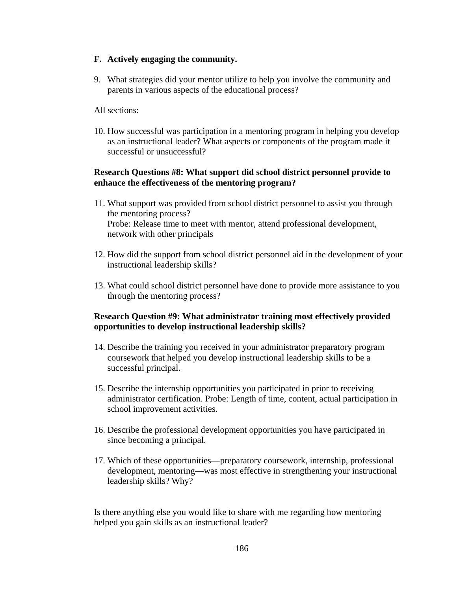#### **F. Actively engaging the community.**

9. What strategies did your mentor utilize to help you involve the community and parents in various aspects of the educational process?

#### All sections:

10. How successful was participation in a mentoring program in helping you develop as an instructional leader? What aspects or components of the program made it successful or unsuccessful?

#### **Research Questions #8: What support did school district personnel provide to enhance the effectiveness of the mentoring program?**

- 11. What support was provided from school district personnel to assist you through the mentoring process? Probe: Release time to meet with mentor, attend professional development, network with other principals
- 12. How did the support from school district personnel aid in the development of your instructional leadership skills?
- 13. What could school district personnel have done to provide more assistance to you through the mentoring process?

#### **Research Question #9: What administrator training most effectively provided opportunities to develop instructional leadership skills?**

- 14. Describe the training you received in your administrator preparatory program coursework that helped you develop instructional leadership skills to be a successful principal.
- 15. Describe the internship opportunities you participated in prior to receiving administrator certification. Probe: Length of time, content, actual participation in school improvement activities.
- 16. Describe the professional development opportunities you have participated in since becoming a principal.
- 17. Which of these opportunities—preparatory coursework, internship, professional development, mentoring—was most effective in strengthening your instructional leadership skills? Why?

Is there anything else you would like to share with me regarding how mentoring helped you gain skills as an instructional leader?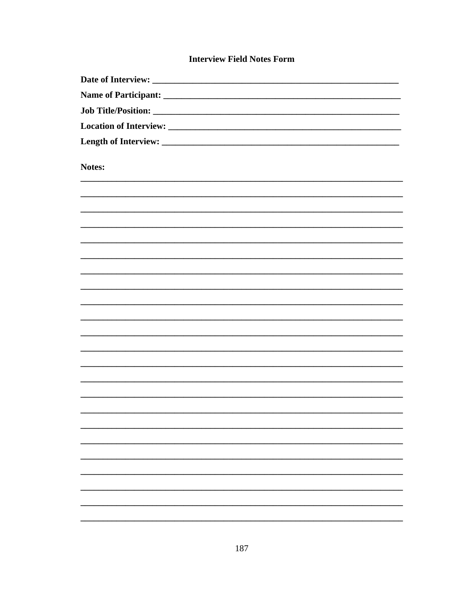## **Interview Field Notes Form**

| Notes: |
|--------|
|        |
|        |
|        |
|        |
|        |
|        |
|        |
|        |
|        |
|        |
|        |
|        |
|        |
|        |
|        |
|        |
|        |
|        |
|        |
|        |
|        |
|        |
|        |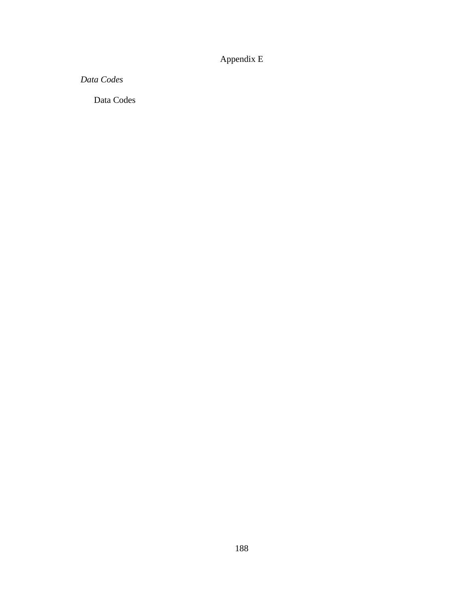## Appendix E

*Data Codes* 

Data Codes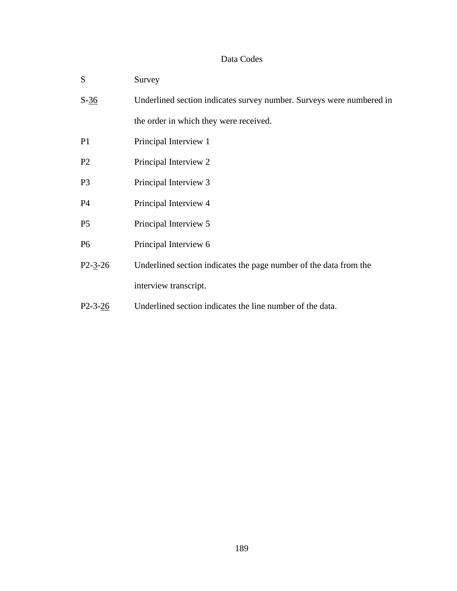## Data Codes

| S              | Survey                                                               |
|----------------|----------------------------------------------------------------------|
| $S-36$         | Underlined section indicates survey number. Surveys were numbered in |
|                | the order in which they were received.                               |
| P <sub>1</sub> | Principal Interview 1                                                |
| P <sub>2</sub> | Principal Interview 2                                                |
| P <sub>3</sub> | Principal Interview 3                                                |
| <b>P4</b>      | Principal Interview 4                                                |
| P <sub>5</sub> | Principal Interview 5                                                |
| P <sub>6</sub> | Principal Interview 6                                                |
| $P2 - 3 - 26$  | Underlined section indicates the page number of the data from the    |
|                | interview transcript.                                                |
| $P2 - 3 - 26$  | Underlined section indicates the line number of the data.            |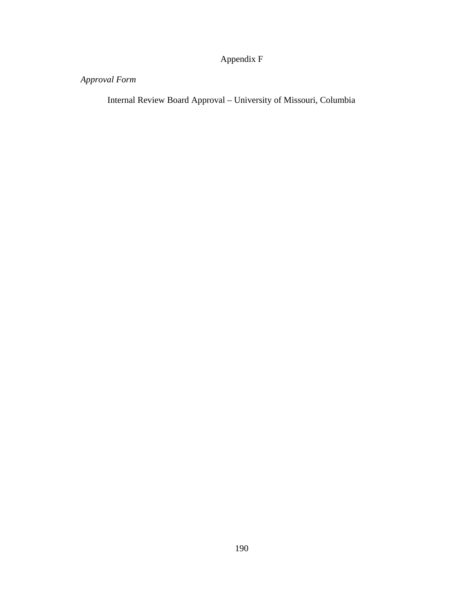Appendix F

# *Approval Form*

Internal Review Board Approval – University of Missouri, Columbia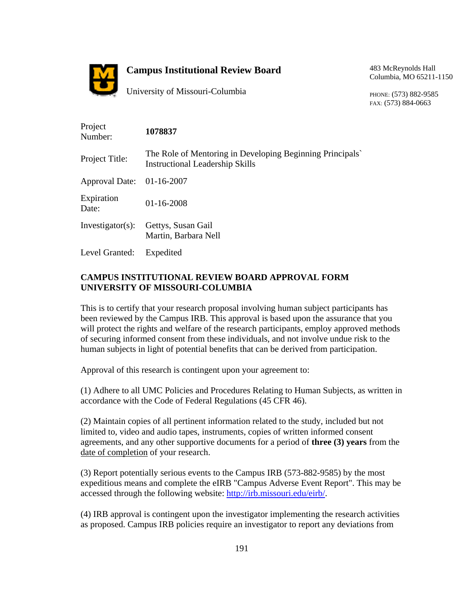

## **Campus Institutional Review Board**

483 McReynolds Hall Columbia, MO 65211-1150

University of Missouri-Columbia

PHONE: (573) 882-9585 FAX: (573) 884-0663

| Project<br>Number:    | 1078837                                                                                            |
|-----------------------|----------------------------------------------------------------------------------------------------|
| Project Title:        | The Role of Mentoring in Developing Beginning Principals<br><b>Instructional Leadership Skills</b> |
| <b>Approval Date:</b> | 01-16-2007                                                                                         |
| Expiration<br>Date:   | $01 - 16 - 2008$                                                                                   |
| $Investigator(s)$ :   | Gettys, Susan Gail<br>Martin, Barbara Nell                                                         |
| Level Granted:        | Expedited                                                                                          |

#### **CAMPUS INSTITUTIONAL REVIEW BOARD APPROVAL FORM UNIVERSITY OF MISSOURI-COLUMBIA**

This is to certify that your research proposal involving human subject participants has been reviewed by the Campus IRB. This approval is based upon the assurance that you will protect the rights and welfare of the research participants, employ approved methods of securing informed consent from these individuals, and not involve undue risk to the human subjects in light of potential benefits that can be derived from participation.

Approval of this research is contingent upon your agreement to:

(1) Adhere to all UMC Policies and Procedures Relating to Human Subjects, as written in accordance with the Code of Federal Regulations (45 CFR 46).

(2) Maintain copies of all pertinent information related to the study, included but not limited to, video and audio tapes, instruments, copies of written informed consent agreements, and any other supportive documents for a period of **three (3) years** from the date of completion of your research.

(3) Report potentially serious events to the Campus IRB (573-882-9585) by the most expeditious means and complete the eIRB "Campus Adverse Event Report". This may be accessed through the following website: http://irb.missouri.edu/eirb/.

(4) IRB approval is contingent upon the investigator implementing the research activities as proposed. Campus IRB policies require an investigator to report any deviations from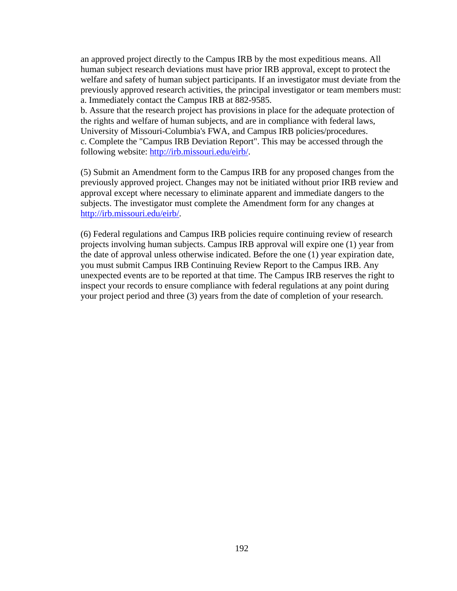an approved project directly to the Campus IRB by the most expeditious means. All human subject research deviations must have prior IRB approval, except to protect the welfare and safety of human subject participants. If an investigator must deviate from the previously approved research activities, the principal investigator or team members must: a. Immediately contact the Campus IRB at 882-9585.

b. Assure that the research project has provisions in place for the adequate protection of the rights and welfare of human subjects, and are in compliance with federal laws, University of Missouri-Columbia's FWA, and Campus IRB policies/procedures. c. Complete the "Campus IRB Deviation Report". This may be accessed through the following website: http://irb.missouri.edu/eirb/.

(5) Submit an Amendment form to the Campus IRB for any proposed changes from the previously approved project. Changes may not be initiated without prior IRB review and approval except where necessary to eliminate apparent and immediate dangers to the subjects. The investigator must complete the Amendment form for any changes at http://irb.missouri.edu/eirb/.

(6) Federal regulations and Campus IRB policies require continuing review of research projects involving human subjects. Campus IRB approval will expire one (1) year from the date of approval unless otherwise indicated. Before the one (1) year expiration date, you must submit Campus IRB Continuing Review Report to the Campus IRB. Any unexpected events are to be reported at that time. The Campus IRB reserves the right to inspect your records to ensure compliance with federal regulations at any point during your project period and three (3) years from the date of completion of your research.